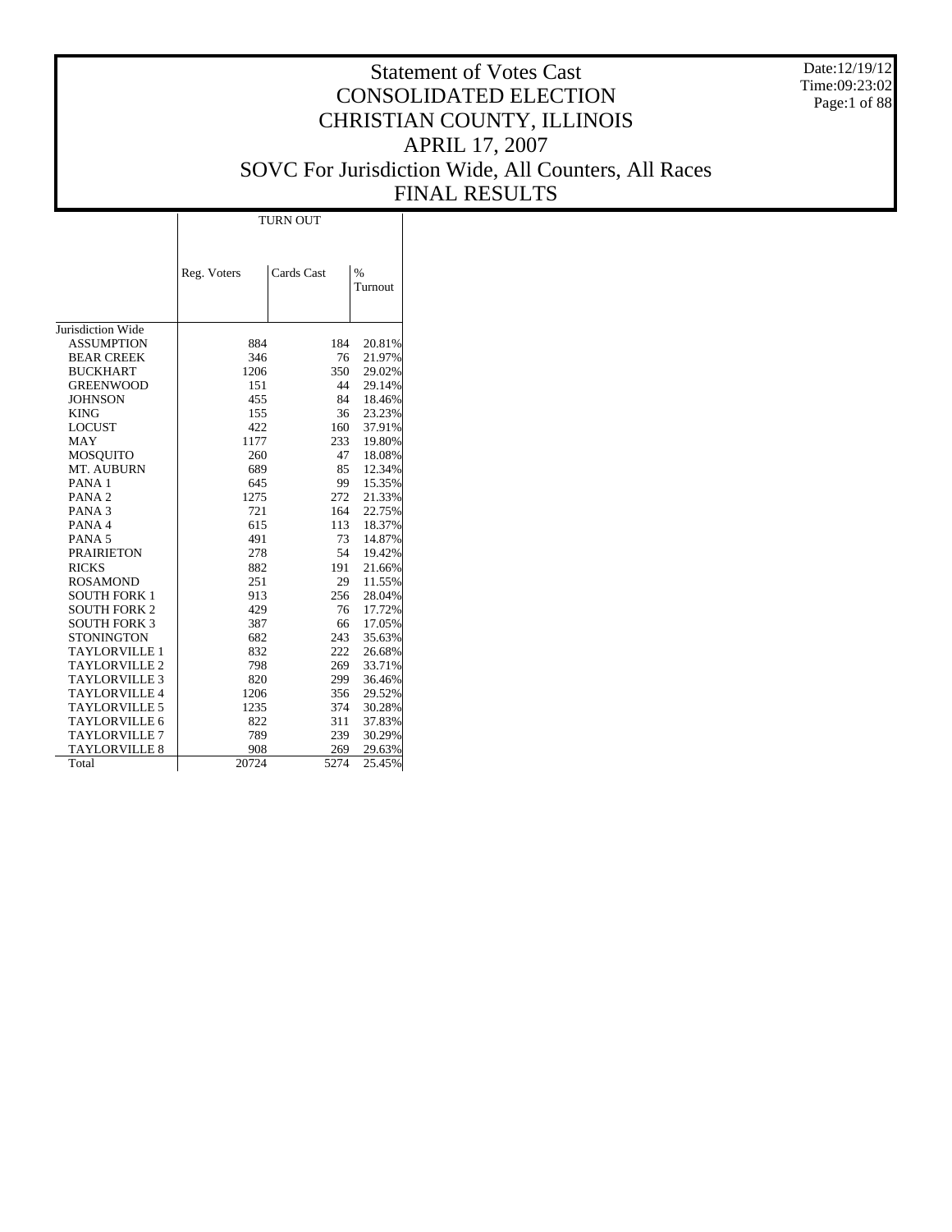Date:12/19/12 Time:09:23:02 Page:1 of 88

# Statement of Votes Cast CONSOLIDATED ELECTION CHRISTIAN COUNTY, ILLINOIS APRIL 17, 2007 SOVC For Jurisdiction Wide, All Counters, All Races FINAL RESULTS

|                      | <b>TURN OUT</b> |            |         |  |  |  |  |  |  |
|----------------------|-----------------|------------|---------|--|--|--|--|--|--|
|                      |                 |            |         |  |  |  |  |  |  |
|                      |                 |            |         |  |  |  |  |  |  |
|                      | Reg. Voters     | Cards Cast | $\%$    |  |  |  |  |  |  |
|                      |                 |            | Turnout |  |  |  |  |  |  |
|                      |                 |            |         |  |  |  |  |  |  |
|                      |                 |            |         |  |  |  |  |  |  |
| Jurisdiction Wide    |                 |            |         |  |  |  |  |  |  |
| <b>ASSUMPTION</b>    | 884             | 184        | 20.81%  |  |  |  |  |  |  |
| <b>BEAR CREEK</b>    | 346             | 76         | 21.97%  |  |  |  |  |  |  |
| <b>BUCKHART</b>      | 1206            | 350        | 29.02%  |  |  |  |  |  |  |
| <b>GREENWOOD</b>     | 151             | 44         | 29.14%  |  |  |  |  |  |  |
| <b>JOHNSON</b>       | 455             | 84         | 18.46%  |  |  |  |  |  |  |
| <b>KING</b>          | 155             | 36         | 23.23%  |  |  |  |  |  |  |
| <b>LOCUST</b>        | 422             | 160        | 37.91%  |  |  |  |  |  |  |
| <b>MAY</b>           | 1177            | 233        | 19.80%  |  |  |  |  |  |  |
| <b>MOSOUITO</b>      | 260             | 47         | 18.08%  |  |  |  |  |  |  |
| MT. AUBURN           | 689             | 85         | 12.34%  |  |  |  |  |  |  |
| PANA <sub>1</sub>    | 645             | 99         | 15.35%  |  |  |  |  |  |  |
| PANA <sub>2</sub>    | 1275            | 272        | 21.33%  |  |  |  |  |  |  |
| PANA <sub>3</sub>    | 721             | 164        | 22.75%  |  |  |  |  |  |  |
| PANA <sub>4</sub>    | 615             | 113        | 18.37%  |  |  |  |  |  |  |
| PANA <sub>5</sub>    | 491             | 73         | 14.87%  |  |  |  |  |  |  |
| <b>PRAIRIETON</b>    | 278             | 54         | 19.42%  |  |  |  |  |  |  |
| <b>RICKS</b>         | 882             | 191        | 21.66%  |  |  |  |  |  |  |
| <b>ROSAMOND</b>      | 251             | 29         | 11.55%  |  |  |  |  |  |  |
| <b>SOUTH FORK 1</b>  | 913             | 256        | 28.04%  |  |  |  |  |  |  |
| <b>SOUTH FORK 2</b>  | 429             | 76         | 17.72%  |  |  |  |  |  |  |
| <b>SOUTH FORK 3</b>  | 387             | 66         | 17.05%  |  |  |  |  |  |  |
| <b>STONINGTON</b>    | 682             | 243        | 35.63%  |  |  |  |  |  |  |
| <b>TAYLORVILLE 1</b> | 832             | 222        | 26.68%  |  |  |  |  |  |  |
| <b>TAYLORVILLE 2</b> | 798             | 269        | 33.71%  |  |  |  |  |  |  |
| <b>TAYLORVILLE 3</b> | 820             | 299        | 36.46%  |  |  |  |  |  |  |
| <b>TAYLORVILLE 4</b> | 1206            | 356        | 29.52%  |  |  |  |  |  |  |
| TAYLORVILLE 5        | 1235            | 374        | 30.28%  |  |  |  |  |  |  |
| <b>TAYLORVILLE 6</b> | 822             | 311        | 37.83%  |  |  |  |  |  |  |
| <b>TAYLORVILLE 7</b> | 789             | 239        | 30.29%  |  |  |  |  |  |  |
| <b>TAYLORVILLE 8</b> | 908             | 269        | 29.63%  |  |  |  |  |  |  |
| Total                | 20724           | 5274       | 25.45%  |  |  |  |  |  |  |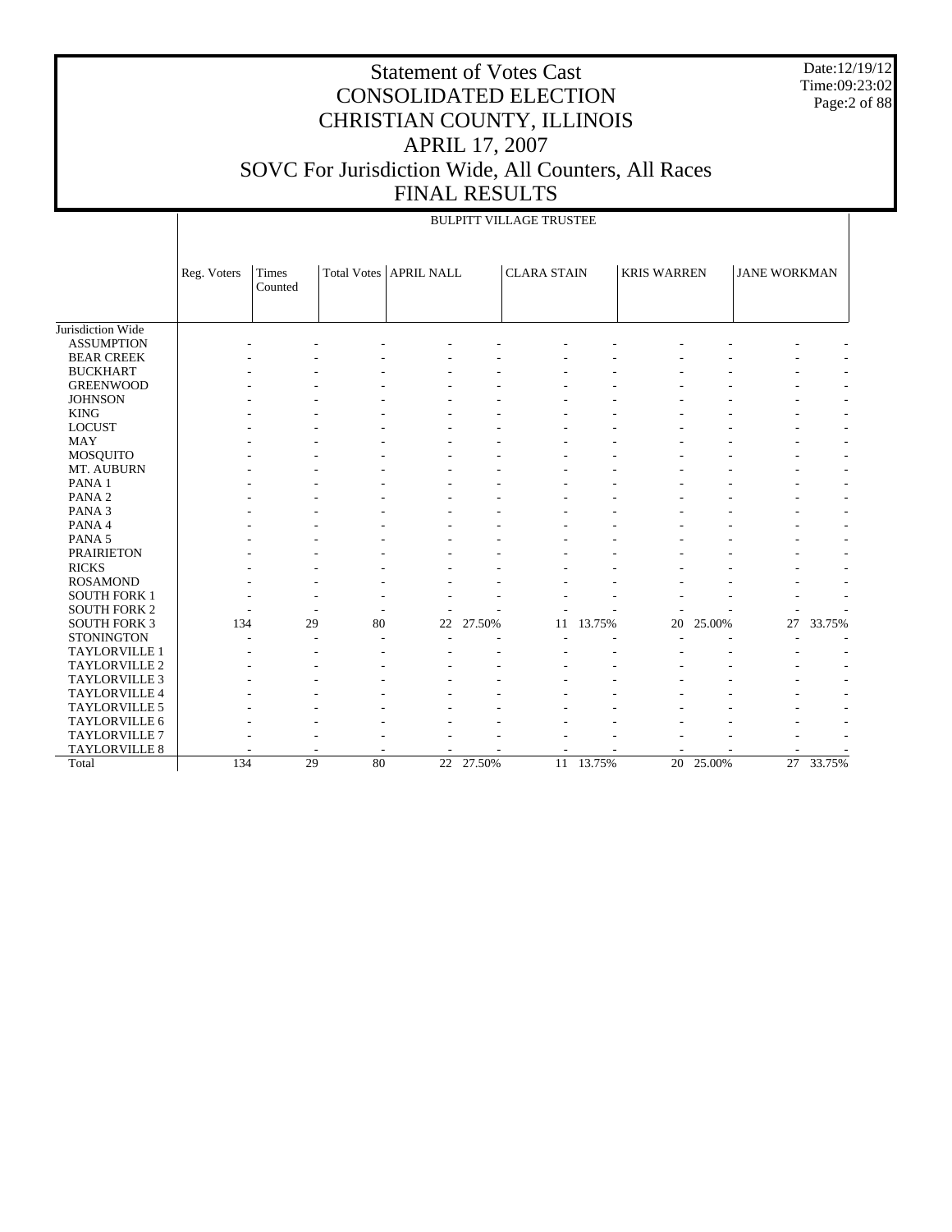Date:12/19/12 Time:09:23:02 Page:2 of 88

|                     |             | <b>BULPITT VILLAGE TRUSTEE</b> |    |                          |           |                    |        |                    |        |                     |        |  |  |
|---------------------|-------------|--------------------------------|----|--------------------------|-----------|--------------------|--------|--------------------|--------|---------------------|--------|--|--|
|                     | Reg. Voters | Times<br>Counted               |    | Total Votes   APRIL NALL |           | <b>CLARA STAIN</b> |        | <b>KRIS WARREN</b> |        | <b>JANE WORKMAN</b> |        |  |  |
| Jurisdiction Wide   |             |                                |    |                          |           |                    |        |                    |        |                     |        |  |  |
| <b>ASSUMPTION</b>   |             |                                |    |                          |           |                    |        |                    |        |                     |        |  |  |
| <b>BEAR CREEK</b>   |             |                                |    |                          |           |                    |        |                    |        |                     |        |  |  |
| <b>BUCKHART</b>     |             |                                |    |                          |           |                    |        |                    |        |                     |        |  |  |
| <b>GREENWOOD</b>    |             |                                |    |                          |           |                    |        |                    |        |                     |        |  |  |
| <b>JOHNSON</b>      |             |                                |    |                          |           |                    |        |                    |        |                     |        |  |  |
| <b>KING</b>         |             |                                |    |                          |           |                    |        |                    |        |                     |        |  |  |
| <b>LOCUST</b>       |             |                                |    |                          |           |                    |        |                    |        |                     |        |  |  |
| <b>MAY</b>          |             |                                |    |                          |           |                    |        |                    |        |                     |        |  |  |
| MOSQUITO            |             |                                |    |                          |           |                    |        |                    |        |                     |        |  |  |
| MT. AUBURN          |             |                                |    |                          |           |                    |        |                    |        |                     |        |  |  |
| PANA <sub>1</sub>   |             |                                |    |                          |           |                    |        |                    |        |                     |        |  |  |
| PANA <sub>2</sub>   |             |                                |    |                          |           |                    |        |                    |        |                     |        |  |  |
| PANA <sub>3</sub>   |             |                                |    |                          |           |                    |        |                    |        |                     |        |  |  |
| PANA 4              |             |                                |    |                          |           |                    |        |                    |        |                     |        |  |  |
| PANA <sub>5</sub>   |             |                                |    |                          |           |                    |        |                    |        |                     |        |  |  |
| <b>PRAIRIETON</b>   |             |                                |    |                          |           |                    |        |                    |        |                     |        |  |  |
| <b>RICKS</b>        |             |                                |    |                          |           |                    |        |                    |        |                     |        |  |  |
| <b>ROSAMOND</b>     |             |                                |    |                          |           |                    |        |                    |        |                     |        |  |  |
| <b>SOUTH FORK 1</b> |             |                                |    |                          |           |                    |        |                    |        |                     |        |  |  |
| <b>SOUTH FORK 2</b> |             |                                |    |                          |           |                    |        |                    |        |                     |        |  |  |
| <b>SOUTH FORK 3</b> | 134         | 29                             | 80 | 22                       | 27.50%    | 11                 | 13.75% | 20                 | 25.00% | 27                  | 33.75% |  |  |
| <b>STONINGTON</b>   |             |                                |    |                          |           |                    |        |                    |        |                     |        |  |  |
| TAYLORVILLE 1       |             |                                |    |                          |           |                    |        |                    |        |                     |        |  |  |
| TAYLORVILLE 2       |             |                                |    |                          |           |                    |        |                    |        |                     |        |  |  |
| TAYLORVILLE 3       |             |                                |    |                          |           |                    |        |                    |        |                     |        |  |  |
| TAYLORVILLE 4       |             |                                |    |                          |           |                    |        |                    |        |                     |        |  |  |
| TAYLORVILLE 5       |             |                                |    |                          |           |                    |        |                    |        |                     |        |  |  |
| TAYLORVILLE 6       |             |                                |    |                          |           |                    |        |                    |        |                     |        |  |  |
| TAYLORVILLE 7       |             |                                |    |                          |           |                    |        |                    |        |                     |        |  |  |
| TAYLORVILLE 8       |             |                                |    |                          |           |                    |        |                    |        |                     |        |  |  |
| Total               | 134         | 29                             | 80 |                          | 22 27.50% | 11                 | 13.75% | 20                 | 25.00% | $\overline{27}$     | 33.75% |  |  |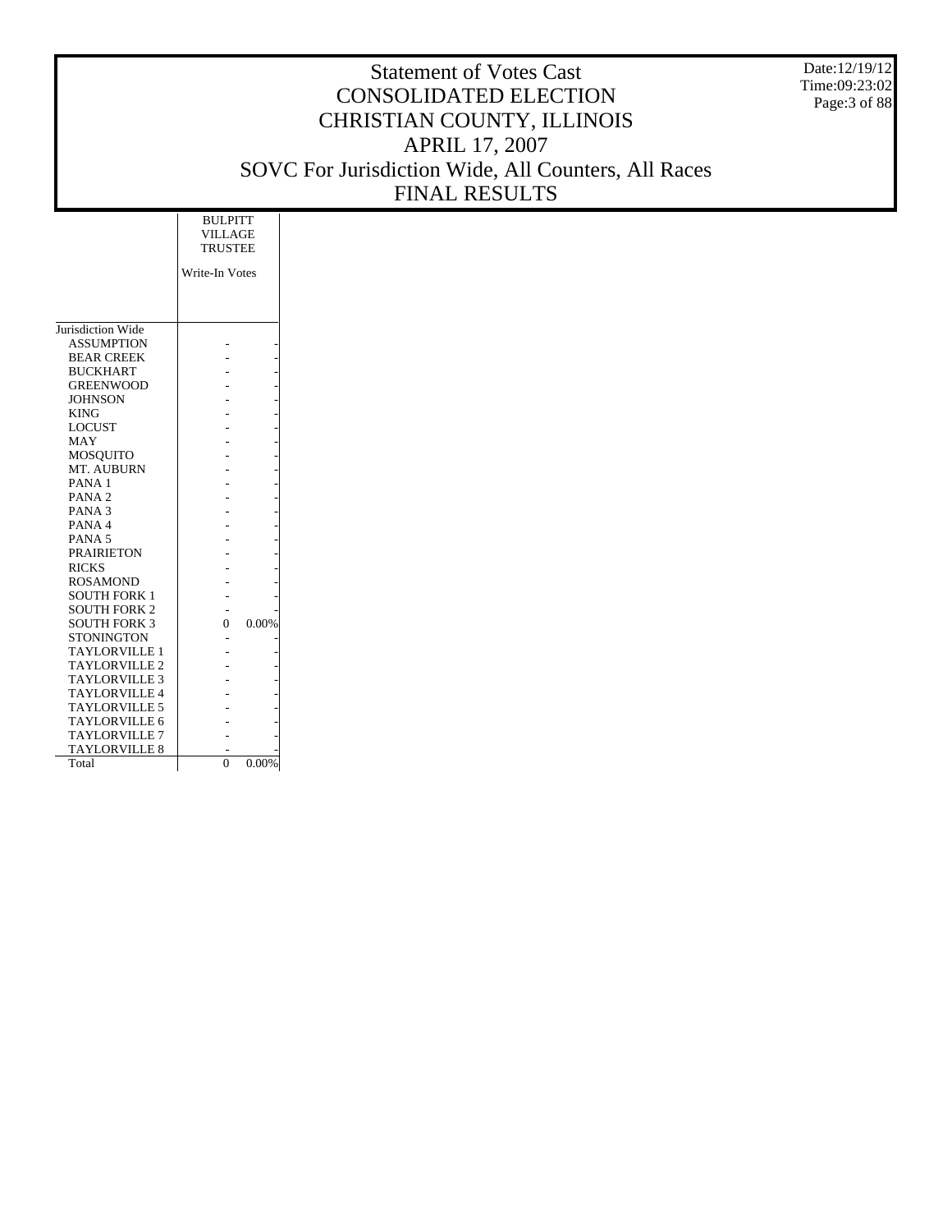Date:12/19/12 Time:09:23:02 Page:3 of 88

|                      | <b>BULPITT</b><br><b>VILLAGE</b> |       |  |
|----------------------|----------------------------------|-------|--|
|                      | <b>TRUSTEE</b>                   |       |  |
|                      | Write-In Votes                   |       |  |
|                      |                                  |       |  |
|                      |                                  |       |  |
| Jurisdiction Wide    |                                  |       |  |
| <b>ASSUMPTION</b>    |                                  |       |  |
| <b>BEAR CREEK</b>    |                                  |       |  |
| <b>BUCKHART</b>      |                                  |       |  |
| <b>GREENWOOD</b>     |                                  |       |  |
| <b>JOHNSON</b>       |                                  |       |  |
| <b>KING</b>          |                                  |       |  |
| <b>LOCUST</b>        |                                  |       |  |
| MAY                  |                                  |       |  |
| <b>MOSQUITO</b>      |                                  |       |  |
| MT. AUBURN           |                                  |       |  |
| PANA <sub>1</sub>    |                                  |       |  |
| PANA <sub>2</sub>    |                                  |       |  |
| PANA <sub>3</sub>    |                                  |       |  |
| PANA <sub>4</sub>    |                                  |       |  |
| PANA <sub>5</sub>    |                                  |       |  |
| <b>PRAIRIETON</b>    |                                  |       |  |
| <b>RICKS</b>         |                                  |       |  |
| <b>ROSAMOND</b>      |                                  |       |  |
| <b>SOUTH FORK 1</b>  |                                  |       |  |
| <b>SOUTH FORK 2</b>  |                                  |       |  |
| <b>SOUTH FORK 3</b>  | 0                                | 0.00% |  |
| <b>STONINGTON</b>    |                                  |       |  |
| <b>TAYLORVILLE 1</b> |                                  |       |  |
| <b>TAYLORVILLE 2</b> |                                  |       |  |
| <b>TAYLORVILLE 3</b> |                                  |       |  |
| <b>TAYLORVILLE 4</b> |                                  |       |  |
| <b>TAYLORVILLE 5</b> |                                  |       |  |
| <b>TAYLORVILLE 6</b> |                                  |       |  |
| <b>TAYLORVILLE 7</b> |                                  |       |  |
| <b>TAYLORVILLE 8</b> |                                  |       |  |
| Total                | $\overline{0}$                   | 0.00% |  |
|                      |                                  |       |  |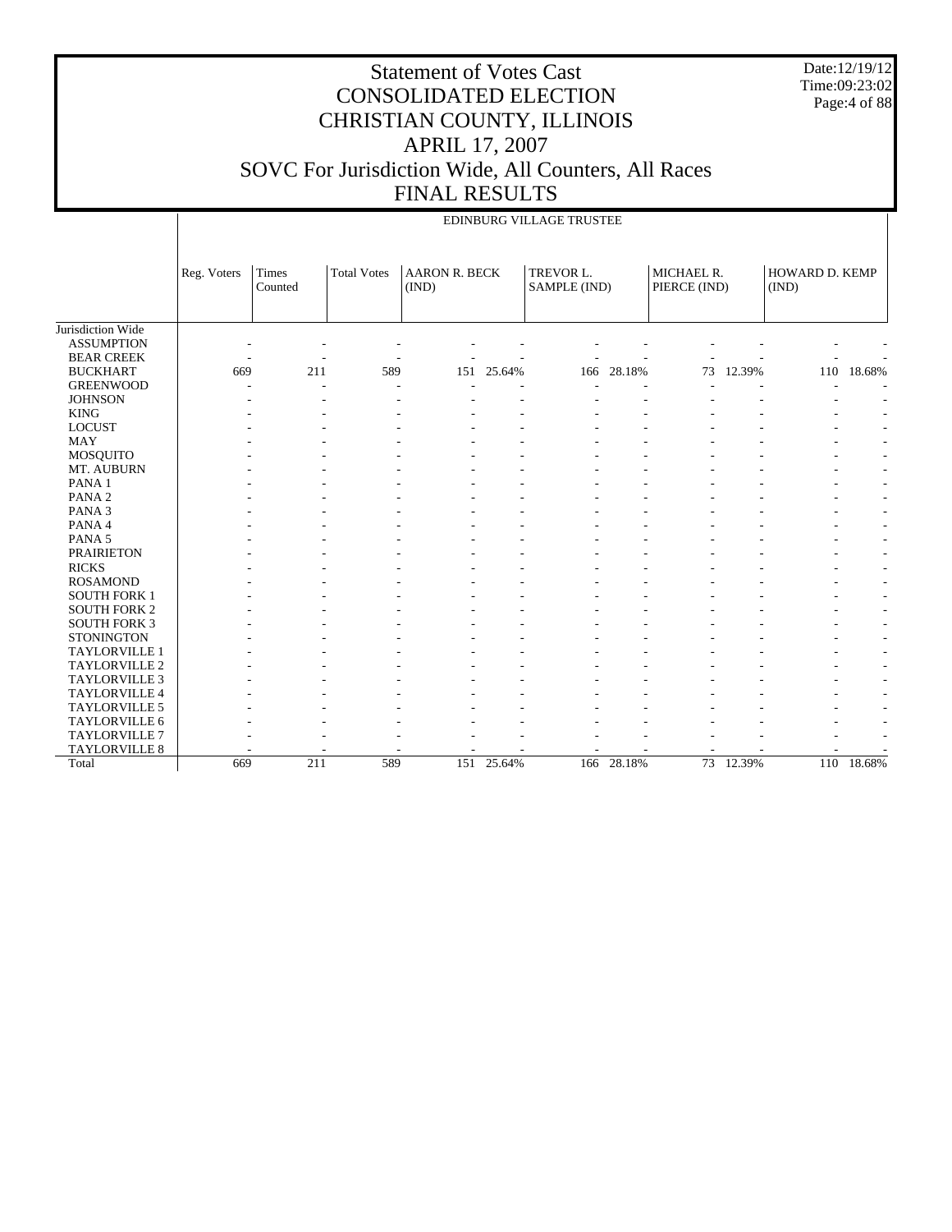Date:12/19/12 Time:09:23:02 Page:4 of 88

|                             | EDINBURG VILLAGE TRUSTEE |                  |                    |                               |            |                           |            |                            |           |                         |                                                      |  |
|-----------------------------|--------------------------|------------------|--------------------|-------------------------------|------------|---------------------------|------------|----------------------------|-----------|-------------------------|------------------------------------------------------|--|
|                             | Reg. Voters              | Times<br>Counted | <b>Total Votes</b> | <b>AARON R. BECK</b><br>(IND) |            | TREVOR L.<br>SAMPLE (IND) |            | MICHAEL R.<br>PIERCE (IND) |           | HOWARD D. KEMP<br>(IND) |                                                      |  |
| Jurisdiction Wide           |                          |                  |                    |                               |            |                           |            |                            |           |                         |                                                      |  |
| <b>ASSUMPTION</b>           |                          |                  |                    |                               |            |                           |            |                            |           |                         |                                                      |  |
| <b>BEAR CREEK</b>           |                          |                  |                    |                               |            |                           |            |                            |           |                         |                                                      |  |
| <b>BUCKHART</b>             | 669                      | 211              | 589                | 151                           | 25.64%     | 166                       | 28.18%     | 73                         | 12.39%    | 110                     | 18.68%                                               |  |
| <b>GREENWOOD</b>            |                          |                  |                    |                               |            |                           |            |                            |           |                         |                                                      |  |
| <b>JOHNSON</b>              |                          |                  |                    |                               |            |                           |            |                            |           |                         |                                                      |  |
| <b>KING</b>                 |                          |                  |                    |                               |            |                           |            |                            |           |                         |                                                      |  |
| <b>LOCUST</b>               |                          |                  |                    |                               |            |                           |            |                            |           |                         |                                                      |  |
| <b>MAY</b>                  |                          |                  |                    |                               |            |                           |            |                            |           |                         |                                                      |  |
| MOSQUITO                    |                          |                  |                    |                               |            |                           |            |                            |           |                         | $\overline{\phantom{a}}$                             |  |
| MT. AUBURN                  |                          |                  |                    |                               |            |                           |            |                            |           |                         | $\overline{\phantom{a}}$                             |  |
| PANA 1<br>PANA <sub>2</sub> |                          |                  |                    |                               |            |                           |            |                            |           |                         | $\overline{\phantom{a}}$                             |  |
| PANA <sub>3</sub>           |                          |                  |                    |                               |            |                           |            |                            |           |                         | $\overline{\phantom{a}}$<br>$\overline{\phantom{a}}$ |  |
| PANA 4                      |                          |                  |                    |                               |            |                           |            |                            |           |                         | $\overline{\phantom{a}}$                             |  |
| PANA <sub>5</sub>           |                          |                  |                    |                               |            |                           |            |                            |           |                         | $\overline{\phantom{a}}$                             |  |
| <b>PRAIRIETON</b>           |                          |                  |                    |                               |            |                           |            |                            |           |                         | $\overline{\phantom{a}}$                             |  |
| <b>RICKS</b>                |                          |                  |                    |                               |            |                           |            |                            |           |                         | $\overline{\phantom{a}}$                             |  |
| <b>ROSAMOND</b>             |                          |                  |                    |                               |            |                           |            |                            |           |                         | $\overline{\phantom{a}}$                             |  |
| <b>SOUTH FORK 1</b>         |                          |                  |                    |                               |            |                           |            |                            |           |                         | $\overline{\phantom{a}}$                             |  |
| <b>SOUTH FORK 2</b>         |                          |                  |                    |                               |            |                           |            |                            |           |                         |                                                      |  |
| <b>SOUTH FORK 3</b>         |                          |                  |                    |                               |            |                           |            |                            |           |                         |                                                      |  |
| <b>STONINGTON</b>           |                          |                  |                    |                               |            |                           |            |                            |           |                         |                                                      |  |
| <b>TAYLORVILLE 1</b>        |                          |                  |                    |                               |            |                           |            |                            |           |                         | $\overline{\phantom{a}}$                             |  |
| TAYLORVILLE 2               |                          |                  |                    |                               |            |                           |            |                            |           |                         | $\overline{\phantom{a}}$                             |  |
| TAYLORVILLE 3               |                          |                  |                    |                               |            |                           |            |                            |           |                         | $\overline{\phantom{a}}$                             |  |
| TAYLORVILLE 4               |                          |                  |                    |                               |            |                           |            |                            |           |                         | $\overline{\phantom{a}}$                             |  |
| <b>TAYLORVILLE 5</b>        |                          |                  |                    |                               |            |                           |            |                            |           |                         | $\overline{\phantom{a}}$                             |  |
| TAYLORVILLE 6               |                          |                  |                    |                               |            |                           |            |                            |           |                         |                                                      |  |
| <b>TAYLORVILLE 7</b>        |                          |                  |                    |                               |            |                           |            |                            |           |                         |                                                      |  |
| TAYLORVILLE 8               |                          |                  |                    |                               |            |                           |            |                            |           |                         |                                                      |  |
| Total                       | 669                      | 211              | 589                |                               | 151 25.64% |                           | 166 28.18% |                            | 73 12.39% |                         | 110 18.68%                                           |  |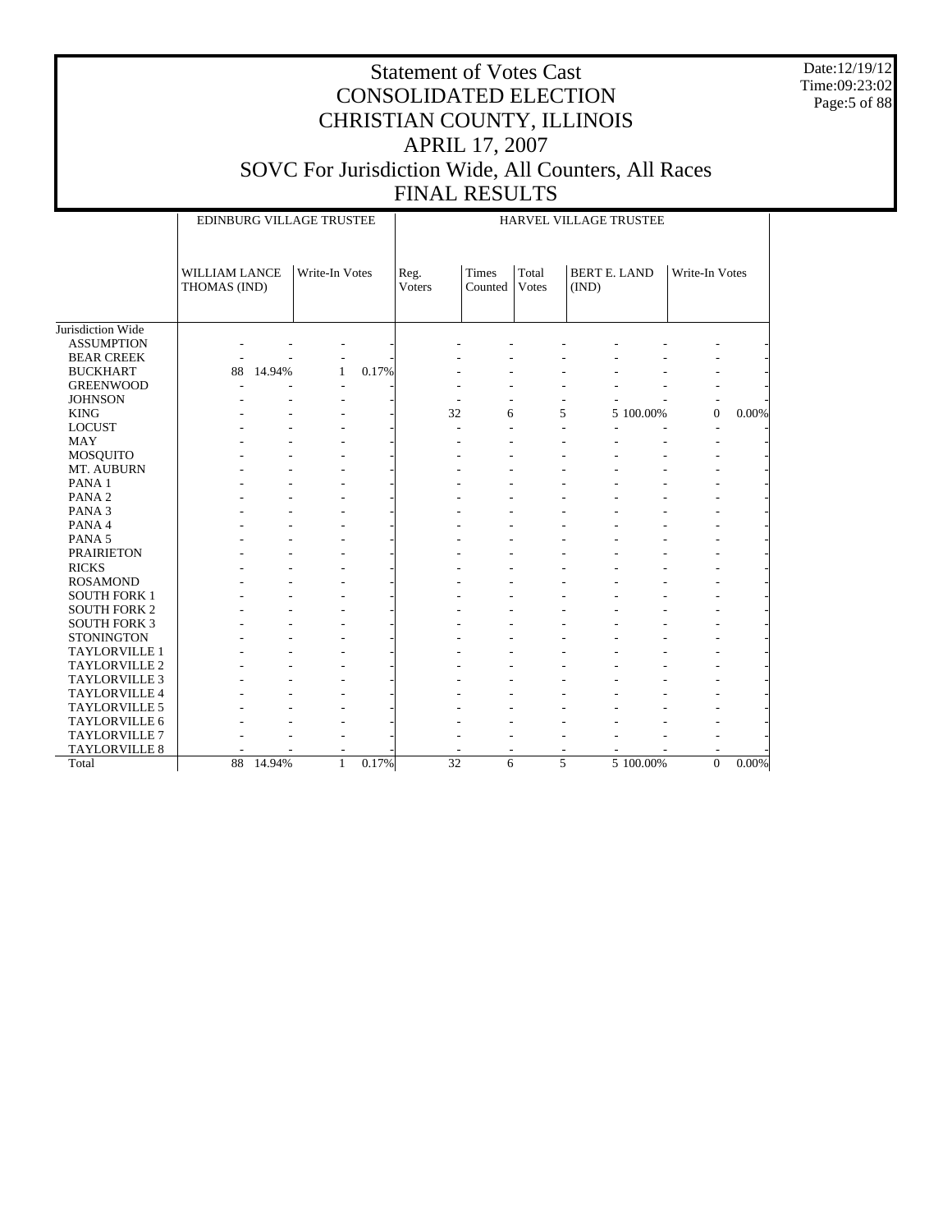Date:12/19/12 Time:09:23:02 Page:5 of 88

|                     | EDINBURG VILLAGE TRUSTEE             |        |                |       | HARVEL VILLAGE TRUSTEE |                                 |                |                              |           |                |          |
|---------------------|--------------------------------------|--------|----------------|-------|------------------------|---------------------------------|----------------|------------------------------|-----------|----------------|----------|
|                     | <b>WILLIAM LANCE</b><br>THOMAS (IND) |        | Write-In Votes |       | Reg.<br>Voters         | <b>Times</b><br>Counted   Votes | Total          | <b>BERT E. LAND</b><br>(IND) |           | Write-In Votes |          |
| Jurisdiction Wide   |                                      |        |                |       |                        |                                 |                |                              |           |                |          |
| <b>ASSUMPTION</b>   |                                      |        |                |       |                        |                                 |                |                              |           |                |          |
| <b>BEAR CREEK</b>   |                                      |        |                |       |                        |                                 |                |                              |           |                |          |
| <b>BUCKHART</b>     | 88                                   | 14.94% | 1              | 0.17% |                        |                                 |                |                              |           |                |          |
| <b>GREENWOOD</b>    |                                      |        |                |       |                        |                                 |                |                              |           |                |          |
| <b>JOHNSON</b>      |                                      |        |                |       |                        |                                 |                |                              |           |                |          |
| <b>KING</b>         |                                      |        |                |       | 32                     | 6                               | 5              |                              | 5 100.00% | $\mathbf{0}$   | 0.00%    |
| <b>LOCUST</b>       |                                      |        |                |       | L.                     |                                 |                | ÷.                           |           |                |          |
| <b>MAY</b>          |                                      |        |                |       |                        |                                 |                |                              |           |                |          |
| <b>MOSQUITO</b>     |                                      |        |                |       |                        |                                 |                |                              |           |                |          |
| MT. AUBURN          |                                      |        |                |       |                        |                                 |                |                              |           |                |          |
| PANA <sub>1</sub>   |                                      |        |                |       |                        |                                 |                |                              |           |                |          |
| PANA <sub>2</sub>   |                                      |        |                |       |                        |                                 |                |                              |           |                |          |
| PANA <sub>3</sub>   |                                      |        |                |       |                        |                                 |                |                              |           |                |          |
| PANA 4              |                                      |        |                |       |                        |                                 |                |                              |           |                |          |
| PANA 5              |                                      |        |                |       |                        |                                 |                |                              |           |                |          |
| <b>PRAIRIETON</b>   |                                      |        |                |       |                        |                                 |                |                              |           |                |          |
| <b>RICKS</b>        |                                      |        |                |       |                        |                                 |                |                              |           |                |          |
| <b>ROSAMOND</b>     |                                      |        |                |       |                        |                                 |                |                              |           |                |          |
| <b>SOUTH FORK 1</b> |                                      |        |                |       |                        |                                 |                |                              |           |                |          |
| <b>SOUTH FORK 2</b> |                                      |        |                |       |                        |                                 |                |                              |           |                |          |
| <b>SOUTH FORK 3</b> |                                      |        |                |       |                        |                                 |                |                              |           |                |          |
| <b>STONINGTON</b>   |                                      |        |                |       |                        |                                 |                |                              |           |                |          |
| TAYLORVILLE 1       |                                      |        |                |       |                        |                                 |                |                              |           |                |          |
| TAYLORVILLE 2       |                                      |        |                |       |                        |                                 |                |                              |           |                |          |
| TAYLORVILLE 3       |                                      |        |                |       |                        |                                 |                |                              |           |                |          |
| TAYLORVILLE 4       |                                      |        |                |       |                        |                                 |                |                              |           |                |          |
| TAYLORVILLE 5       |                                      |        |                |       |                        |                                 |                |                              |           |                |          |
| TAYLORVILLE 6       |                                      |        |                |       |                        |                                 |                |                              |           |                |          |
| TAYLORVILLE 7       |                                      |        |                |       |                        |                                 |                |                              |           |                |          |
| TAYLORVILLE 8       |                                      |        |                |       |                        |                                 |                |                              |           |                |          |
| Total               | 88                                   | 14.94% | $\mathbf{1}$   | 0.17% | $\overline{32}$        | 6                               | $\overline{5}$ |                              | 5 100.00% | $\Omega$       | $0.00\%$ |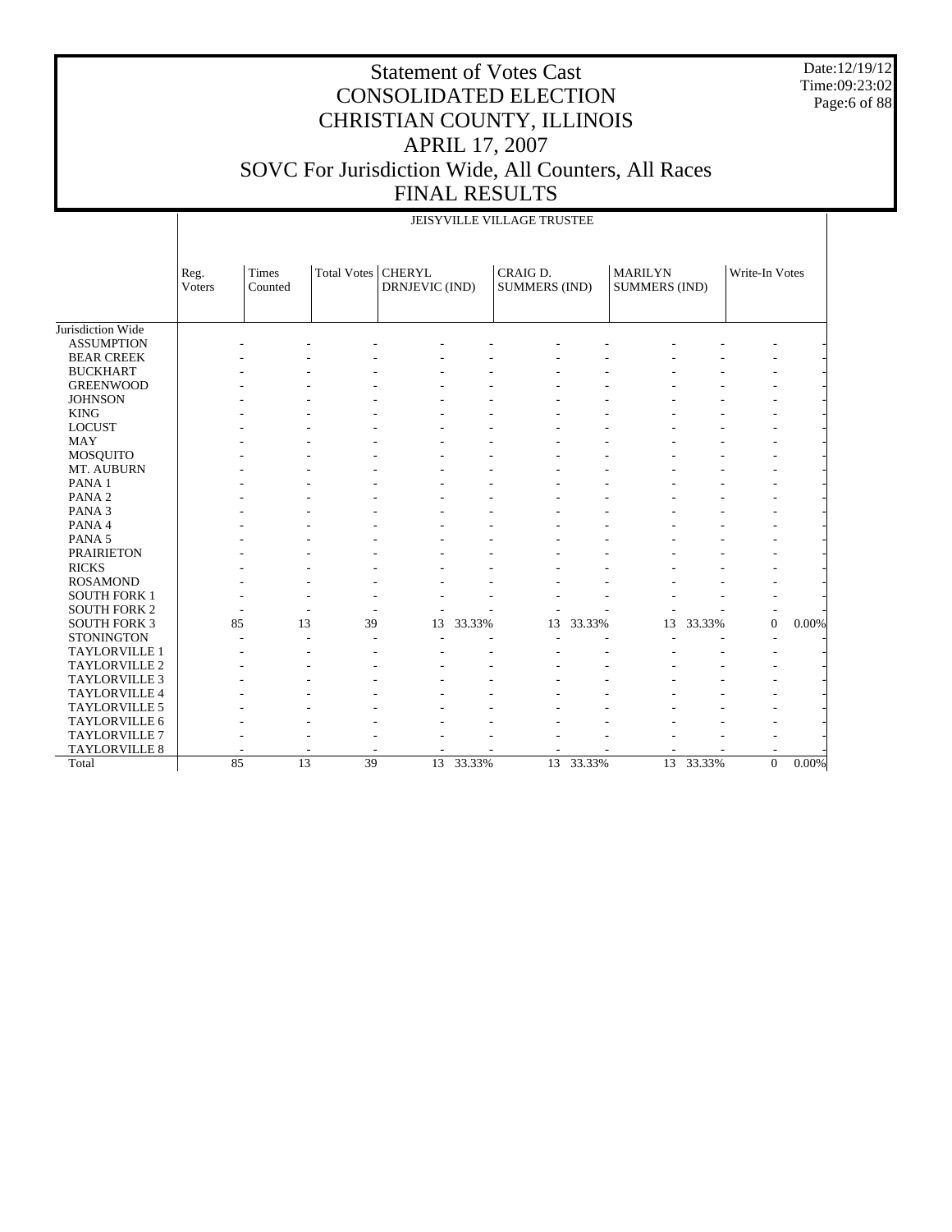Date:12/19/12 Time:09:23:02 Page:6 of 88

#### Statement of Votes Cast CONSOLIDATED ELECTION CHRISTIAN COUNTY, ILLINOIS APRIL 17, 2007 SOVC For Jurisdiction Wide, All Counters, All Races FINAL RESULTS

|                      |                | JEISYVILLE VILLAGE TRUSTEE |                    |                                 |        |                                  |        |                                        |        |                |          |  |
|----------------------|----------------|----------------------------|--------------------|---------------------------------|--------|----------------------------------|--------|----------------------------------------|--------|----------------|----------|--|
|                      | Reg.<br>Voters | <b>Times</b><br>Counted    | <b>Total Votes</b> | <b>CHERYL</b><br>DRNJEVIC (IND) |        | CRAIG D.<br><b>SUMMERS (IND)</b> |        | <b>MARILYN</b><br><b>SUMMERS (IND)</b> |        | Write-In Votes |          |  |
| Jurisdiction Wide    |                |                            |                    |                                 |        |                                  |        |                                        |        |                |          |  |
| <b>ASSUMPTION</b>    |                |                            |                    |                                 |        |                                  |        |                                        |        |                |          |  |
| <b>BEAR CREEK</b>    |                |                            |                    |                                 |        |                                  |        |                                        |        |                |          |  |
| <b>BUCKHART</b>      |                |                            |                    |                                 |        |                                  |        |                                        |        |                |          |  |
| <b>GREENWOOD</b>     |                |                            |                    |                                 |        |                                  |        |                                        |        |                |          |  |
| <b>JOHNSON</b>       |                |                            |                    |                                 |        |                                  |        |                                        |        |                |          |  |
| <b>KING</b>          |                |                            |                    |                                 |        |                                  |        |                                        |        |                |          |  |
| <b>LOCUST</b>        |                |                            |                    |                                 |        |                                  |        |                                        |        |                |          |  |
| <b>MAY</b>           |                |                            |                    |                                 |        |                                  |        |                                        |        |                |          |  |
| MOSQUITO             |                |                            |                    |                                 |        |                                  |        |                                        |        |                |          |  |
| MT. AUBURN           |                |                            |                    |                                 |        |                                  |        |                                        |        |                |          |  |
| PANA 1               |                |                            |                    |                                 |        |                                  |        |                                        |        |                |          |  |
| PANA <sub>2</sub>    |                |                            |                    |                                 |        |                                  |        |                                        |        |                |          |  |
| PANA <sub>3</sub>    |                |                            |                    |                                 |        |                                  |        |                                        |        |                |          |  |
| PANA 4               |                |                            |                    |                                 |        |                                  |        |                                        |        |                |          |  |
| PANA <sub>5</sub>    |                |                            |                    |                                 |        |                                  |        |                                        |        |                |          |  |
| <b>PRAIRIETON</b>    |                |                            |                    |                                 |        |                                  |        |                                        |        |                |          |  |
| <b>RICKS</b>         |                |                            |                    |                                 |        |                                  |        |                                        |        |                |          |  |
| <b>ROSAMOND</b>      |                |                            |                    |                                 |        |                                  |        |                                        |        |                |          |  |
| <b>SOUTH FORK 1</b>  |                |                            |                    |                                 |        |                                  |        |                                        |        |                |          |  |
| <b>SOUTH FORK 2</b>  |                |                            |                    |                                 |        |                                  |        |                                        |        | ٠              |          |  |
| <b>SOUTH FORK 3</b>  | 85             | 13                         | 39                 | 13                              | 33.33% | 13                               | 33.33% | 13                                     | 33.33% | $\Omega$       | 0.00%    |  |
| <b>STONINGTON</b>    |                |                            |                    |                                 |        |                                  |        |                                        |        |                |          |  |
| TAYLORVILLE 1        |                |                            |                    |                                 |        |                                  |        |                                        |        |                |          |  |
| <b>TAYLORVILLE 2</b> |                |                            |                    |                                 |        |                                  |        |                                        |        |                |          |  |
| <b>TAYLORVILLE 3</b> |                |                            |                    |                                 |        |                                  |        |                                        |        |                |          |  |
| TAYLORVILLE 4        |                |                            |                    |                                 |        |                                  |        |                                        |        |                |          |  |
| TAYLORVILLE 5        |                |                            |                    |                                 |        |                                  |        |                                        |        |                |          |  |
| TAYLORVILLE 6        |                |                            |                    |                                 |        |                                  |        |                                        |        |                |          |  |
| TAYLORVILLE 7        |                |                            |                    |                                 |        |                                  |        |                                        |        |                |          |  |
| TAYLORVILLE 8        |                |                            |                    |                                 |        |                                  |        |                                        |        |                |          |  |
| Total                | 85             | $\overline{13}$            | 39                 | 13                              | 33.33% | 13                               | 33.33% | 13                                     | 33.33% | $\Omega$       | $0.00\%$ |  |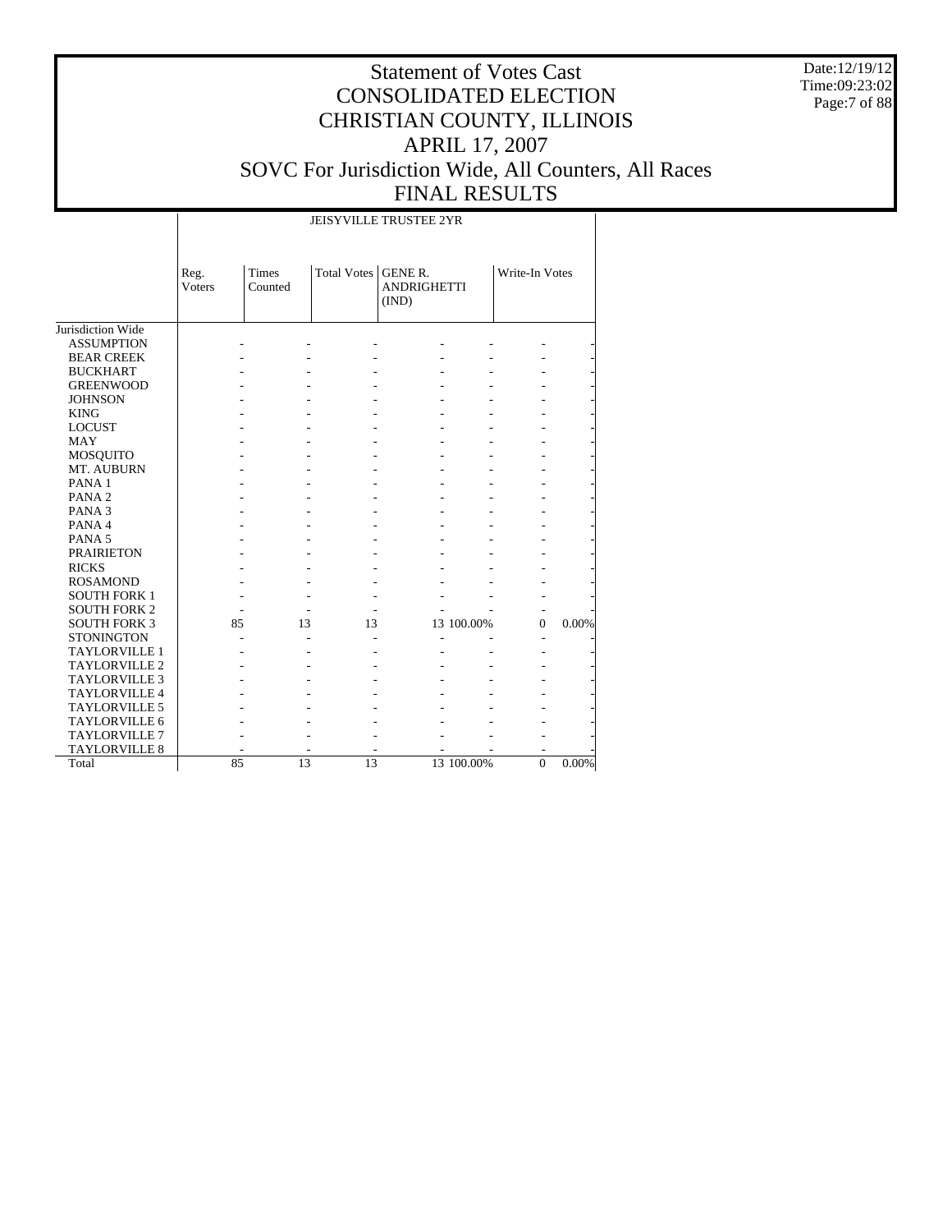Date:12/19/12 Time:09:23:02 Page:7 of 88

# Statement of Votes Cast CONSOLIDATED ELECTION CHRISTIAN COUNTY, ILLINOIS APRIL 17, 2007 SOVC For Jurisdiction Wide, All Counters, All Races FINAL RESULTS

#### JEISYVILLE TRUSTEE 2YR

|                      | Reg.<br>Voters | Times<br>Counted | <b>Total Votes</b> | <b>GENE R.</b><br><b>ANDRIGHETTI</b><br>(IND) |            | Write-In Votes           |       |
|----------------------|----------------|------------------|--------------------|-----------------------------------------------|------------|--------------------------|-------|
| Jurisdiction Wide    |                |                  |                    |                                               |            |                          |       |
| <b>ASSUMPTION</b>    |                |                  |                    |                                               |            |                          |       |
| <b>BEAR CREEK</b>    |                |                  |                    |                                               |            |                          |       |
| <b>BUCKHART</b>      |                |                  |                    |                                               |            |                          |       |
| <b>GREENWOOD</b>     |                |                  |                    |                                               |            |                          |       |
| <b>JOHNSON</b>       |                |                  |                    |                                               |            |                          |       |
| <b>KING</b>          |                |                  |                    |                                               |            |                          |       |
| <b>LOCUST</b>        |                |                  |                    |                                               |            |                          |       |
| <b>MAY</b>           |                |                  |                    |                                               |            |                          |       |
| <b>MOSQUITO</b>      |                |                  |                    |                                               |            |                          |       |
| MT. AUBURN           |                |                  |                    |                                               |            |                          |       |
| PANA <sub>1</sub>    |                |                  |                    |                                               |            |                          |       |
| PANA <sub>2</sub>    |                |                  |                    |                                               |            |                          |       |
| PANA <sub>3</sub>    |                |                  |                    |                                               |            |                          |       |
| PANA 4               |                |                  |                    |                                               |            |                          |       |
| PANA <sub>5</sub>    |                |                  |                    |                                               |            |                          |       |
| <b>PRAIRIETON</b>    |                |                  |                    |                                               |            |                          |       |
| <b>RICKS</b>         |                |                  |                    |                                               |            |                          |       |
| <b>ROSAMOND</b>      |                |                  |                    |                                               |            |                          |       |
| <b>SOUTH FORK 1</b>  |                |                  |                    |                                               |            |                          |       |
| <b>SOUTH FORK 2</b>  |                |                  |                    |                                               |            |                          |       |
| <b>SOUTH FORK 3</b>  | 85             | 13               | 13                 |                                               | 13 100.00% | $\Omega$                 | 0.00% |
| <b>STONINGTON</b>    |                |                  |                    |                                               |            | $\overline{\phantom{a}}$ |       |
| <b>TAYLORVILLE 1</b> |                |                  |                    |                                               |            |                          |       |
| <b>TAYLORVILLE 2</b> |                |                  |                    |                                               |            |                          |       |
| <b>TAYLORVILLE 3</b> |                |                  |                    |                                               |            |                          |       |
| <b>TAYLORVILLE 4</b> |                |                  |                    |                                               |            |                          |       |
| <b>TAYLORVILLE 5</b> |                |                  |                    |                                               |            |                          |       |
| <b>TAYLORVILLE 6</b> |                |                  |                    |                                               |            |                          |       |
| <b>TAYLORVILLE 7</b> |                |                  |                    |                                               |            |                          |       |
| <b>TAYLORVILLE 8</b> |                |                  |                    |                                               |            |                          |       |
| Total                | 85             | 13               | 13                 |                                               | 13 100.00% | $\Omega$                 | 0.00% |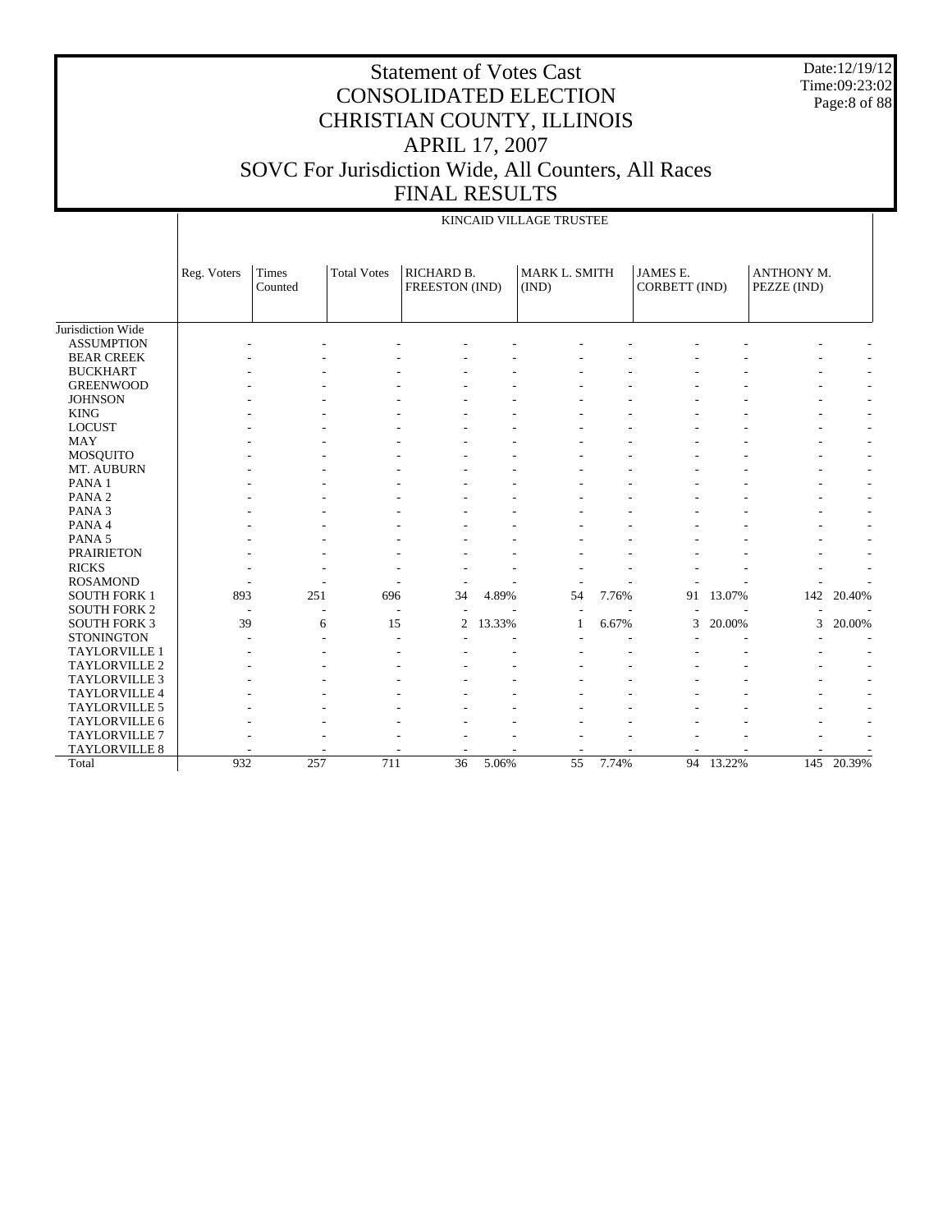Date:12/19/12 Time:09:23:02 Page:8 of 88

|                      | KINCAID VILLAGE TRUSTEE |                          |                    |                              |        |                        |       |                                  |        |                           |            |
|----------------------|-------------------------|--------------------------|--------------------|------------------------------|--------|------------------------|-------|----------------------------------|--------|---------------------------|------------|
|                      | Reg. Voters             | Times<br>Counted         | <b>Total Votes</b> | RICHARD B.<br>FREESTON (IND) |        | MARK L. SMITH<br>(IND) |       | <b>JAMES E.</b><br>CORBETT (IND) |        | ANTHONY M.<br>PEZZE (IND) |            |
| Jurisdiction Wide    |                         |                          |                    |                              |        |                        |       |                                  |        |                           |            |
| <b>ASSUMPTION</b>    |                         |                          |                    |                              |        |                        |       |                                  |        |                           |            |
| <b>BEAR CREEK</b>    |                         |                          |                    |                              |        |                        |       |                                  |        |                           |            |
| <b>BUCKHART</b>      |                         |                          |                    |                              |        |                        |       |                                  |        |                           |            |
| <b>GREENWOOD</b>     |                         |                          |                    |                              |        |                        |       |                                  |        |                           |            |
| <b>JOHNSON</b>       |                         |                          |                    |                              |        |                        |       |                                  |        |                           |            |
| <b>KING</b>          |                         |                          |                    |                              |        |                        |       |                                  |        |                           |            |
| <b>LOCUST</b>        |                         |                          |                    |                              |        |                        |       |                                  |        |                           |            |
| <b>MAY</b>           |                         |                          |                    |                              |        |                        |       |                                  |        |                           |            |
| MOSQUITO             |                         |                          |                    |                              |        |                        |       |                                  |        |                           |            |
| MT. AUBURN           |                         |                          |                    |                              |        |                        |       |                                  |        |                           |            |
| PANA <sub>1</sub>    |                         |                          |                    |                              |        |                        |       |                                  |        |                           |            |
| PANA <sub>2</sub>    |                         |                          |                    |                              |        |                        |       |                                  |        |                           |            |
| PANA <sub>3</sub>    |                         |                          |                    |                              |        |                        |       |                                  |        |                           |            |
| PANA 4               |                         |                          |                    |                              |        |                        |       |                                  |        |                           |            |
| PANA <sub>5</sub>    |                         |                          |                    |                              |        |                        |       |                                  |        |                           |            |
| <b>PRAIRIETON</b>    |                         |                          |                    |                              |        |                        |       |                                  |        |                           |            |
| <b>RICKS</b>         |                         |                          |                    |                              |        |                        |       |                                  |        |                           |            |
| <b>ROSAMOND</b>      |                         |                          |                    |                              |        |                        |       |                                  |        |                           |            |
| <b>SOUTH FORK 1</b>  | 893                     | 251                      | 696                | 34                           | 4.89%  | 54                     | 7.76% | 91                               | 13.07% | 142                       | 20.40%     |
| <b>SOUTH FORK 2</b>  |                         | $\overline{\phantom{a}}$ | ٠                  |                              |        | ÷                      |       |                                  |        |                           |            |
| <b>SOUTH FORK 3</b>  | 39                      | 6                        | 15                 | $\overline{c}$               | 13.33% | 1                      | 6.67% | 3                                | 20.00% | 3                         | 20.00%     |
| <b>STONINGTON</b>    |                         |                          |                    |                              |        |                        |       |                                  |        |                           |            |
| <b>TAYLORVILLE 1</b> |                         |                          |                    |                              |        |                        |       |                                  |        |                           |            |
| TAYLORVILLE 2        |                         |                          |                    |                              |        |                        |       |                                  |        |                           |            |
| <b>TAYLORVILLE 3</b> |                         |                          |                    |                              |        |                        |       |                                  |        |                           |            |
| TAYLORVILLE 4        |                         |                          |                    |                              |        |                        |       |                                  |        |                           |            |
| <b>TAYLORVILLE 5</b> |                         |                          |                    |                              |        |                        |       |                                  |        |                           |            |
| TAYLORVILLE 6        |                         |                          |                    |                              |        |                        |       |                                  |        |                           |            |
| <b>TAYLORVILLE 7</b> |                         |                          |                    |                              |        |                        |       |                                  |        |                           |            |
| <b>TAYLORVILLE 8</b> |                         |                          |                    |                              |        |                        |       |                                  |        |                           |            |
| Total                | 932                     | 257                      | 711                | 36                           | 5.06%  | $\overline{55}$        | 7.74% | 94                               | 13.22% |                           | 145 20.39% |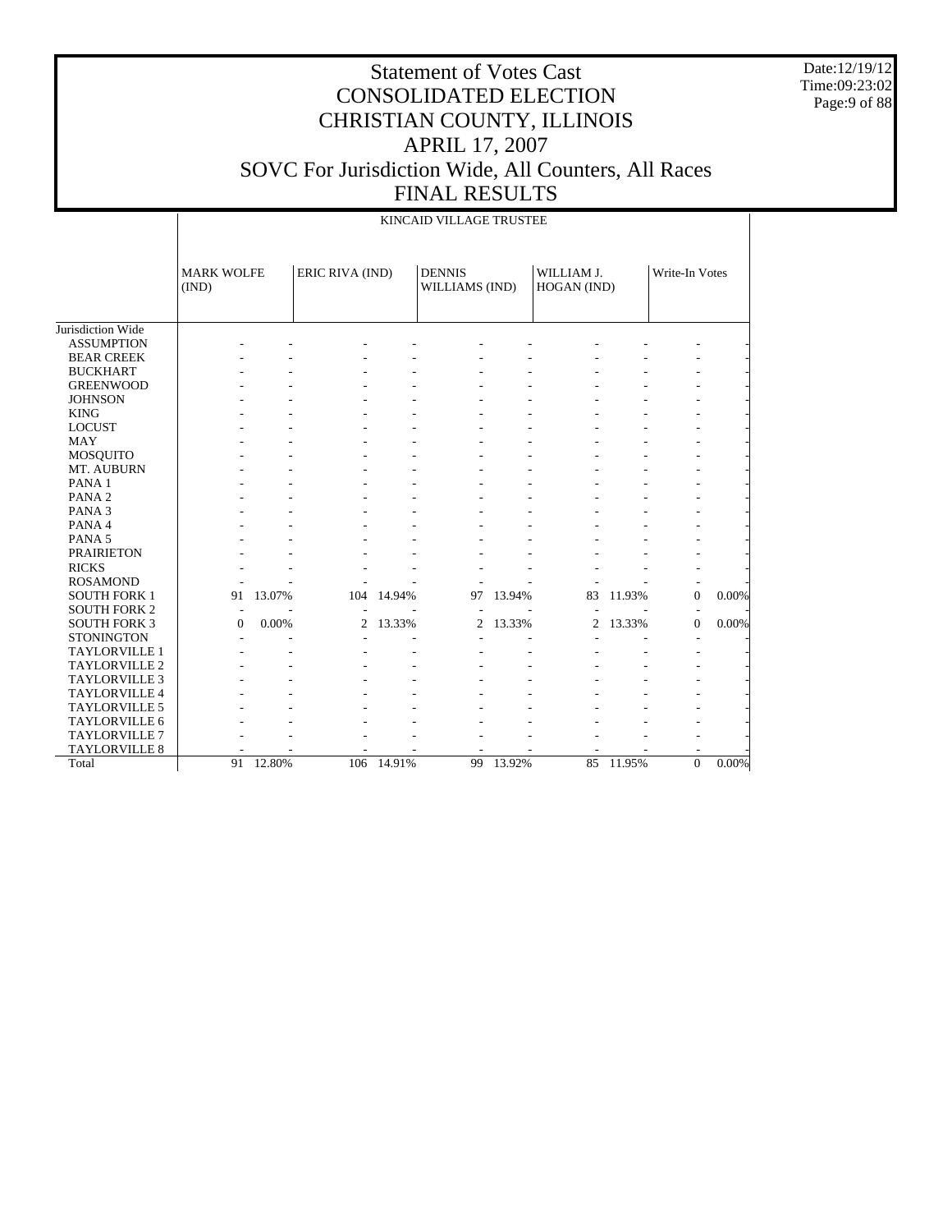Date:12/19/12 Time:09:23:02 Page:9 of 88

|                      |                            | KINCAID VILLAGE TRUSTEE |                 |        |                                 |        |                           |        |                |       |  |  |  |
|----------------------|----------------------------|-------------------------|-----------------|--------|---------------------------------|--------|---------------------------|--------|----------------|-------|--|--|--|
|                      | <b>MARK WOLFE</b><br>(IND) |                         | ERIC RIVA (IND) |        | <b>DENNIS</b><br>WILLIAMS (IND) |        | WILLIAM J.<br>HOGAN (IND) |        | Write-In Votes |       |  |  |  |
| Jurisdiction Wide    |                            |                         |                 |        |                                 |        |                           |        |                |       |  |  |  |
| <b>ASSUMPTION</b>    |                            |                         |                 |        |                                 |        |                           |        |                |       |  |  |  |
| <b>BEAR CREEK</b>    |                            |                         |                 |        |                                 |        |                           |        |                |       |  |  |  |
| <b>BUCKHART</b>      |                            |                         |                 |        |                                 |        |                           |        |                |       |  |  |  |
| <b>GREENWOOD</b>     |                            |                         |                 |        |                                 |        |                           |        |                |       |  |  |  |
| <b>JOHNSON</b>       |                            |                         |                 |        |                                 |        |                           |        |                |       |  |  |  |
| <b>KING</b>          |                            |                         |                 |        |                                 |        |                           |        |                |       |  |  |  |
| <b>LOCUST</b>        |                            |                         |                 |        |                                 |        |                           |        |                |       |  |  |  |
| <b>MAY</b>           |                            |                         |                 |        |                                 |        |                           |        |                |       |  |  |  |
| <b>MOSQUITO</b>      |                            |                         |                 |        |                                 |        |                           |        |                |       |  |  |  |
| MT. AUBURN           |                            |                         |                 |        |                                 |        |                           |        |                |       |  |  |  |
| PANA 1               |                            |                         |                 |        |                                 |        |                           |        |                |       |  |  |  |
| PANA <sub>2</sub>    |                            |                         |                 |        |                                 |        |                           |        |                |       |  |  |  |
| PANA <sub>3</sub>    |                            |                         |                 |        |                                 |        |                           |        |                |       |  |  |  |
| PANA 4               |                            |                         |                 |        |                                 |        |                           |        |                |       |  |  |  |
| PANA 5               |                            |                         |                 |        |                                 |        |                           |        |                |       |  |  |  |
| <b>PRAIRIETON</b>    |                            |                         |                 |        |                                 |        |                           |        |                |       |  |  |  |
| <b>RICKS</b>         |                            |                         |                 |        |                                 |        |                           |        |                |       |  |  |  |
| <b>ROSAMOND</b>      |                            |                         |                 |        |                                 |        |                           |        |                |       |  |  |  |
| <b>SOUTH FORK 1</b>  | 91                         | 13.07%                  | 104             | 14.94% | 97                              | 13.94% | 83                        | 11.93% | $\Omega$       | 0.00% |  |  |  |
| <b>SOUTH FORK 2</b>  |                            |                         |                 |        |                                 |        |                           |        |                |       |  |  |  |
| <b>SOUTH FORK 3</b>  | $\Omega$                   | 0.00%                   | 2               | 13.33% | 2                               | 13.33% | 2                         | 13.33% | $\mathbf{0}$   | 0.00% |  |  |  |
| <b>STONINGTON</b>    |                            |                         |                 |        |                                 |        |                           |        |                |       |  |  |  |
| <b>TAYLORVILLE 1</b> |                            |                         |                 |        |                                 |        |                           |        |                |       |  |  |  |
| TAYLORVILLE 2        |                            |                         |                 |        |                                 |        |                           |        |                |       |  |  |  |
| TAYLORVILLE 3        |                            |                         |                 |        |                                 |        |                           |        |                |       |  |  |  |
| TAYLORVILLE 4        |                            |                         |                 |        |                                 |        |                           |        |                |       |  |  |  |
| <b>TAYLORVILLE 5</b> |                            |                         |                 |        |                                 |        |                           |        |                |       |  |  |  |
| TAYLORVILLE 6        |                            |                         |                 |        |                                 |        |                           |        |                |       |  |  |  |
| TAYLORVILLE 7        |                            |                         |                 |        |                                 |        |                           |        |                |       |  |  |  |
| TAYLORVILLE 8        |                            |                         |                 |        |                                 |        |                           |        |                |       |  |  |  |
| Total                | 91                         | 12.80%                  | 106             | 14.91% | 99                              | 13.92% | 85                        | 11.95% | $\overline{0}$ | 0.00% |  |  |  |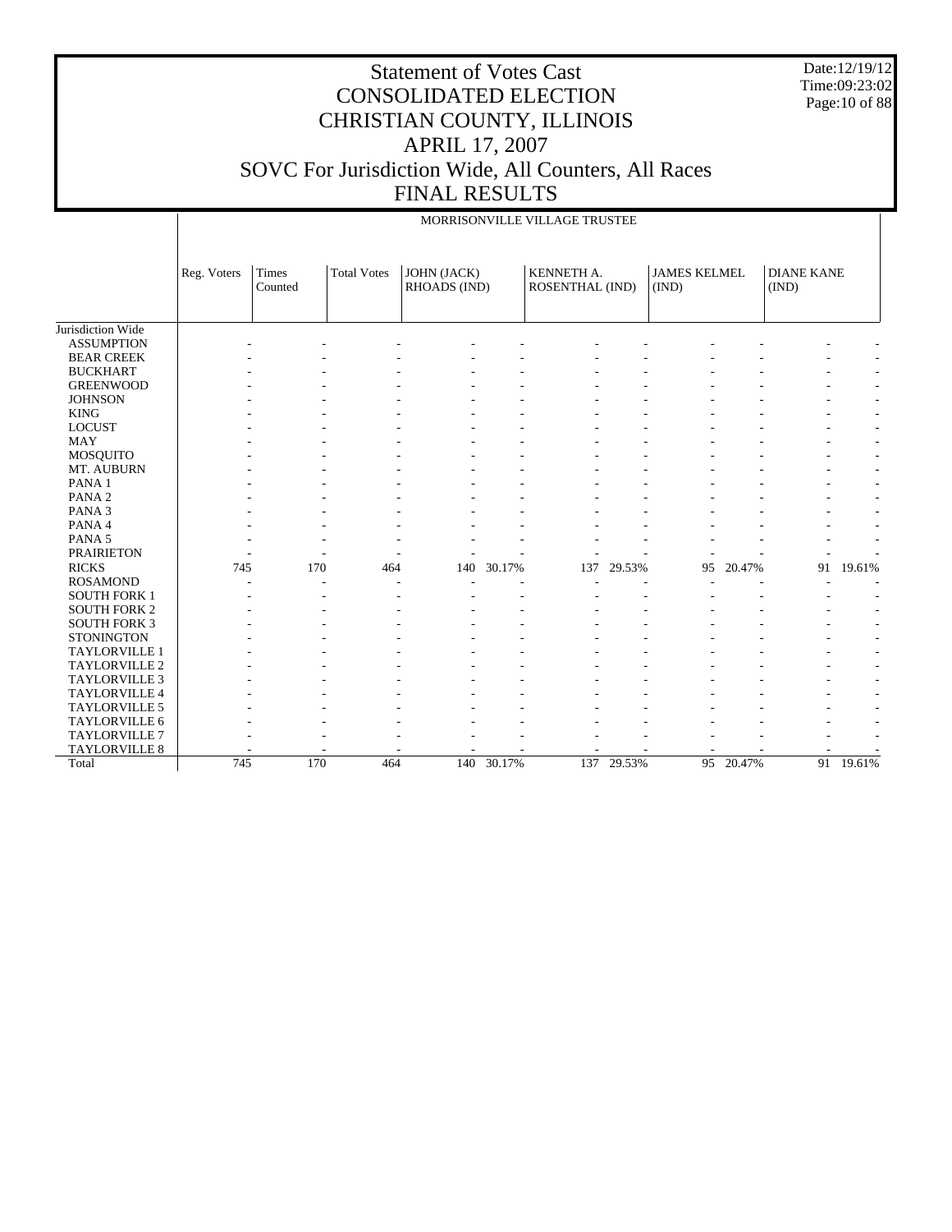Date:12/19/12 Time:09:23:02 Page:10 of 88

#### Statement of Votes Cast CONSOLIDATED ELECTION CHRISTIAN COUNTY, ILLINOIS APRIL 17, 2007 SOVC For Jurisdiction Wide, All Counters, All Races FINAL RESULTS

Jurisdiction Wide ASSUMPTION BEAR CREEK BUCKHART GREENWOOD **JOHNSON**  KING LOCUST MAY MOSQUITO MT. AUBURN PANA 1 PANA 2 PANA 3 PANA 4 PANA 5 PRAIRIETON RICKS ROSAMOND SOUTH FORK 1 SOUTH FORK 2 SOUTH FORK 3 **STONINGTON**  TAYLORVILLE 1 TAYLORVILLE 2 TAYLORVILLE 3 TAYLORVILLE 4 TAYLORVILLE 5 TAYLORVILLE 6 TAYLORVILLE 7 TAYLORVILLE 8 Total Reg. Voters | Times Counted Total Votes | JOHN (JACK) RHOADS (IND) KENNETH A. ROSENTHAL (IND) JAMES KELMEL (IND) DIANE KANE (IND) MORRISONVILLE VILLAGE TRUSTEE - - - - - - - - - - - - - - - - - - - - - - - - - - - - - - - - - - - - - - - - - - - - - - - - - - - - - - - - - - - - - - - - - - - - - - - - - - - - - - - - - - - - - - - - - - - - - - - - - - - - - - - - - - - - - - - - - - - - - - - - - - - - - - - - - - - - - - - - - - - - - - - - - - - - - - - - - - - - - - - - - - - - - - - - - - - - - - - - 745 170 464 140 30.17% 137 29.53% 95 20.47% 91 19.61% - - - - - - - - - - - - - - - - - - - - - - - - - - - - - - - - - - - - - - - - - - - - - - - - - - - - - - - - - - - - - - - - - - - - - - - - - - - - - - - - - - - - - - - - - - - - - - - - - - - - - - - - - - - - - - - - - - - - - - - - - - - - - - - - - - - - - - - - - - - - - - - 745 170 464 140 30.17% 137 29.53% 95 20.47% 91 19.61%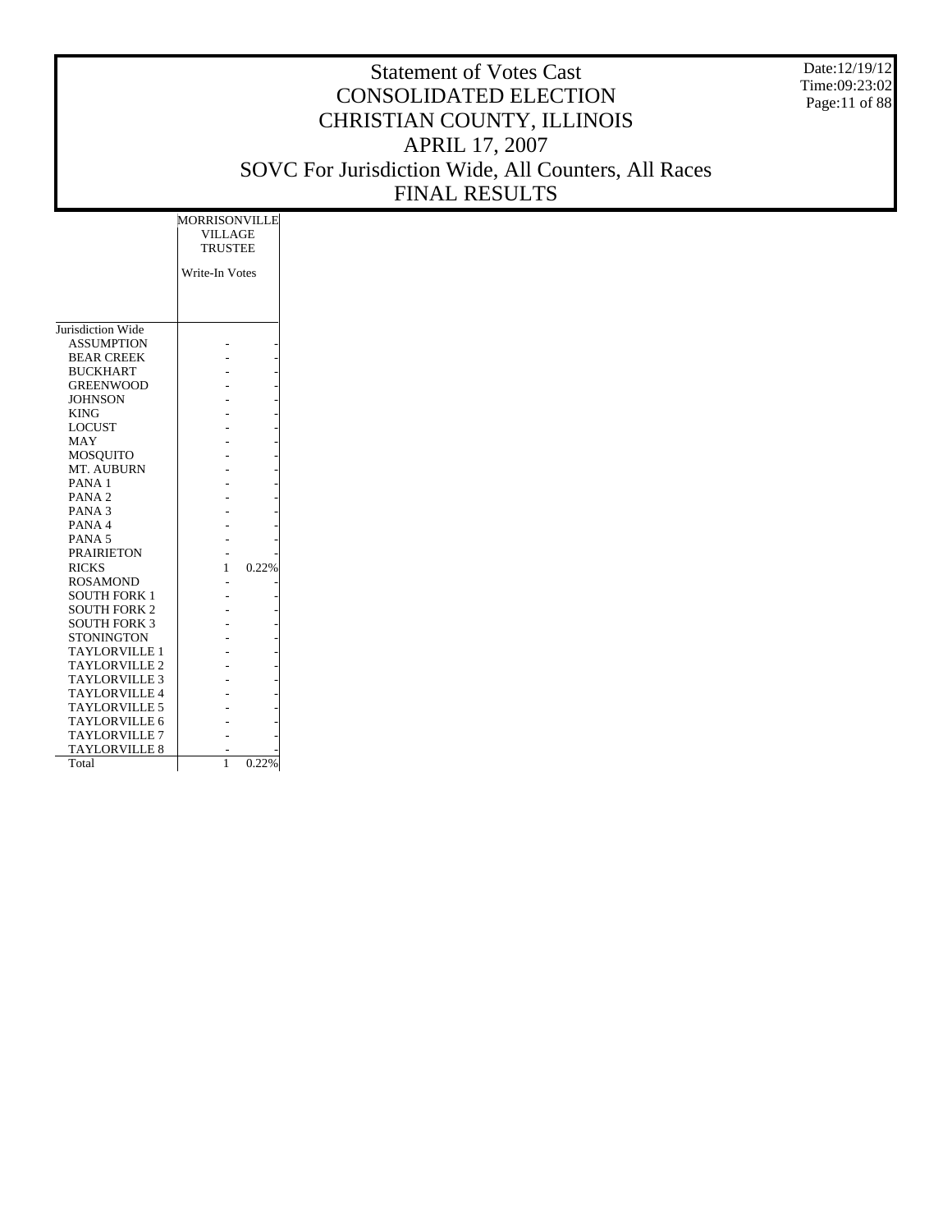Date:12/19/12 Time:09:23:02 Page:11 of 88

|                      | MORRISONVILLE<br>VILLAGE<br><b>TRUSTEE</b> |  |
|----------------------|--------------------------------------------|--|
|                      | Write-In Votes                             |  |
|                      |                                            |  |
|                      |                                            |  |
| Jurisdiction Wide    |                                            |  |
| <b>ASSUMPTION</b>    |                                            |  |
|                      |                                            |  |
| <b>BEAR CREEK</b>    |                                            |  |
| <b>BUCKHART</b>      |                                            |  |
| <b>GREENWOOD</b>     |                                            |  |
| <b>JOHNSON</b>       |                                            |  |
| <b>KING</b>          |                                            |  |
| <b>LOCUST</b>        |                                            |  |
| MAY                  |                                            |  |
| <b>MOSQUITO</b>      |                                            |  |
| MT. AUBURN           |                                            |  |
| PANA <sub>1</sub>    |                                            |  |
| PANA <sub>2</sub>    |                                            |  |
| PANA <sub>3</sub>    |                                            |  |
| PANA 4               |                                            |  |
| PANA <sub>5</sub>    |                                            |  |
| <b>PRAIRIETON</b>    |                                            |  |
| <b>RICKS</b>         | 0.22%<br>1                                 |  |
| <b>ROSAMOND</b>      |                                            |  |
| <b>SOUTH FORK 1</b>  |                                            |  |
| <b>SOUTH FORK 2</b>  |                                            |  |
| <b>SOUTH FORK 3</b>  |                                            |  |
| <b>STONINGTON</b>    |                                            |  |
| <b>TAYLORVILLE 1</b> |                                            |  |
| <b>TAYLORVILLE 2</b> |                                            |  |
| <b>TAYLORVILLE 3</b> |                                            |  |
| <b>TAYLORVILLE 4</b> |                                            |  |
| <b>TAYLORVILLE 5</b> |                                            |  |
| <b>TAYLORVILLE 6</b> |                                            |  |
| <b>TAYLORVILLE 7</b> |                                            |  |
| <b>TAYLORVILLE 8</b> |                                            |  |
| Total                | 1<br>0.22%                                 |  |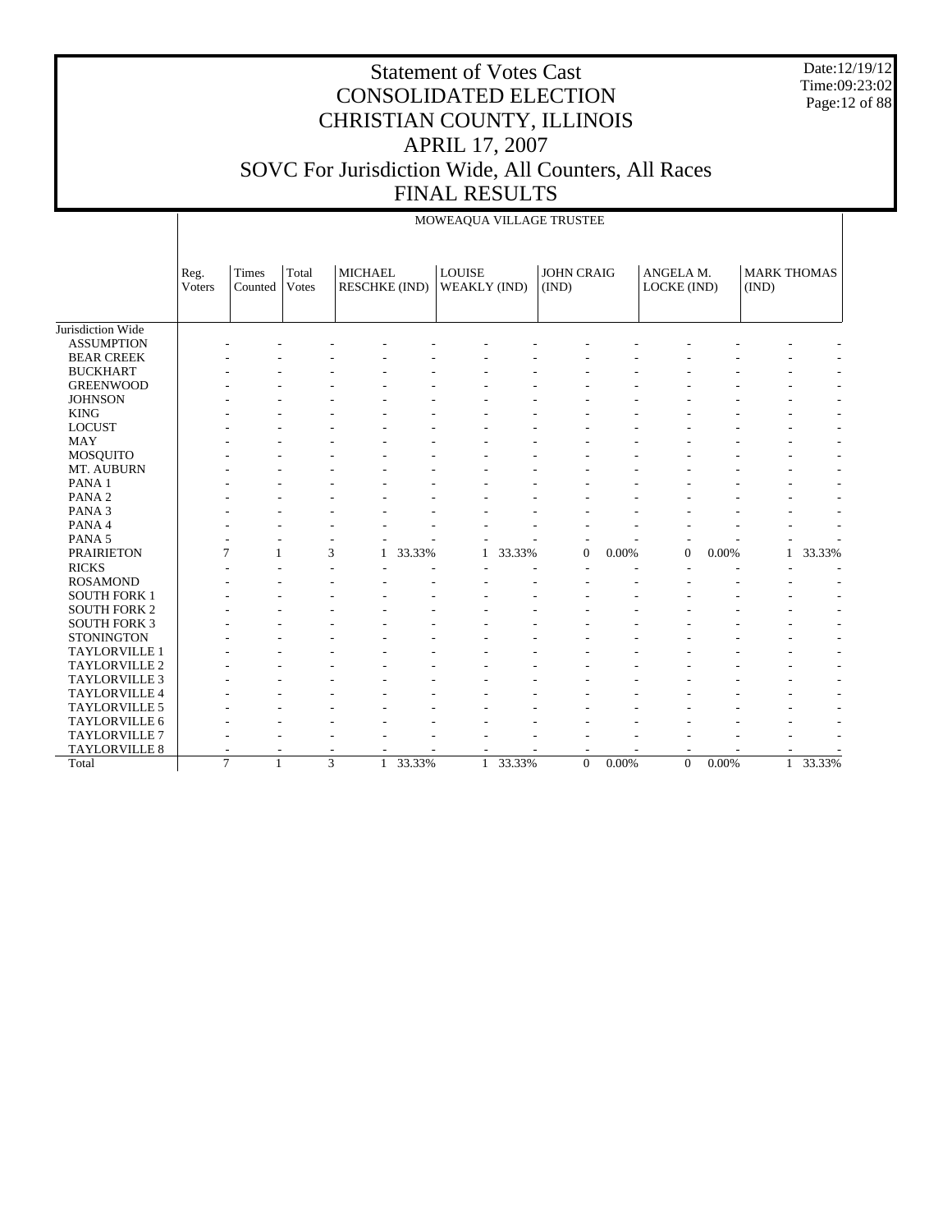Date:12/19/12 Time:09:23:02 Page:12 of 88

#### Statement of Votes Cast CONSOLIDATED ELECTION CHRISTIAN COUNTY, ILLINOIS APRIL 17, 2007 SOVC For Jurisdiction Wide, All Counters, All Races FINAL RESULTS

 $\frac{1}{2}$ 

|                      |                |                                |                |                                        |        |                               |        | MOWEAQUA VILLAGE IRUSTEE   |       |                          |          |                             |        |
|----------------------|----------------|--------------------------------|----------------|----------------------------------------|--------|-------------------------------|--------|----------------------------|-------|--------------------------|----------|-----------------------------|--------|
|                      | Reg.<br>Voters | Times<br>Counted               | Total<br>Votes | <b>MICHAEL</b><br><b>RESCHKE (IND)</b> |        | <b>LOUISE</b><br>WEAKLY (IND) |        | <b>JOHN CRAIG</b><br>(IND) |       | ANGELA M.<br>LOCKE (IND) |          | <b>MARK THOMAS</b><br>(IND) |        |
| Jurisdiction Wide    |                |                                |                |                                        |        |                               |        |                            |       |                          |          |                             |        |
| <b>ASSUMPTION</b>    |                |                                |                |                                        |        |                               |        |                            |       |                          |          |                             |        |
| <b>BEAR CREEK</b>    |                |                                |                |                                        |        |                               |        |                            |       |                          |          |                             |        |
| <b>BUCKHART</b>      |                |                                |                |                                        |        |                               |        |                            |       |                          |          |                             |        |
| <b>GREENWOOD</b>     |                |                                |                |                                        |        |                               |        |                            |       |                          |          |                             |        |
| <b>JOHNSON</b>       |                |                                |                |                                        |        |                               |        |                            |       |                          |          |                             |        |
| <b>KING</b>          |                |                                |                |                                        |        |                               |        |                            |       |                          |          |                             |        |
| <b>LOCUST</b>        |                |                                |                |                                        |        |                               |        |                            |       |                          |          |                             |        |
| <b>MAY</b>           |                |                                |                |                                        |        |                               |        |                            |       |                          |          |                             |        |
| MOSQUITO             |                |                                |                |                                        |        |                               |        |                            |       |                          |          |                             |        |
| MT. AUBURN           |                |                                |                |                                        |        |                               |        |                            |       |                          |          |                             |        |
| PANA 1               |                |                                |                |                                        |        |                               |        |                            |       |                          |          |                             |        |
| PANA <sub>2</sub>    |                |                                |                |                                        |        |                               |        |                            |       |                          |          |                             |        |
| PANA <sub>3</sub>    |                |                                |                |                                        |        |                               |        |                            |       |                          |          |                             |        |
| PANA 4               |                |                                |                |                                        |        |                               |        |                            |       |                          |          |                             |        |
| PANA <sub>5</sub>    |                |                                |                |                                        |        |                               |        |                            |       |                          |          |                             |        |
| <b>PRAIRIETON</b>    |                | 7                              |                | 3                                      | 33.33% | 1                             | 33.33% | $\mathbf{0}$               | 0.00% | $\overline{0}$           | 0.00%    | 1                           | 33.33% |
| <b>RICKS</b>         |                |                                |                |                                        |        |                               |        |                            |       |                          |          |                             |        |
| <b>ROSAMOND</b>      |                |                                |                |                                        |        |                               |        |                            |       |                          |          |                             |        |
| <b>SOUTH FORK 1</b>  |                |                                |                |                                        |        |                               |        |                            |       |                          |          |                             |        |
| <b>SOUTH FORK 2</b>  |                |                                |                |                                        |        |                               |        |                            |       |                          |          |                             |        |
| <b>SOUTH FORK 3</b>  |                |                                |                |                                        |        |                               |        |                            |       |                          |          |                             |        |
| <b>STONINGTON</b>    |                |                                |                |                                        |        |                               |        |                            |       |                          |          |                             |        |
| TAYLORVILLE 1        |                |                                |                |                                        |        |                               |        |                            |       |                          |          |                             |        |
| TAYLORVILLE 2        |                |                                |                |                                        |        |                               |        |                            |       |                          |          |                             |        |
| <b>TAYLORVILLE 3</b> |                |                                |                |                                        |        |                               |        |                            |       |                          |          |                             |        |
| TAYLORVILLE 4        |                |                                |                |                                        |        |                               |        |                            |       |                          |          |                             |        |
| <b>TAYLORVILLE 5</b> |                |                                |                |                                        |        |                               |        |                            |       |                          |          |                             |        |
| TAYLORVILLE 6        |                |                                |                |                                        |        |                               |        |                            |       |                          |          |                             |        |
| TAYLORVILLE 7        |                |                                |                |                                        |        |                               |        |                            |       |                          |          |                             |        |
| TAYLORVILLE 8        |                |                                |                |                                        |        |                               |        |                            |       |                          |          |                             |        |
| Total                |                | $\overline{7}$<br>$\mathbf{1}$ |                | $\overline{3}$<br>1                    | 33.33% | 1                             | 33.33% | $\Omega$                   | 0.00% | $\Omega$                 | $0.00\%$ | $\mathbf{1}$                | 33.33% |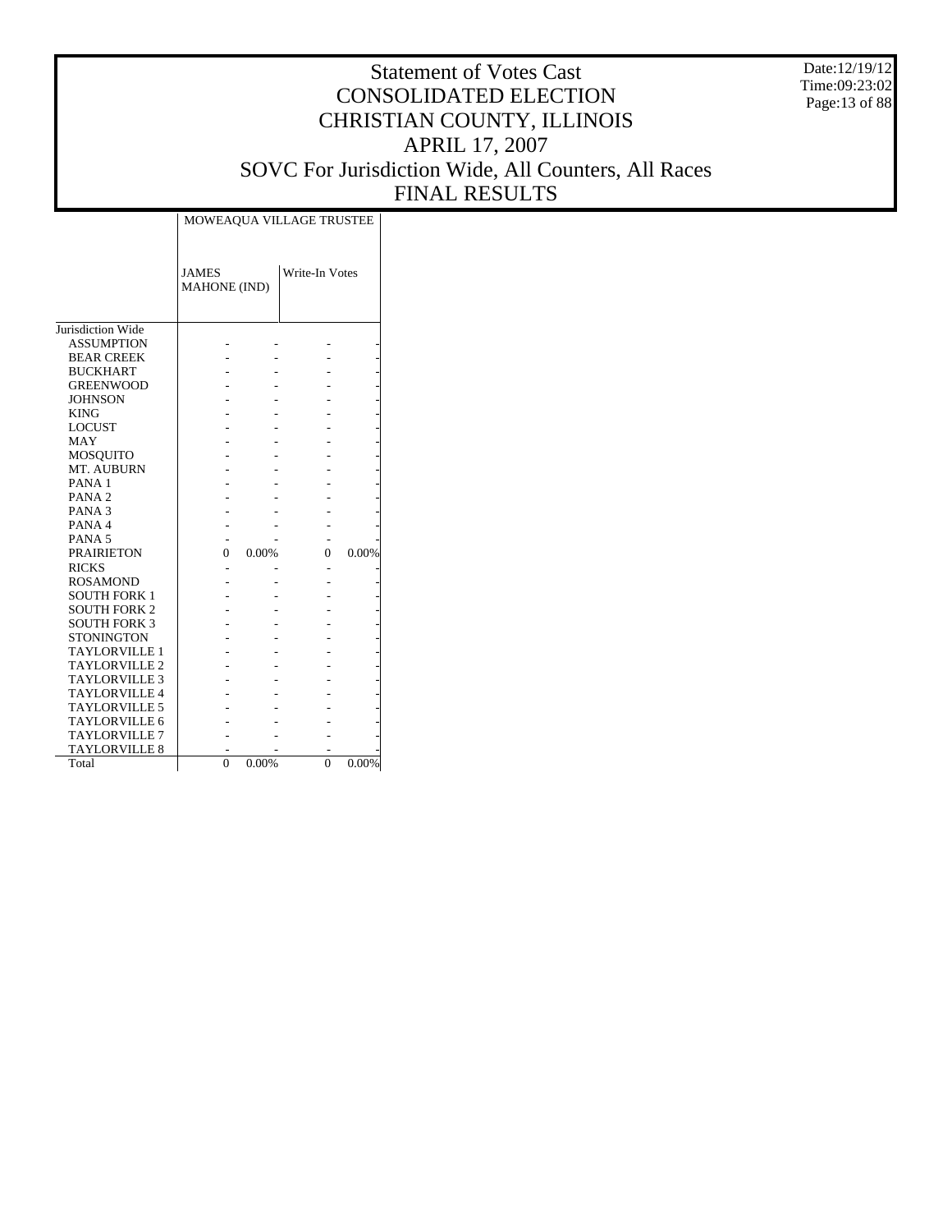Date:12/19/12 Time:09:23:02 Page:13 of 88

|                      | MOWEAQUA VILLAGE TRUSTEE     |       |                |       |  |  |  |  |
|----------------------|------------------------------|-------|----------------|-------|--|--|--|--|
|                      | <b>JAMES</b><br>MAHONE (IND) |       | Write-In Votes |       |  |  |  |  |
| Jurisdiction Wide    |                              |       |                |       |  |  |  |  |
| <b>ASSUMPTION</b>    |                              |       |                |       |  |  |  |  |
| <b>BEAR CREEK</b>    |                              |       |                |       |  |  |  |  |
| <b>BUCKHART</b>      |                              |       |                |       |  |  |  |  |
| <b>GREENWOOD</b>     |                              |       |                |       |  |  |  |  |
| <b>JOHNSON</b>       |                              |       |                |       |  |  |  |  |
| <b>KING</b>          |                              |       |                |       |  |  |  |  |
| <b>LOCUST</b>        |                              |       |                |       |  |  |  |  |
| <b>MAY</b>           |                              |       |                |       |  |  |  |  |
| <b>MOSQUITO</b>      |                              |       |                |       |  |  |  |  |
| MT. AUBURN           |                              |       |                |       |  |  |  |  |
| PANA <sub>1</sub>    |                              |       |                |       |  |  |  |  |
| PANA <sub>2</sub>    |                              |       |                |       |  |  |  |  |
| PANA <sub>3</sub>    |                              |       |                |       |  |  |  |  |
| PANA 4               |                              |       |                |       |  |  |  |  |
| PANA <sub>5</sub>    |                              |       |                |       |  |  |  |  |
| <b>PRAIRIETON</b>    | 0                            | 0.00% | 0              | 0.00% |  |  |  |  |
| <b>RICKS</b>         |                              |       |                |       |  |  |  |  |
| <b>ROSAMOND</b>      |                              |       |                |       |  |  |  |  |
| <b>SOUTH FORK 1</b>  |                              |       |                |       |  |  |  |  |
| <b>SOUTH FORK 2</b>  |                              |       |                |       |  |  |  |  |
| <b>SOUTH FORK 3</b>  |                              |       |                |       |  |  |  |  |
| <b>STONINGTON</b>    |                              |       |                |       |  |  |  |  |
| <b>TAYLORVILLE 1</b> |                              |       |                |       |  |  |  |  |
| <b>TAYLORVILLE 2</b> |                              |       |                |       |  |  |  |  |
| <b>TAYLORVILLE 3</b> |                              |       |                |       |  |  |  |  |
| <b>TAYLORVILLE 4</b> |                              |       |                |       |  |  |  |  |
| <b>TAYLORVILLE 5</b> |                              |       |                |       |  |  |  |  |
| <b>TAYLORVILLE 6</b> |                              |       |                |       |  |  |  |  |
| <b>TAYLORVILLE 7</b> |                              |       |                |       |  |  |  |  |
| <b>TAYLORVILLE 8</b> |                              |       |                |       |  |  |  |  |
| Total                | $\Omega$                     | 0.00% | $\theta$       | 0.00% |  |  |  |  |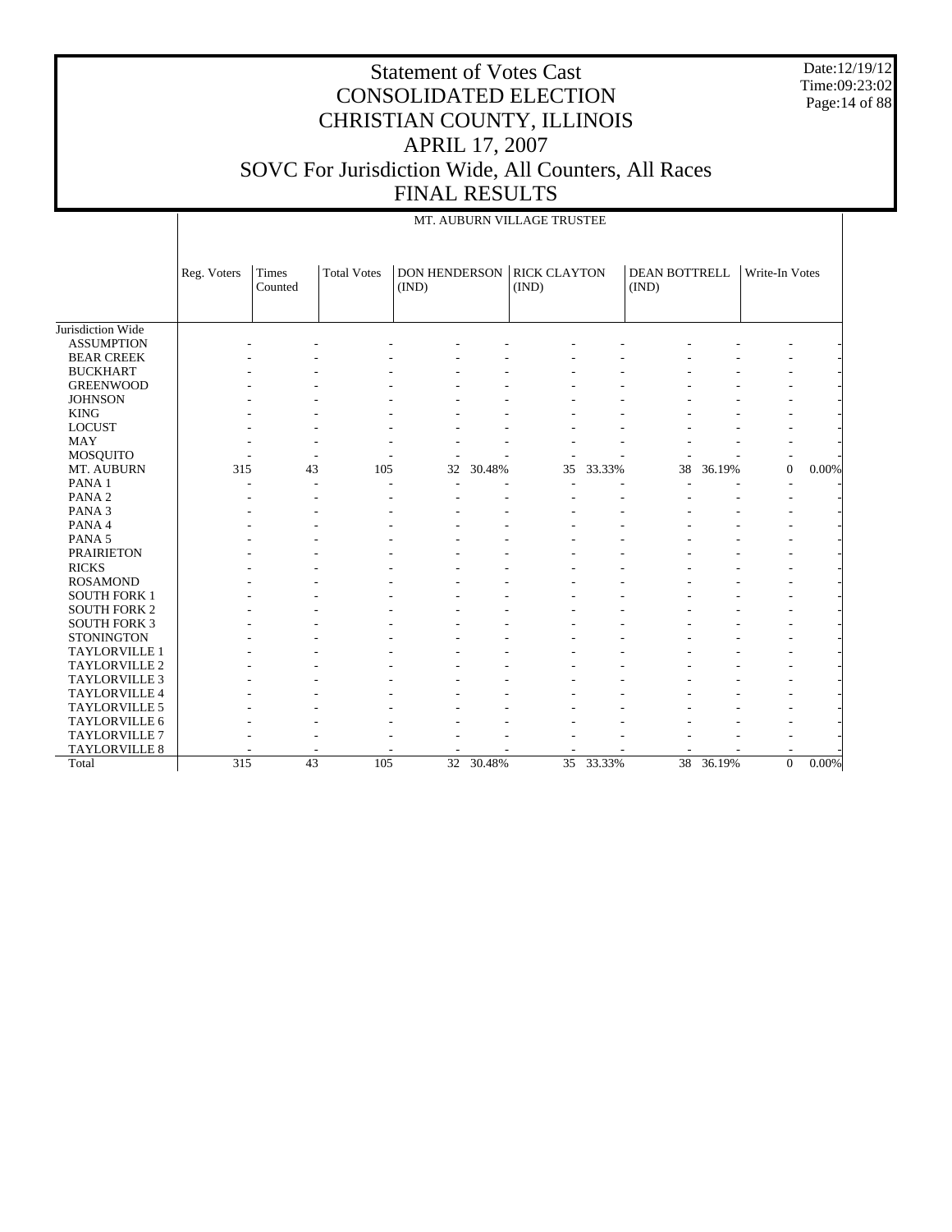Date:12/19/12 Time:09:23:02 Page:14 of 88

|                      |             | MT. AUBURN VILLAGE TRUSTEE |                    |                               |        |                              |        |                        |        |                |          |  |
|----------------------|-------------|----------------------------|--------------------|-------------------------------|--------|------------------------------|--------|------------------------|--------|----------------|----------|--|
|                      | Reg. Voters | Times<br>Counted           | <b>Total Votes</b> | <b>DON HENDERSON</b><br>(IND) |        | <b>RICK CLAYTON</b><br>(IND) |        | DEAN BOTTRELL<br>(IND) |        | Write-In Votes |          |  |
| Jurisdiction Wide    |             |                            |                    |                               |        |                              |        |                        |        |                |          |  |
| <b>ASSUMPTION</b>    |             |                            |                    |                               |        |                              |        |                        |        |                |          |  |
| <b>BEAR CREEK</b>    |             |                            |                    |                               |        |                              |        |                        |        |                |          |  |
| <b>BUCKHART</b>      |             |                            |                    |                               |        |                              |        |                        |        |                |          |  |
| <b>GREENWOOD</b>     |             |                            |                    |                               |        |                              |        |                        |        |                |          |  |
| <b>JOHNSON</b>       |             |                            |                    |                               |        |                              |        |                        |        |                |          |  |
| <b>KING</b>          |             |                            |                    |                               |        |                              |        |                        |        |                |          |  |
| <b>LOCUST</b>        |             |                            |                    |                               |        |                              |        |                        |        |                |          |  |
| MAY                  |             |                            |                    |                               |        |                              |        |                        |        |                |          |  |
| MOSQUITO             |             |                            |                    |                               |        |                              |        |                        |        |                |          |  |
| MT. AUBURN           | 315         | 43                         | 105                | 32                            | 30.48% | 35                           | 33.33% | 38                     | 36.19% | $\overline{0}$ | $0.00\%$ |  |
| PANA <sub>1</sub>    |             |                            | $\overline{a}$     |                               |        |                              |        |                        |        |                |          |  |
| PANA <sub>2</sub>    |             |                            |                    |                               |        |                              |        |                        |        |                |          |  |
| PANA <sub>3</sub>    |             |                            |                    |                               |        |                              |        |                        |        |                |          |  |
| PANA 4               |             |                            |                    |                               |        |                              |        |                        |        |                |          |  |
| PANA 5               |             |                            |                    |                               |        |                              |        |                        |        |                |          |  |
| <b>PRAIRIETON</b>    |             |                            |                    |                               |        |                              |        |                        |        |                |          |  |
| <b>RICKS</b>         |             |                            |                    |                               |        |                              |        |                        |        |                |          |  |
| <b>ROSAMOND</b>      |             |                            |                    |                               |        |                              |        |                        |        |                |          |  |
| <b>SOUTH FORK 1</b>  |             |                            |                    |                               |        |                              |        |                        |        |                |          |  |
| <b>SOUTH FORK 2</b>  |             |                            |                    |                               |        |                              |        |                        |        |                |          |  |
| <b>SOUTH FORK 3</b>  |             |                            |                    |                               |        |                              |        |                        |        |                |          |  |
| <b>STONINGTON</b>    |             |                            |                    |                               |        |                              |        |                        |        |                |          |  |
| TAYLORVILLE 1        |             |                            |                    |                               |        |                              |        |                        |        |                |          |  |
| TAYLORVILLE 2        |             |                            |                    |                               |        |                              |        |                        |        |                |          |  |
| <b>TAYLORVILLE 3</b> |             |                            |                    |                               |        |                              |        |                        |        |                |          |  |
| TAYLORVILLE 4        |             |                            |                    |                               |        |                              |        |                        |        |                |          |  |
| TAYLORVILLE 5        |             |                            |                    |                               |        |                              |        |                        |        |                |          |  |
| TAYLORVILLE 6        |             |                            |                    |                               |        |                              |        |                        |        |                |          |  |
| <b>TAYLORVILLE 7</b> |             |                            |                    |                               |        |                              |        |                        |        |                |          |  |
| TAYLORVILLE 8        |             |                            |                    |                               |        |                              |        |                        |        |                |          |  |
| Total                | 315         | 43                         | 105                | 32                            | 30.48% | 35                           | 33.33% | 38                     | 36.19% | $\Omega$       | $0.00\%$ |  |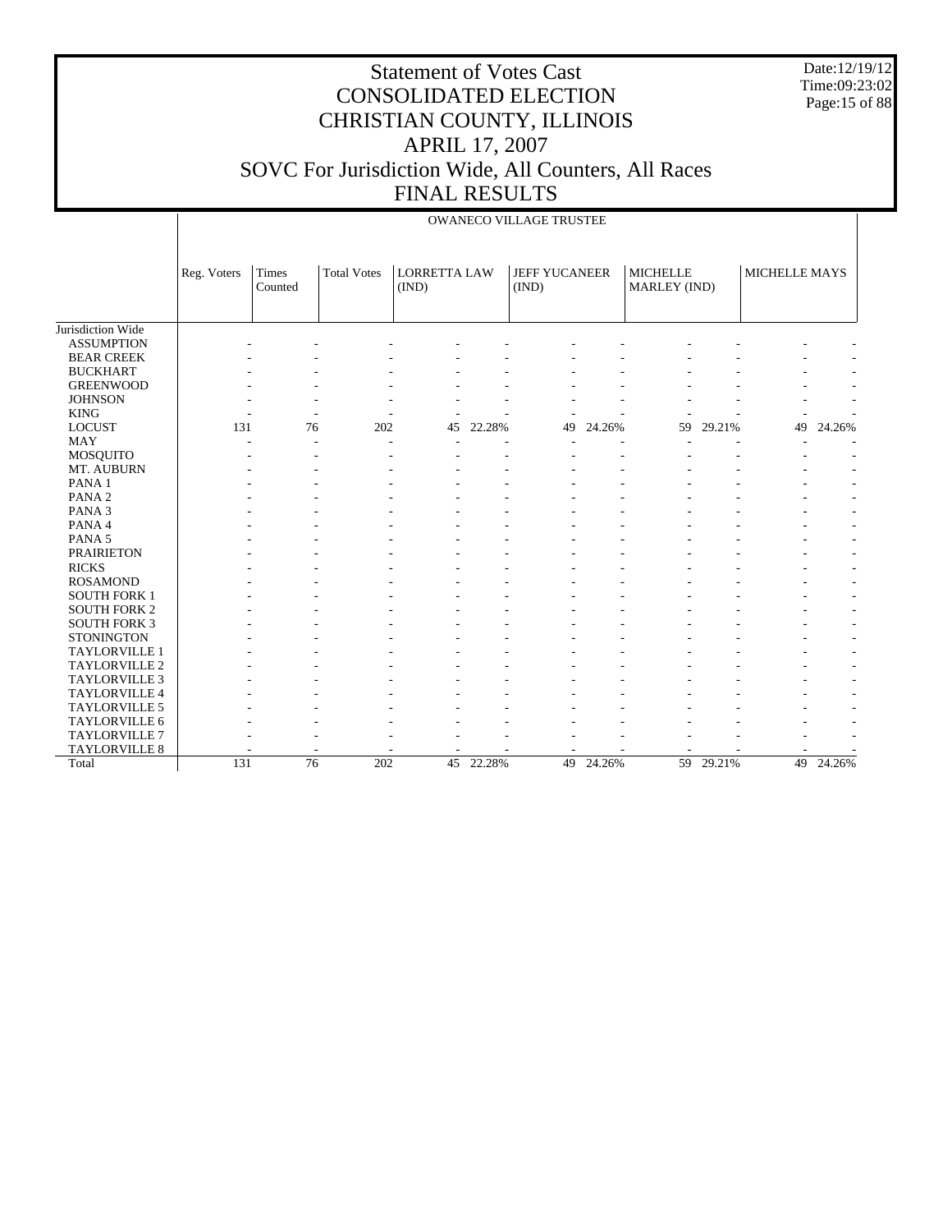Date:12/19/12 Time:09:23:02 Page:15 of 88

|                      |             |                  |                    |                              |        | <b>OWANECO VILLAGE TRUSTEE</b> |        |                                 |        |                      |        |
|----------------------|-------------|------------------|--------------------|------------------------------|--------|--------------------------------|--------|---------------------------------|--------|----------------------|--------|
|                      | Reg. Voters | Times<br>Counted | <b>Total Votes</b> | <b>LORRETTA LAW</b><br>(IND) |        | <b>JEFF YUCANEER</b><br>(IND)  |        | <b>MICHELLE</b><br>MARLEY (IND) |        | <b>MICHELLE MAYS</b> |        |
| Jurisdiction Wide    |             |                  |                    |                              |        |                                |        |                                 |        |                      |        |
| <b>ASSUMPTION</b>    |             |                  |                    |                              |        |                                |        |                                 |        |                      |        |
| <b>BEAR CREEK</b>    |             |                  |                    |                              |        |                                |        |                                 |        |                      |        |
| <b>BUCKHART</b>      |             |                  |                    |                              |        |                                |        |                                 |        |                      |        |
| <b>GREENWOOD</b>     |             |                  |                    |                              |        |                                |        |                                 |        |                      |        |
| <b>JOHNSON</b>       |             |                  |                    |                              |        |                                |        |                                 |        |                      |        |
| <b>KING</b>          |             |                  |                    |                              |        |                                |        |                                 |        |                      |        |
| <b>LOCUST</b>        | 131         | 76               | 202                | 45                           | 22.28% | 49                             | 24.26% | 59                              | 29.21% | 49                   | 24.26% |
| <b>MAY</b>           |             |                  |                    |                              |        |                                |        |                                 |        |                      |        |
| MOSQUITO             |             |                  |                    |                              |        |                                |        |                                 |        |                      |        |
| MT. AUBURN           |             |                  |                    |                              |        |                                |        |                                 |        |                      |        |
| PANA <sub>1</sub>    |             |                  |                    |                              |        |                                |        |                                 |        |                      |        |
| PANA <sub>2</sub>    |             |                  |                    |                              |        |                                |        |                                 |        |                      |        |
| PANA <sub>3</sub>    |             |                  |                    |                              |        |                                |        |                                 |        |                      |        |
| PANA 4               |             |                  |                    |                              |        |                                |        |                                 |        |                      |        |
| PANA <sub>5</sub>    |             |                  |                    |                              |        |                                |        |                                 |        |                      |        |
| <b>PRAIRIETON</b>    |             |                  |                    |                              |        |                                |        |                                 |        |                      |        |
| <b>RICKS</b>         |             |                  |                    |                              |        |                                |        |                                 |        |                      |        |
| <b>ROSAMOND</b>      |             |                  |                    |                              |        |                                |        |                                 |        |                      |        |
| <b>SOUTH FORK 1</b>  |             |                  |                    |                              |        |                                |        |                                 |        |                      |        |
| <b>SOUTH FORK 2</b>  |             |                  |                    |                              |        |                                |        |                                 |        |                      |        |
| <b>SOUTH FORK 3</b>  |             |                  |                    |                              |        |                                |        |                                 |        |                      |        |
| <b>STONINGTON</b>    |             |                  |                    |                              |        |                                |        |                                 |        |                      |        |
| TAYLORVILLE 1        |             |                  |                    |                              |        |                                |        |                                 |        |                      |        |
| TAYLORVILLE 2        |             |                  |                    |                              |        |                                |        |                                 |        |                      |        |
| TAYLORVILLE 3        |             |                  |                    |                              |        |                                |        |                                 |        |                      |        |
| TAYLORVILLE 4        |             |                  |                    |                              |        |                                |        |                                 |        |                      |        |
| <b>TAYLORVILLE 5</b> |             |                  |                    |                              |        |                                |        |                                 |        |                      |        |
| TAYLORVILLE 6        |             |                  |                    |                              |        |                                |        |                                 |        |                      |        |
| TAYLORVILLE 7        |             |                  |                    |                              |        |                                |        |                                 |        |                      |        |
| TAYLORVILLE 8        |             |                  |                    |                              |        |                                |        |                                 |        |                      |        |
| Total                | 131         | $\overline{76}$  | 202                | $\overline{45}$              | 22.28% | 49                             | 24.26% | 59                              | 29.21% | 49                   | 24.26% |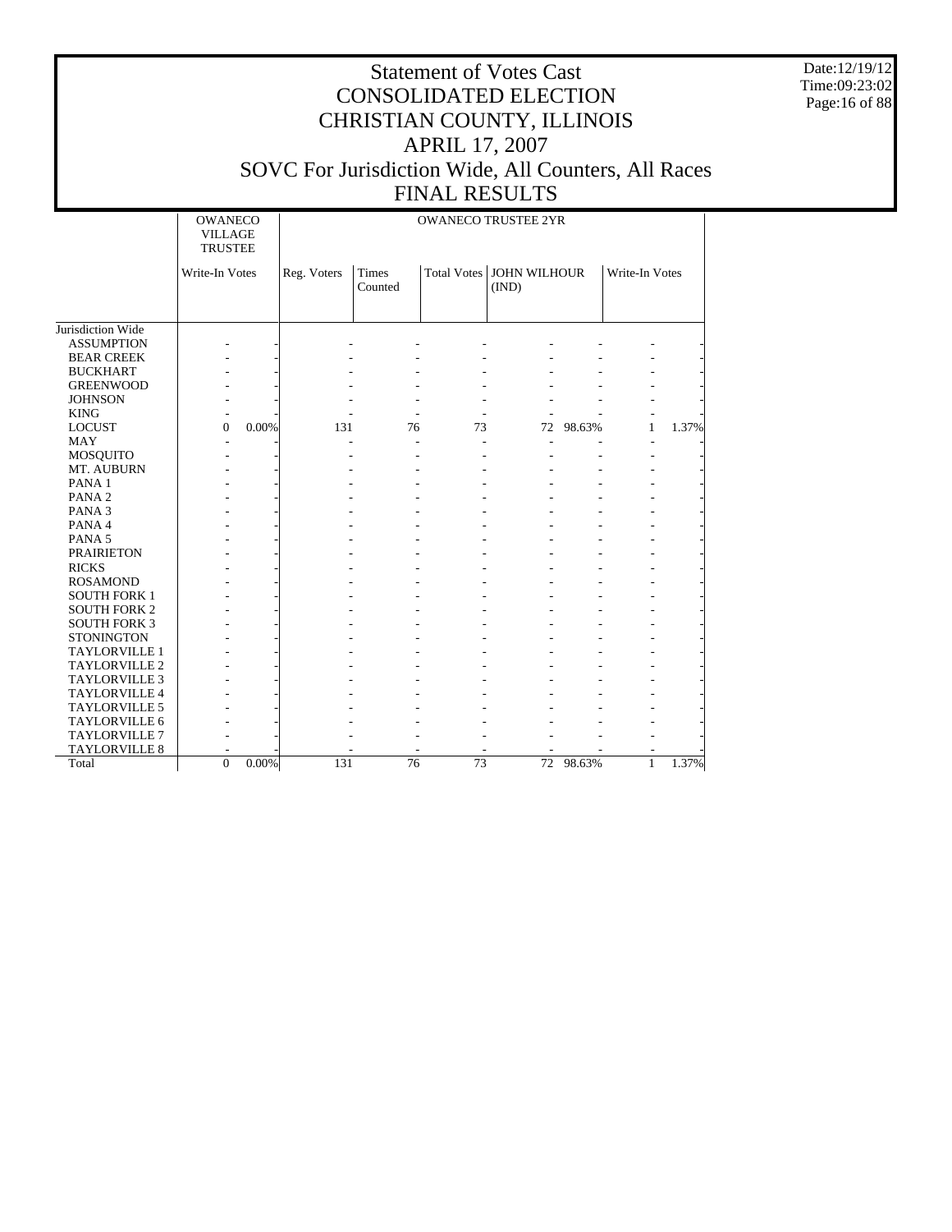Date:12/19/12 Time:09:23:02 Page:16 of 88

|                     | <b>OWANECO</b><br><b>VILLAGE</b><br><b>TRUSTEE</b> | <b>OWANECO TRUSTEE 2YR</b> |             |                         |                                     |    |           |                |       |
|---------------------|----------------------------------------------------|----------------------------|-------------|-------------------------|-------------------------------------|----|-----------|----------------|-------|
|                     | Write-In Votes                                     |                            | Reg. Voters | <b>Times</b><br>Counted | Total Votes   JOHN WILHOUR<br>(IND) |    |           | Write-In Votes |       |
|                     |                                                    |                            |             |                         |                                     |    |           |                |       |
| Jurisdiction Wide   |                                                    |                            |             |                         |                                     |    |           |                |       |
| <b>ASSUMPTION</b>   |                                                    |                            |             |                         |                                     |    |           |                |       |
| <b>BEAR CREEK</b>   |                                                    |                            |             |                         |                                     |    |           |                |       |
| <b>BUCKHART</b>     |                                                    |                            |             |                         |                                     |    |           |                |       |
| <b>GREENWOOD</b>    |                                                    |                            |             |                         |                                     |    |           |                |       |
| <b>JOHNSON</b>      |                                                    |                            |             |                         |                                     |    |           |                |       |
| <b>KING</b>         |                                                    |                            |             |                         |                                     |    |           |                |       |
| <b>LOCUST</b>       | $\theta$                                           | 0.00%                      | 131         | 76                      | 73                                  | 72 | 98.63%    | $\mathbf{1}$   | 1.37% |
| <b>MAY</b>          |                                                    |                            |             |                         |                                     |    |           |                |       |
| <b>MOSQUITO</b>     |                                                    |                            |             |                         |                                     |    |           |                |       |
| MT. AUBURN          |                                                    |                            |             |                         |                                     |    |           |                |       |
| PANA <sub>1</sub>   |                                                    |                            |             |                         |                                     |    |           |                |       |
| PANA <sub>2</sub>   |                                                    |                            |             |                         |                                     |    |           |                |       |
| PANA <sub>3</sub>   |                                                    |                            |             |                         |                                     |    |           |                |       |
| PANA 4              |                                                    |                            |             |                         |                                     |    |           |                |       |
| PANA <sub>5</sub>   |                                                    |                            |             |                         |                                     |    |           |                |       |
| <b>PRAIRIETON</b>   |                                                    |                            |             |                         |                                     |    |           |                |       |
| <b>RICKS</b>        |                                                    |                            |             |                         |                                     |    |           |                |       |
| <b>ROSAMOND</b>     |                                                    |                            |             |                         |                                     |    |           |                |       |
| <b>SOUTH FORK 1</b> |                                                    |                            |             |                         |                                     |    |           |                |       |
| <b>SOUTH FORK 2</b> |                                                    |                            |             |                         |                                     |    |           |                |       |
| <b>SOUTH FORK 3</b> |                                                    |                            |             |                         |                                     |    |           |                |       |
| <b>STONINGTON</b>   |                                                    |                            |             |                         |                                     |    |           |                |       |
| TAYLORVILLE 1       |                                                    |                            |             |                         |                                     |    |           |                |       |
| TAYLORVILLE 2       |                                                    |                            |             |                         |                                     |    |           |                |       |
| TAYLORVILLE 3       |                                                    |                            |             |                         |                                     |    |           |                |       |
| TAYLORVILLE 4       |                                                    |                            |             |                         |                                     |    |           |                |       |
| TAYLORVILLE 5       |                                                    |                            |             |                         |                                     |    |           |                |       |
| TAYLORVILLE 6       |                                                    |                            |             |                         |                                     |    |           |                |       |
| TAYLORVILLE 7       |                                                    |                            |             |                         |                                     |    |           |                |       |
| TAYLORVILLE 8       |                                                    |                            |             |                         |                                     |    |           |                |       |
| Total               | $\theta$                                           | 0.00%                      | 131         | $\overline{76}$         | $\overline{73}$                     |    | 72 98.63% | $\mathbf{1}$   | 1.37% |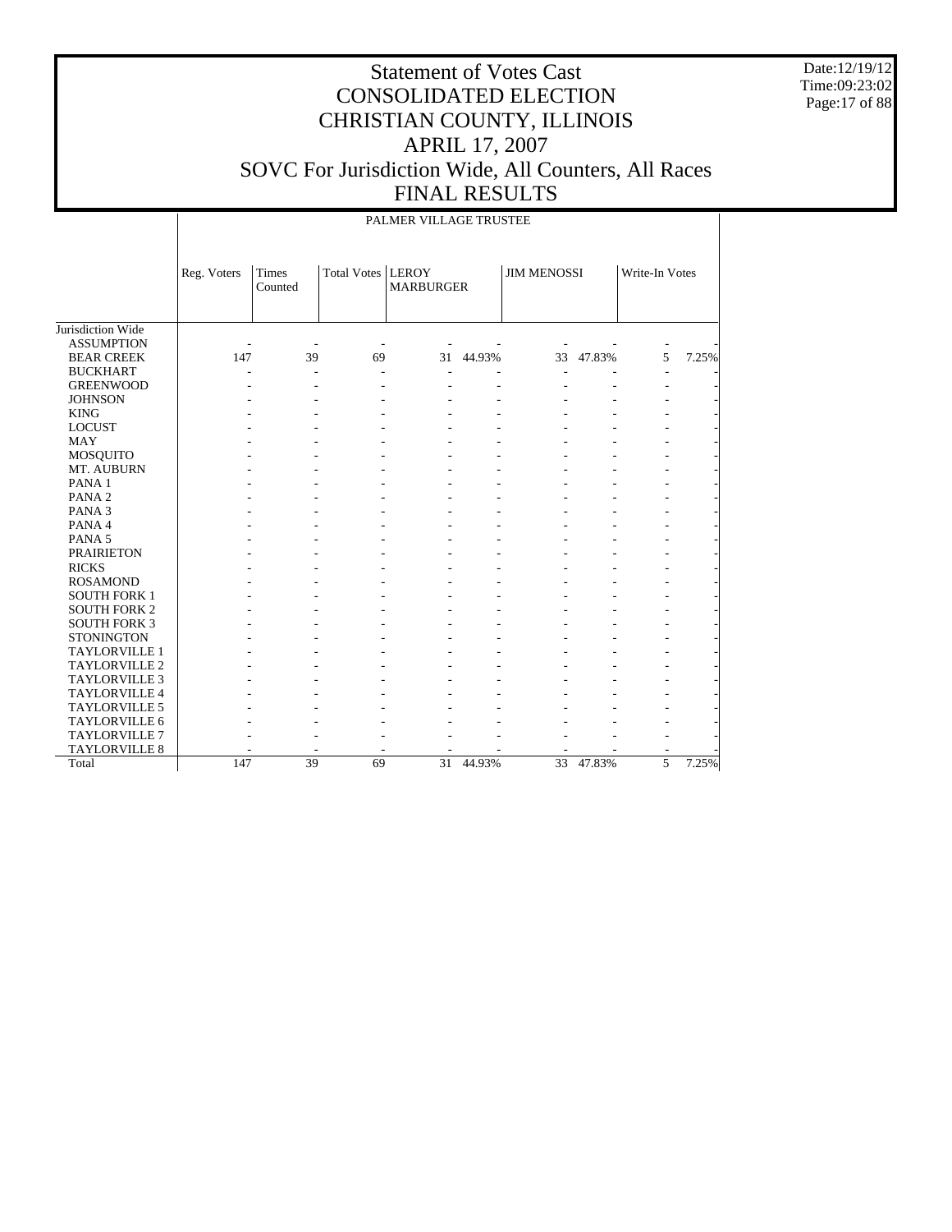Date:12/19/12 Time:09:23:02 Page:17 of 88

|                      |             |                  |                     | PALMER VILLAGE TRUSTEE |        |                    |        |                |       |
|----------------------|-------------|------------------|---------------------|------------------------|--------|--------------------|--------|----------------|-------|
|                      | Reg. Voters | Times<br>Counted | Total Votes   LEROY | <b>MARBURGER</b>       |        | <b>JIM MENOSSI</b> |        | Write-In Votes |       |
| Jurisdiction Wide    |             |                  |                     |                        |        |                    |        |                |       |
| <b>ASSUMPTION</b>    |             |                  |                     |                        |        |                    |        |                |       |
| <b>BEAR CREEK</b>    | 147         | 39               | 69                  | 31                     | 44.93% | 33                 | 47.83% | 5              | 7.25% |
| <b>BUCKHART</b>      |             |                  |                     |                        |        |                    |        |                |       |
| <b>GREENWOOD</b>     |             |                  |                     |                        |        |                    |        |                |       |
| <b>JOHNSON</b>       |             |                  |                     |                        |        |                    |        |                |       |
| <b>KING</b>          |             |                  |                     |                        |        |                    |        |                |       |
| <b>LOCUST</b>        |             |                  |                     |                        |        |                    |        |                |       |
| <b>MAY</b>           |             |                  |                     |                        |        |                    |        |                |       |
| MOSQUITO             |             |                  |                     |                        |        |                    |        |                |       |
| MT. AUBURN           |             |                  |                     |                        |        |                    |        |                |       |
| PANA <sub>1</sub>    |             |                  |                     |                        |        |                    |        |                |       |
| PANA <sub>2</sub>    |             |                  |                     |                        |        |                    |        |                |       |
| PANA <sub>3</sub>    |             |                  |                     |                        |        |                    |        |                |       |
| PANA 4               |             |                  |                     |                        |        |                    |        |                |       |
| PANA <sub>5</sub>    |             |                  |                     |                        |        |                    |        |                |       |
| <b>PRAIRIETON</b>    |             |                  |                     |                        |        |                    |        |                |       |
| <b>RICKS</b>         |             |                  |                     |                        |        |                    |        |                |       |
| <b>ROSAMOND</b>      |             |                  |                     |                        |        |                    |        |                |       |
| <b>SOUTH FORK 1</b>  |             |                  |                     |                        |        |                    |        |                |       |
| <b>SOUTH FORK 2</b>  |             |                  |                     |                        |        |                    |        |                |       |
| <b>SOUTH FORK 3</b>  |             |                  |                     |                        |        |                    |        |                |       |
| <b>STONINGTON</b>    |             |                  |                     |                        |        |                    |        |                |       |
| TAYLORVILLE 1        |             |                  |                     |                        |        |                    |        |                |       |
| TAYLORVILLE 2        |             |                  |                     |                        |        |                    |        |                |       |
| <b>TAYLORVILLE 3</b> |             |                  |                     |                        |        |                    |        |                |       |
| TAYLORVILLE 4        |             |                  |                     |                        |        |                    |        |                |       |
| TAYLORVILLE 5        |             |                  |                     |                        |        |                    |        |                |       |
| <b>TAYLORVILLE 6</b> |             |                  |                     |                        |        |                    |        |                |       |
| <b>TAYLORVILLE 7</b> |             |                  |                     |                        |        |                    |        |                |       |
| TAYLORVILLE 8        |             |                  |                     |                        |        |                    |        |                |       |
| Total                | 147         | 39               | 69                  | 31                     | 44.93% | 33                 | 47.83% | 5              | 7.25% |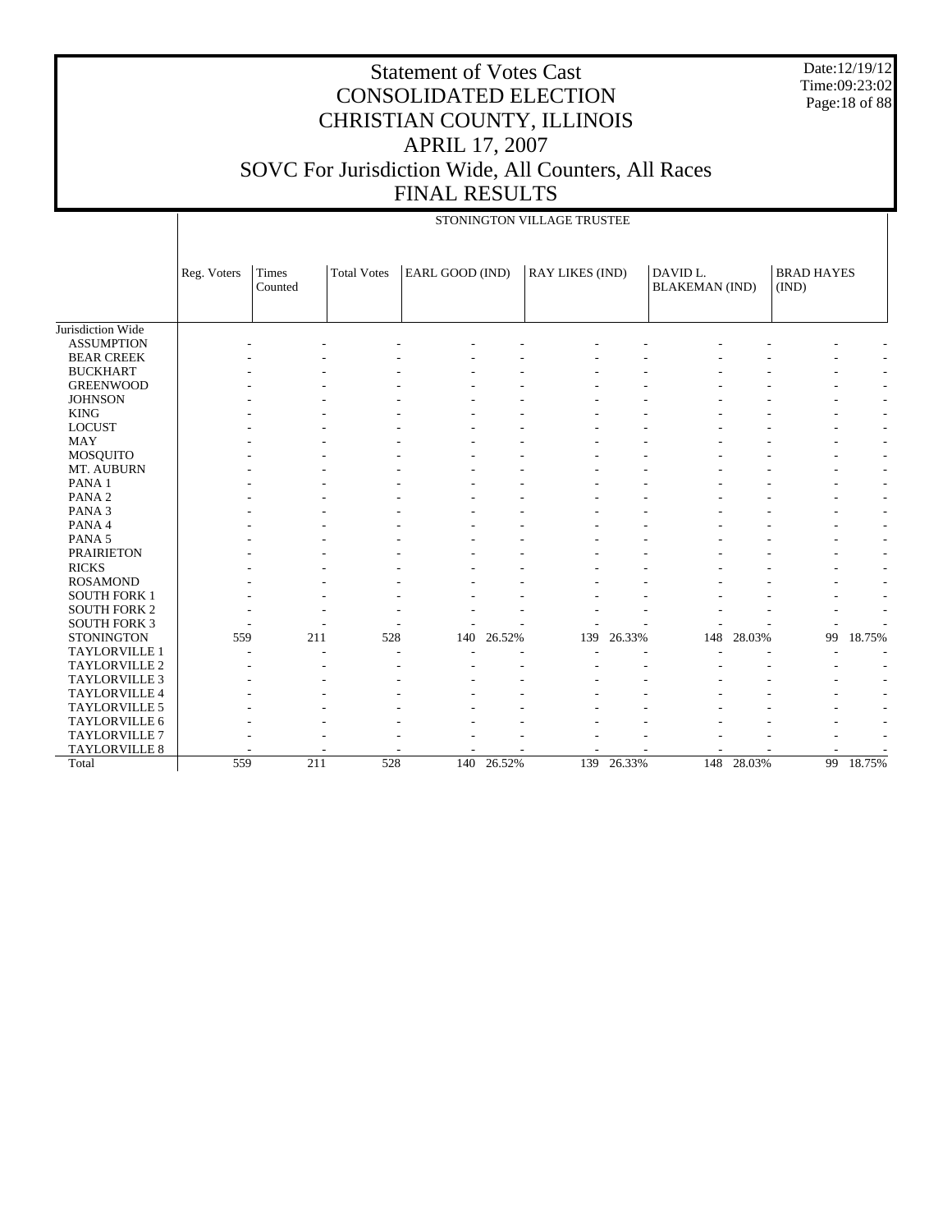Date:12/19/12 Time:09:23:02 Page:18 of 88

|                      |             |                  |                    |                 |        | STONINGTON VILLAGE TRUSTEE |        |                                   |        |                            |                          |
|----------------------|-------------|------------------|--------------------|-----------------|--------|----------------------------|--------|-----------------------------------|--------|----------------------------|--------------------------|
|                      | Reg. Voters | Times<br>Counted | <b>Total Votes</b> | EARL GOOD (IND) |        | <b>RAY LIKES (IND)</b>     |        | DAVID L.<br><b>BLAKEMAN</b> (IND) |        | <b>BRAD HAYES</b><br>(IND) |                          |
| Jurisdiction Wide    |             |                  |                    |                 |        |                            |        |                                   |        |                            |                          |
| <b>ASSUMPTION</b>    |             |                  |                    |                 |        |                            |        |                                   |        |                            |                          |
| <b>BEAR CREEK</b>    |             |                  |                    |                 |        |                            |        |                                   |        |                            |                          |
| <b>BUCKHART</b>      |             |                  |                    |                 |        |                            |        |                                   |        |                            |                          |
| <b>GREENWOOD</b>     |             |                  |                    |                 |        |                            |        |                                   |        |                            |                          |
| <b>JOHNSON</b>       |             |                  |                    |                 |        |                            |        |                                   |        |                            | ٠                        |
| <b>KING</b>          |             |                  |                    |                 |        |                            |        |                                   |        |                            | $\sim$                   |
| <b>LOCUST</b>        |             |                  |                    |                 |        |                            |        |                                   |        |                            | $\overline{\phantom{a}}$ |
| <b>MAY</b>           |             |                  |                    |                 |        |                            |        |                                   |        |                            | $\overline{\phantom{a}}$ |
| MOSQUITO             |             |                  |                    |                 |        |                            |        |                                   |        |                            | $\sim$                   |
| MT. AUBURN           |             |                  |                    |                 |        |                            |        |                                   |        |                            | $\overline{\phantom{a}}$ |
| PANA 1               |             |                  |                    |                 |        |                            |        |                                   |        |                            | $\overline{\phantom{a}}$ |
| PANA <sub>2</sub>    |             |                  |                    |                 |        |                            |        |                                   |        |                            | $\overline{\phantom{a}}$ |
| PANA <sub>3</sub>    |             |                  |                    |                 |        |                            |        |                                   |        |                            | $\overline{\phantom{a}}$ |
| PANA 4               |             |                  |                    |                 |        |                            |        |                                   |        |                            | $\overline{\phantom{a}}$ |
| PANA <sub>5</sub>    |             |                  |                    |                 |        |                            |        |                                   |        |                            | $\overline{\phantom{a}}$ |
| <b>PRAIRIETON</b>    |             |                  |                    |                 |        |                            |        |                                   |        |                            | $\overline{\phantom{a}}$ |
| <b>RICKS</b>         |             |                  |                    |                 |        |                            |        |                                   |        |                            | $\overline{\phantom{a}}$ |
| <b>ROSAMOND</b>      |             |                  |                    |                 |        |                            |        |                                   |        |                            |                          |
| <b>SOUTH FORK 1</b>  |             |                  |                    |                 |        |                            |        |                                   |        |                            |                          |
| <b>SOUTH FORK 2</b>  |             |                  |                    |                 |        |                            |        |                                   |        |                            |                          |
| <b>SOUTH FORK 3</b>  |             |                  |                    |                 |        |                            |        |                                   |        |                            |                          |
| <b>STONINGTON</b>    | 559         |                  | 211<br>528         | 140             | 26.52% | 139                        | 26.33% | 148                               | 28.03% | 99                         | 18.75%                   |
| TAYLORVILLE 1        |             |                  |                    |                 |        |                            |        |                                   |        |                            |                          |
| <b>TAYLORVILLE 2</b> |             |                  |                    |                 |        |                            |        |                                   |        |                            |                          |
| <b>TAYLORVILLE 3</b> |             |                  |                    |                 |        |                            |        |                                   |        |                            | $\overline{\phantom{a}}$ |
| TAYLORVILLE 4        |             |                  |                    |                 |        |                            |        |                                   |        |                            | ۰                        |
| TAYLORVILLE 5        |             |                  |                    |                 |        |                            |        |                                   |        |                            |                          |
| TAYLORVILLE 6        |             |                  |                    |                 |        |                            |        |                                   |        |                            |                          |
| <b>TAYLORVILLE 7</b> |             |                  |                    |                 |        |                            |        |                                   |        |                            |                          |
| <b>TAYLORVILLE 8</b> |             |                  |                    |                 |        |                            |        |                                   |        |                            |                          |
| Total                | 559         |                  | 211<br>528         | 140             | 26.52% | 139                        | 26.33% | 148                               | 28.03% | 99                         | 18.75%                   |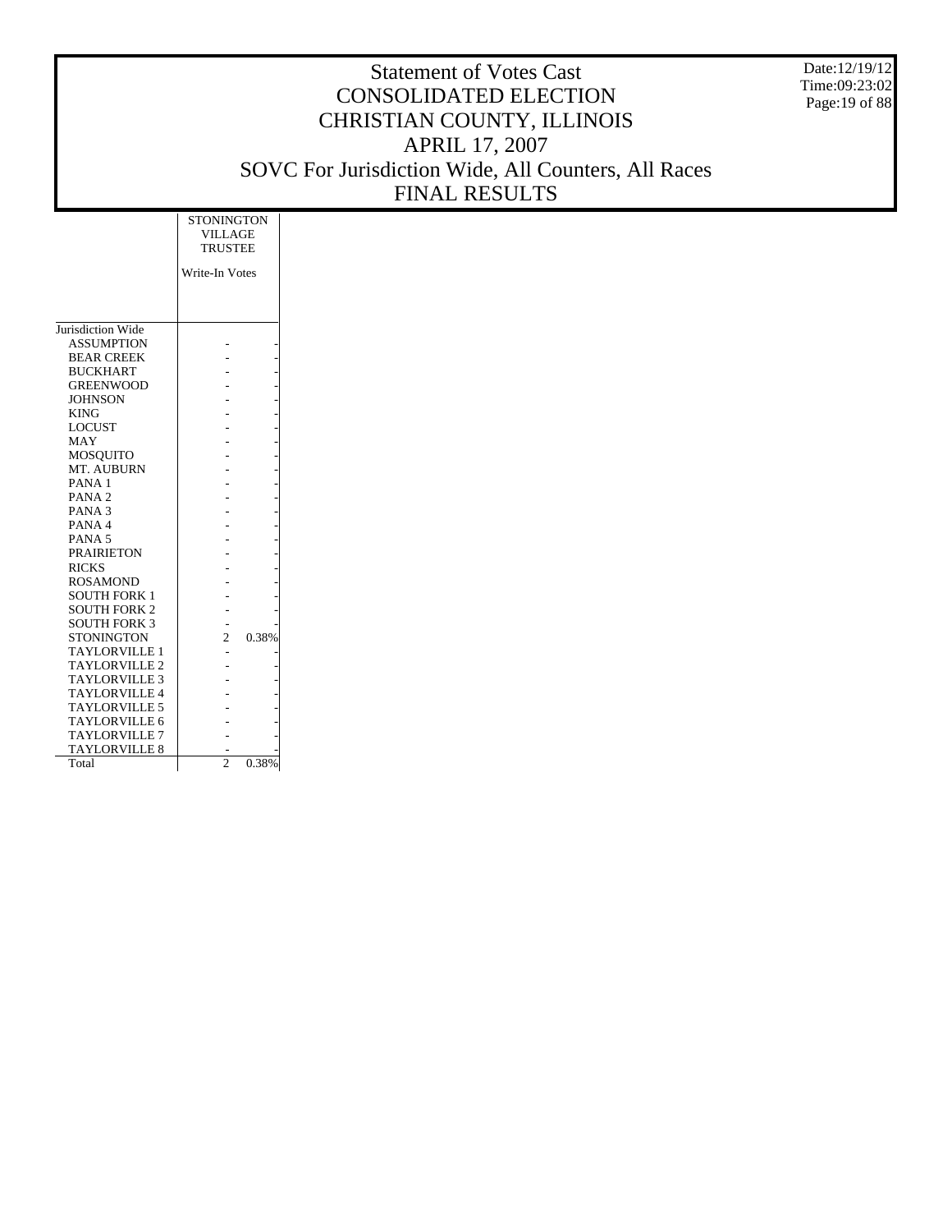Date:12/19/12 Time:09:23:02 Page:19 of 88

|                      | <b>STONINGTON</b><br><b>VILLAGE</b><br><b>TRUSTEE</b> |  |
|----------------------|-------------------------------------------------------|--|
|                      | Write-In Votes                                        |  |
|                      |                                                       |  |
|                      |                                                       |  |
|                      |                                                       |  |
| Jurisdiction Wide    |                                                       |  |
| <b>ASSUMPTION</b>    |                                                       |  |
| <b>BEAR CREEK</b>    |                                                       |  |
| <b>BUCKHART</b>      |                                                       |  |
| <b>GREENWOOD</b>     |                                                       |  |
| <b>JOHNSON</b>       |                                                       |  |
| <b>KING</b>          |                                                       |  |
| <b>LOCUST</b>        |                                                       |  |
| MAY                  |                                                       |  |
| MOSQUITO             |                                                       |  |
| MT. AUBURN           |                                                       |  |
| PANA <sub>1</sub>    |                                                       |  |
| PANA <sub>2</sub>    |                                                       |  |
| PANA <sub>3</sub>    |                                                       |  |
| PANA <sub>4</sub>    |                                                       |  |
| PANA <sub>5</sub>    |                                                       |  |
| <b>PRAIRIETON</b>    |                                                       |  |
| <b>RICKS</b>         |                                                       |  |
| <b>ROSAMOND</b>      |                                                       |  |
| <b>SOUTH FORK 1</b>  |                                                       |  |
| <b>SOUTH FORK 2</b>  |                                                       |  |
| <b>SOUTH FORK 3</b>  |                                                       |  |
| STONINGTON           | $\overline{\mathcal{L}}$<br>0.38%                     |  |
| <b>TAYLORVILLE 1</b> |                                                       |  |
| <b>TAYLORVILLE 2</b> |                                                       |  |
| <b>TAYLORVILLE 3</b> |                                                       |  |
| <b>TAYLORVILLE 4</b> |                                                       |  |
| <b>TAYLORVILLE 5</b> |                                                       |  |
| <b>TAYLORVILLE 6</b> |                                                       |  |
| <b>TAYLORVILLE 7</b> |                                                       |  |
| TAYLORVILLE 8        |                                                       |  |
| Total                | $\mathcal{D}_{\mathcal{A}}$<br>0.38%                  |  |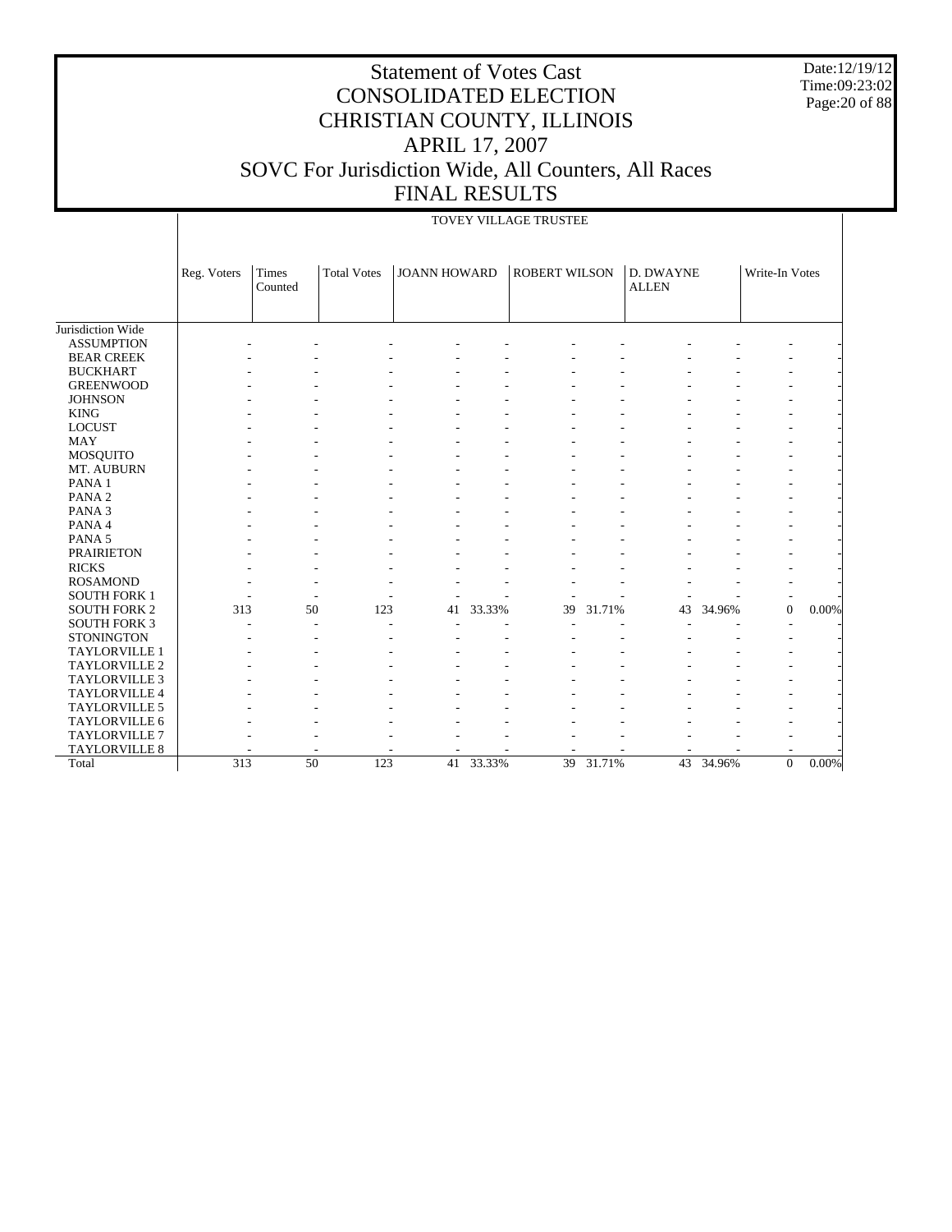Date:12/19/12 Time:09:23:02 Page:20 of 88

|                      |             | TOVEY VILLAGE TRUSTEE   |                    |                     |        |                      |        |                                  |        |                |          |  |  |
|----------------------|-------------|-------------------------|--------------------|---------------------|--------|----------------------|--------|----------------------------------|--------|----------------|----------|--|--|
|                      | Reg. Voters | <b>Times</b><br>Counted | <b>Total Votes</b> | <b>JOANN HOWARD</b> |        | <b>ROBERT WILSON</b> |        | <b>D. DWAYNE</b><br><b>ALLEN</b> |        | Write-In Votes |          |  |  |
| Jurisdiction Wide    |             |                         |                    |                     |        |                      |        |                                  |        |                |          |  |  |
| <b>ASSUMPTION</b>    |             |                         |                    |                     |        |                      |        |                                  |        |                |          |  |  |
| <b>BEAR CREEK</b>    |             |                         |                    |                     |        |                      |        |                                  |        |                |          |  |  |
| <b>BUCKHART</b>      |             |                         |                    |                     |        |                      |        |                                  |        |                |          |  |  |
| <b>GREENWOOD</b>     |             |                         |                    |                     |        |                      |        |                                  |        |                |          |  |  |
| <b>JOHNSON</b>       |             |                         |                    |                     |        |                      |        |                                  |        |                |          |  |  |
| <b>KING</b>          |             |                         |                    |                     |        |                      |        |                                  |        |                |          |  |  |
| <b>LOCUST</b>        |             |                         |                    |                     |        |                      |        |                                  |        |                |          |  |  |
| <b>MAY</b>           |             |                         |                    |                     |        |                      |        |                                  |        |                |          |  |  |
| <b>MOSQUITO</b>      |             |                         |                    |                     |        |                      |        |                                  |        |                |          |  |  |
| MT. AUBURN           |             |                         |                    |                     |        |                      |        |                                  |        |                |          |  |  |
| PANA <sub>1</sub>    |             |                         |                    |                     |        |                      |        |                                  |        |                |          |  |  |
| PANA <sub>2</sub>    |             |                         |                    |                     |        |                      |        |                                  |        |                |          |  |  |
| PANA <sub>3</sub>    |             |                         |                    |                     |        |                      |        |                                  |        |                |          |  |  |
| PANA 4               |             |                         |                    |                     |        |                      |        |                                  |        |                |          |  |  |
| PANA 5               |             |                         |                    |                     |        |                      |        |                                  |        |                |          |  |  |
| <b>PRAIRIETON</b>    |             |                         |                    |                     |        |                      |        |                                  |        |                |          |  |  |
| <b>RICKS</b>         |             |                         |                    |                     |        |                      |        |                                  |        |                |          |  |  |
| <b>ROSAMOND</b>      |             |                         |                    |                     |        |                      |        |                                  |        |                |          |  |  |
| <b>SOUTH FORK 1</b>  |             |                         |                    |                     |        |                      |        |                                  |        |                |          |  |  |
| <b>SOUTH FORK 2</b>  | 313         | 50                      | 123                | 41                  | 33.33% | 39                   | 31.71% | 43                               | 34.96% | $\Omega$       | 0.00%    |  |  |
| <b>SOUTH FORK 3</b>  |             |                         |                    |                     |        |                      |        |                                  |        |                |          |  |  |
| <b>STONINGTON</b>    |             |                         |                    |                     |        |                      |        |                                  |        |                |          |  |  |
| <b>TAYLORVILLE 1</b> |             |                         |                    |                     |        |                      |        |                                  |        |                |          |  |  |
| TAYLORVILLE 2        |             |                         |                    |                     |        |                      |        |                                  |        |                |          |  |  |
| <b>TAYLORVILLE 3</b> |             |                         |                    |                     |        |                      |        |                                  |        |                |          |  |  |
| TAYLORVILLE 4        |             |                         |                    |                     |        |                      |        |                                  |        |                |          |  |  |
| TAYLORVILLE 5        |             |                         |                    |                     |        |                      |        |                                  |        |                |          |  |  |
| TAYLORVILLE 6        |             |                         |                    |                     |        |                      |        |                                  |        |                |          |  |  |
| <b>TAYLORVILLE 7</b> |             |                         |                    |                     |        |                      |        |                                  |        |                |          |  |  |
| TAYLORVILLE 8        |             |                         |                    |                     |        |                      |        |                                  |        |                |          |  |  |
| Total                | 313         | $\overline{50}$         | 123                | 41                  | 33.33% | 39                   | 31.71% | $\overline{43}$                  | 34.96% | $\Omega$       | $0.00\%$ |  |  |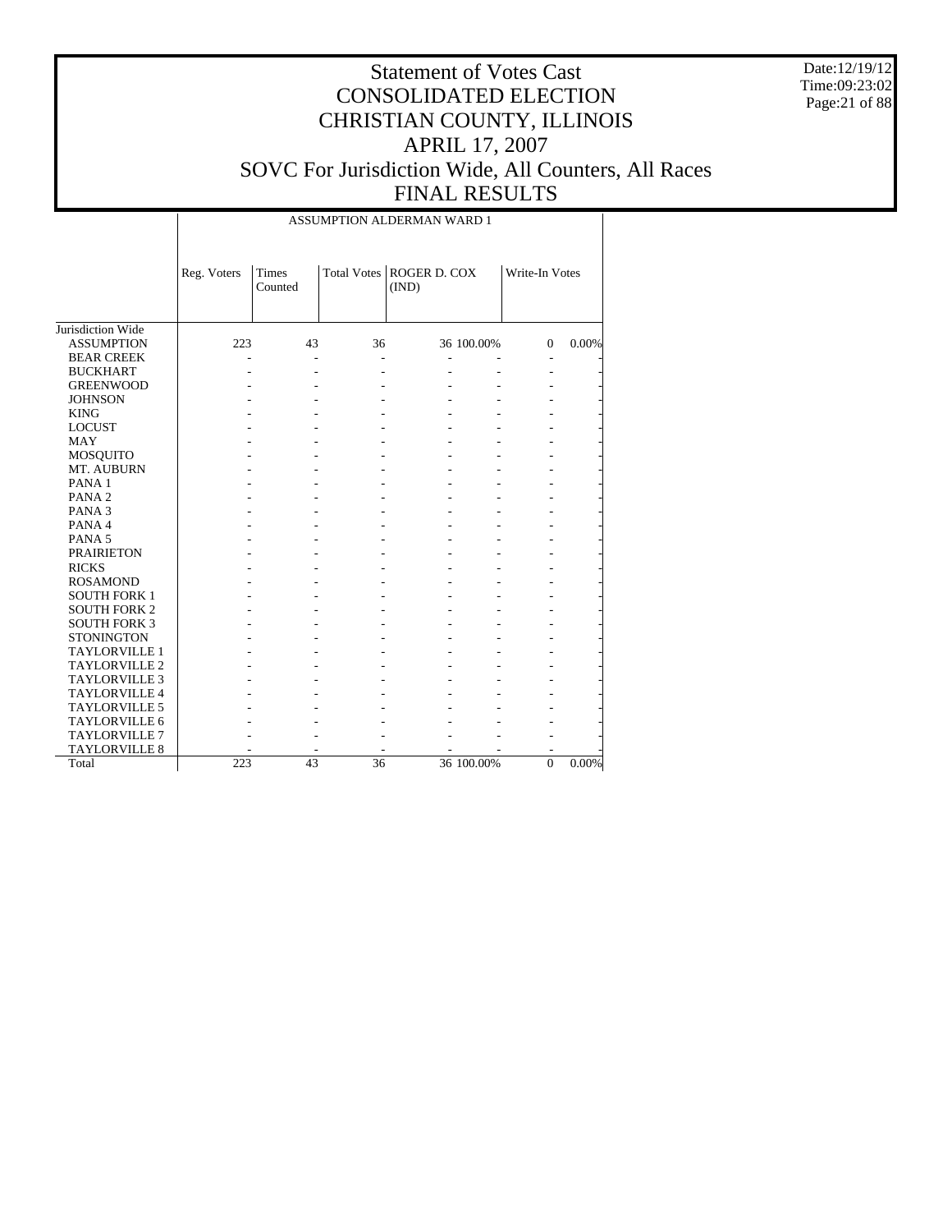Date:12/19/12 Time:09:23:02 Page:21 of 88

# Statement of Votes Cast CONSOLIDATED ELECTION CHRISTIAN COUNTY, ILLINOIS APRIL 17, 2007 SOVC For Jurisdiction Wide, All Counters, All Races FINAL RESULTS

ASSUMPTION ALDERMAN WARD 1

|                      | Reg. Voters | Times<br>Counted |    | Total Votes   ROGER D. COX<br>(IND) |            | Write-In Votes |       |
|----------------------|-------------|------------------|----|-------------------------------------|------------|----------------|-------|
|                      |             |                  |    |                                     |            |                |       |
|                      |             |                  |    |                                     |            |                |       |
| Jurisdiction Wide    |             |                  |    |                                     |            |                |       |
| <b>ASSUMPTION</b>    | 223         | 43               | 36 |                                     | 36 100.00% | $\Omega$       | 0.00% |
| <b>BEAR CREEK</b>    |             |                  |    |                                     |            |                |       |
| <b>BUCKHART</b>      |             |                  |    |                                     |            |                |       |
| <b>GREENWOOD</b>     |             |                  |    |                                     |            |                |       |
| <b>JOHNSON</b>       |             |                  |    |                                     |            |                |       |
| <b>KING</b>          |             |                  |    |                                     |            |                |       |
| <b>LOCUST</b>        |             |                  |    |                                     |            |                |       |
| <b>MAY</b>           |             |                  |    |                                     |            |                |       |
| <b>MOSQUITO</b>      |             |                  |    |                                     |            |                |       |
| MT. AUBURN           |             |                  |    |                                     |            |                |       |
| PANA <sub>1</sub>    |             |                  |    |                                     |            |                |       |
| PANA <sub>2</sub>    |             |                  |    |                                     |            |                |       |
| PANA <sub>3</sub>    |             |                  |    |                                     |            |                |       |
| PANA 4               |             |                  |    |                                     |            |                |       |
| PANA <sub>5</sub>    |             |                  |    |                                     |            |                |       |
| <b>PRAIRIETON</b>    |             |                  |    |                                     |            |                |       |
| <b>RICKS</b>         |             |                  |    |                                     |            |                |       |
| <b>ROSAMOND</b>      |             |                  |    |                                     |            |                |       |
| <b>SOUTH FORK 1</b>  |             |                  |    |                                     |            |                |       |
| <b>SOUTH FORK 2</b>  |             |                  |    |                                     |            |                |       |
| <b>SOUTH FORK 3</b>  |             |                  |    |                                     |            |                |       |
| <b>STONINGTON</b>    |             |                  |    |                                     |            |                |       |
| <b>TAYLORVILLE 1</b> |             |                  |    |                                     |            |                |       |
| <b>TAYLORVILLE 2</b> |             |                  |    |                                     |            |                |       |
| <b>TAYLORVILLE 3</b> |             |                  |    |                                     |            |                |       |
| <b>TAYLORVILLE 4</b> |             |                  |    |                                     |            |                |       |
| <b>TAYLORVILLE 5</b> |             |                  |    |                                     |            |                |       |
| TAYLORVILLE 6        |             |                  |    |                                     |            |                |       |
| <b>TAYLORVILLE 7</b> |             |                  |    |                                     |            |                |       |
| <b>TAYLORVILLE 8</b> |             |                  |    |                                     |            |                |       |
| Total                | 223         | 43               | 36 |                                     | 36 100.00% | $\mathbf{0}$   | 0.00% |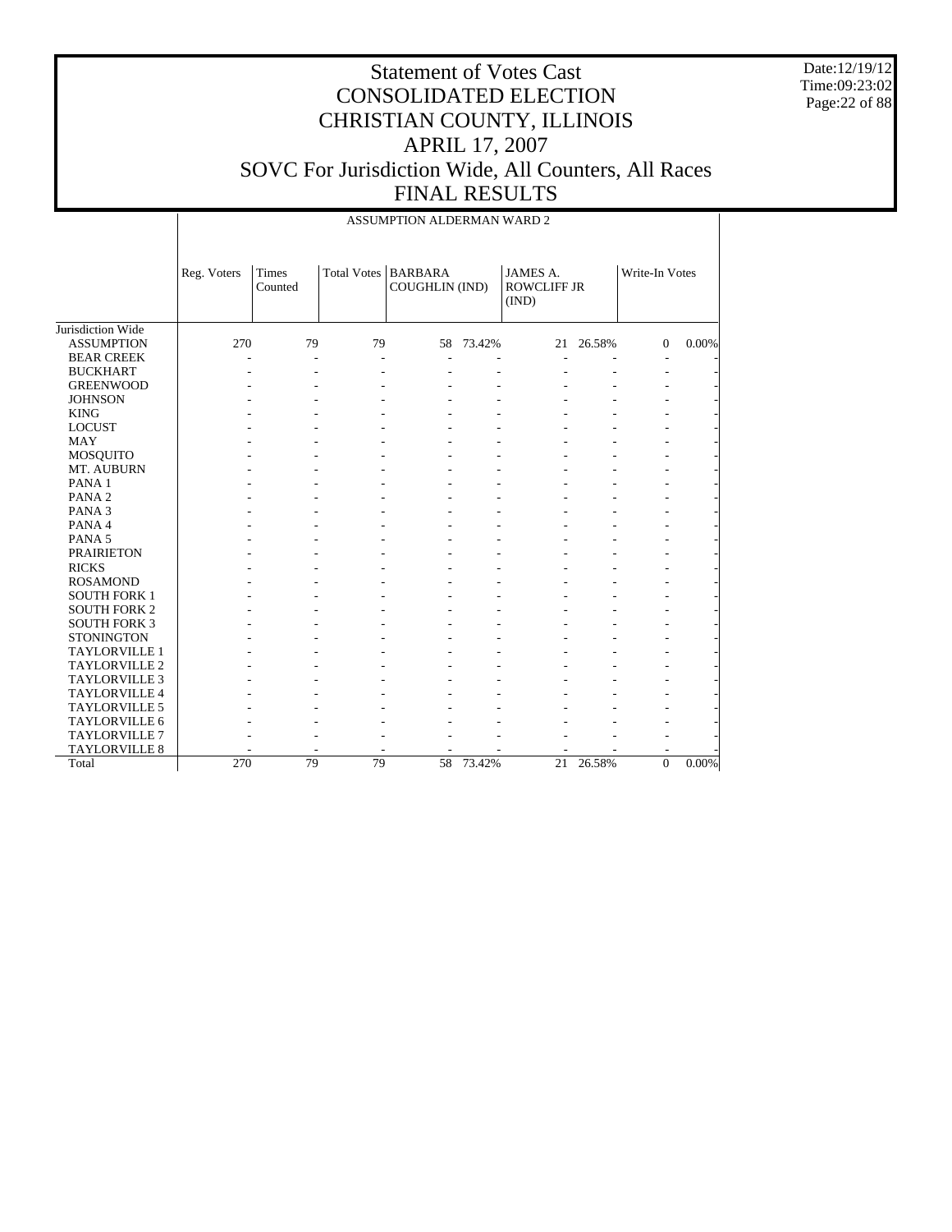Date:12/19/12 Time:09:23:02 Page:22 of 88

|                      |             |                  |    | ASSUMPTION ALDERMAN WARD 2              |           |                                         |           |                |       |
|----------------------|-------------|------------------|----|-----------------------------------------|-----------|-----------------------------------------|-----------|----------------|-------|
|                      | Reg. Voters | Times<br>Counted |    | Total Votes   BARBARA<br>COUGHLIN (IND) |           | JAMES A.<br><b>ROWCLIFF JR</b><br>(IND) |           | Write-In Votes |       |
| Jurisdiction Wide    |             |                  |    |                                         |           |                                         |           |                |       |
| <b>ASSUMPTION</b>    | 270         | 79               | 79 |                                         | 58 73.42% |                                         | 21 26.58% | $\Omega$       | 0.00% |
| <b>BEAR CREEK</b>    |             |                  |    |                                         |           |                                         |           |                |       |
| <b>BUCKHART</b>      |             |                  |    |                                         |           |                                         |           | $\overline{a}$ |       |
| <b>GREENWOOD</b>     |             |                  |    |                                         |           |                                         |           |                |       |
| <b>JOHNSON</b>       |             |                  |    |                                         |           |                                         |           |                |       |
| <b>KING</b>          |             |                  |    |                                         |           |                                         |           |                |       |
| <b>LOCUST</b>        |             |                  |    |                                         |           |                                         |           |                |       |
| <b>MAY</b>           |             |                  |    |                                         |           |                                         |           |                |       |
| MOSQUITO             |             |                  |    |                                         |           |                                         |           |                |       |
| MT. AUBURN           |             |                  |    |                                         |           |                                         |           |                |       |
| PANA 1               |             |                  |    |                                         |           |                                         |           |                |       |
| PANA <sub>2</sub>    |             |                  |    |                                         |           |                                         |           |                |       |
| PANA <sub>3</sub>    |             |                  |    |                                         |           |                                         |           |                |       |
| PANA 4               |             |                  |    |                                         |           |                                         |           |                |       |
| PANA 5               |             |                  |    |                                         |           |                                         |           |                |       |
| <b>PRAIRIETON</b>    |             |                  |    |                                         |           |                                         |           |                |       |
| <b>RICKS</b>         |             |                  |    |                                         |           |                                         |           |                |       |
| <b>ROSAMOND</b>      |             |                  |    |                                         |           |                                         |           |                |       |
| <b>SOUTH FORK 1</b>  |             |                  |    |                                         |           |                                         |           |                |       |
| <b>SOUTH FORK 2</b>  |             |                  |    |                                         |           |                                         |           |                |       |
| <b>SOUTH FORK 3</b>  |             |                  |    |                                         |           |                                         |           |                |       |
| <b>STONINGTON</b>    |             |                  |    |                                         |           |                                         |           |                |       |
| <b>TAYLORVILLE 1</b> |             |                  |    |                                         |           |                                         |           |                |       |
| <b>TAYLORVILLE 2</b> |             |                  |    |                                         |           |                                         |           |                |       |
| <b>TAYLORVILLE 3</b> |             |                  |    |                                         |           |                                         |           |                |       |
| TAYLORVILLE 4        |             |                  |    |                                         |           |                                         |           |                |       |
| TAYLORVILLE 5        |             |                  |    |                                         |           |                                         |           |                |       |
| <b>TAYLORVILLE 6</b> |             |                  |    |                                         |           |                                         |           |                |       |
| <b>TAYLORVILLE 7</b> |             |                  |    |                                         |           |                                         |           |                |       |
| TAYLORVILLE 8        |             |                  |    |                                         |           |                                         |           |                |       |
| Total                | 270         | 79               | 79 | 58                                      | 73.42%    | 21                                      | 26.58%    | $\overline{0}$ | 0.00% |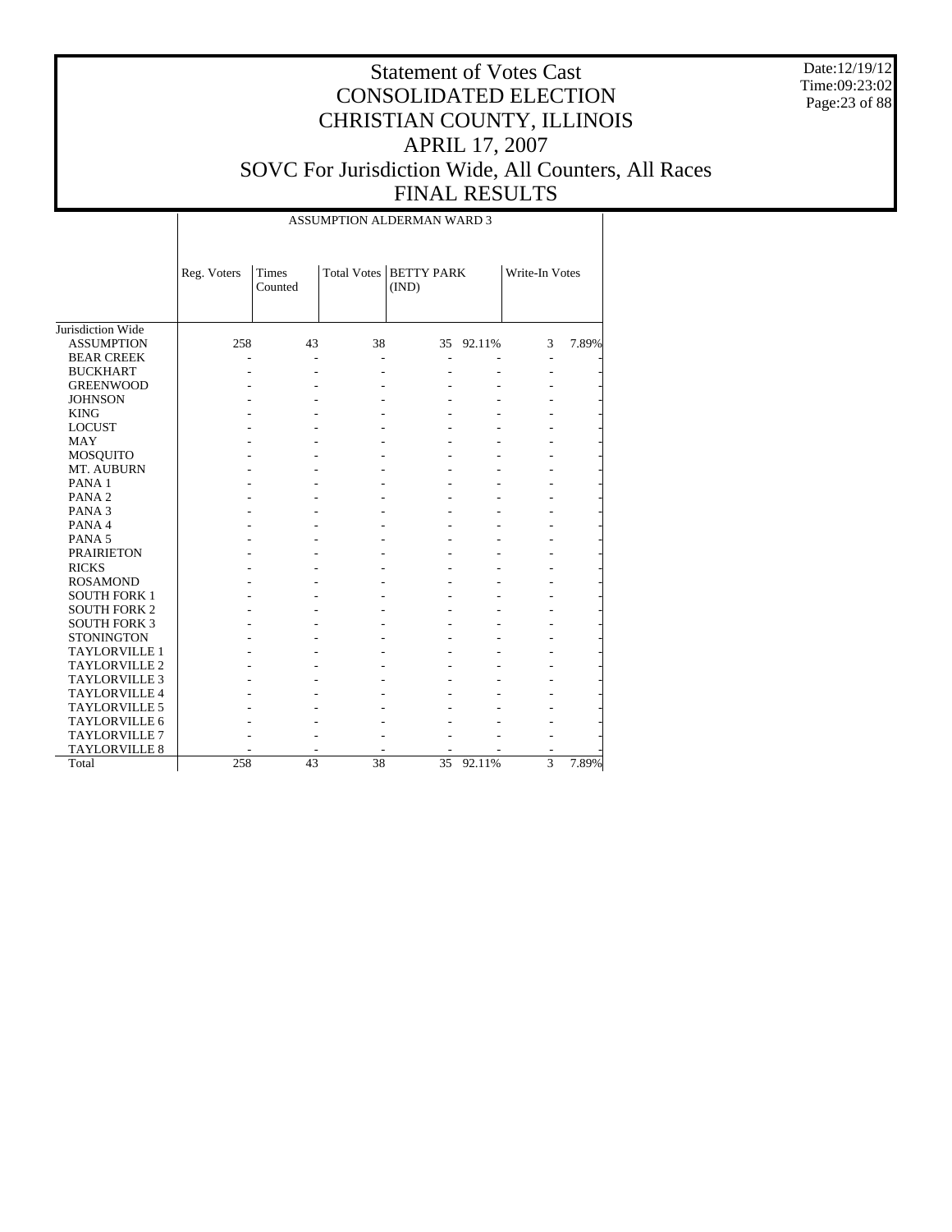Date:12/19/12 Time:09:23:02 Page:23 of 88

| ASSUMPTION ALDERMAN WARD 3 |
|----------------------------|
|----------------------------|

|                      | Reg. Voters | <b>Times</b><br>Counted |    | Total Votes   BETTY PARK<br>(IND) |           | Write-In Votes |       |
|----------------------|-------------|-------------------------|----|-----------------------------------|-----------|----------------|-------|
| Jurisdiction Wide    |             |                         |    |                                   |           |                |       |
| <b>ASSUMPTION</b>    | 258         | 43                      | 38 |                                   | 35 92.11% | 3              | 7.89% |
| <b>BEAR CREEK</b>    |             | $\overline{a}$          |    | ä,                                |           |                |       |
| <b>BUCKHART</b>      |             |                         |    |                                   |           |                |       |
| <b>GREENWOOD</b>     |             |                         |    |                                   |           |                |       |
| <b>JOHNSON</b>       |             |                         |    |                                   |           |                |       |
| <b>KING</b>          |             |                         |    |                                   |           |                |       |
| <b>LOCUST</b>        |             |                         |    |                                   |           |                |       |
| <b>MAY</b>           |             |                         |    |                                   |           |                |       |
| <b>MOSQUITO</b>      |             |                         |    |                                   |           |                |       |
| MT. AUBURN           |             |                         |    |                                   |           |                |       |
| PANA <sub>1</sub>    |             |                         |    |                                   |           |                |       |
| PANA <sub>2</sub>    |             |                         |    |                                   |           |                |       |
| PANA <sub>3</sub>    |             |                         |    |                                   |           |                |       |
| PANA 4               |             |                         |    |                                   |           |                |       |
| PANA <sub>5</sub>    |             |                         |    |                                   |           |                |       |
| <b>PRAIRIETON</b>    |             |                         |    |                                   |           |                |       |
| <b>RICKS</b>         |             |                         |    |                                   |           |                |       |
| <b>ROSAMOND</b>      |             |                         |    |                                   |           |                |       |
| <b>SOUTH FORK 1</b>  |             |                         |    |                                   |           |                |       |
| <b>SOUTH FORK 2</b>  |             |                         |    |                                   |           |                |       |
| <b>SOUTH FORK 3</b>  |             |                         |    |                                   |           |                |       |
| <b>STONINGTON</b>    |             |                         |    |                                   |           |                |       |
| <b>TAYLORVILLE 1</b> |             |                         |    |                                   |           |                |       |
| <b>TAYLORVILLE 2</b> |             |                         |    |                                   |           |                |       |
| <b>TAYLORVILLE 3</b> |             |                         |    |                                   |           |                |       |
| TAYLORVILLE 4        |             |                         |    |                                   |           |                |       |
| <b>TAYLORVILLE 5</b> |             |                         |    |                                   |           |                |       |
| <b>TAYLORVILLE 6</b> |             |                         |    |                                   |           |                |       |
| <b>TAYLORVILLE 7</b> |             |                         |    |                                   |           |                |       |
| <b>TAYLORVILLE 8</b> |             |                         |    |                                   |           |                |       |
| Total                | 258         | 43                      | 38 | 35                                | 92.11%    | 3              | 7.89% |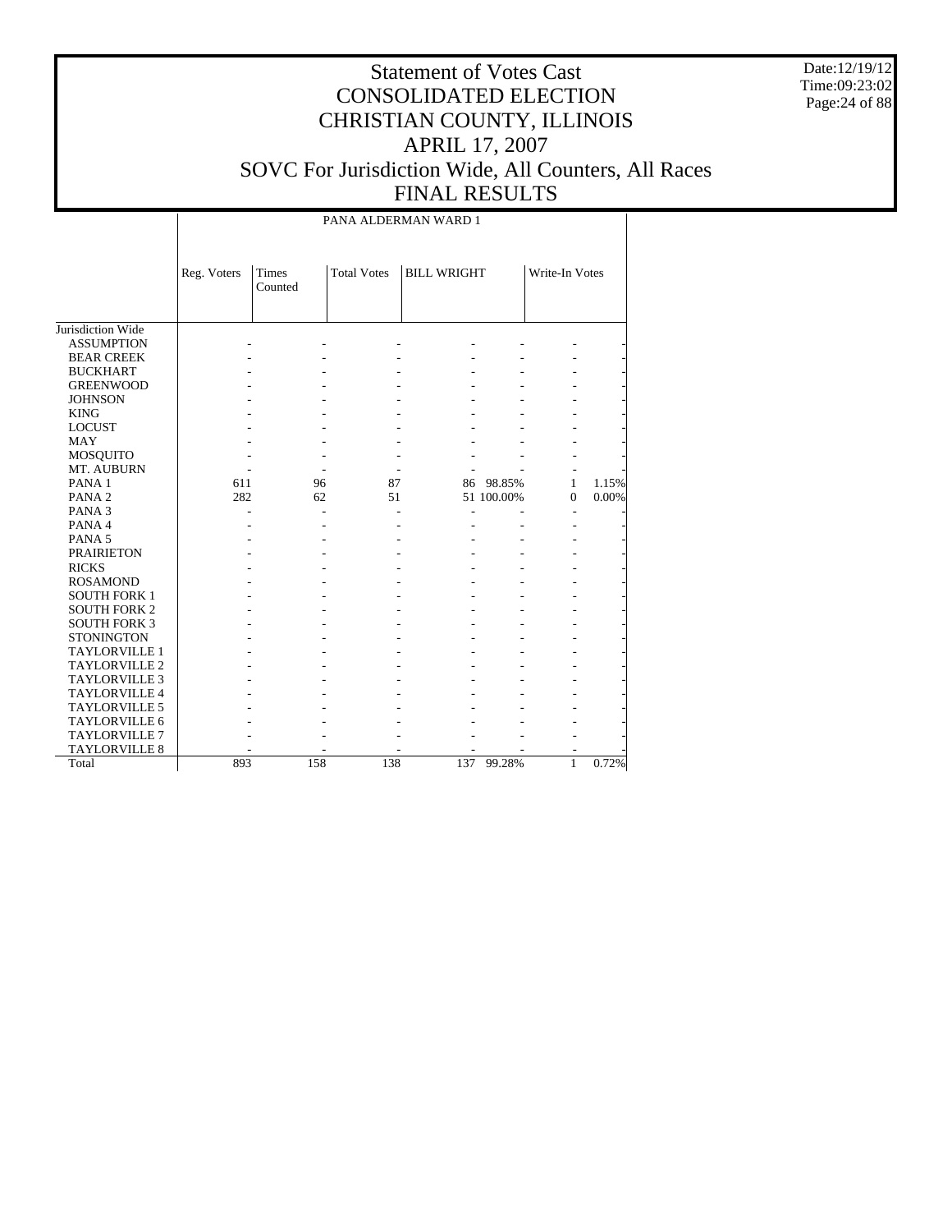Date:12/19/12 Time:09:23:02 Page:24 of 88

# Statement of Votes Cast CONSOLIDATED ELECTION CHRISTIAN COUNTY, ILLINOIS APRIL 17, 2007 SOVC For Jurisdiction Wide, All Counters, All Races FINAL RESULTS

PANA ALDERMAN WARD 1

|                      | Reg. Voters | Times<br>Counted | <b>Total Votes</b> | <b>BILL WRIGHT</b> |            | Write-In Votes |       |
|----------------------|-------------|------------------|--------------------|--------------------|------------|----------------|-------|
|                      |             |                  |                    |                    |            |                |       |
| Jurisdiction Wide    |             |                  |                    |                    |            |                |       |
| <b>ASSUMPTION</b>    |             |                  |                    |                    |            |                |       |
| <b>BEAR CREEK</b>    |             |                  |                    |                    |            |                |       |
| <b>BUCKHART</b>      |             |                  |                    |                    |            |                |       |
| <b>GREENWOOD</b>     |             |                  |                    |                    |            |                |       |
| <b>JOHNSON</b>       |             |                  |                    |                    |            |                |       |
| <b>KING</b>          |             |                  |                    |                    |            |                |       |
| <b>LOCUST</b>        |             |                  |                    |                    |            |                |       |
| <b>MAY</b>           |             |                  |                    |                    |            |                |       |
| <b>MOSQUITO</b>      |             |                  |                    |                    |            |                |       |
| MT. AUBURN           |             |                  |                    |                    |            |                |       |
| PANA <sub>1</sub>    | 611         | 96               | 87                 | 86                 | 98.85%     | 1              | 1.15% |
| PANA <sub>2</sub>    | 282         | 62               | 51                 |                    | 51 100.00% | $\mathbf{0}$   | 0.00% |
| PANA <sub>3</sub>    |             |                  |                    |                    |            | ٠              |       |
| PANA 4               |             |                  |                    |                    |            |                |       |
| PANA <sub>5</sub>    |             |                  |                    |                    |            |                |       |
| <b>PRAIRIETON</b>    |             |                  |                    |                    |            |                |       |
| <b>RICKS</b>         |             |                  |                    |                    |            |                |       |
| <b>ROSAMOND</b>      |             |                  |                    |                    |            |                |       |
| <b>SOUTH FORK 1</b>  |             |                  |                    |                    |            |                |       |
| <b>SOUTH FORK 2</b>  |             |                  |                    |                    |            |                |       |
| <b>SOUTH FORK 3</b>  |             |                  |                    |                    |            |                |       |
| <b>STONINGTON</b>    |             |                  |                    |                    |            |                |       |
| <b>TAYLORVILLE 1</b> |             |                  |                    |                    |            |                |       |
| <b>TAYLORVILLE 2</b> |             |                  |                    |                    |            |                |       |
| <b>TAYLORVILLE 3</b> |             |                  |                    |                    |            |                |       |
| <b>TAYLORVILLE 4</b> |             |                  |                    |                    |            |                |       |
| <b>TAYLORVILLE 5</b> |             |                  |                    |                    |            |                |       |
| TAYLORVILLE 6        |             |                  |                    |                    |            |                |       |
| <b>TAYLORVILLE 7</b> |             |                  |                    |                    |            |                |       |
| <b>TAYLORVILLE 8</b> |             |                  |                    |                    |            |                |       |
| Total                | 893         | 158              | 138                | 137                | 99.28%     | $\mathbf{1}$   | 0.72% |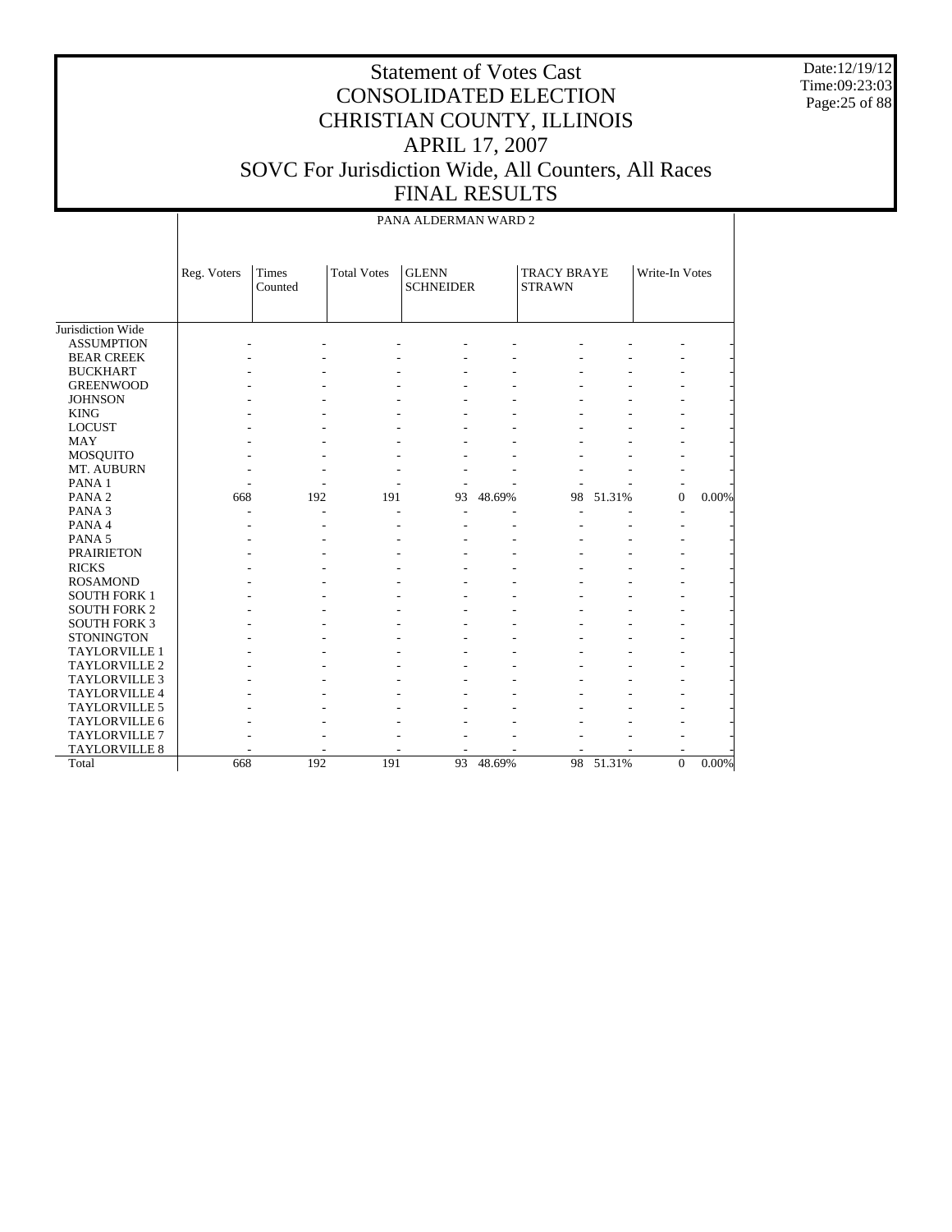Date:12/19/12 Time:09:23:03 Page:25 of 88

|                      |             |                         |                    | PANA ALDERMAN WARD 2             |        |                                     |        |                  |          |
|----------------------|-------------|-------------------------|--------------------|----------------------------------|--------|-------------------------------------|--------|------------------|----------|
|                      | Reg. Voters | <b>Times</b><br>Counted | <b>Total Votes</b> | <b>GLENN</b><br><b>SCHNEIDER</b> |        | <b>TRACY BRAYE</b><br><b>STRAWN</b> |        | Write-In Votes   |          |
| Jurisdiction Wide    |             |                         |                    |                                  |        |                                     |        |                  |          |
| <b>ASSUMPTION</b>    |             |                         |                    |                                  |        |                                     |        |                  |          |
| <b>BEAR CREEK</b>    |             |                         |                    |                                  |        |                                     |        |                  |          |
| <b>BUCKHART</b>      |             |                         |                    |                                  |        |                                     |        |                  |          |
| <b>GREENWOOD</b>     |             |                         |                    |                                  |        |                                     |        |                  |          |
| <b>JOHNSON</b>       |             |                         |                    |                                  |        |                                     |        |                  |          |
| <b>KING</b>          |             |                         |                    |                                  |        |                                     |        |                  |          |
| <b>LOCUST</b>        |             |                         |                    |                                  |        |                                     |        |                  |          |
| <b>MAY</b>           |             |                         |                    |                                  |        |                                     |        |                  |          |
| <b>MOSQUITO</b>      |             |                         |                    |                                  |        |                                     |        |                  |          |
| MT. AUBURN           |             |                         |                    |                                  |        |                                     |        |                  |          |
| PANA <sub>1</sub>    |             |                         |                    |                                  |        |                                     |        |                  |          |
| PANA <sub>2</sub>    | 668         | 192                     | 191                | 93                               | 48.69% | 98                                  | 51.31% | $\boldsymbol{0}$ | 0.00%    |
| PANA <sub>3</sub>    |             | ٠                       |                    |                                  |        |                                     |        |                  |          |
| PANA 4               |             |                         |                    |                                  |        |                                     |        |                  |          |
| PANA <sub>5</sub>    |             |                         |                    |                                  |        |                                     |        |                  |          |
| <b>PRAIRIETON</b>    |             |                         |                    |                                  |        |                                     |        |                  |          |
| <b>RICKS</b>         |             |                         |                    |                                  |        |                                     |        |                  |          |
| <b>ROSAMOND</b>      |             |                         |                    |                                  |        |                                     |        |                  |          |
| <b>SOUTH FORK 1</b>  |             |                         |                    |                                  |        |                                     |        |                  |          |
| <b>SOUTH FORK 2</b>  |             |                         |                    |                                  |        |                                     |        |                  |          |
| <b>SOUTH FORK 3</b>  |             |                         |                    |                                  |        |                                     |        |                  |          |
| <b>STONINGTON</b>    |             |                         |                    |                                  |        |                                     |        |                  |          |
| <b>TAYLORVILLE 1</b> |             |                         |                    |                                  |        |                                     |        |                  |          |
| <b>TAYLORVILLE 2</b> |             |                         |                    |                                  |        |                                     |        |                  |          |
| <b>TAYLORVILLE 3</b> |             |                         |                    |                                  |        |                                     |        |                  |          |
| TAYLORVILLE 4        |             |                         |                    |                                  |        |                                     |        |                  |          |
| TAYLORVILLE 5        |             |                         |                    |                                  |        |                                     |        |                  |          |
| TAYLORVILLE 6        |             |                         |                    |                                  |        |                                     |        |                  |          |
| TAYLORVILLE 7        |             |                         |                    |                                  |        |                                     |        |                  |          |
| <b>TAYLORVILLE 8</b> |             |                         |                    |                                  |        |                                     |        |                  |          |
| Total                | 668         | 192                     | 191                | 93                               | 48.69% | 98                                  | 51.31% | $\boldsymbol{0}$ | $0.00\%$ |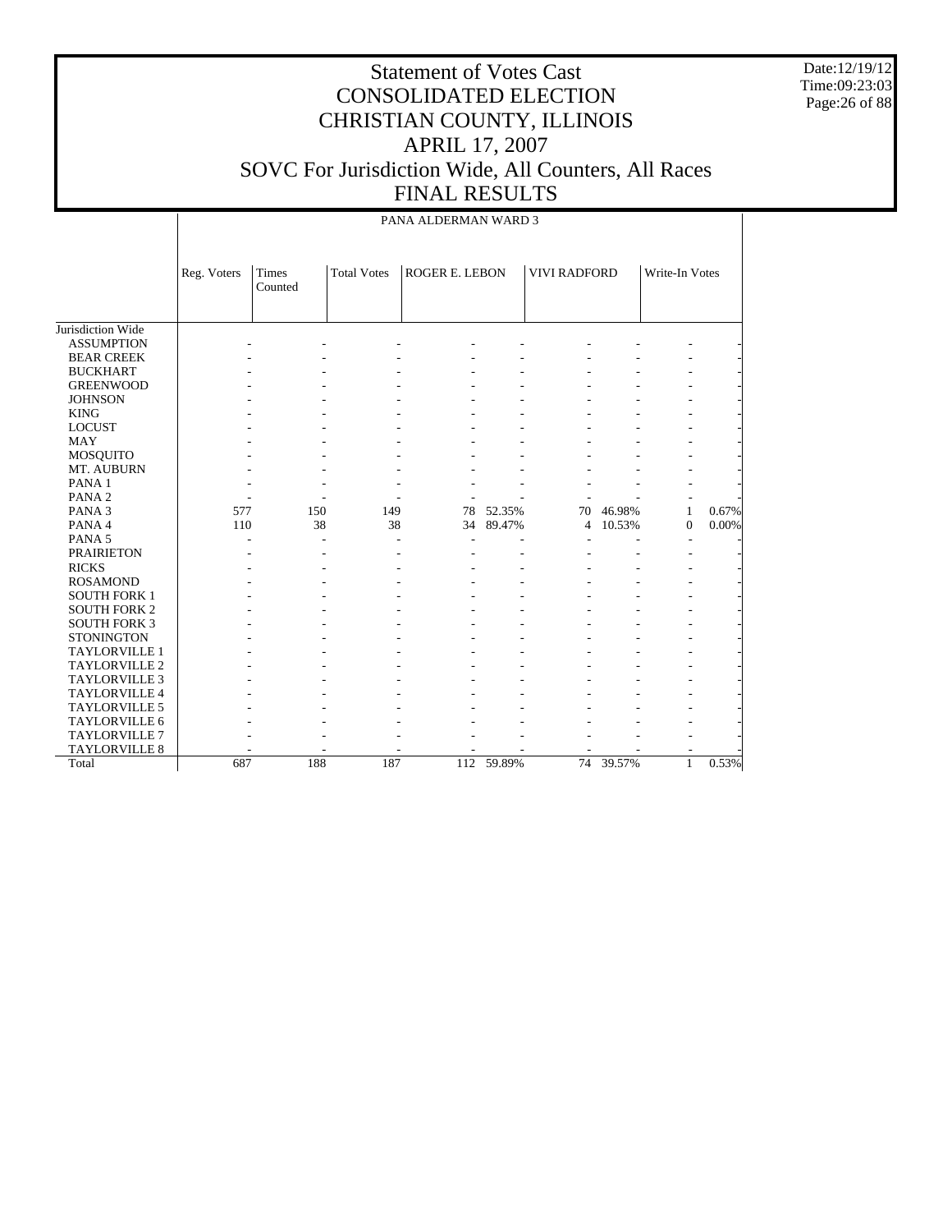Date:12/19/12 Time:09:23:03 Page:26 of 88

#### Statement of Votes Cast CONSOLIDATED ELECTION CHRISTIAN COUNTY, ILLINOIS APRIL 17, 2007 SOVC For Jurisdiction Wide, All Counters, All Races FINAL RESULTS

Jurisdiction Wide ASSUMPTION BEAR CREEK BUCKHART GREENWOOD **JOHNSON**  KING LOCUST MAY MOSQUITO MT. AUBURN PANA 1 PANA 2 PANA 3 PANA 4 PANA 5 PRAIRIETON RICKS ROSAMOND SOUTH FORK 1 SOUTH FORK 2 SOUTH FORK 3 **STONINGTON**  TAYLORVILLE 1 TAYLORVILLE 2 TAYLORVILLE 3 TAYLORVILLE 4 TAYLORVILLE 5 TAYLORVILLE 6 TAYLORVILLE 7 TAYLORVILLE 8 Total Reg. Voters Times Counted Total Votes | ROGER E. LEBON | VIVI RADFORD | Write-In Votes PANA ALDERMAN WARD 3 - - - - - - - - - - - - - - - - - - - - - - - - - - - - - - - - - - - - - - - - - - - - - - - - - - - - - - - - - - - - - - - - - - - - - - - - - - - - - - - - - - - - - - - - - - - - - - - - - - - - - - - - - - - - 577 150 149 78 52.35% 70 46.98% 1 0.67% 34 89.47% - - - - - - - - - - - - - - - - - - - - - - - - - - - - - - - - - - - - - - - - - - - - - - - - - - - - - - - - - - - - - - - - - - - - - - - - - - - - - - - - - - - - - - - - - - - - - - - - - - - - - - - - - - - - - - - - - - - - - - - - - - - - - - - - - - - - - - - - - - - - - - - - 687 188 187 112 59.89% 74 39.57% 1 0.53%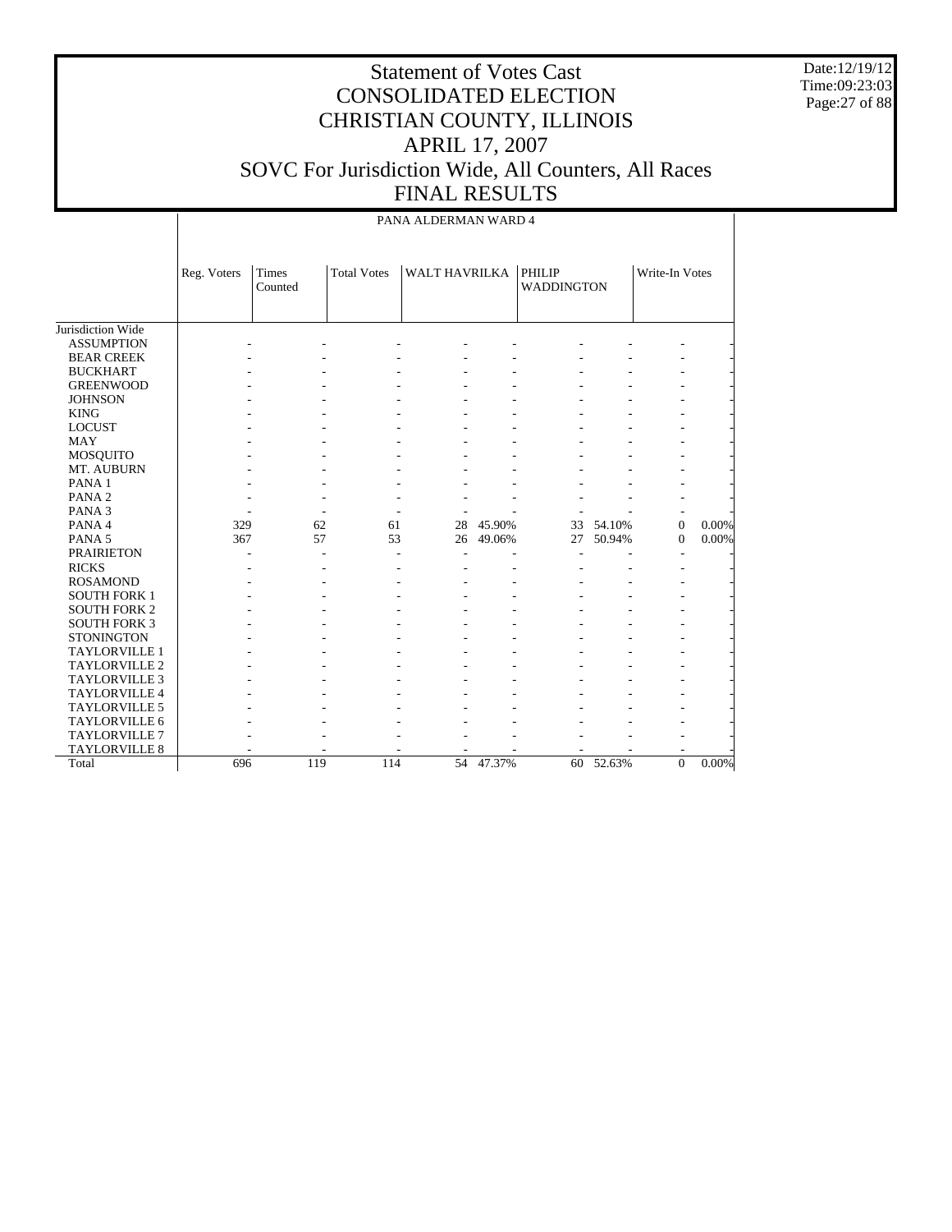Date:12/19/12 Time:09:23:03 Page:27 of 88

|                      |             |                  |                    | PANA ALDERMAN WARD 4 |        |                             |        |                |       |
|----------------------|-------------|------------------|--------------------|----------------------|--------|-----------------------------|--------|----------------|-------|
|                      | Reg. Voters | Times<br>Counted | <b>Total Votes</b> | <b>WALT HAVRILKA</b> |        | PHILIP<br><b>WADDINGTON</b> |        | Write-In Votes |       |
| Jurisdiction Wide    |             |                  |                    |                      |        |                             |        |                |       |
| <b>ASSUMPTION</b>    |             |                  |                    |                      |        |                             |        |                |       |
| <b>BEAR CREEK</b>    |             |                  |                    |                      |        |                             |        |                |       |
| <b>BUCKHART</b>      |             |                  |                    |                      |        |                             |        |                |       |
| <b>GREENWOOD</b>     |             |                  |                    |                      |        |                             |        |                |       |
| <b>JOHNSON</b>       |             |                  |                    |                      |        |                             |        |                |       |
| <b>KING</b>          |             |                  |                    |                      |        |                             |        |                |       |
| <b>LOCUST</b>        |             |                  |                    |                      |        |                             |        |                |       |
| MAY                  |             |                  |                    |                      |        |                             |        |                |       |
| MOSQUITO             |             |                  |                    |                      |        |                             |        |                |       |
| MT. AUBURN           |             |                  |                    |                      |        |                             |        |                |       |
| PANA <sub>1</sub>    |             |                  |                    |                      |        |                             |        |                |       |
| PANA <sub>2</sub>    |             |                  |                    |                      |        |                             |        |                |       |
| PANA <sub>3</sub>    |             |                  |                    |                      |        |                             |        |                |       |
| PANA 4               | 329         | 62               | 61                 | 28                   | 45.90% | 33                          | 54.10% | $\mathbf{0}$   | 0.00% |
| PANA <sub>5</sub>    | 367         | 57               | 53                 | 26                   | 49.06% | 27                          | 50.94% | $\mathbf{0}$   | 0.00% |
| <b>PRAIRIETON</b>    |             |                  |                    |                      |        |                             |        |                |       |
| <b>RICKS</b>         |             |                  | ٠                  |                      |        |                             |        |                |       |
| <b>ROSAMOND</b>      |             |                  |                    |                      |        |                             |        |                |       |
| <b>SOUTH FORK 1</b>  |             |                  |                    |                      |        |                             |        |                |       |
| <b>SOUTH FORK 2</b>  |             |                  |                    |                      |        |                             |        |                |       |
| <b>SOUTH FORK 3</b>  |             |                  |                    |                      |        |                             |        |                |       |
| <b>STONINGTON</b>    |             |                  |                    |                      |        |                             |        |                |       |
| TAYLORVILLE 1        |             |                  |                    |                      |        |                             |        |                |       |
| TAYLORVILLE 2        |             |                  |                    |                      |        |                             |        |                |       |
| <b>TAYLORVILLE 3</b> |             |                  |                    |                      |        |                             |        |                |       |
| <b>TAYLORVILLE 4</b> |             |                  |                    |                      |        |                             |        |                |       |
| <b>TAYLORVILLE 5</b> |             |                  |                    |                      |        |                             |        |                |       |
| <b>TAYLORVILLE 6</b> |             |                  |                    |                      |        |                             |        |                |       |
| <b>TAYLORVILLE 7</b> |             |                  |                    |                      |        |                             |        |                |       |
| TAYLORVILLE 8        |             |                  |                    |                      |        |                             |        |                |       |
| Total                | 696         | 119              | 114                | 54                   | 47.37% | 60                          | 52.63% | $\overline{0}$ | 0.00% |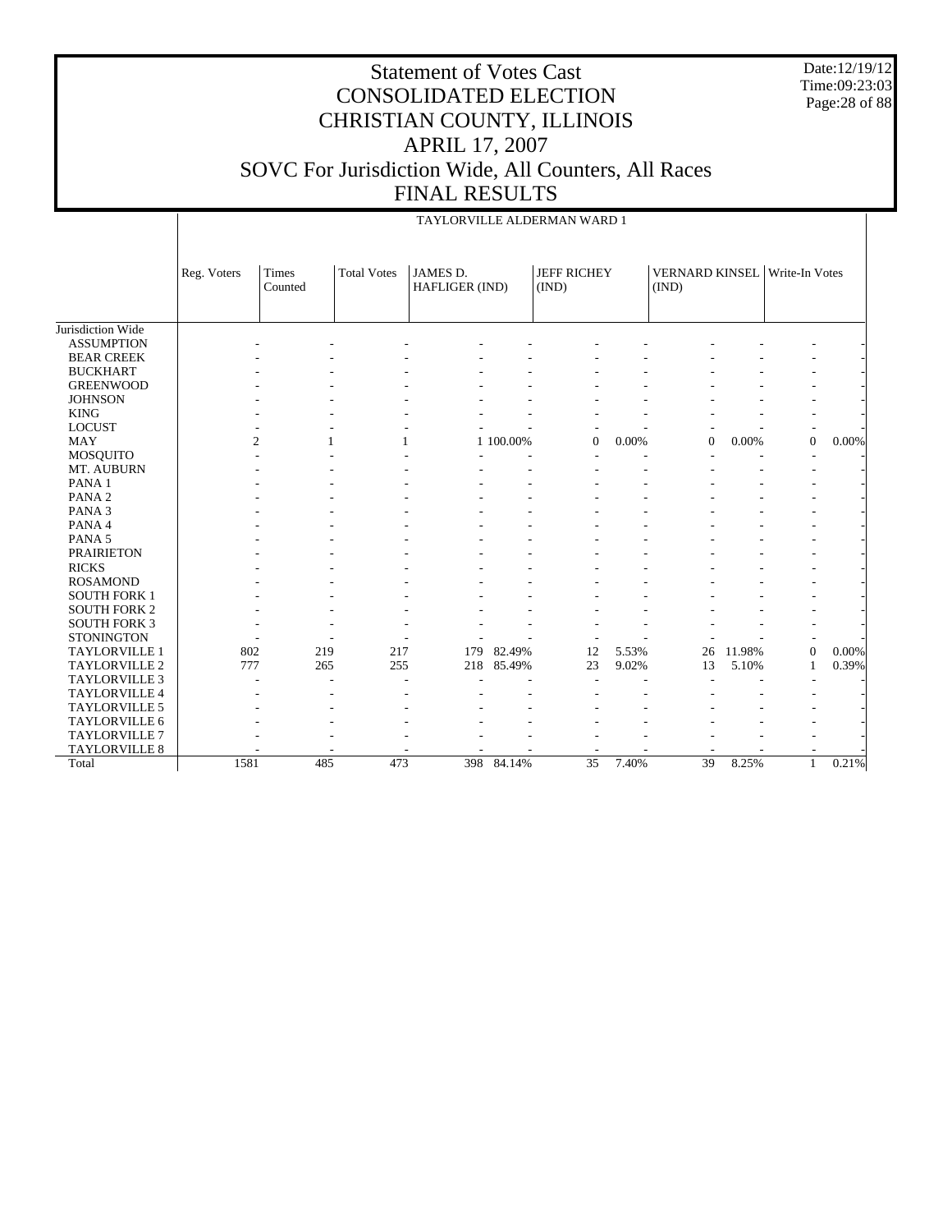Date:12/19/12 Time:09:23:03 Page:28 of 88

|                      |             |                  |                    |                                   |           | TAYLORVILLE ALDERMAN WARD 1 |       |                                               |        |                |          |
|----------------------|-------------|------------------|--------------------|-----------------------------------|-----------|-----------------------------|-------|-----------------------------------------------|--------|----------------|----------|
|                      | Reg. Voters | Times<br>Counted | <b>Total Votes</b> | <b>JAMES D.</b><br>HAFLIGER (IND) |           | <b>JEFF RICHEY</b><br>(IND) |       | <b>VERNARD KINSEL</b> Write-In Votes<br>(IND) |        |                |          |
| Jurisdiction Wide    |             |                  |                    |                                   |           |                             |       |                                               |        |                |          |
| <b>ASSUMPTION</b>    |             |                  |                    |                                   |           |                             |       |                                               |        |                |          |
| <b>BEAR CREEK</b>    |             |                  |                    |                                   |           |                             |       |                                               |        |                |          |
| <b>BUCKHART</b>      |             |                  |                    |                                   |           |                             |       |                                               |        |                |          |
| <b>GREENWOOD</b>     |             |                  |                    |                                   |           |                             |       |                                               |        |                |          |
| <b>JOHNSON</b>       |             |                  |                    |                                   |           |                             |       |                                               |        |                |          |
| <b>KING</b>          |             |                  |                    |                                   |           |                             |       |                                               |        | $\overline{a}$ |          |
| <b>LOCUST</b>        |             |                  |                    |                                   |           |                             |       |                                               |        |                |          |
| <b>MAY</b>           |             | $\overline{c}$   |                    |                                   | 1 100.00% | $\mathbf{0}$                | 0.00% | $\overline{0}$                                | 0.00%  | $\overline{0}$ | $0.00\%$ |
| <b>MOSQUITO</b>      |             |                  |                    |                                   |           |                             |       |                                               |        |                |          |
| MT. AUBURN           |             |                  |                    |                                   |           |                             |       |                                               |        |                |          |
| PANA <sub>1</sub>    |             |                  |                    |                                   |           |                             |       |                                               |        |                |          |
| PANA <sub>2</sub>    |             |                  |                    |                                   |           |                             |       |                                               |        |                |          |
| PANA <sub>3</sub>    |             |                  |                    |                                   |           |                             |       |                                               |        |                |          |
| PANA 4               |             |                  |                    |                                   |           |                             |       |                                               |        |                |          |
| PANA <sub>5</sub>    |             |                  |                    |                                   |           |                             |       |                                               |        |                |          |
| <b>PRAIRIETON</b>    |             |                  |                    |                                   |           |                             |       |                                               |        |                |          |
| <b>RICKS</b>         |             |                  |                    |                                   |           |                             |       |                                               |        |                |          |
| <b>ROSAMOND</b>      |             |                  |                    |                                   |           |                             |       |                                               |        |                |          |
| <b>SOUTH FORK 1</b>  |             |                  |                    |                                   |           |                             |       |                                               |        |                |          |
| <b>SOUTH FORK 2</b>  |             |                  |                    |                                   |           |                             |       |                                               |        |                |          |
| <b>SOUTH FORK 3</b>  |             |                  |                    |                                   |           |                             |       |                                               |        |                |          |
| <b>STONINGTON</b>    |             |                  |                    |                                   |           |                             |       |                                               |        |                |          |
| <b>TAYLORVILLE 1</b> | 802         | 219              | 217                | 179                               | 82.49%    | 12                          | 5.53% | 26                                            | 11.98% | $\overline{0}$ | $0.00\%$ |
| TAYLORVILLE 2        | 777         | 265              | 255                | 218                               | 85.49%    | 23                          | 9.02% | 13                                            | 5.10%  | 1              | 0.39%    |
| <b>TAYLORVILLE 3</b> |             |                  |                    |                                   |           |                             |       |                                               |        |                |          |
| TAYLORVILLE 4        |             |                  |                    |                                   |           |                             |       |                                               |        |                |          |
| TAYLORVILLE 5        |             |                  |                    |                                   |           |                             |       |                                               |        |                |          |
| TAYLORVILLE 6        |             |                  |                    |                                   |           |                             |       |                                               |        |                |          |
| TAYLORVILLE 7        |             |                  |                    |                                   |           |                             |       |                                               |        |                |          |
| <b>TAYLORVILLE 8</b> |             |                  |                    |                                   |           |                             |       |                                               |        |                |          |
| Total                | 1581        | 485              | 473                | 398                               | 84.14%    | $\overline{35}$             | 7.40% | 39                                            | 8.25%  | $\mathbf{1}$   | 0.21%    |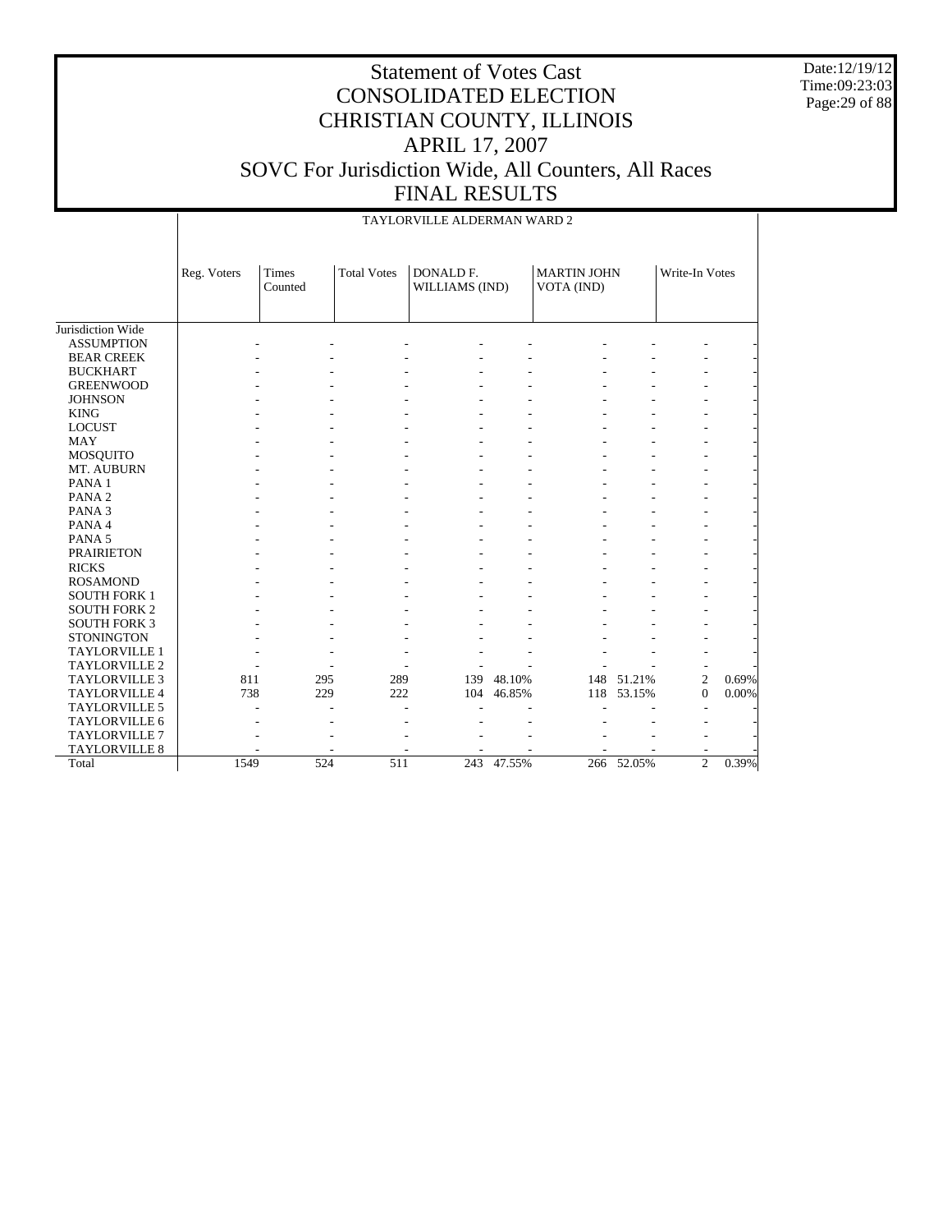Date:12/19/12 Time:09:23:03 Page:29 of 88

#### Statement of Votes Cast CONSOLIDATED ELECTION CHRISTIAN COUNTY, ILLINOIS APRIL 17, 2007 SOVC For Jurisdiction Wide, All Counters, All Races FINAL RESULTS

|                      |             | TAYLORVILLE ALDERMAN WARD 2 |                    |                             |        |                                  |            |                |       |
|----------------------|-------------|-----------------------------|--------------------|-----------------------------|--------|----------------------------------|------------|----------------|-------|
|                      | Reg. Voters | Times<br>Counted            | <b>Total Votes</b> | DONALD F.<br>WILLIAMS (IND) |        | <b>MARTIN JOHN</b><br>VOTA (IND) |            | Write-In Votes |       |
| Jurisdiction Wide    |             |                             |                    |                             |        |                                  |            |                |       |
| <b>ASSUMPTION</b>    |             |                             |                    |                             |        |                                  |            |                |       |
| <b>BEAR CREEK</b>    |             |                             |                    |                             |        |                                  |            |                |       |
| <b>BUCKHART</b>      |             |                             |                    |                             |        |                                  |            |                |       |
| <b>GREENWOOD</b>     |             |                             |                    |                             |        |                                  |            |                |       |
| <b>JOHNSON</b>       |             |                             |                    |                             |        |                                  |            |                |       |
| <b>KING</b>          |             |                             |                    |                             |        |                                  |            |                |       |
| <b>LOCUST</b>        |             |                             |                    |                             |        |                                  |            |                |       |
| <b>MAY</b>           |             |                             |                    |                             |        |                                  |            |                |       |
| MOSQUITO             |             |                             |                    |                             |        |                                  |            |                |       |
| MT. AUBURN           |             |                             |                    |                             |        |                                  |            |                |       |
| PANA <sub>1</sub>    |             |                             |                    |                             |        |                                  |            |                |       |
| PANA <sub>2</sub>    |             |                             |                    |                             |        |                                  |            |                |       |
| PANA <sub>3</sub>    |             |                             |                    |                             |        |                                  |            |                |       |
| PANA 4               |             |                             |                    |                             |        |                                  |            |                |       |
| PANA 5               |             |                             |                    |                             |        |                                  |            |                |       |
| <b>PRAIRIETON</b>    |             |                             |                    |                             |        |                                  |            |                |       |
| <b>RICKS</b>         |             |                             |                    |                             |        |                                  |            |                |       |
| <b>ROSAMOND</b>      |             |                             |                    |                             |        |                                  |            |                |       |
| <b>SOUTH FORK 1</b>  |             |                             |                    |                             |        |                                  |            |                |       |
| <b>SOUTH FORK 2</b>  |             |                             |                    |                             |        |                                  |            |                |       |
| <b>SOUTH FORK 3</b>  |             |                             |                    |                             |        |                                  |            |                |       |
| <b>STONINGTON</b>    |             |                             |                    |                             |        |                                  |            |                |       |
| <b>TAYLORVILLE 1</b> |             |                             |                    |                             |        |                                  |            |                |       |
| TAYLORVILLE 2        |             |                             |                    |                             |        |                                  |            |                |       |
| <b>TAYLORVILLE 3</b> | 811         | 295                         | 289                | 139                         | 48.10% |                                  | 148 51.21% | $\overline{c}$ | 0.69% |
| <b>TAYLORVILLE 4</b> | 738         | 229                         | 222                | 104                         | 46.85% | 118                              | 53.15%     | $\mathbf{0}$   | 0.00% |
| TAYLORVILLE 5        |             |                             |                    |                             |        |                                  |            |                |       |
| TAYLORVILLE 6        |             |                             |                    |                             |        |                                  |            |                |       |
| <b>TAYLORVILLE 7</b> |             |                             |                    |                             |        |                                  |            |                |       |
| <b>TAYLORVILLE 8</b> |             |                             |                    |                             |        |                                  |            |                |       |
| Total                | 1549        | 524                         | 511                | 243                         | 47.55% |                                  | 266 52.05% | $\overline{c}$ | 0.39% |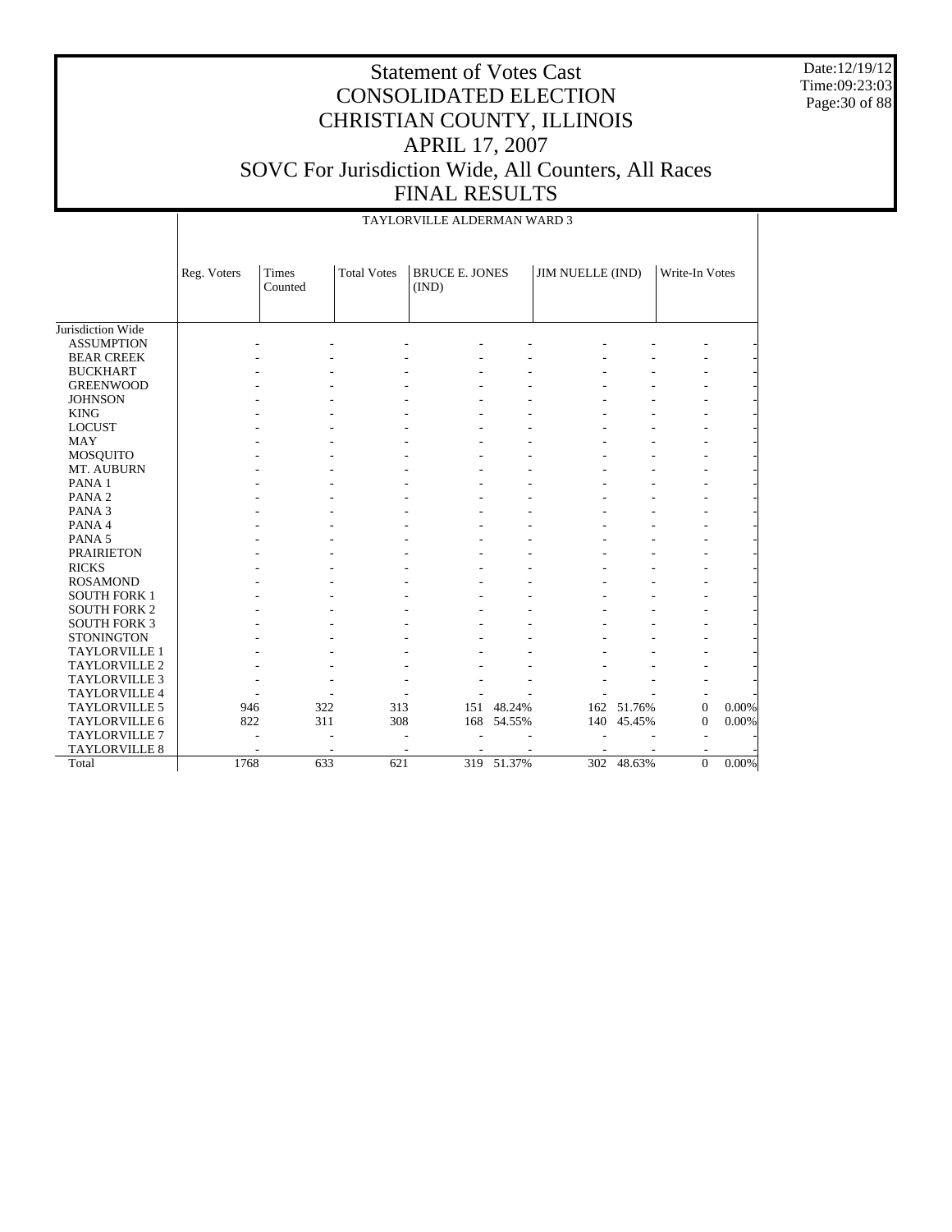Date:12/19/12 Time:09:23:03 Page:30 of 88

#### Statement of Votes Cast CONSOLIDATED ELECTION CHRISTIAN COUNTY, ILLINOIS APRIL 17, 2007 SOVC For Jurisdiction Wide, All Counters, All Races FINAL RESULTS

|                      |             | TAYLORVILLE ALDERMAN WARD 3 |                    |                                |            |                  |            |                  |       |  |
|----------------------|-------------|-----------------------------|--------------------|--------------------------------|------------|------------------|------------|------------------|-------|--|
|                      | Reg. Voters | Times<br>Counted            | <b>Total Votes</b> | <b>BRUCE E. JONES</b><br>(IND) |            | JIM NUELLE (IND) |            | Write-In Votes   |       |  |
|                      |             |                             |                    |                                |            |                  |            |                  |       |  |
| Jurisdiction Wide    |             |                             |                    |                                |            |                  |            |                  |       |  |
| <b>ASSUMPTION</b>    |             |                             |                    |                                |            |                  |            |                  |       |  |
| <b>BEAR CREEK</b>    |             |                             |                    |                                |            |                  |            |                  |       |  |
| <b>BUCKHART</b>      |             |                             |                    |                                |            |                  |            |                  |       |  |
| <b>GREENWOOD</b>     |             |                             |                    |                                |            |                  |            |                  |       |  |
| <b>JOHNSON</b>       |             |                             |                    |                                |            |                  |            |                  |       |  |
| <b>KING</b>          |             |                             |                    |                                |            |                  |            |                  |       |  |
| <b>LOCUST</b>        |             |                             |                    |                                |            |                  |            |                  |       |  |
| <b>MAY</b>           |             |                             |                    |                                |            |                  |            |                  |       |  |
| <b>MOSQUITO</b>      |             |                             |                    |                                |            |                  |            |                  |       |  |
| MT. AUBURN           |             |                             |                    |                                |            |                  |            |                  |       |  |
| PANA <sub>1</sub>    |             |                             |                    |                                |            |                  |            |                  |       |  |
| PANA <sub>2</sub>    |             |                             |                    |                                |            |                  |            |                  |       |  |
| PANA <sub>3</sub>    |             |                             |                    |                                |            |                  |            |                  |       |  |
| PANA 4               |             |                             |                    |                                |            |                  |            |                  |       |  |
| PANA 5               |             |                             |                    |                                |            |                  |            |                  |       |  |
| <b>PRAIRIETON</b>    |             |                             |                    |                                |            |                  |            |                  |       |  |
| <b>RICKS</b>         |             |                             |                    |                                |            |                  |            |                  |       |  |
| <b>ROSAMOND</b>      |             |                             |                    |                                |            |                  |            |                  |       |  |
| <b>SOUTH FORK 1</b>  |             |                             |                    |                                |            |                  |            |                  |       |  |
| <b>SOUTH FORK 2</b>  |             |                             |                    |                                |            |                  |            |                  |       |  |
| <b>SOUTH FORK 3</b>  |             |                             |                    |                                |            |                  |            |                  |       |  |
| <b>STONINGTON</b>    |             |                             |                    |                                |            |                  |            |                  |       |  |
| TAYLORVILLE 1        |             |                             |                    |                                |            |                  |            |                  |       |  |
| TAYLORVILLE 2        |             |                             |                    |                                |            |                  |            |                  |       |  |
| <b>TAYLORVILLE 3</b> |             |                             |                    |                                |            |                  |            |                  |       |  |
| <b>TAYLORVILLE 4</b> |             |                             |                    |                                |            |                  |            |                  |       |  |
| <b>TAYLORVILLE 5</b> | 946         | 322                         | 313                | 151                            | 48.24%     | 162              | 51.76%     | $\boldsymbol{0}$ | 0.00% |  |
| TAYLORVILLE 6        | 822         | 311                         | 308                | 168                            | 54.55%     | 140              | 45.45%     | $\mathbf{0}$     | 0.00% |  |
| <b>TAYLORVILLE 7</b> |             |                             |                    |                                |            |                  |            |                  |       |  |
| TAYLORVILLE 8        |             |                             |                    |                                |            |                  |            |                  |       |  |
| Total                | 1768        | 633                         | 621                |                                | 319 51.37% |                  | 302 48.63% | $\mathbf{0}$     | 0.00% |  |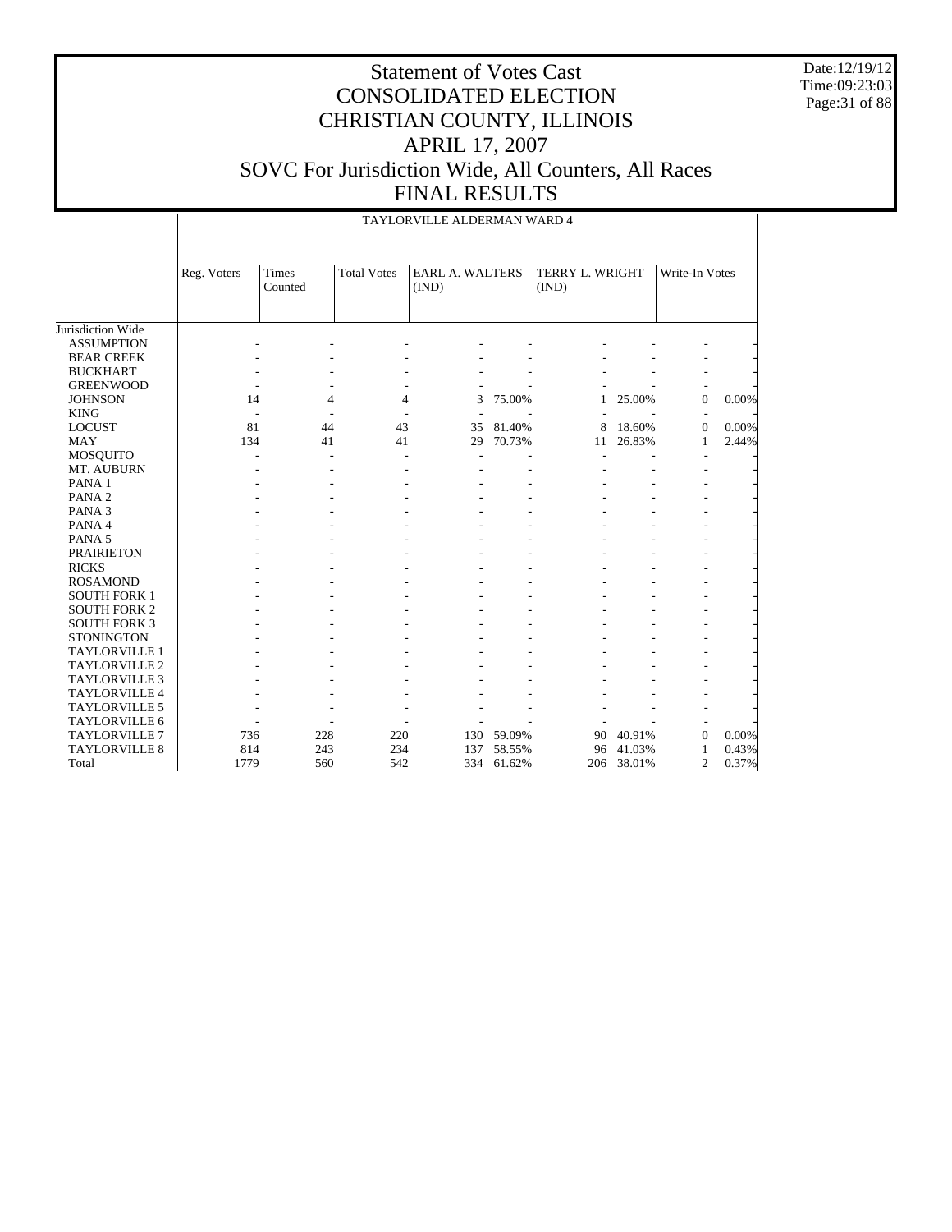Date:12/19/12 Time:09:23:03 Page:31 of 88

#### Statement of Votes Cast CONSOLIDATED ELECTION CHRISTIAN COUNTY, ILLINOIS APRIL 17, 2007 SOVC For Jurisdiction Wide, All Counters, All Races FINAL RESULTS

|                      |             |                  |                    | TAYLORVILLE ALDERMAN WARD 4     |        |                          |        |                  |       |
|----------------------|-------------|------------------|--------------------|---------------------------------|--------|--------------------------|--------|------------------|-------|
|                      | Reg. Voters | Times<br>Counted | <b>Total Votes</b> | <b>EARL A. WALTERS</b><br>(IND) |        | TERRY L. WRIGHT<br>(IND) |        | Write-In Votes   |       |
| Jurisdiction Wide    |             |                  |                    |                                 |        |                          |        |                  |       |
| <b>ASSUMPTION</b>    |             |                  |                    |                                 |        |                          |        |                  |       |
| <b>BEAR CREEK</b>    |             |                  |                    |                                 |        |                          |        |                  |       |
| <b>BUCKHART</b>      |             |                  |                    |                                 |        |                          |        |                  |       |
| <b>GREENWOOD</b>     |             |                  |                    |                                 |        |                          |        |                  |       |
| <b>JOHNSON</b>       | 14          | 4                | 4                  | 3                               | 75.00% | 1                        | 25.00% | $\overline{0}$   | 0.00% |
| <b>KING</b>          |             |                  |                    |                                 |        |                          |        |                  |       |
| <b>LOCUST</b>        | 81          | 44               | 43                 | 35                              | 81.40% | 8                        | 18.60% | $\boldsymbol{0}$ | 0.00% |
| <b>MAY</b>           | 134         | 41               | 41                 | 29                              | 70.73% | 11                       | 26.83% | 1                | 2.44% |
| <b>MOSQUITO</b>      |             |                  |                    |                                 |        |                          |        |                  |       |
| MT. AUBURN           |             |                  |                    |                                 |        |                          |        |                  |       |
| PANA <sub>1</sub>    |             |                  |                    |                                 |        |                          |        |                  |       |
| PANA <sub>2</sub>    |             |                  |                    |                                 |        |                          |        |                  |       |
| PANA <sub>3</sub>    |             |                  |                    |                                 |        |                          |        |                  |       |
| PANA 4               |             |                  |                    |                                 |        |                          |        |                  |       |
| PANA <sub>5</sub>    |             |                  |                    |                                 |        |                          |        |                  |       |
| <b>PRAIRIETON</b>    |             |                  |                    |                                 |        |                          |        |                  |       |
| <b>RICKS</b>         |             |                  |                    |                                 |        |                          |        |                  |       |
| <b>ROSAMOND</b>      |             |                  |                    |                                 |        |                          |        |                  |       |
| <b>SOUTH FORK 1</b>  |             |                  |                    |                                 |        |                          |        |                  |       |
| <b>SOUTH FORK 2</b>  |             |                  |                    |                                 |        |                          |        |                  |       |
| <b>SOUTH FORK 3</b>  |             |                  |                    |                                 |        |                          |        |                  |       |
| <b>STONINGTON</b>    |             |                  |                    |                                 |        |                          |        |                  |       |
| <b>TAYLORVILLE 1</b> |             |                  |                    |                                 |        |                          |        |                  |       |
| TAYLORVILLE 2        |             |                  |                    |                                 |        |                          |        |                  |       |
| <b>TAYLORVILLE 3</b> |             |                  |                    |                                 |        |                          |        |                  |       |
| TAYLORVILLE 4        |             |                  |                    |                                 |        |                          |        |                  |       |
| TAYLORVILLE 5        |             |                  |                    |                                 |        |                          |        |                  |       |
| <b>TAYLORVILLE 6</b> |             |                  |                    |                                 |        |                          |        |                  |       |
| <b>TAYLORVILLE 7</b> | 736         | 228              | 220                | 130                             | 59.09% | 90                       | 40.91% | $\overline{0}$   | 0.00% |
| <b>TAYLORVILLE 8</b> | 814         | 243              | 234                | 137                             | 58.55% | 96                       | 41.03% | 1                | 0.43% |
| Total                | 1779        | 560              | 542                | 334                             | 61.62% | 206                      | 38.01% | $\overline{2}$   | 0.37% |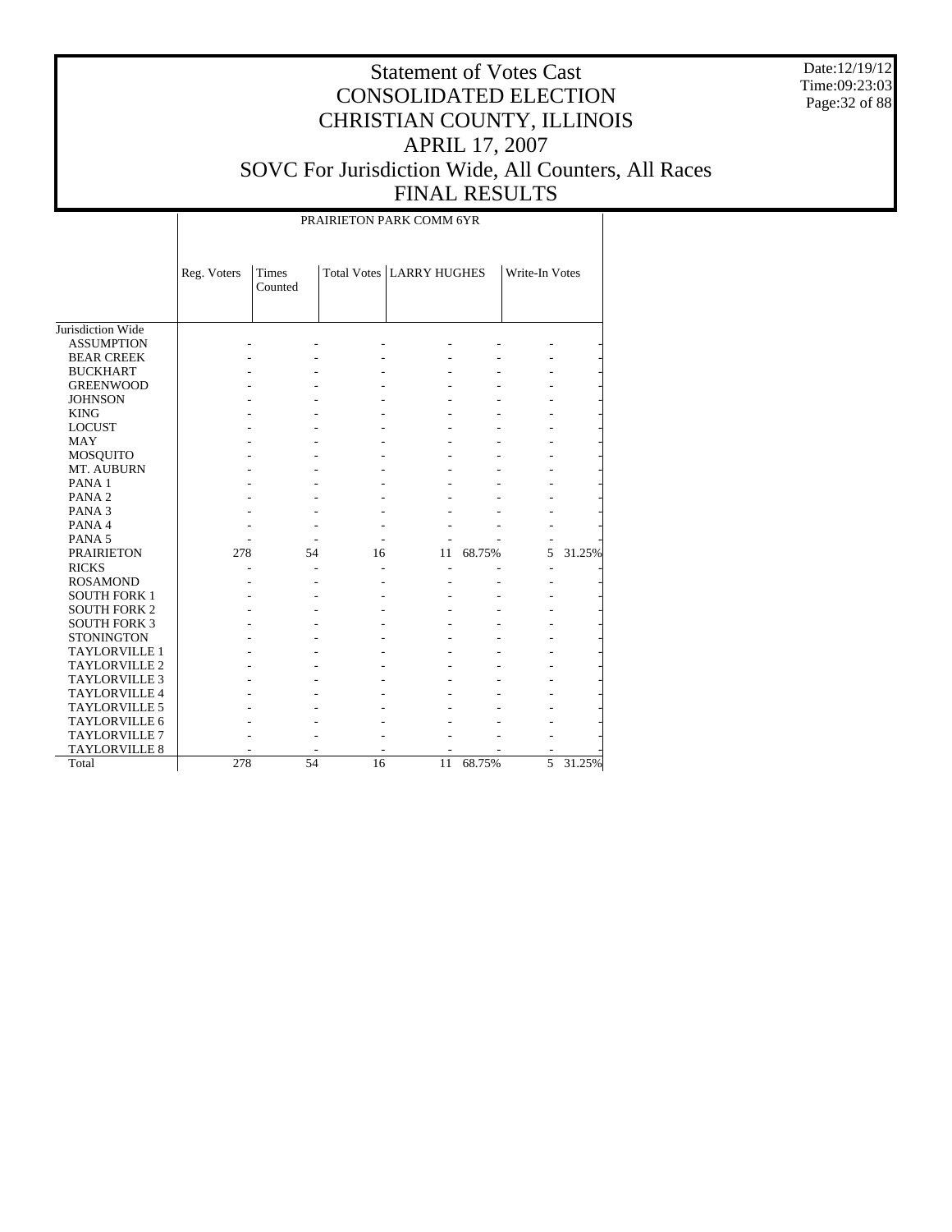Date:12/19/12 Time:09:23:03 Page:32 of 88

# Statement of Votes Cast CONSOLIDATED ELECTION CHRISTIAN COUNTY, ILLINOIS APRIL 17, 2007 SOVC For Jurisdiction Wide, All Counters, All Races FINAL RESULTS

#### PRAIRIETON PARK COMM 6YR

|                      | Reg. Voters | Times<br>Counted |    | <b>Total Votes LARRY HUGHES</b> |        | Write-In Votes |        |
|----------------------|-------------|------------------|----|---------------------------------|--------|----------------|--------|
| Jurisdiction Wide    |             |                  |    |                                 |        |                |        |
| <b>ASSUMPTION</b>    |             |                  |    |                                 |        |                |        |
| <b>BEAR CREEK</b>    |             |                  |    |                                 |        |                |        |
| <b>BUCKHART</b>      |             |                  |    |                                 |        |                |        |
| <b>GREENWOOD</b>     |             |                  |    |                                 |        |                |        |
| <b>JOHNSON</b>       |             |                  |    |                                 |        |                |        |
| <b>KING</b>          |             |                  |    |                                 |        |                |        |
| <b>LOCUST</b>        |             |                  |    |                                 |        |                |        |
| <b>MAY</b>           |             |                  |    |                                 |        |                |        |
| <b>MOSQUITO</b>      |             |                  |    |                                 |        |                |        |
| MT. AUBURN           |             |                  |    |                                 |        |                |        |
| PANA <sub>1</sub>    |             |                  |    |                                 |        |                |        |
| PANA <sub>2</sub>    |             |                  |    |                                 |        |                |        |
| PANA <sub>3</sub>    |             |                  |    |                                 |        |                |        |
| PANA 4               |             |                  |    |                                 |        |                |        |
| PANA <sub>5</sub>    |             |                  |    |                                 |        |                |        |
| <b>PRAIRIETON</b>    | 278         | 54               | 16 | 11                              | 68.75% | 5              | 31.25% |
| <b>RICKS</b>         |             |                  |    |                                 |        |                |        |
| <b>ROSAMOND</b>      |             |                  |    |                                 |        |                |        |
| <b>SOUTH FORK 1</b>  |             |                  |    |                                 |        |                |        |
| <b>SOUTH FORK 2</b>  |             |                  |    |                                 |        |                |        |
| <b>SOUTH FORK 3</b>  |             |                  |    |                                 |        |                |        |
| <b>STONINGTON</b>    |             |                  |    |                                 |        |                |        |
| <b>TAYLORVILLE 1</b> |             |                  |    |                                 |        |                |        |
| <b>TAYLORVILLE 2</b> |             |                  |    |                                 |        |                |        |
| <b>TAYLORVILLE 3</b> |             |                  |    |                                 |        |                |        |
| <b>TAYLORVILLE 4</b> |             |                  |    |                                 |        |                |        |
| <b>TAYLORVILLE 5</b> |             |                  |    |                                 |        |                |        |
| <b>TAYLORVILLE 6</b> |             |                  |    |                                 |        |                |        |
| <b>TAYLORVILLE 7</b> |             |                  |    |                                 |        |                |        |
| <b>TAYLORVILLE 8</b> |             |                  |    |                                 |        |                |        |
| Total                | 278         | 54               | 16 | 11                              | 68.75% | 5              | 31.25% |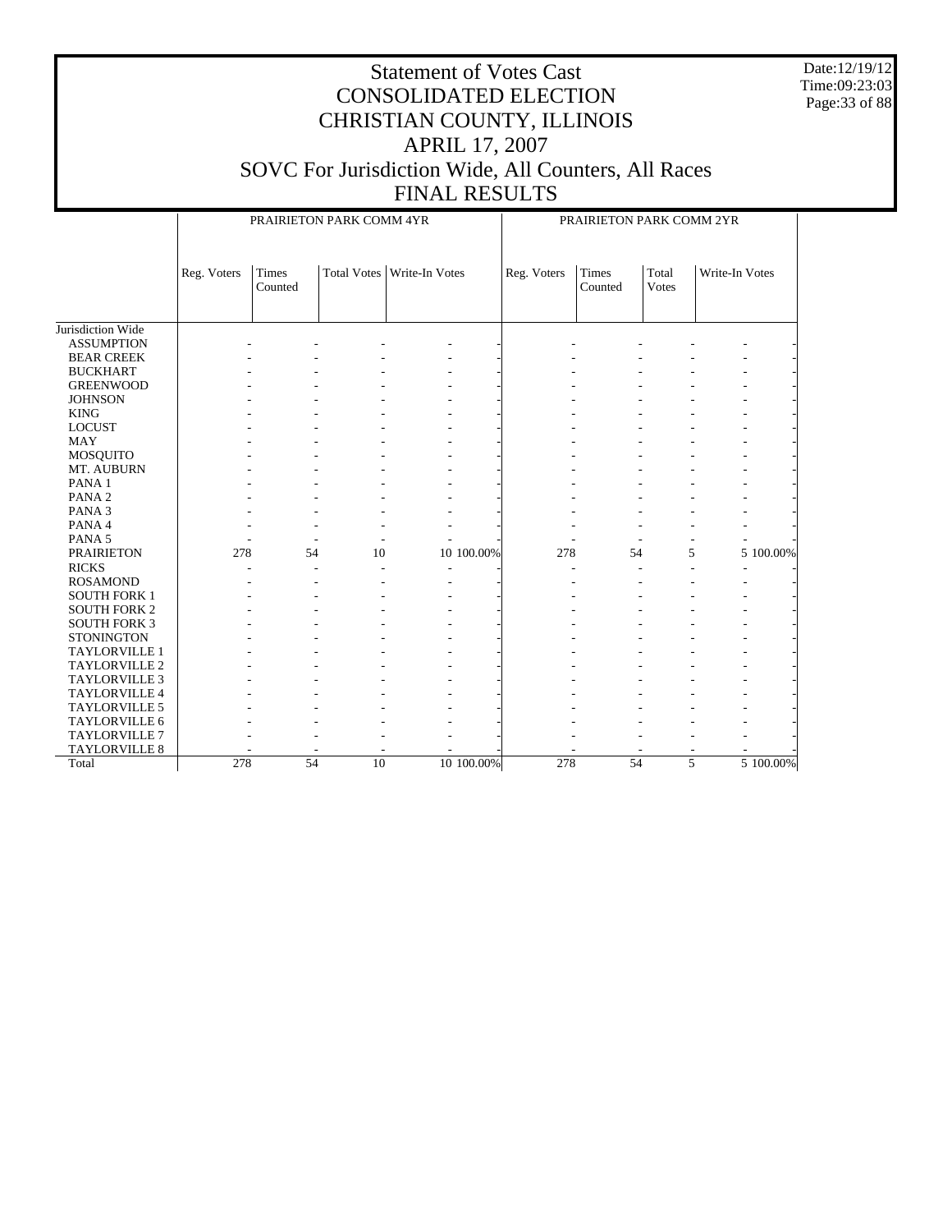Date:12/19/12 Time:09:23:03 Page:33 of 88

|                      |             | PRAIRIETON PARK COMM 4YR |    | PRAIRIETON PARK COMM 2YR     |             |                  |                       |                |  |
|----------------------|-------------|--------------------------|----|------------------------------|-------------|------------------|-----------------------|----------------|--|
|                      | Reg. Voters | Times<br>Counted         |    | Total Votes   Write-In Votes | Reg. Voters | Times<br>Counted | Total<br><b>Votes</b> | Write-In Votes |  |
| Jurisdiction Wide    |             |                          |    |                              |             |                  |                       |                |  |
| <b>ASSUMPTION</b>    |             |                          |    |                              |             |                  |                       |                |  |
| <b>BEAR CREEK</b>    |             |                          |    |                              |             |                  |                       |                |  |
| <b>BUCKHART</b>      |             |                          |    |                              |             |                  |                       |                |  |
| <b>GREENWOOD</b>     |             |                          |    |                              |             |                  |                       |                |  |
| <b>JOHNSON</b>       |             |                          |    |                              |             |                  |                       |                |  |
| <b>KING</b>          |             |                          |    |                              |             |                  |                       |                |  |
| <b>LOCUST</b>        |             |                          |    |                              |             |                  |                       |                |  |
| <b>MAY</b>           |             |                          |    |                              |             |                  |                       |                |  |
| MOSQUITO             |             |                          |    |                              |             |                  |                       |                |  |
| MT. AUBURN           |             |                          |    |                              |             |                  |                       |                |  |
| PANA <sub>1</sub>    |             |                          |    |                              |             |                  |                       |                |  |
| PANA <sub>2</sub>    |             |                          |    |                              |             |                  |                       |                |  |
| PANA <sub>3</sub>    |             |                          |    |                              |             |                  |                       |                |  |
| PANA 4               |             |                          |    |                              |             |                  |                       |                |  |
| PANA <sub>5</sub>    |             |                          |    |                              |             |                  |                       |                |  |
| <b>PRAIRIETON</b>    | 278         | 54                       | 10 | 10 100.00%                   | 278         | 54               |                       | 5 100.00%<br>5 |  |
| <b>RICKS</b>         |             |                          |    |                              |             |                  |                       |                |  |
| <b>ROSAMOND</b>      |             |                          |    |                              |             |                  |                       |                |  |
| <b>SOUTH FORK 1</b>  |             |                          |    |                              |             |                  |                       |                |  |
| <b>SOUTH FORK 2</b>  |             |                          |    |                              |             |                  |                       |                |  |
| <b>SOUTH FORK 3</b>  |             |                          |    |                              |             |                  |                       |                |  |
| <b>STONINGTON</b>    |             |                          |    |                              |             |                  |                       |                |  |
| TAYLORVILLE 1        |             |                          |    |                              |             |                  |                       |                |  |
| TAYLORVILLE 2        |             |                          |    |                              |             |                  |                       |                |  |
| <b>TAYLORVILLE 3</b> |             |                          |    |                              |             |                  |                       |                |  |
| TAYLORVILLE 4        |             |                          |    |                              |             |                  |                       |                |  |
| TAYLORVILLE 5        |             |                          |    |                              |             |                  |                       |                |  |
| TAYLORVILLE 6        |             |                          |    |                              |             |                  |                       |                |  |
| <b>TAYLORVILLE 7</b> |             |                          |    |                              |             |                  |                       |                |  |
| TAYLORVILLE 8        |             |                          |    |                              |             |                  |                       |                |  |
| Total                | 278         | 54                       | 10 | 10 100.00%                   | 278         | 54               |                       | 5 100.00%<br>5 |  |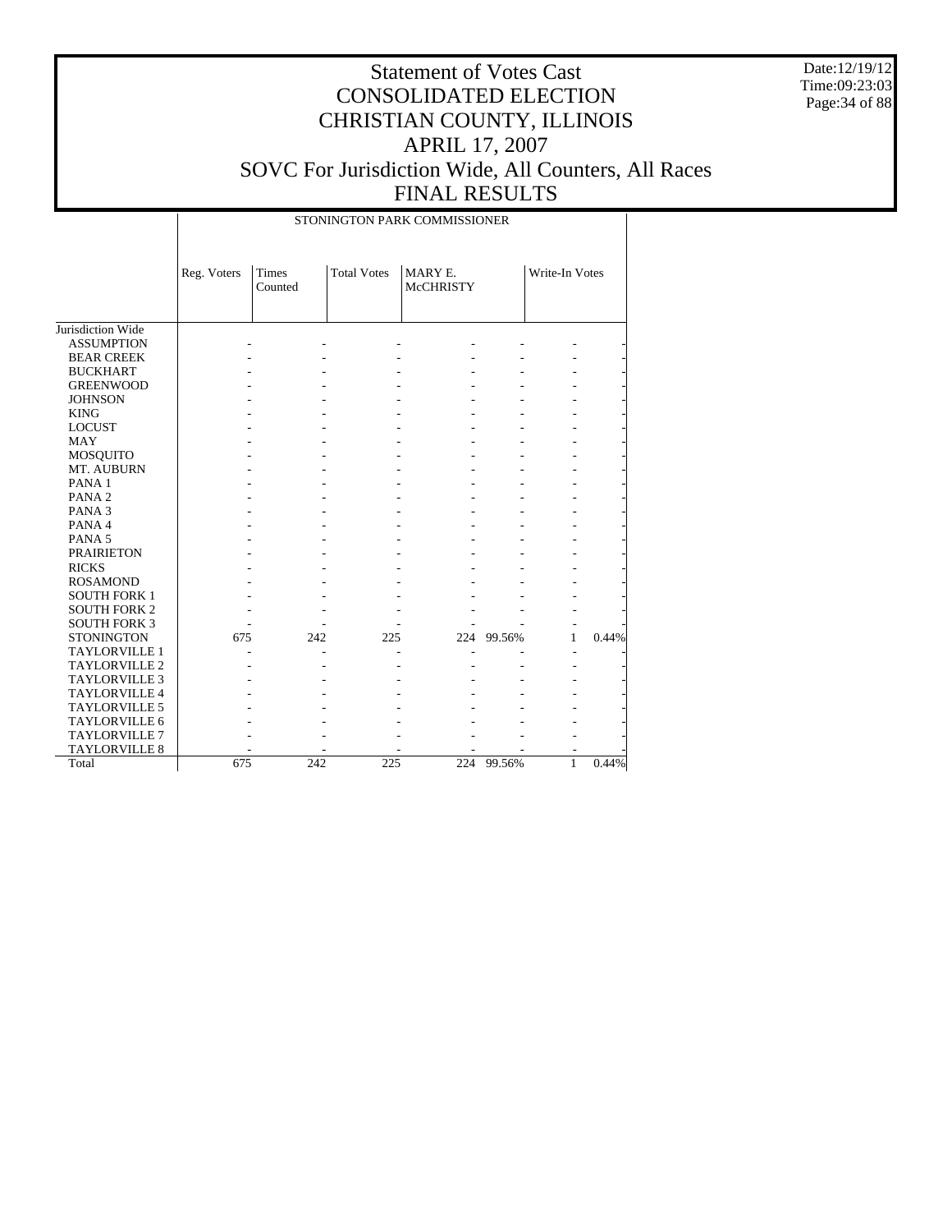Date:12/19/12 Time:09:23:03 Page: 34 of 88

|                      |             | STONINGTON PARK COMMISSIONER |                    |                             |        |                |       |  |  |
|----------------------|-------------|------------------------------|--------------------|-----------------------------|--------|----------------|-------|--|--|
|                      | Reg. Voters | Times<br>Counted             | <b>Total Votes</b> | MARY E.<br><b>McCHRISTY</b> |        | Write-In Votes |       |  |  |
| Jurisdiction Wide    |             |                              |                    |                             |        |                |       |  |  |
| <b>ASSUMPTION</b>    |             |                              |                    |                             |        |                |       |  |  |
| <b>BEAR CREEK</b>    |             |                              |                    |                             |        |                |       |  |  |
| <b>BUCKHART</b>      |             |                              |                    |                             |        |                |       |  |  |
| <b>GREENWOOD</b>     |             |                              |                    |                             |        |                |       |  |  |
| <b>JOHNSON</b>       |             |                              |                    |                             |        |                |       |  |  |
| <b>KING</b>          |             |                              |                    |                             |        |                |       |  |  |
| <b>LOCUST</b>        |             |                              |                    |                             |        |                |       |  |  |
| <b>MAY</b>           |             |                              |                    |                             |        |                |       |  |  |
| MOSQUITO             |             |                              |                    |                             |        |                |       |  |  |
| MT. AUBURN           |             |                              |                    |                             |        |                |       |  |  |
| PANA <sub>1</sub>    |             |                              |                    |                             |        |                |       |  |  |
| PANA <sub>2</sub>    |             |                              |                    |                             |        |                |       |  |  |
| PANA <sub>3</sub>    |             |                              |                    |                             |        |                |       |  |  |
| PANA 4               |             |                              |                    |                             |        |                |       |  |  |
| PANA <sub>5</sub>    |             |                              |                    |                             |        |                |       |  |  |
| <b>PRAIRIETON</b>    |             |                              |                    |                             |        |                |       |  |  |
| <b>RICKS</b>         |             |                              |                    |                             |        |                |       |  |  |
| <b>ROSAMOND</b>      |             |                              |                    |                             |        |                |       |  |  |
| <b>SOUTH FORK 1</b>  |             |                              |                    |                             |        |                |       |  |  |
| <b>SOUTH FORK 2</b>  |             |                              |                    |                             |        |                |       |  |  |
| <b>SOUTH FORK 3</b>  |             |                              |                    |                             |        |                |       |  |  |
| <b>STONINGTON</b>    | 675         | 242                          | 225                | 224                         | 99.56% | 1              | 0.44% |  |  |
| <b>TAYLORVILLE 1</b> |             |                              |                    |                             |        |                |       |  |  |
| <b>TAYLORVILLE 2</b> |             |                              |                    |                             |        |                |       |  |  |
| <b>TAYLORVILLE 3</b> |             |                              |                    |                             |        |                |       |  |  |
| <b>TAYLORVILLE 4</b> |             |                              |                    |                             |        |                |       |  |  |
| TAYLORVILLE 5        |             |                              |                    |                             |        |                |       |  |  |
| TAYLORVILLE 6        |             |                              |                    |                             |        |                |       |  |  |
| TAYLORVILLE 7        |             |                              |                    |                             |        |                |       |  |  |
| TAYLORVILLE 8        |             |                              |                    |                             |        |                |       |  |  |
| Total                | 675         | 242                          | 225                | 224                         | 99.56% | $\mathbf{1}$   | 0.44% |  |  |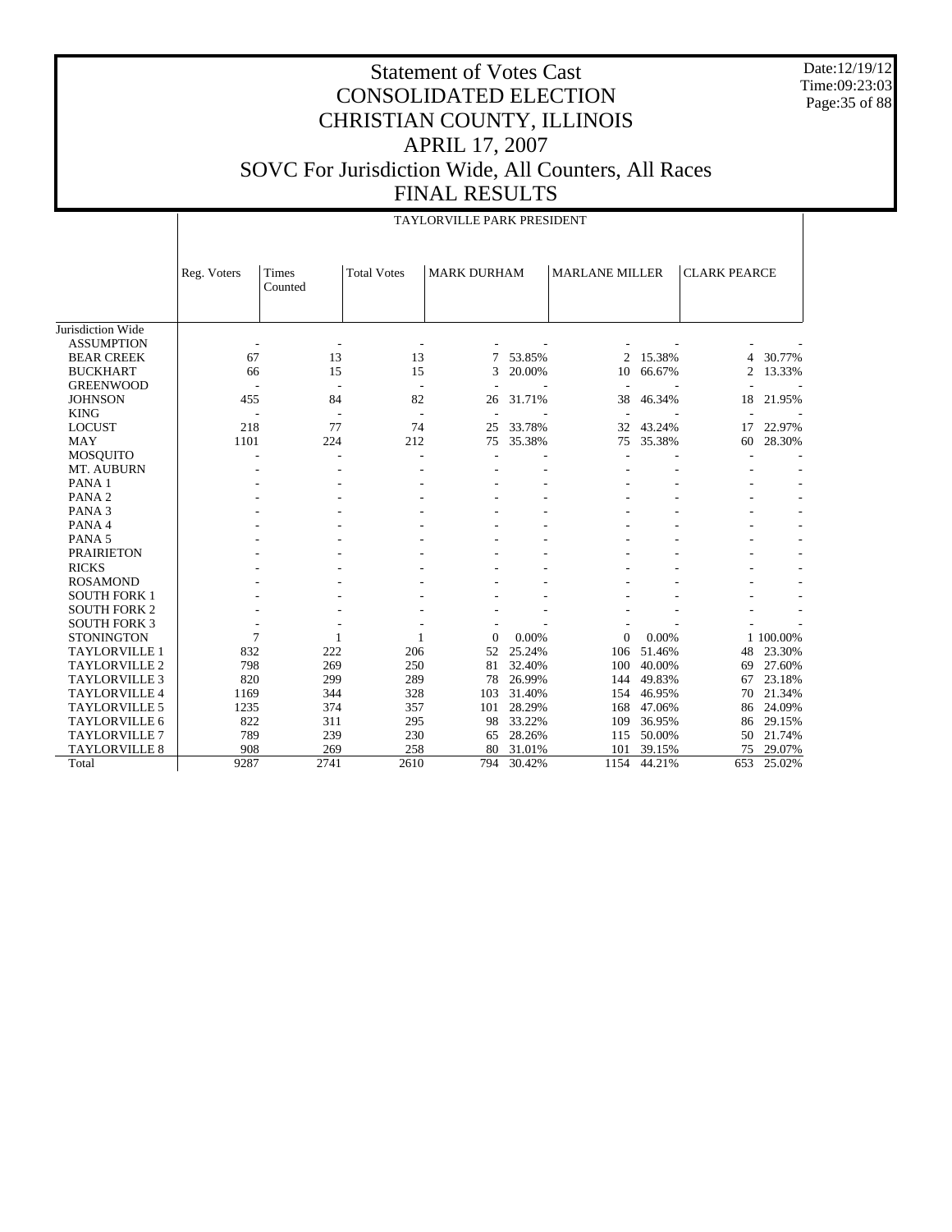Date:12/19/12 Time:09:23:03 Page: 35 of 88

#### Statement of Votes Cast CONSOLIDATED ELECTION CHRISTIAN COUNTY, ILLINOIS APRIL 17, 2007 SOVC For Jurisdiction Wide, All Counters, All Races FINAL RESULTS

|                      |             | TAYLORVILLE PARK PRESIDENT |                          |                    |        |                       |        |                     |           |
|----------------------|-------------|----------------------------|--------------------------|--------------------|--------|-----------------------|--------|---------------------|-----------|
|                      |             |                            |                          |                    |        |                       |        |                     |           |
|                      | Reg. Voters | Times<br>Counted           | <b>Total Votes</b>       | <b>MARK DURHAM</b> |        | <b>MARLANE MILLER</b> |        | <b>CLARK PEARCE</b> |           |
|                      |             |                            |                          |                    |        |                       |        |                     |           |
| Jurisdiction Wide    |             |                            |                          |                    |        |                       |        |                     |           |
| <b>ASSUMPTION</b>    |             |                            |                          |                    |        |                       |        |                     |           |
| <b>BEAR CREEK</b>    | 67          | 13                         | 13                       | 7                  | 53.85% | $\mathfrak{2}$        | 15.38% | $\overline{4}$      | 30.77%    |
| <b>BUCKHART</b>      | 66          | 15                         | 15                       | 3                  | 20.00% | 10                    | 66.67% | $\overline{c}$      | 13.33%    |
| <b>GREENWOOD</b>     |             | ٠                          | $\overline{\phantom{a}}$ |                    |        |                       |        |                     |           |
| <b>JOHNSON</b>       | 455         | 84                         | 82                       | 26                 | 31.71% | 38                    | 46.34% | 18                  | 21.95%    |
| <b>KING</b>          |             |                            | $\overline{\phantom{a}}$ |                    |        |                       |        |                     |           |
| <b>LOCUST</b>        | 218         | 77                         | 74                       | 25                 | 33.78% | 32                    | 43.24% | 17                  | 22.97%    |
| <b>MAY</b>           | 1101        | 224                        | 212                      | 75                 | 35.38% | 75                    | 35.38% | 60                  | 28.30%    |
| <b>MOSQUITO</b>      |             |                            |                          | ÷,                 |        |                       |        |                     |           |
| MT. AUBURN           |             |                            |                          |                    |        |                       |        |                     |           |
| PANA <sub>1</sub>    |             |                            |                          |                    |        |                       |        |                     |           |
| PANA <sub>2</sub>    |             |                            |                          |                    |        |                       |        |                     |           |
| PANA <sub>3</sub>    |             |                            |                          |                    |        |                       |        |                     |           |
| PANA 4               |             |                            |                          |                    |        |                       |        |                     |           |
| PANA <sub>5</sub>    |             |                            |                          |                    |        |                       |        |                     |           |
| <b>PRAIRIETON</b>    |             |                            |                          |                    |        |                       |        |                     |           |
| <b>RICKS</b>         |             |                            |                          |                    |        |                       |        |                     |           |
| <b>ROSAMOND</b>      |             |                            |                          |                    |        |                       |        |                     |           |
| <b>SOUTH FORK 1</b>  |             |                            |                          |                    |        |                       |        |                     |           |
| <b>SOUTH FORK 2</b>  |             |                            |                          |                    |        |                       |        |                     |           |
| <b>SOUTH FORK 3</b>  |             |                            |                          |                    |        |                       |        |                     |           |
| <b>STONINGTON</b>    | 7           | 1                          | 1                        | $\Omega$           | 0.00%  | $\mathbf{0}$          | 0.00%  |                     | 1 100.00% |
| <b>TAYLORVILLE 1</b> | 832         | 222                        | 206                      | 52                 | 25.24% | 106                   | 51.46% | 48                  | 23.30%    |
| <b>TAYLORVILLE 2</b> | 798         | 269                        | 250                      | 81                 | 32.40% | 100                   | 40.00% | 69                  | 27.60%    |
| <b>TAYLORVILLE 3</b> | 820         | 299                        | 289                      | 78                 | 26.99% | 144                   | 49.83% | 67                  | 23.18%    |
| <b>TAYLORVILLE 4</b> | 1169        | 344                        | 328                      | 103                | 31.40% | 154                   | 46.95% | 70                  | 21.34%    |
| <b>TAYLORVILLE 5</b> | 1235        | 374                        | 357                      | 101                | 28.29% | 168                   | 47.06% | 86                  | 24.09%    |
| <b>TAYLORVILLE 6</b> | 822         | 311                        | 295                      | 98                 | 33.22% | 109                   | 36.95% | 86                  | 29.15%    |
| <b>TAYLORVILLE 7</b> | 789         | 239                        | 230                      | 65                 | 28.26% | 115                   | 50.00% | 50                  | 21.74%    |
| TAYLORVILLE 8        | 908         | 269                        | 258                      | 80                 | 31.01% | 101                   | 39.15% | 75                  | 29.07%    |
| Total                | 9287        | 2741                       | 2610                     | 794                | 30.42% | 1154                  | 44.21% | 653                 | 25.02%    |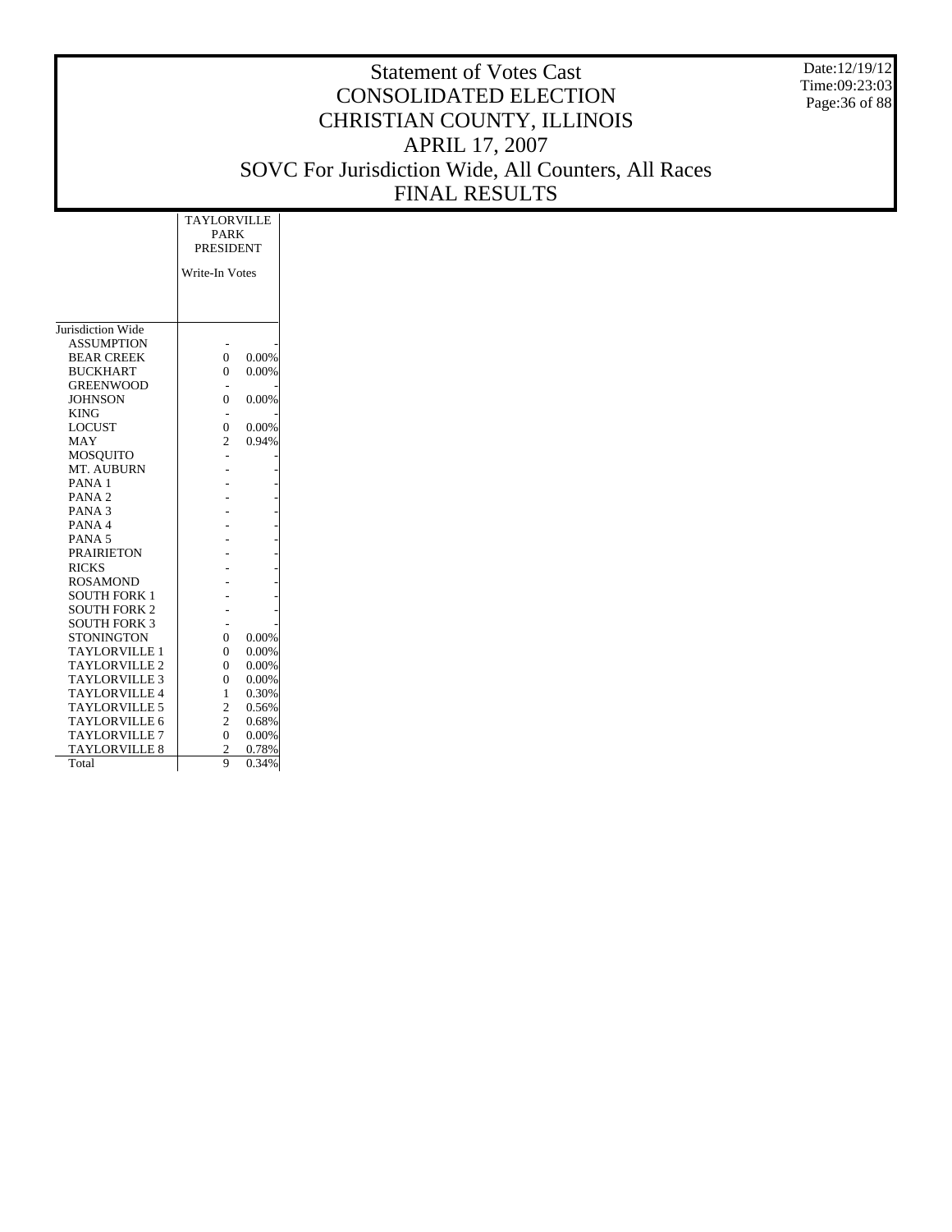Date:12/19/12 Time:09:23:03 Page:36 of 88

|                          | <b>TAYLORVILLE</b> |          |  |  |  |  |  |
|--------------------------|--------------------|----------|--|--|--|--|--|
|                          | PARK               |          |  |  |  |  |  |
|                          | <b>PRESIDENT</b>   |          |  |  |  |  |  |
|                          | Write-In Votes     |          |  |  |  |  |  |
|                          |                    |          |  |  |  |  |  |
|                          |                    |          |  |  |  |  |  |
| Jurisdiction Wide        |                    |          |  |  |  |  |  |
| <b>ASSUMPTION</b>        |                    |          |  |  |  |  |  |
|                          | $\theta$           |          |  |  |  |  |  |
| <b>BEAR CREEK</b>        |                    | 0.00%    |  |  |  |  |  |
| <b>BUCKHART</b>          | $\theta$           | 0.00%    |  |  |  |  |  |
| <b>GREENWOOD</b>         |                    |          |  |  |  |  |  |
| <b>JOHNSON</b>           | $\theta$           | 0.00%    |  |  |  |  |  |
| <b>KING</b>              |                    |          |  |  |  |  |  |
| <b>LOCUST</b>            | $\theta$           | 0.00%    |  |  |  |  |  |
| MAY                      | $\overline{c}$     | 0.94%    |  |  |  |  |  |
| <b>MOSQUITO</b>          |                    |          |  |  |  |  |  |
| MT. AUBURN               |                    |          |  |  |  |  |  |
| PANA <sub>1</sub>        |                    |          |  |  |  |  |  |
| PANA <sub>2</sub>        |                    |          |  |  |  |  |  |
| PANA <sub>3</sub>        |                    |          |  |  |  |  |  |
| PANA <sub>4</sub>        |                    |          |  |  |  |  |  |
| PANA <sub>5</sub>        |                    |          |  |  |  |  |  |
| <b>PRAIRIETON</b>        |                    |          |  |  |  |  |  |
| <b>RICKS</b>             |                    |          |  |  |  |  |  |
| <b>ROSAMOND</b>          |                    |          |  |  |  |  |  |
| <b>SOUTH FORK 1</b>      |                    |          |  |  |  |  |  |
| <b>SOUTH FORK 2</b>      |                    |          |  |  |  |  |  |
| <b>SOUTH FORK 3</b>      |                    |          |  |  |  |  |  |
| <b>STONINGTON</b>        | $\Omega$           | 0.00%    |  |  |  |  |  |
| <b>TAYLORVILLE 1</b>     | $\theta$           | 0.00%    |  |  |  |  |  |
| TAYLORVILLE <sub>2</sub> | $\theta$           | $0.00\%$ |  |  |  |  |  |
| <b>TAYLORVILLE 3</b>     | $\theta$           | 0.00%    |  |  |  |  |  |
| <b>TAYLORVILLE 4</b>     | 1                  | 0.30%    |  |  |  |  |  |
| <b>TAYLORVILLE 5</b>     | $\mathfrak{2}$     | 0.56%    |  |  |  |  |  |
| <b>TAYLORVILLE 6</b>     | $\overline{c}$     | 0.68%    |  |  |  |  |  |
| <b>TAYLORVILLE 7</b>     | $\theta$           | 0.00%    |  |  |  |  |  |
| <b>TAYLORVILLE 8</b>     | $\overline{c}$     | 0.78%    |  |  |  |  |  |
| Total                    | 9                  | 0.34%    |  |  |  |  |  |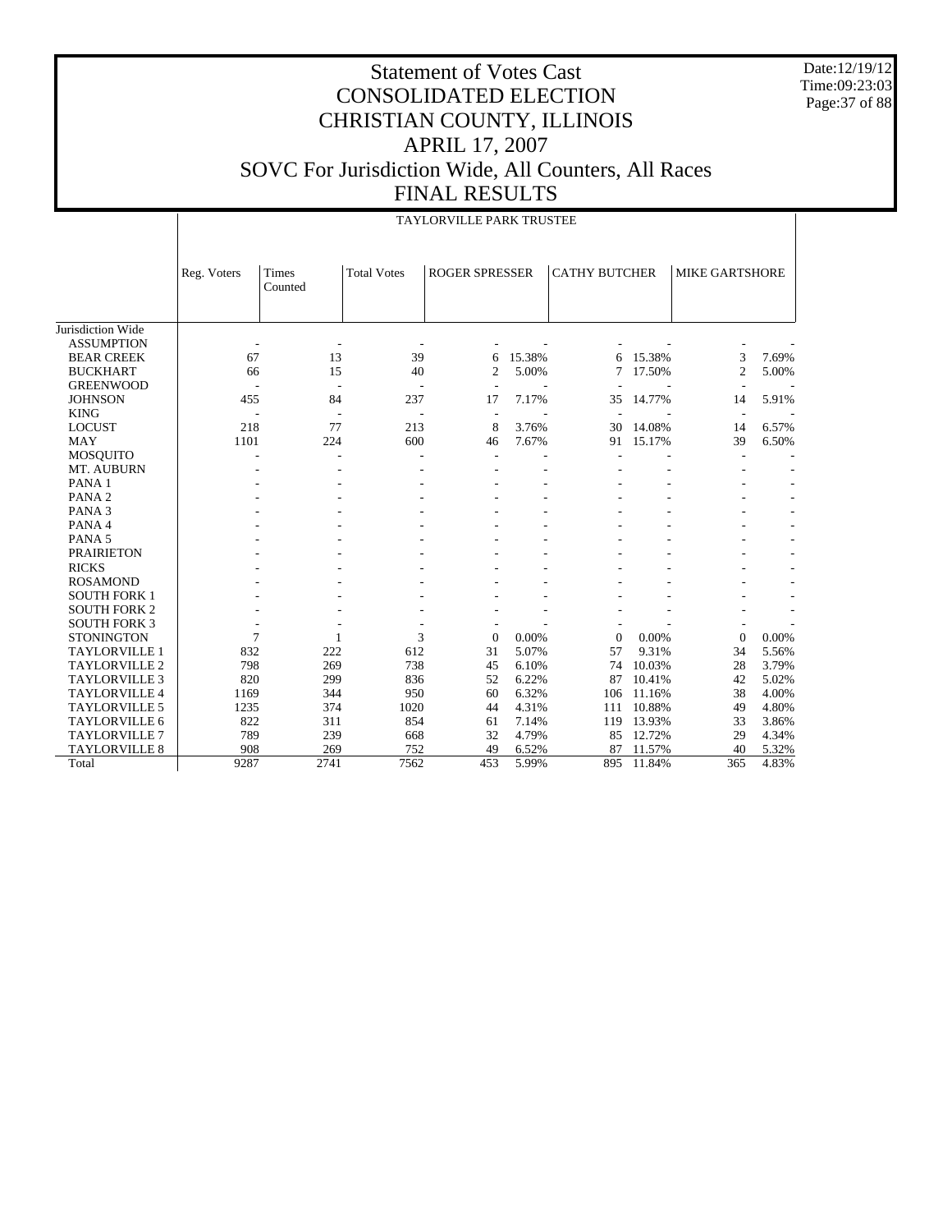Date:12/19/12 Time:09:23:03 Page:37 of 88

|                      |             | <b>TAYLORVILLE PARK TRUSTEE</b> |                    |                       |        |                      |        |                          |       |  |  |  |  |
|----------------------|-------------|---------------------------------|--------------------|-----------------------|--------|----------------------|--------|--------------------------|-------|--|--|--|--|
|                      | Reg. Voters | Times<br>Counted                | <b>Total Votes</b> | <b>ROGER SPRESSER</b> |        | <b>CATHY BUTCHER</b> |        | <b>MIKE GARTSHORE</b>    |       |  |  |  |  |
| Jurisdiction Wide    |             |                                 |                    |                       |        |                      |        |                          |       |  |  |  |  |
| <b>ASSUMPTION</b>    | ÷,          |                                 |                    |                       |        |                      |        |                          |       |  |  |  |  |
| <b>BEAR CREEK</b>    | 67          | 13                              | 39                 | 6                     | 15.38% | 6                    | 15.38% | 3                        | 7.69% |  |  |  |  |
| <b>BUCKHART</b>      | 66          | 15                              | 40                 | $\overline{2}$        | 5.00%  | 7                    | 17.50% | $\mathfrak{2}$           | 5.00% |  |  |  |  |
| <b>GREENWOOD</b>     |             |                                 |                    | ÷.                    |        |                      |        | $\overline{\phantom{a}}$ |       |  |  |  |  |
| <b>JOHNSON</b>       | 455         | 84                              | 237                | 17                    | 7.17%  | 35                   | 14.77% | 14                       | 5.91% |  |  |  |  |
| <b>KING</b>          |             |                                 |                    | ÷,                    |        | ÷,                   |        | $\overline{\phantom{a}}$ |       |  |  |  |  |
| <b>LOCUST</b>        | 218         | 77                              | 213                | 8                     | 3.76%  | 30                   | 14.08% | 14                       | 6.57% |  |  |  |  |
| <b>MAY</b>           | 1101        | 224                             | 600                | 46                    | 7.67%  | 91                   | 15.17% | 39                       | 6.50% |  |  |  |  |
| <b>MOSQUITO</b>      |             |                                 | $\overline{a}$     |                       |        |                      |        |                          |       |  |  |  |  |
| MT. AUBURN           |             |                                 |                    |                       |        |                      |        |                          |       |  |  |  |  |
| PANA <sub>1</sub>    |             |                                 |                    |                       |        |                      |        |                          |       |  |  |  |  |
| PANA <sub>2</sub>    |             |                                 |                    |                       |        |                      |        |                          |       |  |  |  |  |
| PANA <sub>3</sub>    |             |                                 |                    |                       |        |                      |        |                          |       |  |  |  |  |
| PANA 4               |             |                                 |                    |                       |        |                      |        |                          |       |  |  |  |  |
| PANA <sub>5</sub>    |             |                                 |                    |                       |        |                      |        |                          |       |  |  |  |  |
| <b>PRAIRIETON</b>    |             |                                 |                    |                       |        |                      |        |                          |       |  |  |  |  |
| <b>RICKS</b>         |             |                                 |                    |                       |        |                      |        |                          |       |  |  |  |  |
| <b>ROSAMOND</b>      |             |                                 |                    |                       |        |                      |        |                          |       |  |  |  |  |
| <b>SOUTH FORK 1</b>  |             |                                 |                    |                       |        |                      |        |                          |       |  |  |  |  |
| <b>SOUTH FORK 2</b>  |             |                                 |                    |                       |        |                      |        |                          |       |  |  |  |  |
| <b>SOUTH FORK 3</b>  |             |                                 |                    |                       |        |                      |        |                          |       |  |  |  |  |
| <b>STONINGTON</b>    | 7           | $\mathbf{1}$                    | 3                  | $\mathbf{0}$          | 0.00%  | $\overline{0}$       | 0.00%  | $\mathbf{0}$             | 0.00% |  |  |  |  |
| <b>TAYLORVILLE 1</b> | 832         | 222                             | 612                | 31                    | 5.07%  | 57                   | 9.31%  | 34                       | 5.56% |  |  |  |  |
| <b>TAYLORVILLE 2</b> | 798         | 269                             | 738                | 45                    | 6.10%  | 74                   | 10.03% | 28                       | 3.79% |  |  |  |  |
| <b>TAYLORVILLE 3</b> | 820         | 299                             | 836                | 52                    | 6.22%  | 87                   | 10.41% | 42                       | 5.02% |  |  |  |  |
| <b>TAYLORVILLE 4</b> | 1169        | 344                             | 950                | 60                    | 6.32%  | 106                  | 11.16% | 38                       | 4.00% |  |  |  |  |
| <b>TAYLORVILLE 5</b> | 1235        | 374                             | 1020               | 44                    | 4.31%  | 111                  | 10.88% | 49                       | 4.80% |  |  |  |  |
| TAYLORVILLE 6        | 822         | 311                             | 854                | 61                    | 7.14%  | 119                  | 13.93% | 33                       | 3.86% |  |  |  |  |
| <b>TAYLORVILLE 7</b> | 789         | 239                             | 668                | 32                    | 4.79%  | 85                   | 12.72% | 29                       | 4.34% |  |  |  |  |
| TAYLORVILLE 8        | 908         | 269                             | 752                | 49                    | 6.52%  | 87                   | 11.57% | 40                       | 5.32% |  |  |  |  |
| Total                | 9287        | 2741                            | 7562               | 453                   | 5.99%  | 895                  | 11.84% | 365                      | 4.83% |  |  |  |  |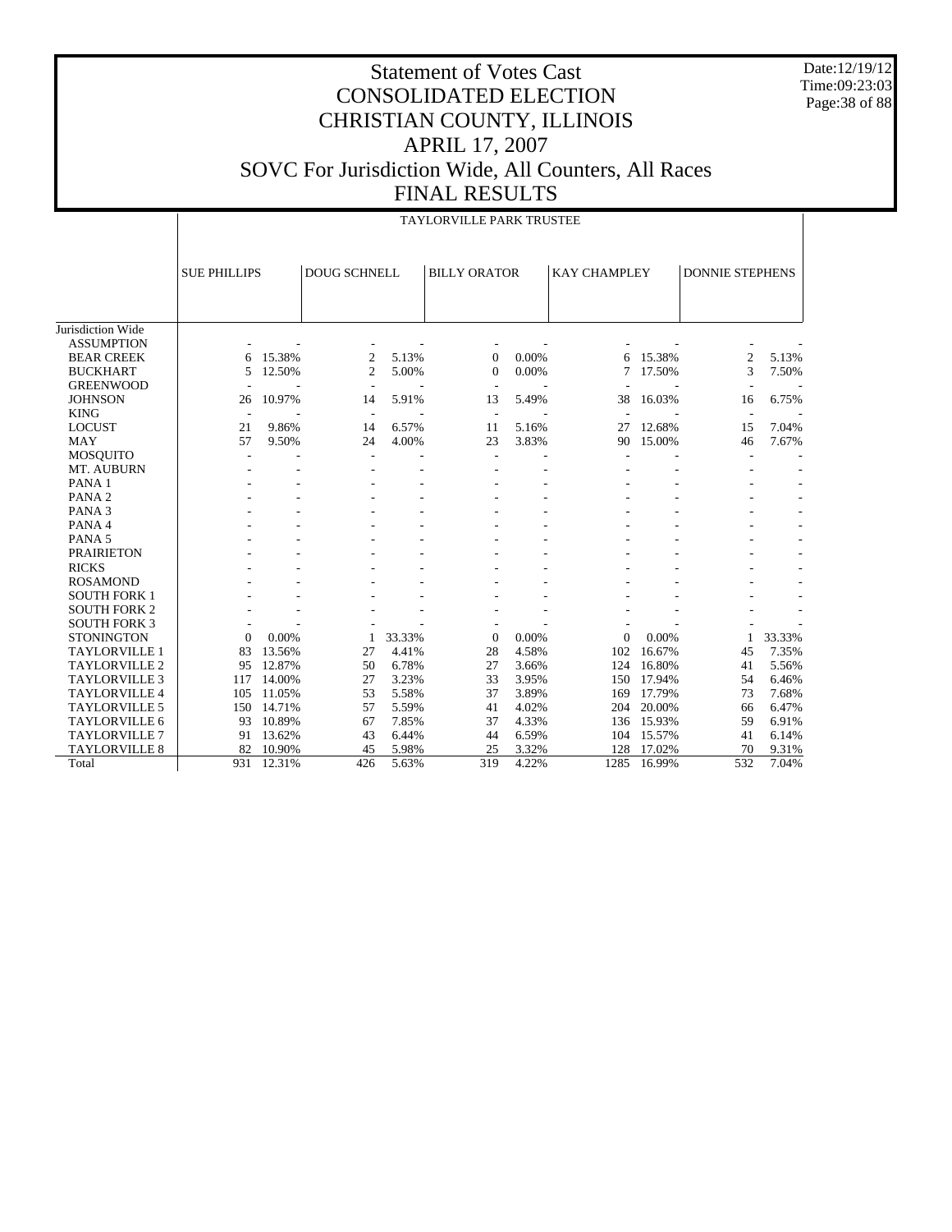Date:12/19/12 Time:09:23:03 Page:38 of 88

# Statement of Votes Cast CONSOLIDATED ELECTION CHRISTIAN COUNTY, ILLINOIS APRIL 17, 2007 SOVC For Jurisdiction Wide, All Counters, All Races FINAL RESULTS

TAYLORVILLE PARK TRUSTEE

|                      |                     | IAYLORVILLE PARK IRUSIEE |                |        |                          |       |                     |        |                          |        |
|----------------------|---------------------|--------------------------|----------------|--------|--------------------------|-------|---------------------|--------|--------------------------|--------|
|                      | <b>SUE PHILLIPS</b> |                          | DOUG SCHNELL   |        | <b>BILLY ORATOR</b>      |       | <b>KAY CHAMPLEY</b> |        | <b>DONNIE STEPHENS</b>   |        |
|                      |                     |                          |                |        |                          |       |                     |        |                          |        |
| Jurisdiction Wide    |                     |                          |                |        |                          |       |                     |        |                          |        |
| <b>ASSUMPTION</b>    |                     |                          |                |        |                          |       |                     |        |                          |        |
| <b>BEAR CREEK</b>    | 6                   | 15.38%                   | $\overline{2}$ | 5.13%  | $\mathbf{0}$             | 0.00% | 6                   | 15.38% | 2                        | 5.13%  |
| <b>BUCKHART</b>      | 5                   | 12.50%                   | $\overline{c}$ | 5.00%  | $\Omega$                 | 0.00% | 7                   | 17.50% | 3                        | 7.50%  |
| <b>GREENWOOD</b>     | ٠                   |                          |                |        | $\overline{\phantom{a}}$ |       |                     |        | ٠                        |        |
| <b>JOHNSON</b>       | 26                  | 10.97%                   | 14             | 5.91%  | 13                       | 5.49% | 38                  | 16.03% | 16                       | 6.75%  |
| <b>KING</b>          | $\overline{a}$      |                          | $\overline{a}$ |        | $\overline{\phantom{a}}$ |       |                     |        | $\overline{\phantom{a}}$ |        |
| <b>LOCUST</b>        | 21                  | 9.86%                    | 14             | 6.57%  | 11                       | 5.16% | 27                  | 12.68% | 15                       | 7.04%  |
| <b>MAY</b>           | 57                  | 9.50%                    | 24             | 4.00%  | 23                       | 3.83% | 90                  | 15.00% | 46                       | 7.67%  |
| <b>MOSQUITO</b>      |                     |                          |                |        | ٠                        |       |                     |        |                          |        |
| MT. AUBURN           |                     |                          |                |        |                          |       |                     |        |                          |        |
| PANA <sub>1</sub>    |                     |                          |                |        |                          |       |                     |        |                          |        |
| PANA <sub>2</sub>    |                     |                          |                |        |                          |       |                     |        |                          |        |
| PANA <sub>3</sub>    |                     |                          |                |        |                          |       |                     |        |                          |        |
| PANA4                |                     |                          |                |        |                          |       |                     |        |                          |        |
| PANA <sub>5</sub>    |                     |                          |                |        |                          |       |                     |        |                          |        |
| <b>PRAIRIETON</b>    |                     |                          |                |        |                          |       |                     |        |                          |        |
| <b>RICKS</b>         |                     |                          |                |        |                          |       |                     |        |                          |        |
| <b>ROSAMOND</b>      |                     |                          |                |        |                          |       |                     |        |                          |        |
| <b>SOUTH FORK 1</b>  |                     |                          |                |        |                          |       |                     |        |                          |        |
| <b>SOUTH FORK 2</b>  |                     |                          |                |        |                          |       |                     |        |                          |        |
| <b>SOUTH FORK 3</b>  |                     |                          |                |        |                          |       |                     |        |                          |        |
| <b>STONINGTON</b>    | $\overline{0}$      | 0.00%                    | 1              | 33.33% | $\mathbf{0}$             | 0.00% | 0                   | 0.00%  | $\mathbf{1}$             | 33.33% |
| <b>TAYLORVILLE 1</b> | 83                  | 13.56%                   | 27             | 4.41%  | 28                       | 4.58% | 102                 | 16.67% | 45                       | 7.35%  |
| <b>TAYLORVILLE 2</b> | 95                  | 12.87%                   | 50             | 6.78%  | 27                       | 3.66% | 124                 | 16.80% | 41                       | 5.56%  |
| <b>TAYLORVILLE 3</b> | 117                 | 14.00%                   | 27             | 3.23%  | 33                       | 3.95% | 150                 | 17.94% | 54                       | 6.46%  |
| <b>TAYLORVILLE 4</b> | 105                 | 11.05%                   | 53             | 5.58%  | 37                       | 3.89% | 169                 | 17.79% | 73                       | 7.68%  |
| TAYLORVILLE 5        | 150                 | 14.71%                   | 57             | 5.59%  | 41                       | 4.02% | 204                 | 20.00% | 66                       | 6.47%  |
| <b>TAYLORVILLE 6</b> | 93                  | 10.89%                   | 67             | 7.85%  | 37                       | 4.33% | 136                 | 15.93% | 59                       | 6.91%  |
| <b>TAYLORVILLE 7</b> | 91                  | 13.62%                   | 43             | 6.44%  | 44                       | 6.59% | 104                 | 15.57% | 41                       | 6.14%  |
| <b>TAYLORVILLE 8</b> | 82                  | 10.90%                   | 45             | 5.98%  | 25                       | 3.32% | 128                 | 17.02% | 70                       | 9.31%  |
| Total                | 931                 | 12.31%                   | 426            | 5.63%  | 319                      | 4.22% | 1285                | 16.99% | 532                      | 7.04%  |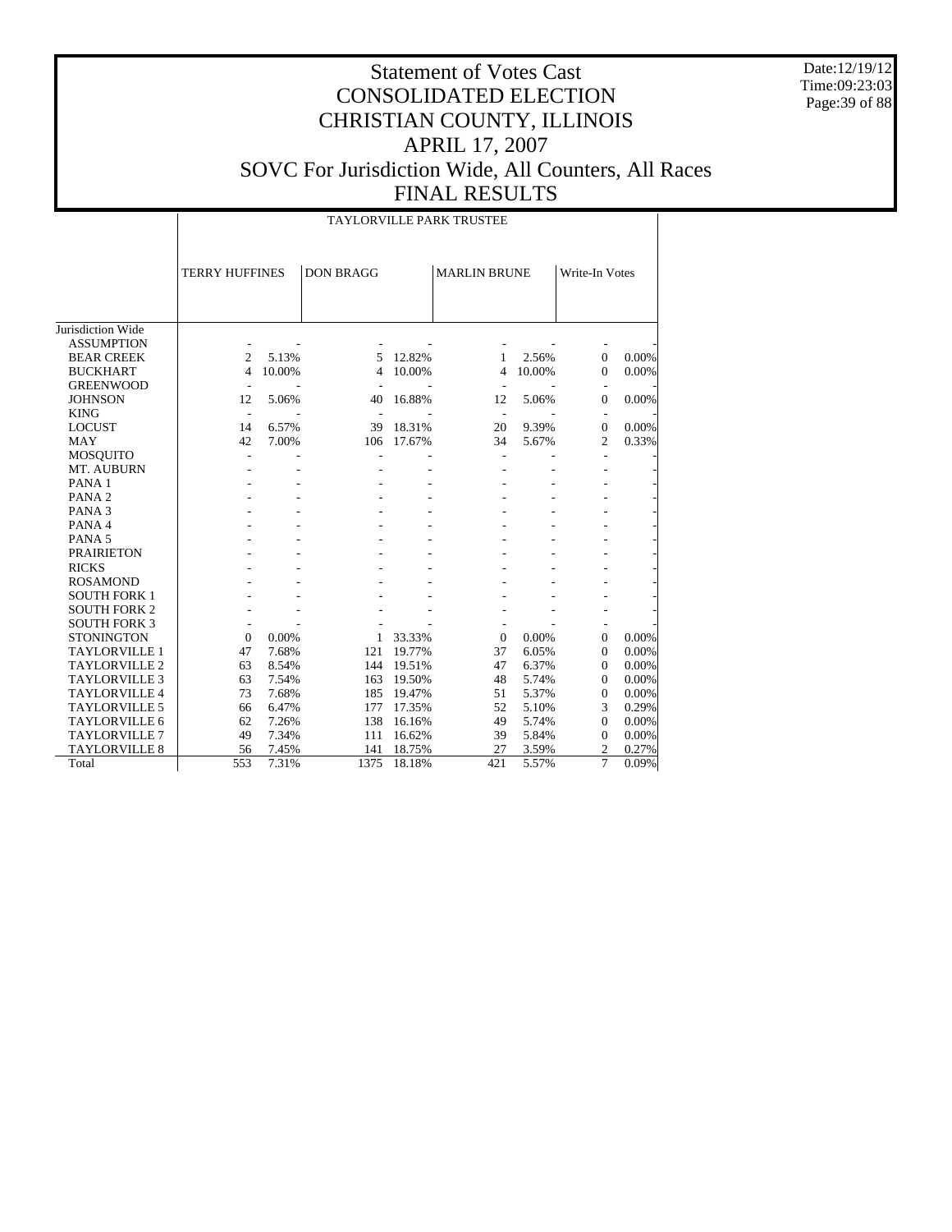Date:12/19/12 Time:09:23:03 Page:39 of 88

## Statement of Votes Cast CONSOLIDATED ELECTION CHRISTIAN COUNTY, ILLINOIS APRIL 17, 2007 SOVC For Jurisdiction Wide, All Counters, All Races FINAL RESULTS

TAYLORVILLE PARK TRUSTEE

|                               | <b>TERRY HUFFINES</b>          |        | <b>DON BRAGG</b> |        | <b>MARLIN BRUNE</b>  |        | Write-In Votes                   |       |
|-------------------------------|--------------------------------|--------|------------------|--------|----------------------|--------|----------------------------------|-------|
|                               |                                |        |                  |        |                      |        |                                  |       |
|                               |                                |        |                  |        |                      |        |                                  |       |
| Jurisdiction Wide             |                                |        |                  |        |                      |        |                                  |       |
| <b>ASSUMPTION</b>             |                                |        |                  |        |                      |        |                                  |       |
| <b>BEAR CREEK</b>             | 2                              | 5.13%  | 5                | 12.82% | 1                    | 2.56%  | $\mathbf{0}$                     | 0.00% |
| <b>BUCKHART</b>               | $\overline{4}$                 | 10.00% | 4                | 10.00% | $\overline{4}$       | 10.00% | $\mathbf{0}$                     | 0.00% |
| <b>GREENWOOD</b>              |                                |        |                  |        |                      |        |                                  |       |
| <b>JOHNSON</b>                | $\overline{\phantom{a}}$<br>12 | 5.06%  | 40               | 16.88% | $\overline{a}$<br>12 | 5.06%  | $\mathbf{0}$                     | 0.00% |
| <b>KING</b>                   | $\sim$                         |        |                  |        |                      |        |                                  |       |
| <b>LOCUST</b>                 | 14                             | 6.57%  | 39               | 18.31% | $\sim$<br>20         | 9.39%  | $\overline{\phantom{a}}$         | 0.00% |
| <b>MAY</b>                    | 42                             | 7.00%  | 106              | 17.67% | 34                   | 5.67%  | $\overline{0}$<br>$\overline{2}$ | 0.33% |
|                               |                                |        |                  |        |                      |        |                                  |       |
| <b>MOSQUITO</b><br>MT. AUBURN | $\overline{\phantom{a}}$       |        |                  |        | $\overline{a}$       |        |                                  |       |
| PANA <sub>1</sub>             |                                |        |                  |        |                      |        |                                  |       |
|                               |                                |        |                  |        |                      |        |                                  |       |
| PANA <sub>2</sub>             |                                |        |                  |        |                      |        |                                  |       |
| PANA <sub>3</sub>             |                                |        |                  |        |                      |        |                                  |       |
| PANA 4                        |                                |        |                  |        |                      |        |                                  |       |
| PANA <sub>5</sub>             |                                |        |                  |        |                      |        |                                  |       |
| <b>PRAIRIETON</b>             |                                |        |                  |        |                      |        |                                  |       |
| <b>RICKS</b>                  |                                |        |                  |        |                      |        |                                  |       |
| <b>ROSAMOND</b>               |                                |        |                  |        |                      |        |                                  |       |
| <b>SOUTH FORK 1</b>           |                                |        |                  |        |                      |        |                                  |       |
| <b>SOUTH FORK 2</b>           |                                |        |                  |        |                      |        |                                  |       |
| <b>SOUTH FORK 3</b>           |                                |        |                  |        |                      |        |                                  |       |
| <b>STONINGTON</b>             | $\Omega$                       | 0.00%  | 1                | 33.33% | $\Omega$             | 0.00%  | $\Omega$                         | 0.00% |
| <b>TAYLORVILLE 1</b>          | 47                             | 7.68%  | 121              | 19.77% | 37                   | 6.05%  | $\mathbf{0}$                     | 0.00% |
| <b>TAYLORVILLE 2</b>          | 63                             | 8.54%  | 144              | 19.51% | 47                   | 6.37%  | $\mathbf{0}$                     | 0.00% |
| TAYLORVILLE 3                 | 63                             | 7.54%  | 163              | 19.50% | 48                   | 5.74%  | $\Omega$                         | 0.00% |
| <b>TAYLORVILLE 4</b>          | 73                             | 7.68%  | 185              | 19.47% | 51                   | 5.37%  | $\mathbf{0}$                     | 0.00% |
| <b>TAYLORVILLE 5</b>          | 66                             | 6.47%  | 177              | 17.35% | 52                   | 5.10%  | 3                                | 0.29% |
| TAYLORVILLE 6                 | 62                             | 7.26%  | 138              | 16.16% | 49                   | 5.74%  | $\Omega$                         | 0.00% |
| <b>TAYLORVILLE 7</b>          | 49                             | 7.34%  | 111              | 16.62% | 39                   | 5.84%  | $\overline{0}$                   | 0.00% |
| <b>TAYLORVILLE 8</b>          | 56                             | 7.45%  | 141              | 18.75% | 27                   | 3.59%  | $\overline{c}$                   | 0.27% |
| Total                         | 553                            | 7.31%  | 1375             | 18.18% | 421                  | 5.57%  | 7                                | 0.09% |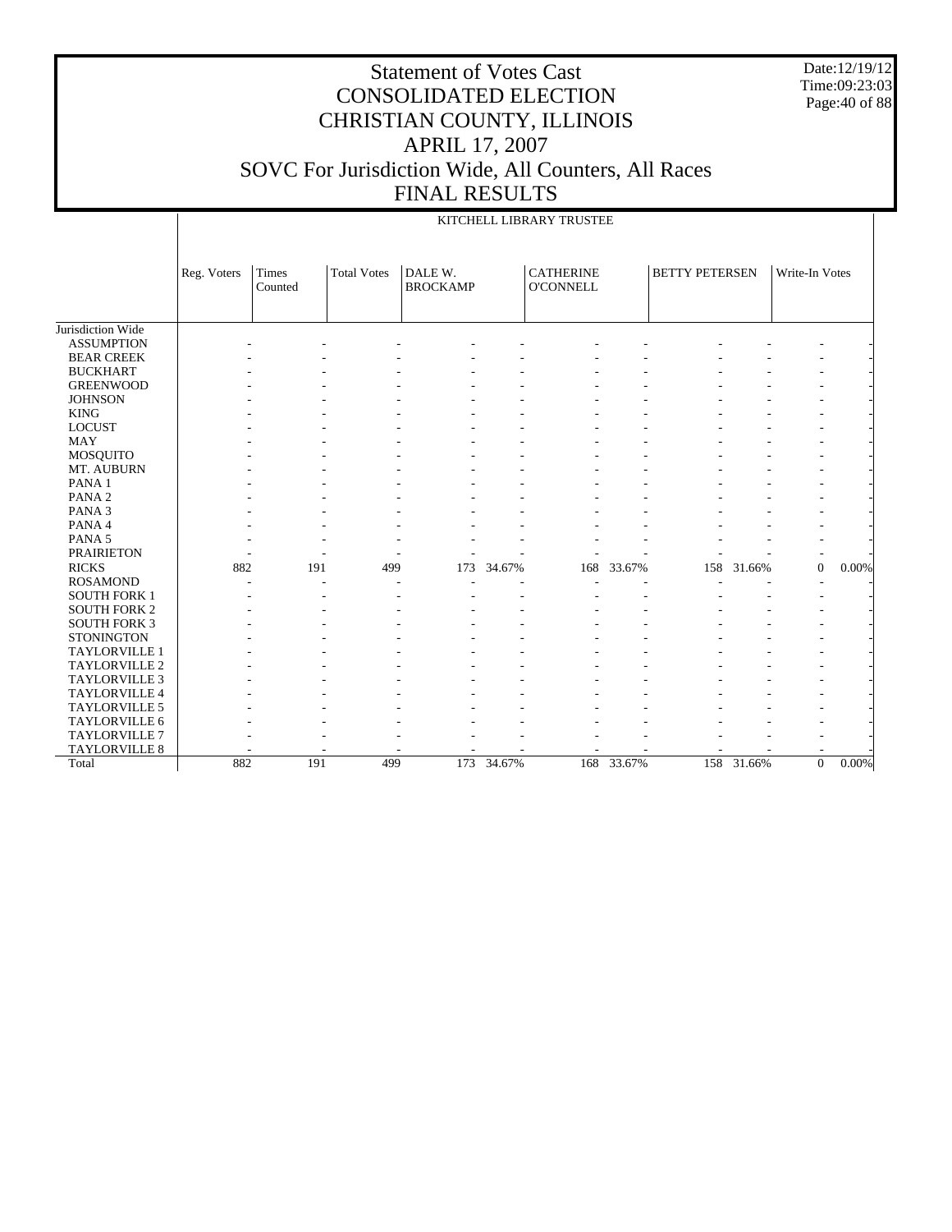Date:12/19/12 Time:09:23:03 Page:40 of 88

|                      |             |                  |                    |                            |            | KITCHELL LIBRARY TRUSTEE             |            |                       |            |                |       |
|----------------------|-------------|------------------|--------------------|----------------------------|------------|--------------------------------------|------------|-----------------------|------------|----------------|-------|
|                      | Reg. Voters | Times<br>Counted | <b>Total Votes</b> | DALE W.<br><b>BROCKAMP</b> |            | <b>CATHERINE</b><br><b>O'CONNELL</b> |            | <b>BETTY PETERSEN</b> |            | Write-In Votes |       |
| Jurisdiction Wide    |             |                  |                    |                            |            |                                      |            |                       |            |                |       |
| <b>ASSUMPTION</b>    |             |                  |                    |                            |            |                                      |            |                       |            |                |       |
| <b>BEAR CREEK</b>    |             |                  |                    |                            |            |                                      |            |                       |            |                |       |
| <b>BUCKHART</b>      |             |                  |                    |                            |            |                                      |            |                       |            |                |       |
| <b>GREENWOOD</b>     |             |                  |                    |                            |            |                                      |            |                       |            |                |       |
| <b>JOHNSON</b>       |             |                  |                    |                            |            |                                      |            |                       |            |                |       |
| <b>KING</b>          |             |                  |                    |                            |            |                                      |            |                       |            |                |       |
| <b>LOCUST</b>        |             |                  |                    |                            |            |                                      |            |                       |            |                |       |
| <b>MAY</b>           |             |                  |                    |                            |            |                                      |            |                       |            |                |       |
| <b>MOSQUITO</b>      |             |                  |                    |                            |            |                                      |            |                       |            |                |       |
| MT. AUBURN           |             |                  |                    |                            |            |                                      |            |                       |            |                |       |
| PANA 1               |             |                  |                    |                            |            |                                      |            |                       |            |                |       |
| PANA <sub>2</sub>    |             |                  |                    |                            |            |                                      |            |                       |            |                |       |
| PANA <sub>3</sub>    |             |                  |                    |                            |            |                                      |            |                       |            |                |       |
| PANA 4               |             |                  |                    |                            |            |                                      |            |                       |            |                |       |
| PANA 5               |             |                  |                    |                            |            |                                      |            |                       |            |                |       |
| <b>PRAIRIETON</b>    |             |                  |                    |                            |            |                                      |            |                       |            | ٠              |       |
| <b>RICKS</b>         | 882         | 191              | 499                | 173                        | 34.67%     | 168                                  | 33.67%     | 158                   | 31.66%     | $\mathbf{0}$   | 0.00% |
| <b>ROSAMOND</b>      |             |                  |                    |                            |            |                                      |            |                       |            |                |       |
| <b>SOUTH FORK 1</b>  |             |                  |                    |                            |            |                                      |            |                       |            |                |       |
| <b>SOUTH FORK 2</b>  |             |                  |                    |                            |            |                                      |            |                       |            |                |       |
| <b>SOUTH FORK 3</b>  |             |                  |                    |                            |            |                                      |            |                       |            |                |       |
| <b>STONINGTON</b>    |             |                  |                    |                            |            |                                      |            |                       |            |                |       |
| TAYLORVILLE 1        |             |                  |                    |                            |            |                                      |            |                       |            |                |       |
| <b>TAYLORVILLE 2</b> |             |                  |                    |                            |            |                                      |            |                       |            |                |       |
| <b>TAYLORVILLE 3</b> |             |                  |                    |                            |            |                                      |            |                       |            |                |       |
| TAYLORVILLE 4        |             |                  |                    |                            |            |                                      |            |                       |            |                |       |
| TAYLORVILLE 5        |             |                  |                    |                            |            |                                      |            |                       |            |                |       |
| TAYLORVILLE 6        |             |                  |                    |                            |            |                                      |            |                       |            |                |       |
| TAYLORVILLE 7        |             |                  |                    |                            |            |                                      |            |                       |            |                |       |
| TAYLORVILLE 8        |             |                  |                    |                            |            |                                      |            |                       |            |                |       |
| Total                | 882         | 191              | 499                |                            | 173 34.67% |                                      | 168 33.67% |                       | 158 31.66% | $\overline{0}$ | 0.00% |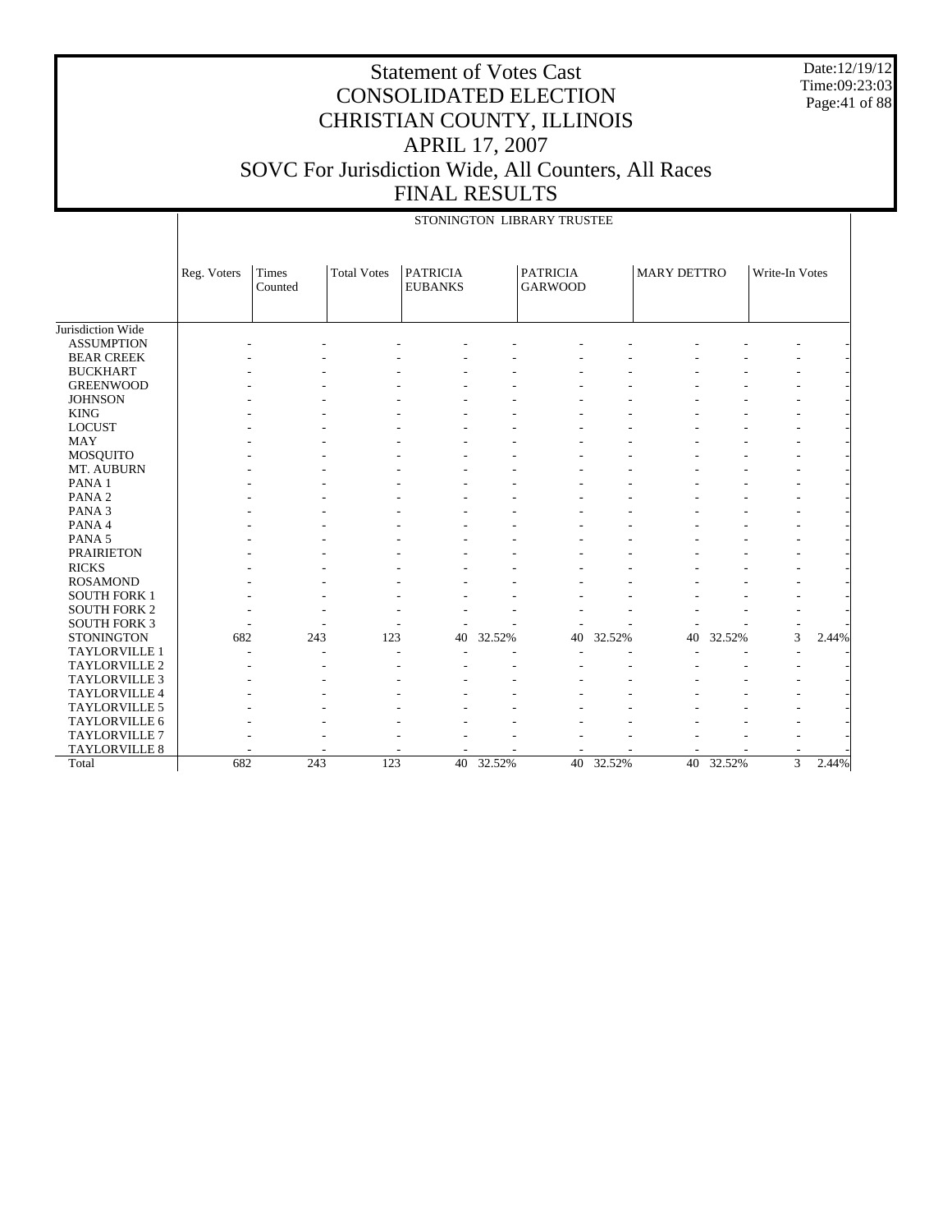Date:12/19/12 Time:09:23:03 Page:41 of 88

|                      | STONINGTON LIBRARY TRUSTEE |                  |                    |                                   |        |                                   |        |                    |        |                |       |
|----------------------|----------------------------|------------------|--------------------|-----------------------------------|--------|-----------------------------------|--------|--------------------|--------|----------------|-------|
|                      | Reg. Voters                | Times<br>Counted | <b>Total Votes</b> | <b>PATRICIA</b><br><b>EUBANKS</b> |        | <b>PATRICIA</b><br><b>GARWOOD</b> |        | <b>MARY DETTRO</b> |        | Write-In Votes |       |
| Jurisdiction Wide    |                            |                  |                    |                                   |        |                                   |        |                    |        |                |       |
| <b>ASSUMPTION</b>    |                            |                  |                    |                                   |        |                                   |        |                    |        |                |       |
| <b>BEAR CREEK</b>    |                            |                  |                    |                                   |        |                                   |        |                    |        |                |       |
| <b>BUCKHART</b>      |                            |                  |                    |                                   |        |                                   |        |                    |        |                |       |
| <b>GREENWOOD</b>     |                            |                  |                    |                                   |        |                                   |        |                    |        |                |       |
| <b>JOHNSON</b>       |                            |                  |                    |                                   |        |                                   |        |                    |        |                |       |
| <b>KING</b>          |                            |                  |                    |                                   |        |                                   |        |                    |        |                |       |
| <b>LOCUST</b>        |                            |                  |                    |                                   |        |                                   |        |                    |        |                |       |
| <b>MAY</b>           |                            |                  |                    |                                   |        |                                   |        |                    |        |                |       |
| <b>MOSQUITO</b>      |                            |                  |                    |                                   |        |                                   |        |                    |        |                |       |
| MT. AUBURN           |                            |                  |                    |                                   |        |                                   |        |                    |        |                |       |
| PANA <sub>1</sub>    |                            |                  |                    |                                   |        |                                   |        |                    |        |                |       |
| PANA <sub>2</sub>    |                            |                  |                    |                                   |        |                                   |        |                    |        |                |       |
| PANA <sub>3</sub>    |                            |                  |                    |                                   |        |                                   |        |                    |        |                |       |
| PANA 4               |                            |                  |                    |                                   |        |                                   |        |                    |        |                |       |
| PANA <sub>5</sub>    |                            |                  |                    |                                   |        |                                   |        |                    |        |                |       |
| <b>PRAIRIETON</b>    |                            |                  |                    |                                   |        |                                   |        |                    |        |                |       |
| <b>RICKS</b>         |                            |                  |                    |                                   |        |                                   |        |                    |        |                |       |
| <b>ROSAMOND</b>      |                            |                  |                    |                                   |        |                                   |        |                    |        |                |       |
| <b>SOUTH FORK 1</b>  |                            |                  |                    |                                   |        |                                   |        |                    |        |                |       |
| <b>SOUTH FORK 2</b>  |                            |                  |                    |                                   |        |                                   |        |                    |        |                |       |
| <b>SOUTH FORK 3</b>  |                            |                  |                    |                                   |        |                                   |        |                    |        |                |       |
| <b>STONINGTON</b>    | 682                        | 243              | 123                | 40                                | 32.52% | 40                                | 32.52% | 40                 | 32.52% | 3              | 2.44% |
| TAYLORVILLE 1        |                            |                  |                    |                                   |        |                                   |        |                    |        |                |       |
| <b>TAYLORVILLE 2</b> |                            |                  |                    |                                   |        |                                   |        |                    |        |                |       |
| TAYLORVILLE 3        |                            |                  |                    |                                   |        |                                   |        |                    |        |                |       |
| TAYLORVILLE 4        |                            |                  |                    |                                   |        |                                   |        |                    |        |                |       |
| TAYLORVILLE 5        |                            |                  |                    |                                   |        |                                   |        |                    |        |                |       |
| TAYLORVILLE 6        |                            |                  |                    |                                   |        |                                   |        |                    |        |                |       |
| TAYLORVILLE 7        |                            |                  |                    |                                   |        |                                   |        |                    |        |                |       |
| TAYLORVILLE 8        |                            |                  |                    |                                   |        |                                   |        |                    |        |                |       |
| Total                | 682                        | 243              | 123                | 40 <sup>7</sup>                   | 32.52% | 40                                | 32.52% | 40                 | 32.52% | $\overline{3}$ | 2.44% |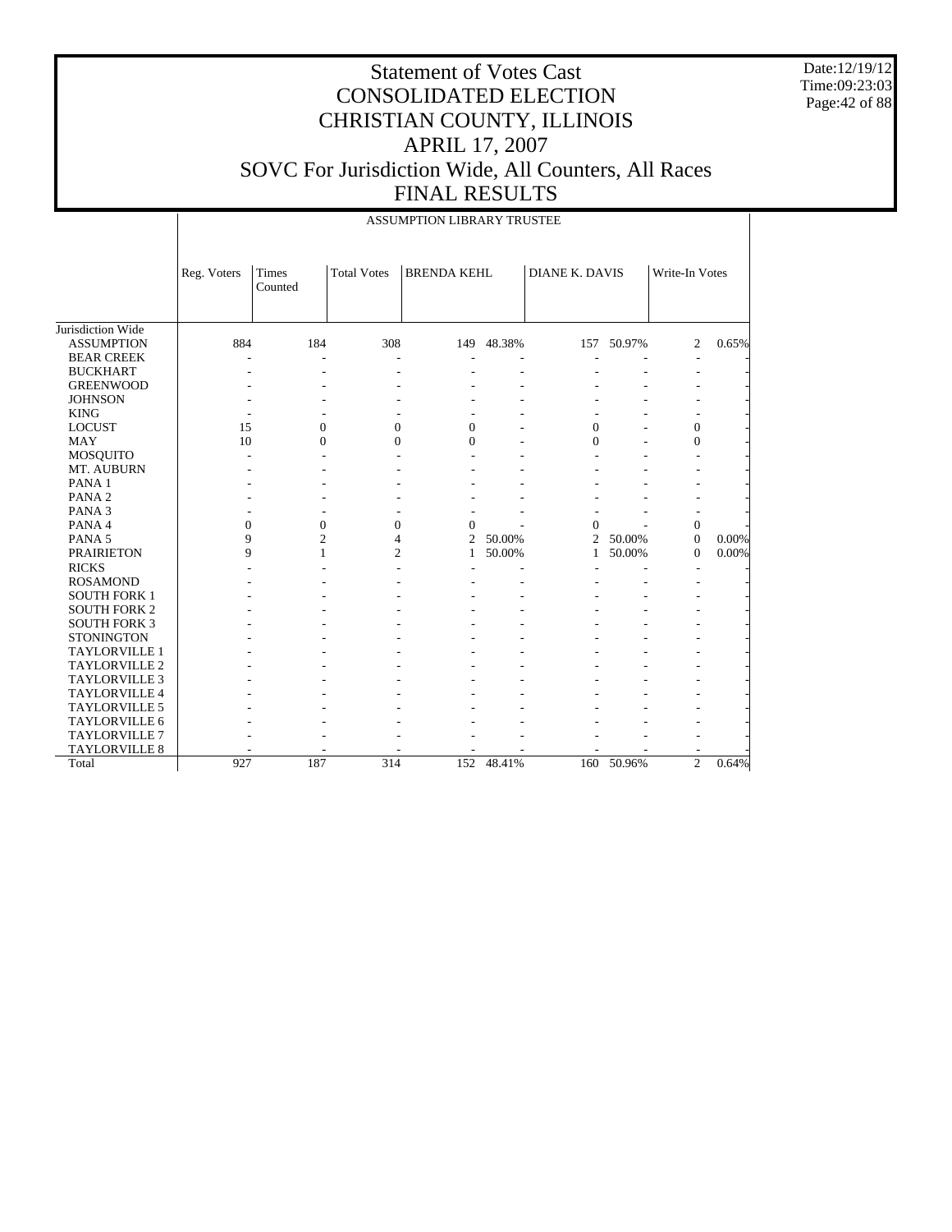Date:12/19/12 Time:09:23:03 Page:42 of 88

|                      |                  |                         |                    | ASSUMPTION LIBRARY TRUSTEE |            |                       |        |                  |       |
|----------------------|------------------|-------------------------|--------------------|----------------------------|------------|-----------------------|--------|------------------|-------|
|                      | Reg. Voters      | <b>Times</b><br>Counted | <b>Total Votes</b> | <b>BRENDA KEHL</b>         |            | <b>DIANE K. DAVIS</b> |        | Write-In Votes   |       |
| Jurisdiction Wide    |                  |                         |                    |                            |            |                       |        |                  |       |
| <b>ASSUMPTION</b>    | 884              | 184                     | 308                |                            | 149 48.38% | 157                   | 50.97% | 2                | 0.65% |
| <b>BEAR CREEK</b>    |                  | ÷,                      | ä,                 |                            |            |                       |        |                  |       |
| <b>BUCKHART</b>      |                  |                         |                    |                            |            |                       |        |                  |       |
| <b>GREENWOOD</b>     |                  |                         |                    |                            |            |                       |        |                  |       |
| <b>JOHNSON</b>       |                  |                         |                    |                            |            |                       |        |                  |       |
| <b>KING</b>          |                  |                         |                    |                            |            |                       |        |                  |       |
| <b>LOCUST</b>        | 15               | $\mathbf{0}$            | $\overline{0}$     | $\mathbf{0}$               |            | $\mathbf{0}$          |        | $\mathbf{0}$     |       |
| <b>MAY</b>           | 10               | $\theta$                | $\theta$           | $\theta$                   |            | $\Omega$              |        | $\mathbf{0}$     |       |
| MOSQUITO             |                  |                         |                    |                            |            |                       |        |                  |       |
| MT. AUBURN           |                  |                         |                    |                            |            |                       |        |                  |       |
| PANA <sub>1</sub>    |                  |                         |                    |                            |            |                       |        |                  |       |
| PANA <sub>2</sub>    |                  |                         |                    |                            |            |                       |        |                  |       |
| PANA <sub>3</sub>    |                  |                         |                    |                            |            |                       |        |                  |       |
| PANA 4               | $\boldsymbol{0}$ | $\mathbf{0}$            | $\overline{0}$     | $\mathbf{0}$               |            | $\Omega$              |        | $\boldsymbol{0}$ |       |
| PANA <sub>5</sub>    | 9                | $\overline{c}$          | 4                  | $\mathfrak{D}$             | 50.00%     | $\overline{2}$        | 50.00% | $\mathbf{0}$     | 0.00% |
| <b>PRAIRIETON</b>    | 9                | 1                       | $\overline{c}$     | 1                          | 50.00%     | $\mathbf{1}$          | 50.00% | $\mathbf{0}$     | 0.00% |
| <b>RICKS</b>         |                  |                         |                    |                            |            |                       |        |                  |       |
| <b>ROSAMOND</b>      |                  |                         |                    |                            |            |                       |        |                  |       |
| <b>SOUTH FORK 1</b>  |                  |                         |                    |                            |            |                       |        |                  |       |
| <b>SOUTH FORK 2</b>  |                  |                         |                    |                            |            |                       |        |                  |       |
| <b>SOUTH FORK 3</b>  |                  |                         |                    |                            |            |                       |        |                  |       |
| <b>STONINGTON</b>    |                  |                         |                    |                            |            |                       |        |                  |       |
| <b>TAYLORVILLE 1</b> |                  |                         |                    |                            |            |                       |        |                  |       |
| TAYLORVILLE 2        |                  |                         |                    |                            |            |                       |        |                  |       |
| <b>TAYLORVILLE 3</b> |                  |                         |                    |                            |            |                       |        |                  |       |
| TAYLORVILLE 4        |                  |                         |                    |                            |            |                       |        |                  |       |
| <b>TAYLORVILLE 5</b> |                  |                         |                    |                            |            |                       |        |                  |       |
| TAYLORVILLE 6        |                  |                         |                    |                            |            |                       |        |                  |       |
| TAYLORVILLE 7        |                  |                         |                    |                            |            |                       |        |                  |       |
| TAYLORVILLE 8        |                  |                         |                    |                            |            |                       |        |                  |       |
| Total                | 927              | 187                     | 314                | 152                        | 48.41%     | 160                   | 50.96% | $\overline{2}$   | 0.64% |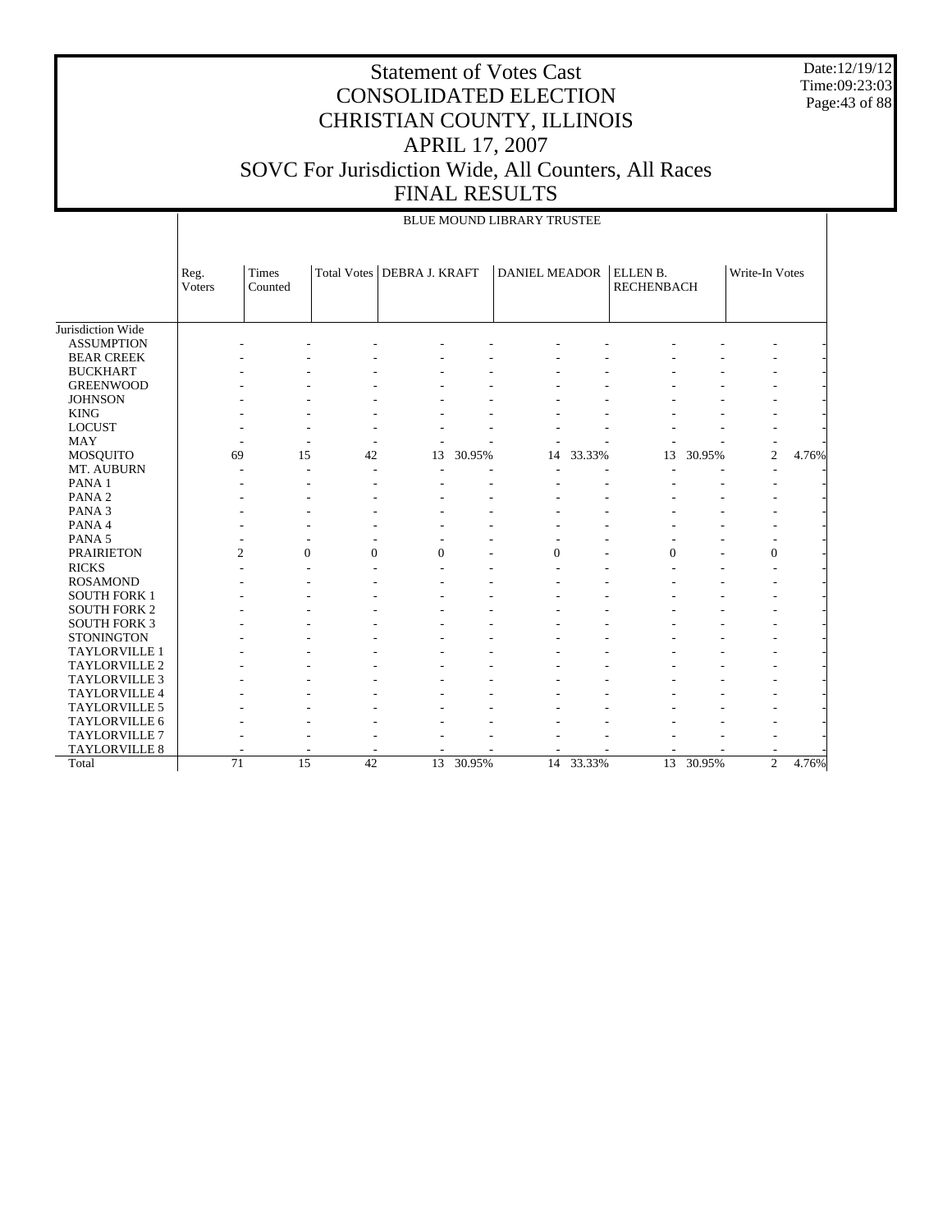Date:12/19/12 Time:09:23:03 Page: 43 of 88

|                        |                 |                  |          |                              |           | <b>BLUE MOUND LIBRARY TRUSTEE</b> |           |                               |        |                |       |
|------------------------|-----------------|------------------|----------|------------------------------|-----------|-----------------------------------|-----------|-------------------------------|--------|----------------|-------|
|                        |                 |                  |          |                              |           |                                   |           |                               |        |                |       |
|                        | Reg.<br>Voters  | Times<br>Counted |          | Total Votes   DEBRA J. KRAFT |           | <b>DANIEL MEADOR</b>              |           | ELLEN B.<br><b>RECHENBACH</b> |        | Write-In Votes |       |
|                        |                 |                  |          |                              |           |                                   |           |                               |        |                |       |
| Jurisdiction Wide      |                 |                  |          |                              |           |                                   |           |                               |        |                |       |
| <b>ASSUMPTION</b>      |                 |                  |          |                              |           |                                   |           |                               |        |                |       |
| <b>BEAR CREEK</b>      |                 |                  |          |                              |           |                                   |           |                               |        |                |       |
| <b>BUCKHART</b>        |                 |                  |          |                              |           |                                   |           |                               |        |                |       |
| <b>GREENWOOD</b>       |                 |                  |          |                              |           |                                   |           |                               |        |                |       |
| <b>JOHNSON</b>         |                 |                  |          |                              |           |                                   |           |                               |        |                |       |
| <b>KING</b>            |                 |                  |          |                              |           |                                   |           |                               |        |                |       |
| <b>LOCUST</b>          |                 |                  |          |                              |           |                                   |           |                               |        |                |       |
| <b>MAY</b>             | 69              | 15               |          |                              |           |                                   |           |                               |        | $\overline{c}$ |       |
| MOSQUITO<br>MT. AUBURN |                 |                  | 42       | 13                           | 30.95%    | 14                                | 33.33%    | 13                            | 30.95% |                | 4.76% |
| PANA 1                 |                 |                  |          |                              |           |                                   |           |                               |        |                |       |
| PANA <sub>2</sub>      |                 |                  |          |                              |           |                                   |           |                               |        |                |       |
| PANA <sub>3</sub>      |                 |                  |          |                              |           |                                   |           |                               |        |                |       |
| PANA 4                 |                 |                  |          |                              |           |                                   |           |                               |        |                |       |
| PANA <sub>5</sub>      |                 |                  |          |                              |           |                                   |           |                               |        |                |       |
| <b>PRAIRIETON</b>      | $\overline{c}$  | $\mathbf{0}$     | $\Omega$ | $\theta$                     |           | $\Omega$                          |           | $\mathbf{0}$                  |        | $\mathbf{0}$   |       |
| <b>RICKS</b>           |                 |                  |          |                              |           |                                   |           |                               |        |                |       |
| <b>ROSAMOND</b>        |                 |                  |          |                              |           |                                   |           |                               |        |                |       |
| <b>SOUTH FORK 1</b>    |                 |                  |          |                              |           |                                   |           |                               |        |                |       |
| <b>SOUTH FORK 2</b>    |                 |                  |          |                              |           |                                   |           |                               |        |                |       |
| <b>SOUTH FORK 3</b>    |                 |                  |          |                              |           |                                   |           |                               |        |                |       |
| <b>STONINGTON</b>      |                 |                  |          |                              |           |                                   |           |                               |        |                |       |
| TAYLORVILLE 1          |                 |                  |          |                              |           |                                   |           |                               |        |                |       |
| <b>TAYLORVILLE 2</b>   |                 |                  |          |                              |           |                                   |           |                               |        |                |       |
| TAYLORVILLE 3          |                 |                  |          |                              |           |                                   |           |                               |        |                |       |
| TAYLORVILLE 4          |                 |                  |          |                              |           |                                   |           |                               |        |                |       |
| <b>TAYLORVILLE 5</b>   |                 |                  |          |                              |           |                                   |           |                               |        |                |       |
| TAYLORVILLE 6          |                 |                  |          |                              |           |                                   |           |                               |        |                |       |
| <b>TAYLORVILLE 7</b>   |                 |                  |          |                              |           |                                   |           |                               |        |                |       |
| <b>TAYLORVILLE 8</b>   |                 |                  |          |                              |           |                                   |           |                               |        |                |       |
| Total                  | $\overline{71}$ | $\overline{15}$  | 42       |                              | 13 30.95% |                                   | 14 33.33% | 13                            | 30.95% | $\overline{c}$ | 4.76% |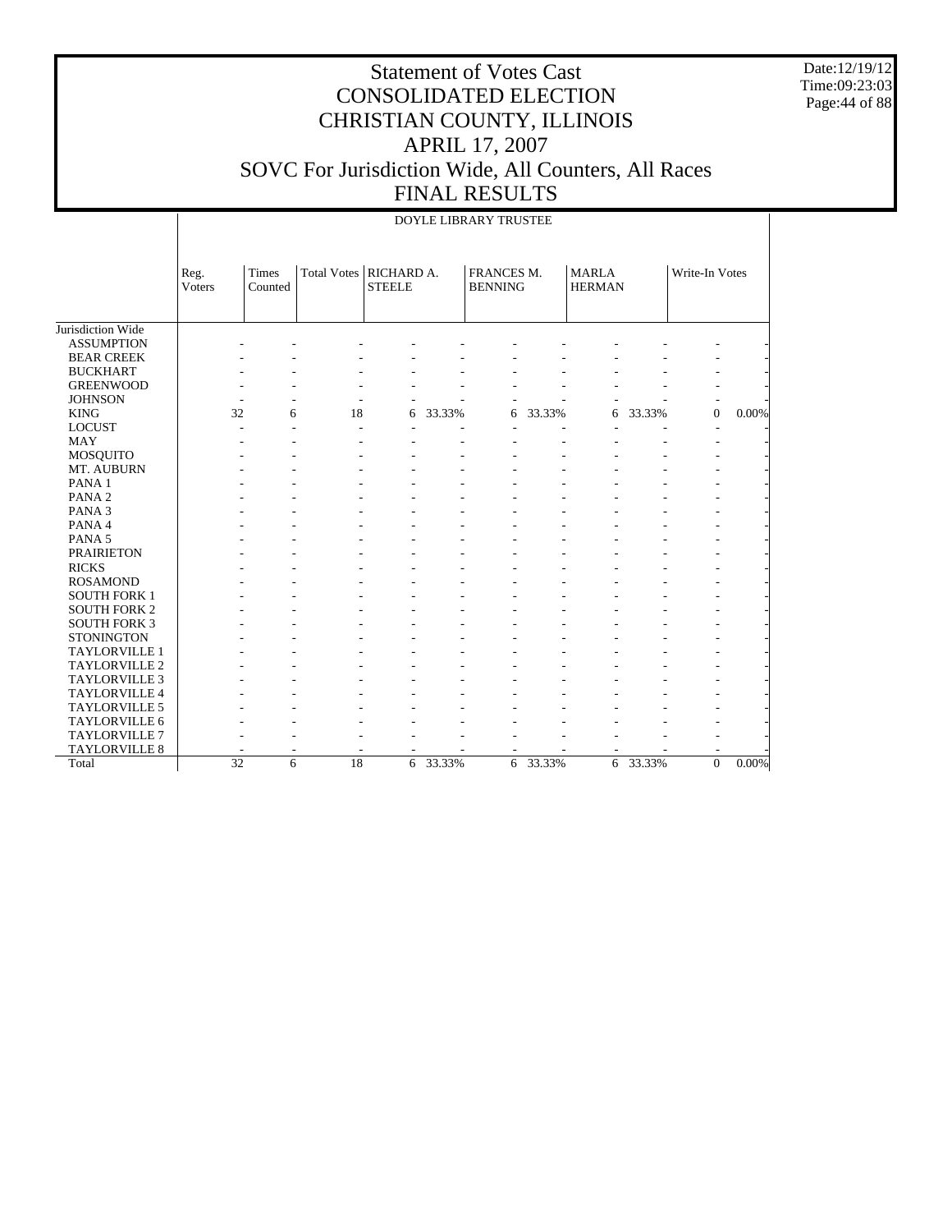Date:12/19/12 Time:09:23:03 Page:44 of 88

|                      |                 |                  |                          |               |        | DOYLE LIBRARY TRUSTEE        |        |                               |        |                |          |
|----------------------|-----------------|------------------|--------------------------|---------------|--------|------------------------------|--------|-------------------------------|--------|----------------|----------|
|                      |                 |                  |                          |               |        |                              |        |                               |        |                |          |
|                      | Reg.<br>Voters  | Times<br>Counted | Total Votes   RICHARD A. | <b>STEELE</b> |        | FRANCES M.<br><b>BENNING</b> |        | <b>MARLA</b><br><b>HERMAN</b> |        | Write-In Votes |          |
|                      |                 |                  |                          |               |        |                              |        |                               |        |                |          |
|                      |                 |                  |                          |               |        |                              |        |                               |        |                |          |
| Jurisdiction Wide    |                 |                  |                          |               |        |                              |        |                               |        |                |          |
| <b>ASSUMPTION</b>    |                 |                  |                          |               |        |                              |        |                               |        |                |          |
| <b>BEAR CREEK</b>    |                 |                  |                          |               |        |                              |        |                               |        |                |          |
| <b>BUCKHART</b>      |                 |                  |                          |               |        |                              |        |                               |        |                |          |
| <b>GREENWOOD</b>     |                 |                  |                          |               |        |                              |        |                               |        |                |          |
| <b>JOHNSON</b>       | ٠               |                  |                          |               |        |                              |        |                               |        |                |          |
| <b>KING</b>          | 32              | 6                | 18                       | 6             | 33.33% | 6                            | 33.33% | 6                             | 33.33% | $\Omega$       | 0.00%    |
| <b>LOCUST</b>        |                 |                  | J.                       |               |        |                              |        |                               |        |                |          |
| <b>MAY</b>           |                 |                  |                          |               |        |                              |        |                               |        |                |          |
| MOSQUITO             |                 |                  |                          |               |        |                              |        |                               |        |                |          |
| MT. AUBURN           |                 |                  |                          |               |        |                              |        |                               |        |                |          |
| PANA <sub>1</sub>    |                 |                  |                          |               |        |                              |        |                               |        |                |          |
| PANA <sub>2</sub>    |                 |                  |                          |               |        |                              |        |                               |        |                |          |
| PANA <sub>3</sub>    |                 |                  |                          |               |        |                              |        |                               |        |                |          |
| PANA 4               |                 |                  |                          |               |        |                              |        |                               |        |                |          |
| PANA <sub>5</sub>    |                 |                  |                          |               |        |                              |        |                               |        |                |          |
| <b>PRAIRIETON</b>    |                 |                  |                          |               |        |                              |        |                               |        |                |          |
| <b>RICKS</b>         |                 |                  |                          |               |        |                              |        |                               |        |                |          |
| <b>ROSAMOND</b>      |                 |                  |                          |               |        |                              |        |                               |        |                |          |
| <b>SOUTH FORK 1</b>  |                 |                  |                          |               |        |                              |        |                               |        |                |          |
| <b>SOUTH FORK 2</b>  |                 |                  |                          |               |        |                              |        |                               |        |                |          |
| <b>SOUTH FORK 3</b>  |                 |                  |                          |               |        |                              |        |                               |        |                |          |
| <b>STONINGTON</b>    |                 |                  |                          |               |        |                              |        |                               |        |                |          |
| TAYLORVILLE 1        |                 |                  |                          |               |        |                              |        |                               |        |                |          |
| <b>TAYLORVILLE 2</b> |                 |                  |                          |               |        |                              |        |                               |        |                |          |
| <b>TAYLORVILLE 3</b> |                 |                  |                          |               |        |                              |        |                               |        |                |          |
| TAYLORVILLE 4        |                 |                  |                          |               |        |                              |        |                               |        |                |          |
| TAYLORVILLE 5        |                 |                  |                          |               |        |                              |        |                               |        |                |          |
| TAYLORVILLE 6        |                 |                  |                          |               |        |                              |        |                               |        |                |          |
| <b>TAYLORVILLE 7</b> |                 |                  |                          |               |        |                              |        |                               |        |                |          |
| <b>TAYLORVILLE 8</b> |                 |                  |                          |               |        |                              |        |                               |        |                |          |
| Total                | $\overline{32}$ | 6                | 18                       | 6             | 33.33% | 6                            | 33.33% | 6                             | 33.33% | $\Omega$       | $0.00\%$ |
|                      |                 |                  |                          |               |        |                              |        |                               |        |                |          |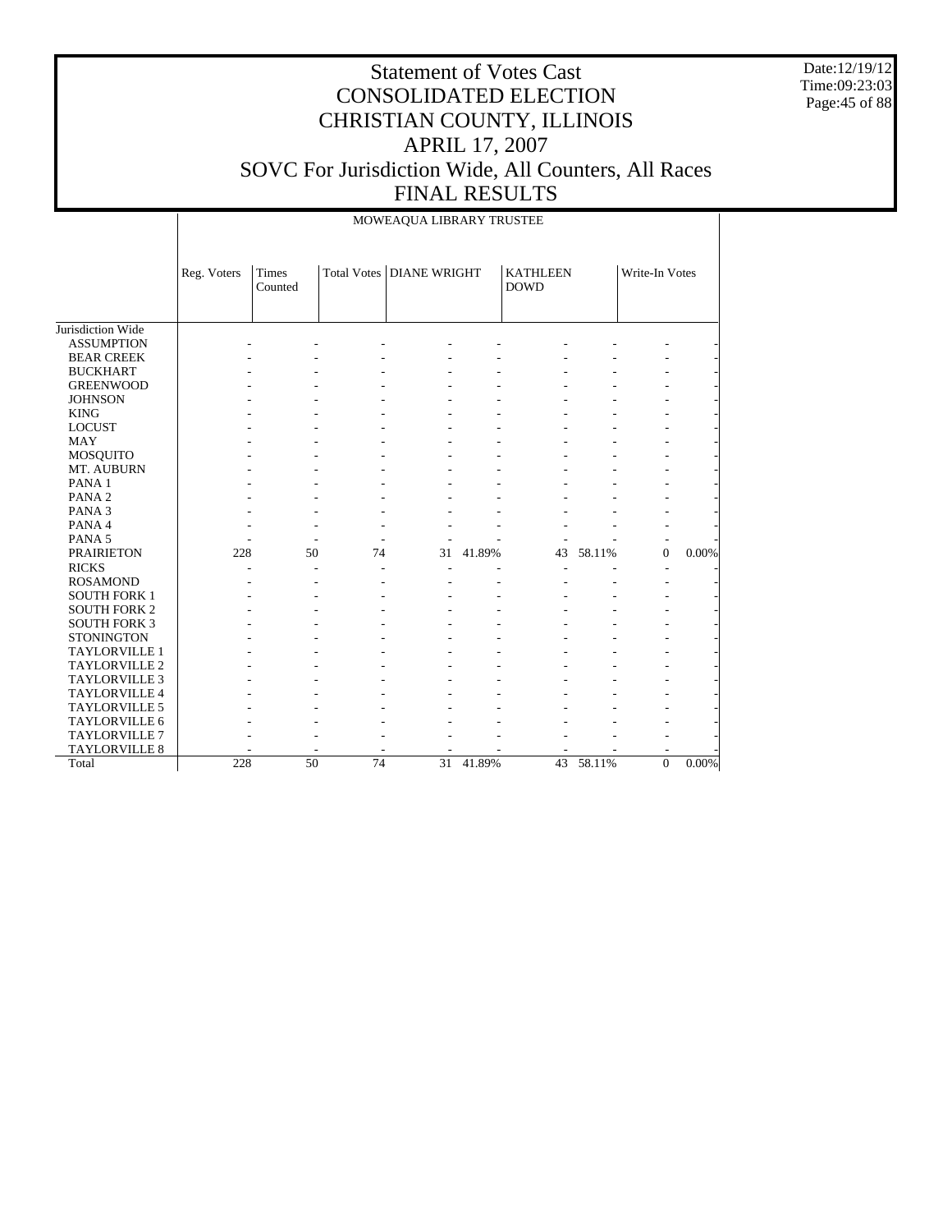Date:12/19/12 Time:09:23:03 Page:45 of 88

|                      |             |                  |                 | MOWEAQUA LIBRARY TRUSTEE   |        |                                |        |                |       |
|----------------------|-------------|------------------|-----------------|----------------------------|--------|--------------------------------|--------|----------------|-------|
|                      | Reg. Voters | Times<br>Counted |                 | Total Votes   DIANE WRIGHT |        | <b>KATHLEEN</b><br><b>DOWD</b> |        | Write-In Votes |       |
| Jurisdiction Wide    |             |                  |                 |                            |        |                                |        |                |       |
| <b>ASSUMPTION</b>    |             |                  |                 |                            |        |                                |        |                |       |
| <b>BEAR CREEK</b>    |             |                  |                 |                            |        |                                |        |                |       |
| <b>BUCKHART</b>      |             |                  |                 |                            |        |                                |        |                |       |
| <b>GREENWOOD</b>     |             |                  |                 |                            |        |                                |        |                |       |
| <b>JOHNSON</b>       |             |                  |                 |                            |        |                                |        |                |       |
| <b>KING</b>          |             |                  |                 |                            |        |                                |        |                |       |
| <b>LOCUST</b>        |             |                  |                 |                            |        |                                |        |                |       |
| <b>MAY</b>           |             |                  |                 |                            |        |                                |        |                |       |
| MOSQUITO             |             |                  |                 |                            |        |                                |        |                |       |
| MT. AUBURN           |             |                  |                 |                            |        |                                |        |                |       |
| PANA <sub>1</sub>    |             |                  |                 |                            |        |                                |        |                |       |
| PANA <sub>2</sub>    |             |                  |                 |                            |        |                                |        |                |       |
| PANA <sub>3</sub>    |             |                  |                 |                            |        |                                |        |                |       |
| PANA 4               |             |                  |                 |                            |        |                                |        |                |       |
| PANA <sub>5</sub>    |             |                  |                 |                            |        |                                |        |                |       |
| <b>PRAIRIETON</b>    | 228         | 50               | 74              | 31                         | 41.89% | 43                             | 58.11% | $\overline{0}$ | 0.00% |
| <b>RICKS</b>         |             |                  |                 |                            |        |                                |        |                |       |
| <b>ROSAMOND</b>      |             |                  |                 |                            |        |                                |        |                |       |
| <b>SOUTH FORK 1</b>  |             |                  |                 |                            |        |                                |        |                |       |
| <b>SOUTH FORK 2</b>  |             |                  |                 |                            |        |                                |        |                |       |
| <b>SOUTH FORK 3</b>  |             |                  |                 |                            |        |                                |        |                |       |
| <b>STONINGTON</b>    |             |                  |                 |                            |        |                                |        |                |       |
| <b>TAYLORVILLE 1</b> |             |                  |                 |                            |        |                                |        |                |       |
| <b>TAYLORVILLE 2</b> |             |                  |                 |                            |        |                                |        |                |       |
| <b>TAYLORVILLE 3</b> |             |                  |                 |                            |        |                                |        |                |       |
| TAYLORVILLE 4        |             |                  |                 |                            |        |                                |        |                |       |
| TAYLORVILLE 5        |             |                  |                 |                            |        |                                |        |                |       |
| TAYLORVILLE 6        |             |                  |                 |                            |        |                                |        |                |       |
| <b>TAYLORVILLE 7</b> |             |                  |                 |                            |        |                                |        |                |       |
| TAYLORVILLE 8        |             |                  |                 |                            |        |                                |        |                |       |
| Total                | 228         | 50               | $\overline{74}$ | $\overline{31}$            | 41.89% | 43                             | 58.11% | $\overline{0}$ | 0.00% |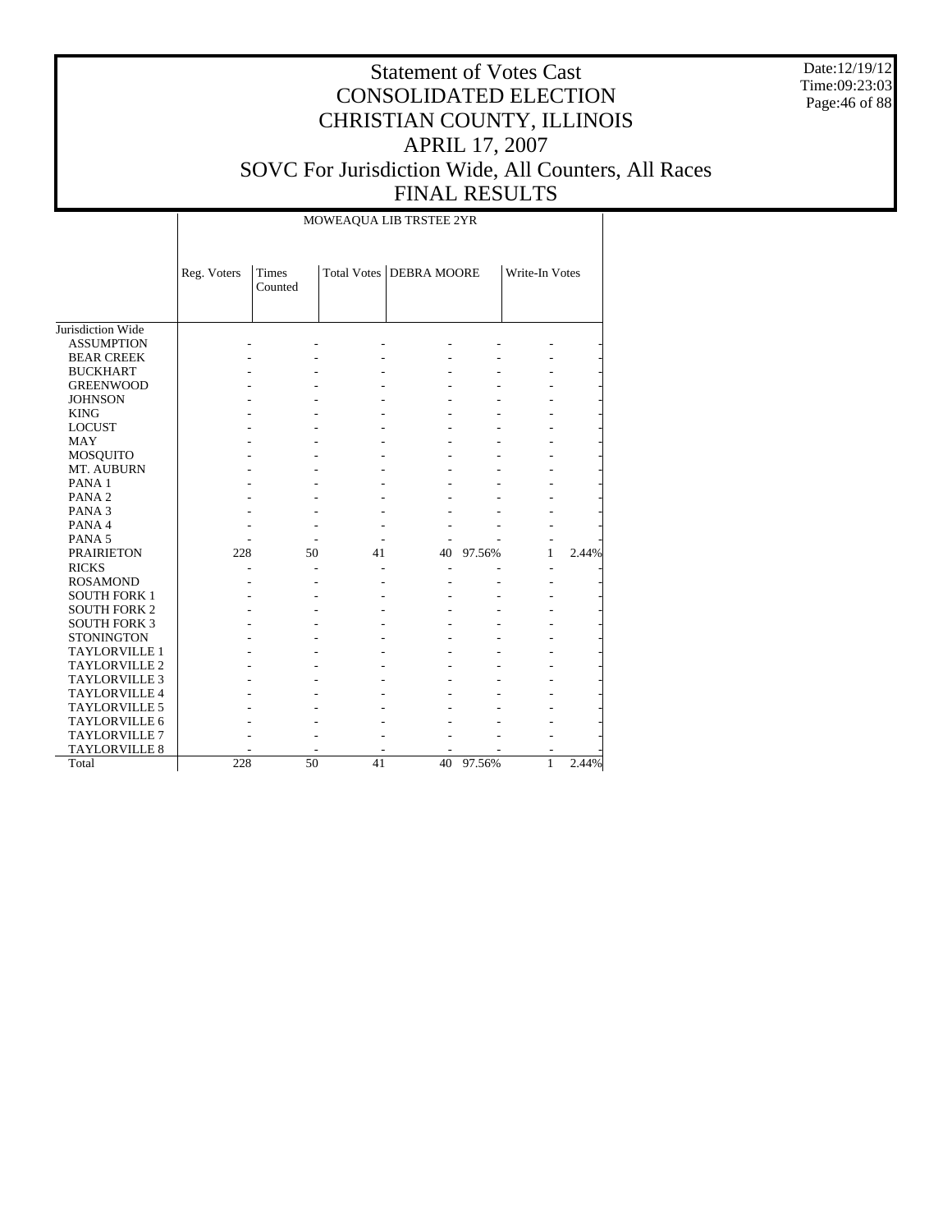Date:12/19/12 Time:09:23:03 Page:46 of 88

# Statement of Votes Cast CONSOLIDATED ELECTION CHRISTIAN COUNTY, ILLINOIS APRIL 17, 2007 SOVC For Jurisdiction Wide, All Counters, All Races FINAL RESULTS

#### MOWEAQUA LIB TRSTEE 2YR

|                      | Reg. Voters | <b>Times</b><br>Counted |    | Total Votes DEBRA MOORE |        | Write-In Votes |       |
|----------------------|-------------|-------------------------|----|-------------------------|--------|----------------|-------|
| Jurisdiction Wide    |             |                         |    |                         |        |                |       |
| <b>ASSUMPTION</b>    |             |                         |    |                         |        |                |       |
| <b>BEAR CREEK</b>    |             |                         |    |                         |        |                |       |
| <b>BUCKHART</b>      |             |                         |    |                         |        |                |       |
| <b>GREENWOOD</b>     |             |                         |    |                         |        |                |       |
| <b>JOHNSON</b>       |             |                         |    |                         |        |                |       |
| <b>KING</b>          |             |                         |    |                         |        |                |       |
| <b>LOCUST</b>        |             |                         |    |                         |        |                |       |
| <b>MAY</b>           |             |                         |    |                         |        |                |       |
| <b>MOSQUITO</b>      |             |                         |    |                         |        |                |       |
| MT. AUBURN           |             |                         |    |                         |        |                |       |
| PANA <sub>1</sub>    |             |                         |    |                         |        |                |       |
| PANA <sub>2</sub>    |             |                         |    |                         |        |                |       |
| PANA <sub>3</sub>    |             |                         |    |                         |        |                |       |
| PANA 4               |             |                         |    |                         |        |                |       |
| PANA <sub>5</sub>    |             |                         |    |                         |        |                |       |
| <b>PRAIRIETON</b>    | 228         | 50                      | 41 | 40                      | 97.56% | 1              | 2.44% |
| <b>RICKS</b>         |             |                         |    |                         |        | ٠              |       |
| <b>ROSAMOND</b>      |             |                         |    |                         |        |                |       |
| <b>SOUTH FORK 1</b>  |             |                         |    |                         |        |                |       |
| <b>SOUTH FORK 2</b>  |             |                         |    |                         |        |                |       |
| <b>SOUTH FORK 3</b>  |             |                         |    |                         |        |                |       |
| <b>STONINGTON</b>    |             |                         |    |                         |        |                |       |
| <b>TAYLORVILLE 1</b> |             |                         |    |                         |        |                |       |
| <b>TAYLORVILLE 2</b> |             |                         |    |                         |        |                |       |
| <b>TAYLORVILLE 3</b> |             |                         |    |                         |        |                |       |
| <b>TAYLORVILLE 4</b> |             |                         |    |                         |        |                |       |
| <b>TAYLORVILLE 5</b> |             |                         |    |                         |        |                |       |
| <b>TAYLORVILLE 6</b> |             |                         |    |                         |        |                |       |
| <b>TAYLORVILLE 7</b> |             |                         |    |                         |        |                |       |
| <b>TAYLORVILLE 8</b> |             |                         |    |                         |        |                |       |
| Total                | 228         | 50                      | 41 | 40                      | 97.56% | 1              | 2.44% |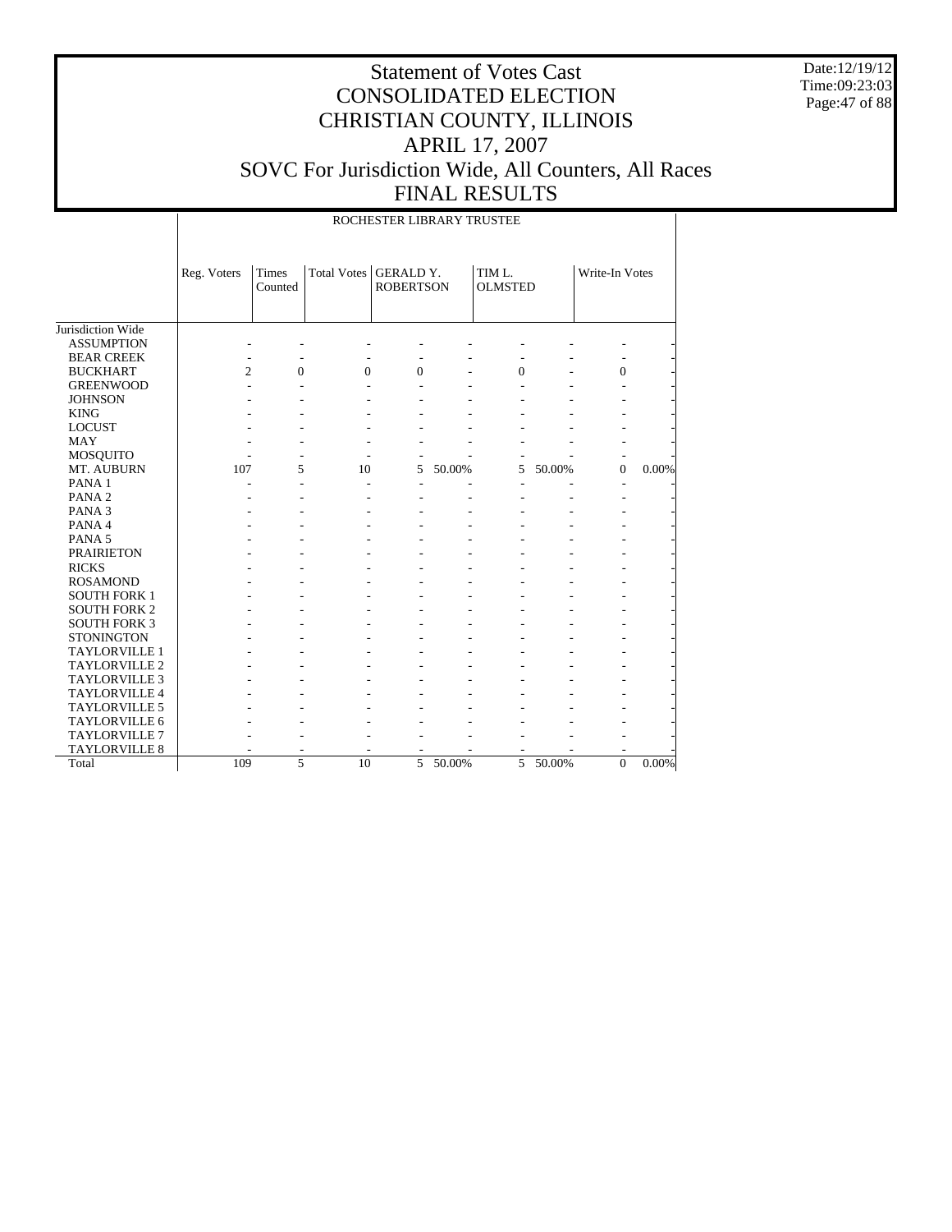Date:12/19/12 Time:09:23:03 Page:47 of 88

|                      | ROCHESTER LIBRARY TRUSTEE |                  |             |                                      |        |                          |        |                |          |  |  |
|----------------------|---------------------------|------------------|-------------|--------------------------------------|--------|--------------------------|--------|----------------|----------|--|--|
|                      | Reg. Voters               | Times<br>Counted | Total Votes | <b>GERALD Y.</b><br><b>ROBERTSON</b> |        | TIM L.<br><b>OLMSTED</b> |        | Write-In Votes |          |  |  |
| Jurisdiction Wide    |                           |                  |             |                                      |        |                          |        |                |          |  |  |
| <b>ASSUMPTION</b>    |                           |                  |             |                                      |        |                          |        |                |          |  |  |
| <b>BEAR CREEK</b>    |                           |                  |             |                                      |        |                          |        |                |          |  |  |
| <b>BUCKHART</b>      | $\overline{c}$            | $\theta$         | $\theta$    | $\theta$                             |        | $\overline{0}$           |        | $\theta$       |          |  |  |
| <b>GREENWOOD</b>     |                           |                  |             |                                      |        |                          |        |                |          |  |  |
| <b>JOHNSON</b>       |                           |                  |             |                                      |        |                          |        |                |          |  |  |
| <b>KING</b>          |                           |                  |             |                                      |        |                          |        |                |          |  |  |
| <b>LOCUST</b>        |                           |                  |             |                                      |        |                          |        |                |          |  |  |
| <b>MAY</b>           |                           |                  |             |                                      |        |                          |        | ٠              |          |  |  |
| <b>MOSQUITO</b>      |                           |                  |             |                                      |        |                          |        |                |          |  |  |
| MT. AUBURN           | 107                       | 5                | 10          | 5                                    | 50.00% | 5                        | 50.00% | $\overline{0}$ | 0.00%    |  |  |
| PANA 1               |                           |                  |             |                                      |        |                          |        | $\overline{a}$ |          |  |  |
| PANA <sub>2</sub>    |                           |                  |             |                                      |        |                          |        | $\overline{a}$ |          |  |  |
| PANA <sub>3</sub>    |                           |                  |             |                                      |        |                          |        |                |          |  |  |
| PANA 4               |                           |                  |             |                                      |        |                          |        |                |          |  |  |
| PANA <sub>5</sub>    |                           |                  |             |                                      |        |                          |        |                |          |  |  |
| <b>PRAIRIETON</b>    |                           |                  |             |                                      |        |                          |        |                |          |  |  |
| <b>RICKS</b>         |                           |                  |             |                                      |        |                          |        |                |          |  |  |
| <b>ROSAMOND</b>      |                           |                  |             |                                      |        |                          |        |                |          |  |  |
| <b>SOUTH FORK 1</b>  |                           |                  |             |                                      |        |                          |        |                |          |  |  |
| <b>SOUTH FORK 2</b>  |                           |                  |             |                                      |        |                          |        |                |          |  |  |
| <b>SOUTH FORK 3</b>  |                           |                  |             |                                      |        |                          |        |                |          |  |  |
| <b>STONINGTON</b>    |                           |                  |             |                                      |        |                          |        |                |          |  |  |
| TAYLORVILLE 1        |                           |                  |             |                                      |        |                          |        |                |          |  |  |
| TAYLORVILLE 2        |                           |                  |             |                                      |        |                          |        |                |          |  |  |
| TAYLORVILLE 3        |                           |                  |             |                                      |        |                          |        |                |          |  |  |
| <b>TAYLORVILLE 4</b> |                           |                  |             |                                      |        |                          |        |                |          |  |  |
| <b>TAYLORVILLE 5</b> |                           |                  |             |                                      |        |                          |        |                |          |  |  |
| TAYLORVILLE 6        |                           |                  |             |                                      |        |                          |        |                |          |  |  |
| <b>TAYLORVILLE 7</b> |                           |                  |             |                                      |        |                          |        |                |          |  |  |
| <b>TAYLORVILLE 8</b> |                           |                  |             |                                      |        |                          |        |                |          |  |  |
| Total                | 109                       | 5                | 10          | 5                                    | 50.00% | 5                        | 50.00% | $\overline{0}$ | $0.00\%$ |  |  |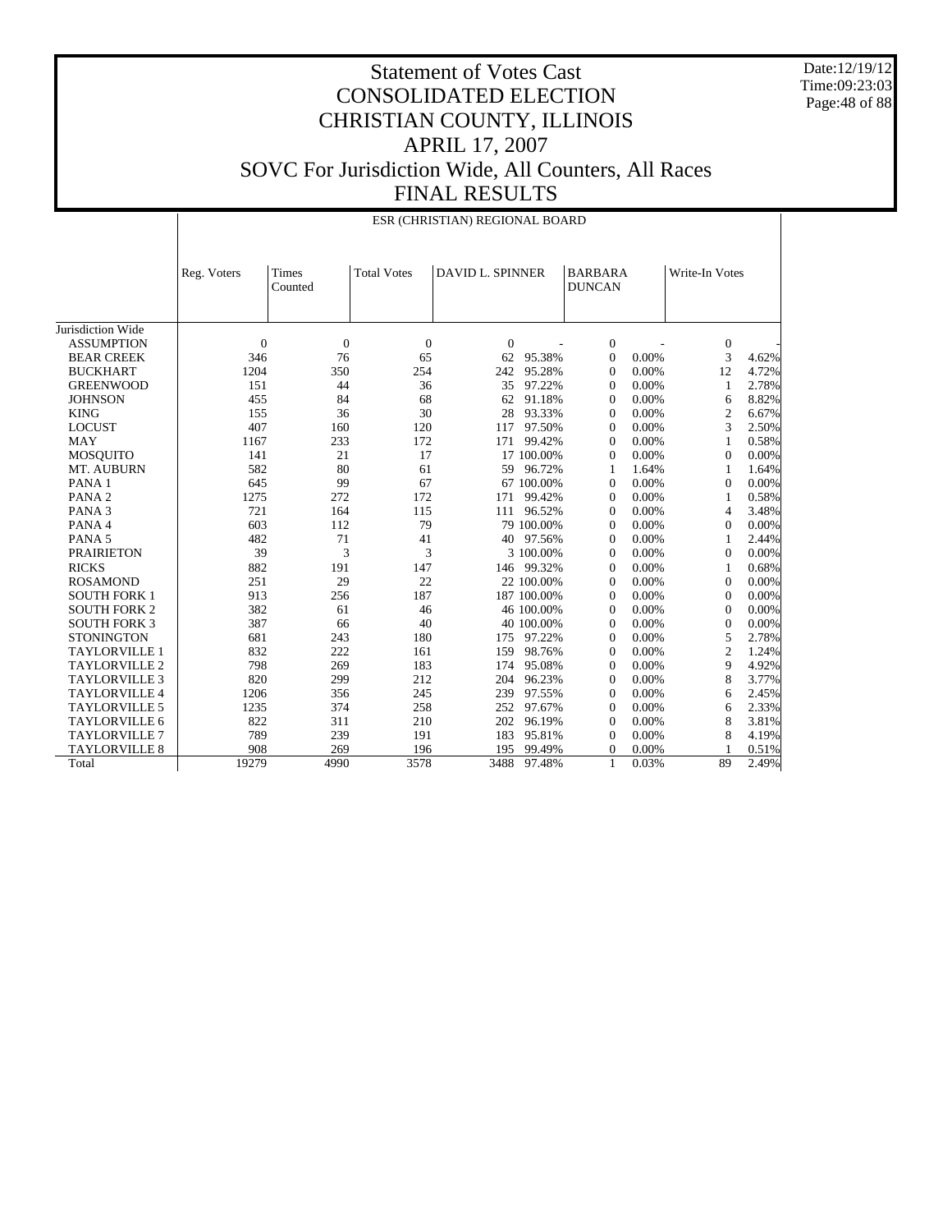Date:12/19/12 Time:09:23:03 Page:48 of 88

|                      |                | ESR (CHRISTIAN) REGIONAL BOARD |                    |                         |             |                                 |  |                  |       |  |  |  |
|----------------------|----------------|--------------------------------|--------------------|-------------------------|-------------|---------------------------------|--|------------------|-------|--|--|--|
|                      | Reg. Voters    | Times<br>Counted               | <b>Total Votes</b> | <b>DAVID L. SPINNER</b> |             | <b>BARBARA</b><br><b>DUNCAN</b> |  | Write-In Votes   |       |  |  |  |
| Jurisdiction Wide    |                |                                |                    |                         |             |                                 |  |                  |       |  |  |  |
| <b>ASSUMPTION</b>    | $\overline{0}$ | $\mathbf{0}$                   | $\boldsymbol{0}$   | $\boldsymbol{0}$        |             | $\boldsymbol{0}$                |  | $\boldsymbol{0}$ |       |  |  |  |
| <b>BEAR CREEK</b>    | 346            | 76                             | 65                 | 62                      | 95.38%      | 0.00%<br>$\overline{0}$         |  | 3                | 4.62% |  |  |  |
| <b>BUCKHART</b>      | 1204           | 350                            | 254                | 242                     | 95.28%      | $\overline{0}$<br>0.00%         |  | 12               | 4.72% |  |  |  |
| <b>GREENWOOD</b>     | 151            | 44                             | 36                 | 35                      | 97.22%      | 0.00%<br>$\theta$               |  | $\mathbf{1}$     | 2.78% |  |  |  |
| <b>JOHNSON</b>       | 455            | 84                             | 68                 | 62                      | 91.18%      | 0.00%<br>$\theta$               |  | 6                | 8.82% |  |  |  |
| <b>KING</b>          | 155            | 36                             | 30                 | 28                      | 93.33%      | 0.00%<br>$\theta$               |  | $\mathbf{2}$     | 6.67% |  |  |  |
| <b>LOCUST</b>        | 407            | 160                            | 120                | 117                     | 97.50%      | 0.00%<br>$\theta$               |  | 3                | 2.50% |  |  |  |
| <b>MAY</b>           | 1167           | 233                            | 172                | 171                     | 99.42%      | 0.00%<br>$\theta$               |  | 1                | 0.58% |  |  |  |
| <b>MOSQUITO</b>      | 141            | 21                             | 17                 |                         | 17 100.00%  | 0.00%<br>$\overline{0}$         |  | $\Omega$         | 0.00% |  |  |  |
| MT. AUBURN           | 582            | 80                             | 61                 | 59                      | 96.72%      | 1.64%<br>1                      |  | $\mathbf{1}$     | 1.64% |  |  |  |
| PANA 1               | 645            | 99                             | 67                 |                         | 67 100.00%  | 0.00%<br>$\overline{0}$         |  | $\mathbf{0}$     | 0.00% |  |  |  |
| PANA <sub>2</sub>    | 1275           | 272                            | 172                | 171                     | 99.42%      | 0.00%<br>$\theta$               |  | 1                | 0.58% |  |  |  |
| PANA <sub>3</sub>    | 721            | 164                            | 115                | 111                     | 96.52%      | 0.00%<br>$\theta$               |  | $\overline{4}$   | 3.48% |  |  |  |
| PANA 4               | 603            | 112                            | 79                 |                         | 79 100.00%  | 0.00%<br>$\overline{0}$         |  | $\mathbf{0}$     | 0.00% |  |  |  |
|                      | 482            | 71                             |                    |                         |             | 0.00%                           |  | 1                |       |  |  |  |
| PANA <sub>5</sub>    |                | 3                              | 41                 | 40                      | 97.56%      | $\overline{0}$                  |  |                  | 2.44% |  |  |  |
| <b>PRAIRIETON</b>    | 39             |                                | 3                  |                         | 3 100.00%   | 0.00%<br>$\theta$               |  | $\boldsymbol{0}$ | 0.00% |  |  |  |
| <b>RICKS</b>         | 882            | 191                            | 147                |                         | 146 99.32%  | 0.00%<br>$\theta$               |  | 1                | 0.68% |  |  |  |
| <b>ROSAMOND</b>      | 251            | 29                             | 22                 |                         | 22 100.00%  | 0.00%<br>$\Omega$               |  | $\Omega$         | 0.00% |  |  |  |
| <b>SOUTH FORK 1</b>  | 913            | 256                            | 187                |                         | 187 100.00% | $\Omega$<br>0.00%               |  | $\Omega$         | 0.00% |  |  |  |
| <b>SOUTH FORK 2</b>  | 382            | 61                             | 46                 |                         | 46 100.00%  | 0.00%<br>$\Omega$               |  | $\Omega$         | 0.00% |  |  |  |
| <b>SOUTH FORK 3</b>  | 387            | 66                             | 40                 |                         | 40 100.00%  | 0.00%<br>$\theta$               |  | $\mathbf{0}$     | 0.00% |  |  |  |
| <b>STONINGTON</b>    | 681            | 243                            | 180                | 175                     | 97.22%      | $\mathbf{0}$<br>0.00%           |  | 5                | 2.78% |  |  |  |
| <b>TAYLORVILLE 1</b> | 832            | 222                            | 161                | 159                     | 98.76%      | $\overline{0}$<br>0.00%         |  | $\mathfrak{2}$   | 1.24% |  |  |  |
| TAYLORVILLE 2        | 798            | 269                            | 183                | 174                     | 95.08%      | 0.00%<br>$\theta$               |  | 9                | 4.92% |  |  |  |
| <b>TAYLORVILLE 3</b> | 820            | 299                            | 212                | 204                     | 96.23%      | 0.00%<br>$\theta$               |  | 8                | 3.77% |  |  |  |
| <b>TAYLORVILLE 4</b> | 1206           | 356                            | 245                | 239                     | 97.55%      | 0.00%<br>$\theta$               |  | 6                | 2.45% |  |  |  |
| <b>TAYLORVILLE 5</b> | 1235           | 374                            | 258                | 252                     | 97.67%      | 0.00%<br>$\overline{0}$         |  | 6                | 2.33% |  |  |  |
| TAYLORVILLE 6        | 822            | 311                            | 210                | 202                     | 96.19%      | $\overline{0}$<br>0.00%         |  | 8                | 3.81% |  |  |  |
| <b>TAYLORVILLE 7</b> | 789            | 239                            | 191                | 183                     | 95.81%      | $\overline{0}$<br>0.00%         |  | 8                | 4.19% |  |  |  |
| <b>TAYLORVILLE 8</b> | 908            | 269                            | 196                | 195                     | 99.49%      | $\mathbf{0}$<br>0.00%           |  |                  | 0.51% |  |  |  |
| Total                | 19279          | 4990                           | 3578               | 3488                    | 97.48%      | $\mathbf{1}$<br>0.03%           |  | 89               | 2.49% |  |  |  |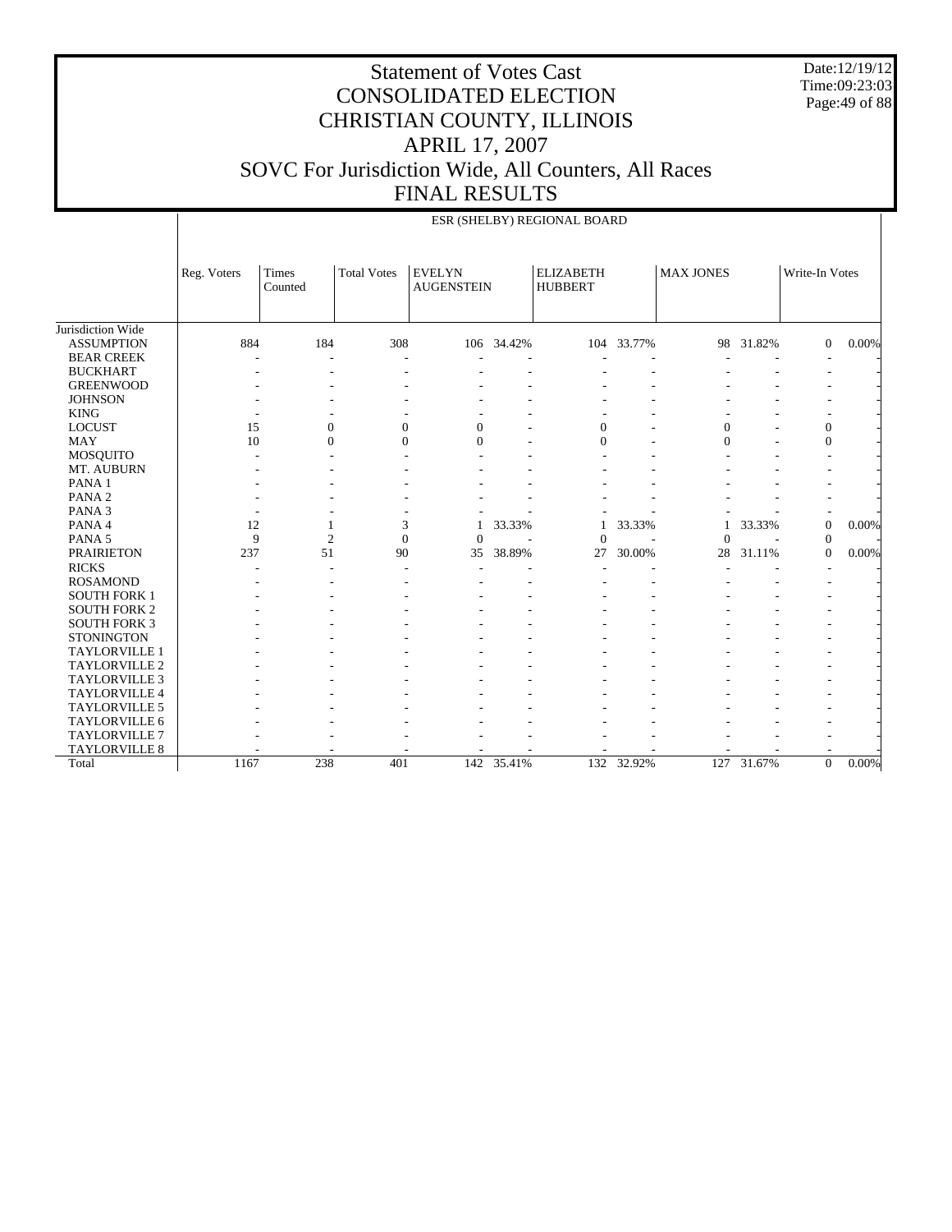Date:12/19/12 Time:09:23:03 Page:49 of 88

|                      |             |                  |                    |                                    |            | ESR (SHELBY) REGIONAL BOARD        |        |                  |        |                  |       |
|----------------------|-------------|------------------|--------------------|------------------------------------|------------|------------------------------------|--------|------------------|--------|------------------|-------|
|                      | Reg. Voters | Times<br>Counted | <b>Total Votes</b> | <b>EVELYN</b><br><b>AUGENSTEIN</b> |            | <b>ELIZABETH</b><br><b>HUBBERT</b> |        | <b>MAX JONES</b> |        | Write-In Votes   |       |
| Jurisdiction Wide    |             |                  |                    |                                    |            |                                    |        |                  |        |                  |       |
| <b>ASSUMPTION</b>    | 884         | 184              | 308                |                                    | 106 34.42% | 104                                | 33.77% | 98               | 31.82% | $\mathbf{0}$     | 0.00% |
| <b>BEAR CREEK</b>    |             |                  |                    |                                    |            |                                    |        |                  |        |                  |       |
| <b>BUCKHART</b>      |             |                  |                    |                                    |            |                                    |        |                  |        |                  |       |
| <b>GREENWOOD</b>     |             |                  |                    |                                    |            |                                    |        |                  |        |                  |       |
| <b>JOHNSON</b>       |             |                  |                    |                                    |            |                                    |        |                  |        |                  |       |
| <b>KING</b>          |             |                  |                    |                                    |            |                                    |        |                  |        |                  |       |
| <b>LOCUST</b>        | 15          | $\overline{0}$   | $\mathbf{0}$       | $\mathbf{0}$                       |            | $\overline{0}$                     |        | $\mathbf{0}$     |        | $\boldsymbol{0}$ |       |
| <b>MAY</b>           | 10          | $\Omega$         | $\Omega$           | $\Omega$                           |            | $\theta$                           |        | $\Omega$         |        | $\mathbf{0}$     |       |
| <b>MOSQUITO</b>      |             |                  |                    |                                    |            |                                    |        |                  |        |                  |       |
| MT. AUBURN           |             |                  |                    |                                    |            |                                    |        |                  |        |                  |       |
| PANA <sub>1</sub>    |             |                  |                    |                                    |            |                                    |        |                  |        |                  |       |
| PANA <sub>2</sub>    |             |                  |                    |                                    |            |                                    |        |                  |        |                  |       |
| PANA <sub>3</sub>    |             |                  |                    |                                    |            |                                    |        |                  |        |                  |       |
| PANA 4               | 12          |                  | 3                  | 1                                  | 33.33%     | 1                                  | 33.33% | 1                | 33.33% | $\boldsymbol{0}$ | 0.00% |
| PANA <sub>5</sub>    | 9           | $\overline{c}$   | $\Omega$           | $\Omega$                           |            | $\theta$                           |        | $\theta$         |        | $\mathbf{0}$     |       |
| <b>PRAIRIETON</b>    | 237         | 51               | 90                 | 35                                 | 38.89%     | 27                                 | 30.00% | 28               | 31.11% | $\overline{0}$   | 0.00% |
| <b>RICKS</b>         |             |                  |                    |                                    |            |                                    |        |                  |        |                  |       |
| <b>ROSAMOND</b>      |             |                  |                    |                                    |            |                                    |        |                  |        |                  |       |
| <b>SOUTH FORK 1</b>  |             |                  |                    |                                    |            |                                    |        |                  |        |                  |       |
| <b>SOUTH FORK 2</b>  |             |                  |                    |                                    |            |                                    |        |                  |        |                  |       |
| <b>SOUTH FORK 3</b>  |             |                  |                    |                                    |            |                                    |        |                  |        |                  |       |
| <b>STONINGTON</b>    |             |                  |                    |                                    |            |                                    |        |                  |        |                  |       |
| <b>TAYLORVILLE 1</b> |             |                  |                    |                                    |            |                                    |        |                  |        |                  |       |
| TAYLORVILLE 2        |             |                  |                    |                                    |            |                                    |        |                  |        |                  |       |
| <b>TAYLORVILLE 3</b> |             |                  |                    |                                    |            |                                    |        |                  |        |                  |       |
| TAYLORVILLE 4        |             |                  |                    |                                    |            |                                    |        |                  |        |                  |       |
| <b>TAYLORVILLE 5</b> |             |                  |                    |                                    |            |                                    |        |                  |        |                  |       |
| TAYLORVILLE 6        |             |                  |                    |                                    |            |                                    |        |                  |        |                  |       |
| <b>TAYLORVILLE 7</b> |             |                  |                    |                                    |            |                                    |        |                  |        |                  |       |
| TAYLORVILLE 8        |             |                  |                    |                                    |            |                                    |        |                  |        |                  |       |
| Total                | 1167        | 238              | 401                | 142                                | 35.41%     | 132                                | 32.92% | 127              | 31.67% | $\mathbf{0}$     | 0.00% |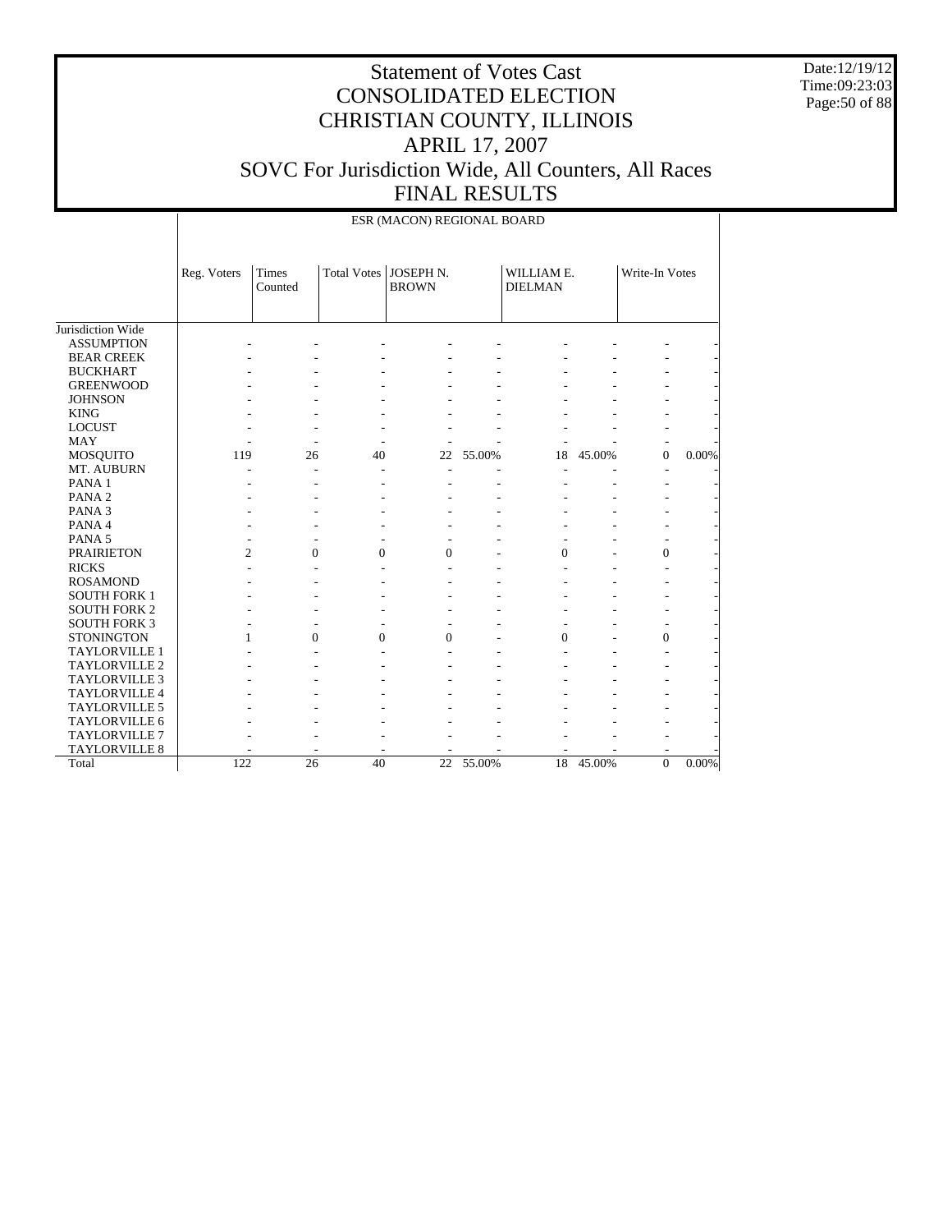Date:12/19/12 Time:09:23:03 Page:50 of 88

|                      |                |                  |                | ESR (MACON) REGIONAL BOARD              |           |                              |        |                  |       |
|----------------------|----------------|------------------|----------------|-----------------------------------------|-----------|------------------------------|--------|------------------|-------|
|                      | Reg. Voters    | Times<br>Counted |                | Total Votes   JOSEPH N.<br><b>BROWN</b> |           | WILLIAM E.<br><b>DIELMAN</b> |        | Write-In Votes   |       |
| Jurisdiction Wide    |                |                  |                |                                         |           |                              |        |                  |       |
| <b>ASSUMPTION</b>    |                |                  |                |                                         |           |                              |        |                  |       |
| <b>BEAR CREEK</b>    |                |                  |                |                                         |           |                              |        |                  |       |
| <b>BUCKHART</b>      |                |                  |                |                                         |           |                              |        |                  |       |
| <b>GREENWOOD</b>     |                |                  |                |                                         |           |                              |        |                  |       |
| <b>JOHNSON</b>       |                |                  |                |                                         |           |                              |        |                  |       |
| <b>KING</b>          |                |                  |                |                                         |           |                              |        |                  |       |
| <b>LOCUST</b>        |                |                  |                |                                         |           |                              |        |                  |       |
| <b>MAY</b>           |                | $\overline{a}$   |                |                                         |           |                              |        |                  |       |
| MOSQUITO             | 119            | 26               | 40             | 22                                      | 55.00%    | 18                           | 45.00% | $\mathbf{0}$     | 0.00% |
| MT. AUBURN           |                |                  |                |                                         |           |                              |        |                  |       |
| PANA 1               |                |                  |                |                                         |           |                              |        |                  |       |
| PANA <sub>2</sub>    |                |                  |                |                                         |           |                              |        |                  |       |
| PANA <sub>3</sub>    |                |                  |                |                                         |           |                              |        |                  |       |
| PANA 4               |                |                  |                |                                         |           |                              |        |                  |       |
| PANA <sub>5</sub>    |                |                  |                |                                         |           |                              |        |                  |       |
| <b>PRAIRIETON</b>    | $\overline{c}$ | $\overline{0}$   | 0              | $\mathbf{0}$                            |           | $\overline{0}$               |        | $\boldsymbol{0}$ |       |
| <b>RICKS</b>         |                |                  |                |                                         |           |                              |        |                  |       |
| <b>ROSAMOND</b>      |                |                  |                |                                         |           |                              |        |                  |       |
| <b>SOUTH FORK 1</b>  |                |                  |                |                                         |           |                              |        |                  |       |
| <b>SOUTH FORK 2</b>  |                |                  |                |                                         |           |                              |        |                  |       |
| <b>SOUTH FORK 3</b>  |                |                  |                |                                         |           |                              |        |                  |       |
| <b>STONINGTON</b>    | 1              | $\Omega$         | $\overline{0}$ | $\mathbf{0}$                            |           | $\overline{0}$               |        | $\overline{0}$   |       |
| <b>TAYLORVILLE 1</b> |                |                  |                |                                         |           |                              |        |                  |       |
| TAYLORVILLE 2        |                |                  |                |                                         |           |                              |        |                  |       |
| TAYLORVILLE 3        |                |                  |                |                                         |           |                              |        |                  |       |
| TAYLORVILLE 4        |                |                  |                |                                         |           |                              |        |                  |       |
| <b>TAYLORVILLE 5</b> |                |                  |                |                                         |           |                              |        |                  |       |
| TAYLORVILLE 6        |                |                  |                |                                         |           |                              |        |                  |       |
| TAYLORVILLE 7        |                |                  |                |                                         |           |                              |        |                  |       |
| <b>TAYLORVILLE 8</b> |                |                  |                |                                         |           |                              |        |                  |       |
| Total                | 122            | 26               | 40             |                                         | 22 55.00% | 18                           | 45.00% | $\overline{0}$   | 0.00% |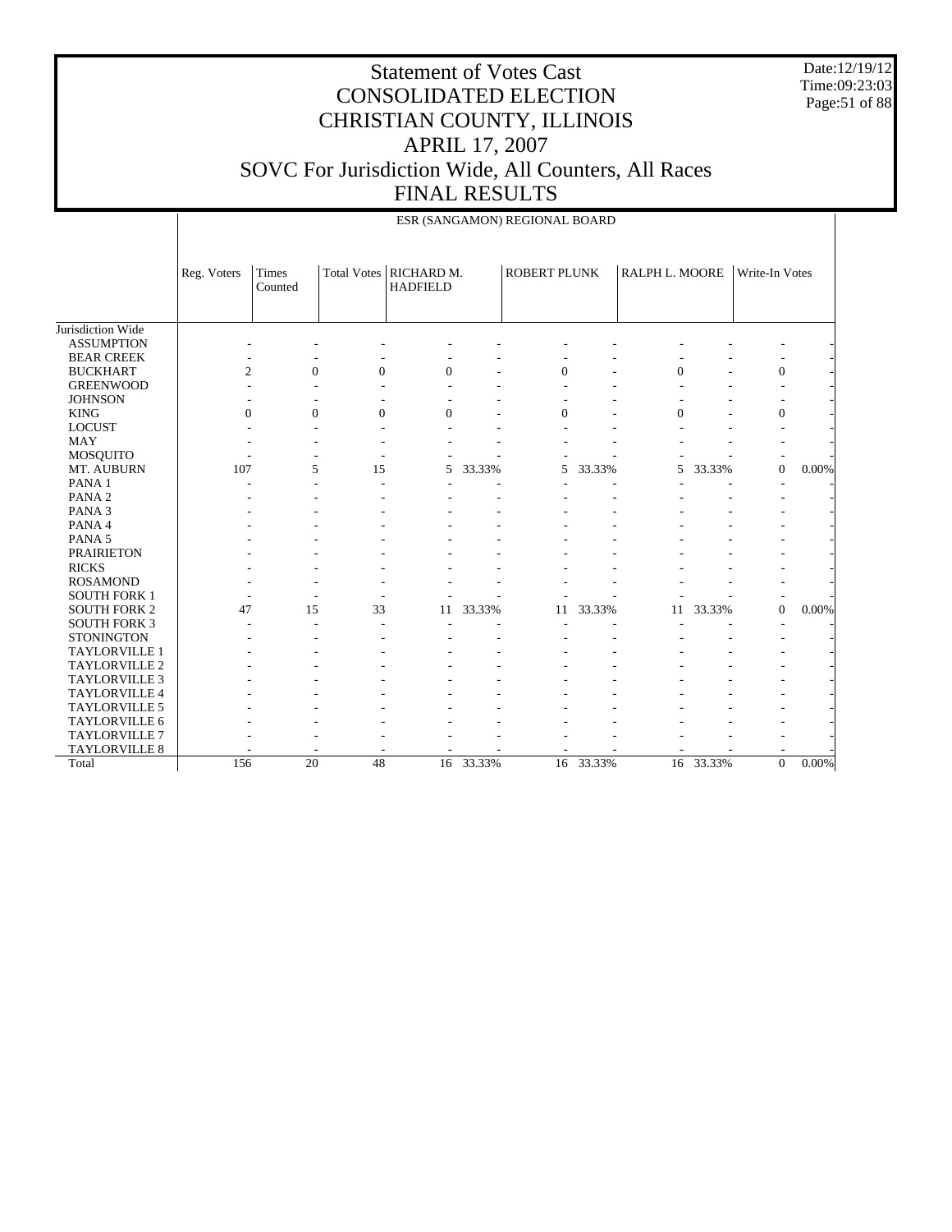Date:12/19/12 Time:09:23:03 Page:51 of 88

## Statement of Votes Cast CONSOLIDATED ELECTION CHRISTIAN COUNTY, ILLINOIS APRIL 17, 2007 SOVC For Jurisdiction Wide, All Counters, All Races FINAL RESULTS

|                      |                |                         |                    |                               |        | ESR (SANGAMON) REGIONAL BOARD |           |                |           |                |          |
|----------------------|----------------|-------------------------|--------------------|-------------------------------|--------|-------------------------------|-----------|----------------|-----------|----------------|----------|
|                      | Reg. Voters    | <b>Times</b><br>Counted | <b>Total Votes</b> | RICHARD M.<br><b>HADFIELD</b> |        | <b>ROBERT PLUNK</b>           |           | RALPH L. MOORE |           | Write-In Votes |          |
| Jurisdiction Wide    |                |                         |                    |                               |        |                               |           |                |           |                |          |
| <b>ASSUMPTION</b>    |                |                         |                    |                               |        |                               |           |                |           |                |          |
| <b>BEAR CREEK</b>    |                |                         |                    |                               |        |                               |           |                |           |                |          |
| <b>BUCKHART</b>      | $\overline{c}$ | $\overline{0}$          | $\overline{0}$     | $\mathbf{0}$                  |        | $\overline{0}$                |           | $\overline{0}$ |           | $\mathbf{0}$   |          |
| <b>GREENWOOD</b>     |                |                         |                    |                               |        |                               |           |                |           |                |          |
| <b>JOHNSON</b>       |                |                         |                    |                               |        |                               |           |                |           |                |          |
| <b>KING</b>          | $\Omega$       | $\Omega$                | $\theta$           | $\Omega$                      |        | $\Omega$                      |           | $\Omega$       |           | $\Omega$       |          |
| <b>LOCUST</b>        |                |                         |                    |                               |        |                               |           |                |           |                |          |
| <b>MAY</b>           |                |                         |                    |                               |        |                               |           |                |           |                |          |
| <b>MOSQUITO</b>      |                |                         |                    |                               |        |                               |           |                |           |                |          |
| MT. AUBURN           | 107            | 5                       | 15                 | 5                             | 33.33% | 5                             | 33.33%    | 5              | 33.33%    | $\mathbf{0}$   | 0.00%    |
| PANA <sub>1</sub>    |                |                         |                    |                               |        |                               |           |                |           |                |          |
| PANA <sub>2</sub>    |                |                         |                    |                               |        |                               |           |                |           |                |          |
| PANA <sub>3</sub>    |                |                         |                    |                               |        |                               |           |                |           |                |          |
| PANA 4               |                |                         |                    |                               |        |                               |           |                |           |                |          |
| PANA <sub>5</sub>    |                |                         |                    |                               |        |                               |           |                |           |                |          |
| <b>PRAIRIETON</b>    |                |                         |                    |                               |        |                               |           |                |           |                |          |
| <b>RICKS</b>         |                |                         |                    |                               |        |                               |           |                |           |                |          |
| <b>ROSAMOND</b>      |                |                         |                    |                               |        |                               |           |                |           |                |          |
| <b>SOUTH FORK 1</b>  |                |                         |                    |                               |        |                               |           |                |           |                |          |
| <b>SOUTH FORK 2</b>  | 47             | 15                      | 33                 | 11                            | 33.33% | 11                            | 33.33%    | 11             | 33.33%    | $\mathbf{0}$   | 0.00%    |
| <b>SOUTH FORK 3</b>  |                |                         |                    |                               |        |                               |           |                |           |                |          |
| <b>STONINGTON</b>    |                |                         |                    |                               |        |                               |           |                |           |                |          |
| TAYLORVILLE 1        |                |                         |                    |                               |        |                               |           |                |           |                |          |
| TAYLORVILLE 2        |                |                         |                    |                               |        |                               |           |                |           |                |          |
| <b>TAYLORVILLE 3</b> |                |                         |                    |                               |        |                               |           |                |           |                |          |
| TAYLORVILLE 4        |                |                         |                    |                               |        |                               |           |                |           |                |          |
| <b>TAYLORVILLE 5</b> |                |                         |                    |                               |        |                               |           |                |           |                |          |
| TAYLORVILLE 6        |                |                         |                    |                               |        |                               |           |                |           |                |          |
| <b>TAYLORVILLE 7</b> |                |                         |                    |                               |        |                               |           |                |           |                |          |
| TAYLORVILLE 8        |                |                         |                    |                               |        |                               |           |                |           |                |          |
| Total                | 156            | 20                      | 48                 | 16                            | 33.33% |                               | 16 33.33% |                | 16 33.33% | $\Omega$       | $0.00\%$ |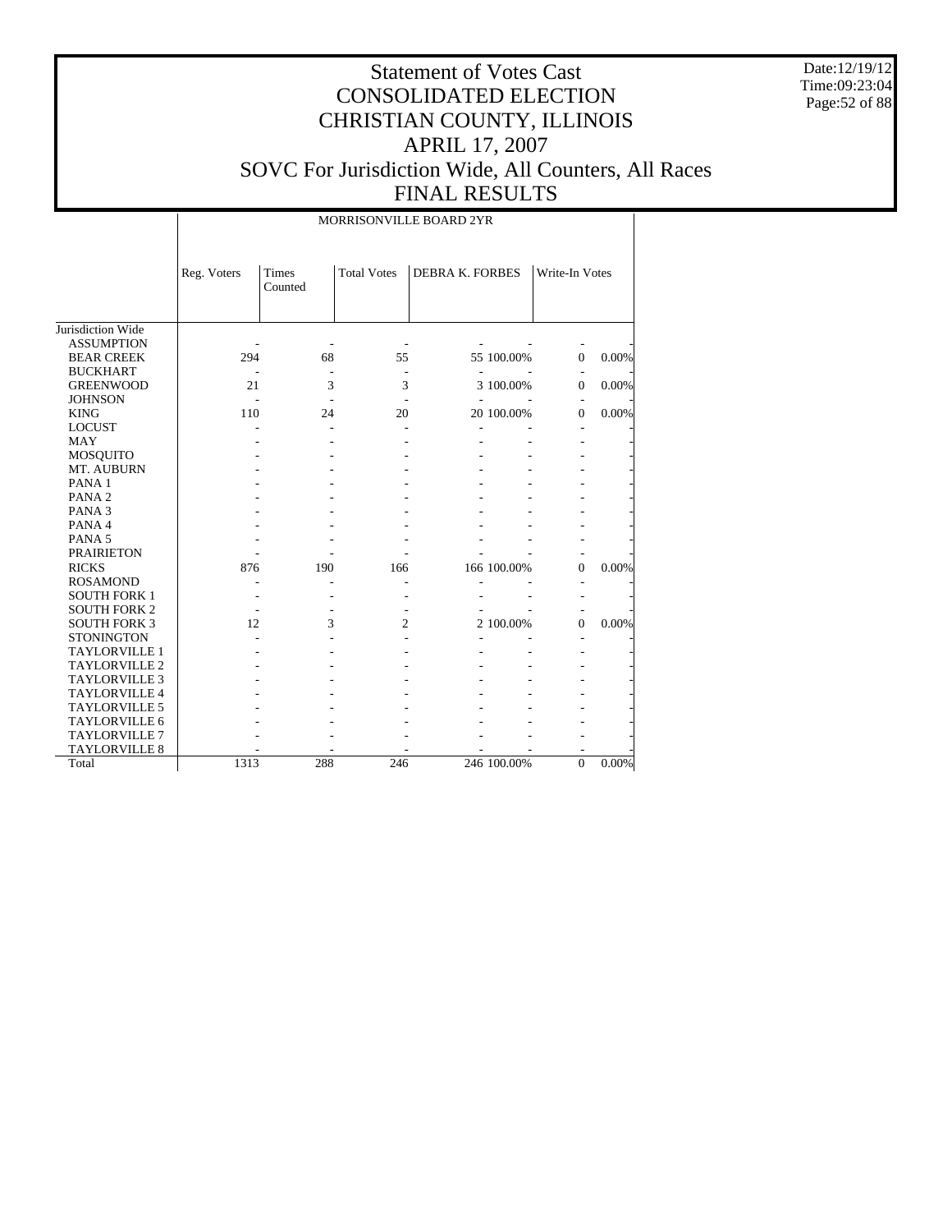Date:12/19/12 Time:09:23:04 Page:52 of 88

# Statement of Votes Cast CONSOLIDATED ELECTION CHRISTIAN COUNTY, ILLINOIS APRIL 17, 2007 SOVC For Jurisdiction Wide, All Counters, All Races FINAL RESULTS

MORRISONVILLE BOARD 2YR

|                      | Reg. Voters | Times<br>Counted | <b>Total Votes</b> | <b>DEBRA K. FORBES</b> |             | Write-In Votes |       |
|----------------------|-------------|------------------|--------------------|------------------------|-------------|----------------|-------|
|                      |             |                  |                    |                        |             |                |       |
| Jurisdiction Wide    |             |                  |                    |                        |             |                |       |
| <b>ASSUMPTION</b>    |             |                  |                    |                        |             |                |       |
| <b>BEAR CREEK</b>    | 294         | 68               | 55                 |                        | 55 100.00%  |                | 0.00% |
|                      |             |                  |                    |                        |             | $\theta$       |       |
| <b>BUCKHART</b>      |             |                  |                    |                        |             |                |       |
| <b>GREENWOOD</b>     | 21          | 3                | 3                  |                        | 3 100.00%   | $\mathbf{0}$   | 0.00% |
| <b>JOHNSON</b>       |             |                  |                    |                        |             |                |       |
| <b>KING</b>          | 110         | 24               | 20                 |                        | 20 100.00%  | $\theta$       | 0.00% |
| <b>LOCUST</b>        |             |                  |                    |                        |             |                |       |
| <b>MAY</b>           |             |                  |                    |                        |             |                |       |
| <b>MOSQUITO</b>      |             |                  |                    |                        |             |                |       |
| MT. AUBURN           |             |                  |                    |                        |             |                |       |
| PANA <sub>1</sub>    |             |                  |                    |                        |             |                |       |
| PANA <sub>2</sub>    |             |                  |                    |                        |             |                |       |
| PANA <sub>3</sub>    |             |                  |                    |                        |             |                |       |
| PANA 4               |             |                  |                    |                        |             |                |       |
| PANA <sub>5</sub>    |             |                  |                    |                        |             |                |       |
| <b>PRAIRIETON</b>    |             |                  |                    |                        |             |                |       |
| <b>RICKS</b>         | 876         | 190              | 166                |                        | 166 100.00% | $\overline{0}$ | 0.00% |
| <b>ROSAMOND</b>      |             |                  |                    |                        |             |                |       |
| <b>SOUTH FORK 1</b>  |             |                  |                    |                        |             |                |       |
| <b>SOUTH FORK 2</b>  |             |                  |                    |                        |             |                |       |
| <b>SOUTH FORK 3</b>  | 12          | 3                | 2                  |                        | 2 100.00%   | $\theta$       | 0.00% |
| <b>STONINGTON</b>    |             |                  |                    |                        |             |                |       |
| TAYLORVILLE 1        |             |                  |                    |                        |             |                |       |
| <b>TAYLORVILLE 2</b> |             |                  |                    |                        |             |                |       |
| <b>TAYLORVILLE 3</b> |             |                  |                    |                        |             |                |       |
| <b>TAYLORVILLE 4</b> |             |                  |                    |                        |             |                |       |
| <b>TAYLORVILLE 5</b> |             |                  |                    |                        |             |                |       |
| TAYLORVILLE 6        |             |                  |                    |                        |             |                |       |
| <b>TAYLORVILLE 7</b> |             |                  |                    |                        |             |                |       |
| <b>TAYLORVILLE 8</b> |             |                  |                    |                        |             |                |       |
| Total                | 1313        | 288              | 246                |                        | 246 100.00% | $\mathbf{0}$   | 0.00% |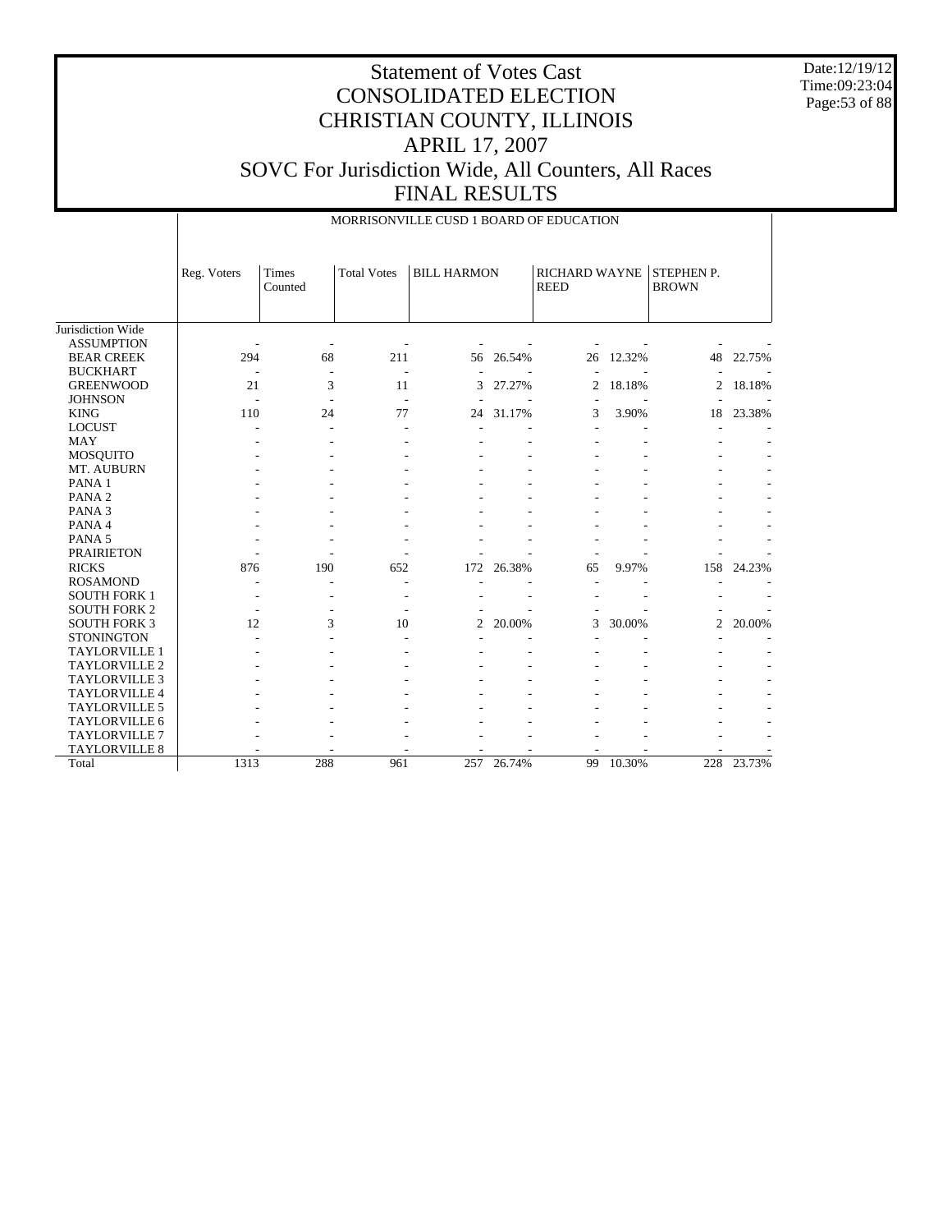Date:12/19/12 Time:09:23:04 Page:53 of 88

|                                              |             |                  |                          | MORRISONVILLE CUSD 1 BOARD OF EDUCATION |        |                                     |        |                            |        |
|----------------------------------------------|-------------|------------------|--------------------------|-----------------------------------------|--------|-------------------------------------|--------|----------------------------|--------|
|                                              | Reg. Voters | Times<br>Counted | <b>Total Votes</b>       | <b>BILL HARMON</b>                      |        | <b>RICHARD WAYNE</b><br><b>REED</b> |        | STEPHEN P.<br><b>BROWN</b> |        |
| Jurisdiction Wide                            |             |                  |                          |                                         |        |                                     |        |                            |        |
| <b>ASSUMPTION</b>                            |             |                  |                          |                                         |        |                                     |        |                            |        |
| <b>BEAR CREEK</b>                            | 294         | 68               | 211                      | 56                                      | 26.54% | 26                                  | 12.32% | 48                         | 22.75% |
| <b>BUCKHART</b>                              |             | ۰                | $\sim$                   |                                         |        |                                     |        |                            |        |
| <b>GREENWOOD</b>                             | 21          | 3                | 11                       | 3                                       | 27.27% | $\overline{2}$                      | 18.18% | 2                          | 18.18% |
| <b>JOHNSON</b>                               |             |                  | $\overline{\phantom{a}}$ |                                         |        | ÷,                                  |        |                            |        |
| <b>KING</b>                                  | 110         | 24               | 77                       | 24                                      | 31.17% | 3                                   | 3.90%  | 18                         | 23.38% |
| <b>LOCUST</b>                                |             |                  |                          |                                         |        |                                     |        |                            |        |
| <b>MAY</b>                                   |             |                  |                          |                                         |        |                                     |        |                            |        |
| MOSQUITO                                     |             |                  |                          |                                         |        |                                     |        |                            |        |
| MT. AUBURN                                   |             |                  |                          |                                         |        |                                     |        |                            |        |
| PANA <sub>1</sub>                            |             |                  |                          |                                         |        |                                     |        |                            |        |
| PANA <sub>2</sub>                            |             |                  |                          |                                         |        |                                     |        |                            |        |
| PANA <sub>3</sub>                            |             |                  |                          |                                         |        |                                     |        |                            |        |
| PANA 4                                       |             |                  |                          |                                         |        |                                     |        |                            |        |
| PANA <sub>5</sub>                            |             |                  |                          |                                         |        |                                     |        |                            |        |
| <b>PRAIRIETON</b>                            |             |                  |                          |                                         |        |                                     |        |                            |        |
| <b>RICKS</b>                                 | 876         | 190              | 652                      | 172                                     | 26.38% | 65                                  | 9.97%  | 158                        | 24.23% |
| <b>ROSAMOND</b>                              |             |                  |                          |                                         |        |                                     |        |                            |        |
| <b>SOUTH FORK 1</b>                          |             |                  |                          |                                         |        |                                     |        |                            |        |
| <b>SOUTH FORK 2</b>                          |             |                  | ۰.                       |                                         |        |                                     |        |                            |        |
| <b>SOUTH FORK 3</b>                          | 12          | 3                | 10                       | $\overline{c}$                          | 20.00% | 3                                   | 30.00% | 2                          | 20.00% |
| <b>STONINGTON</b>                            |             |                  |                          |                                         |        |                                     |        |                            |        |
| TAYLORVILLE 1                                |             |                  |                          |                                         |        |                                     |        |                            |        |
| <b>TAYLORVILLE 2</b>                         |             |                  |                          |                                         |        |                                     |        |                            |        |
| TAYLORVILLE 3                                |             |                  |                          |                                         |        |                                     |        |                            |        |
| TAYLORVILLE 4                                |             |                  |                          |                                         |        |                                     |        |                            |        |
| <b>TAYLORVILLE 5</b>                         |             |                  |                          |                                         |        |                                     |        |                            |        |
| <b>TAYLORVILLE 6</b><br><b>TAYLORVILLE 7</b> |             |                  |                          |                                         |        |                                     |        |                            |        |
| <b>TAYLORVILLE 8</b>                         |             |                  |                          |                                         |        |                                     |        |                            |        |
| Total                                        | 1313        | 288              | 961                      | 257                                     | 26.74% | 99                                  | 10.30% | 228                        | 23.73% |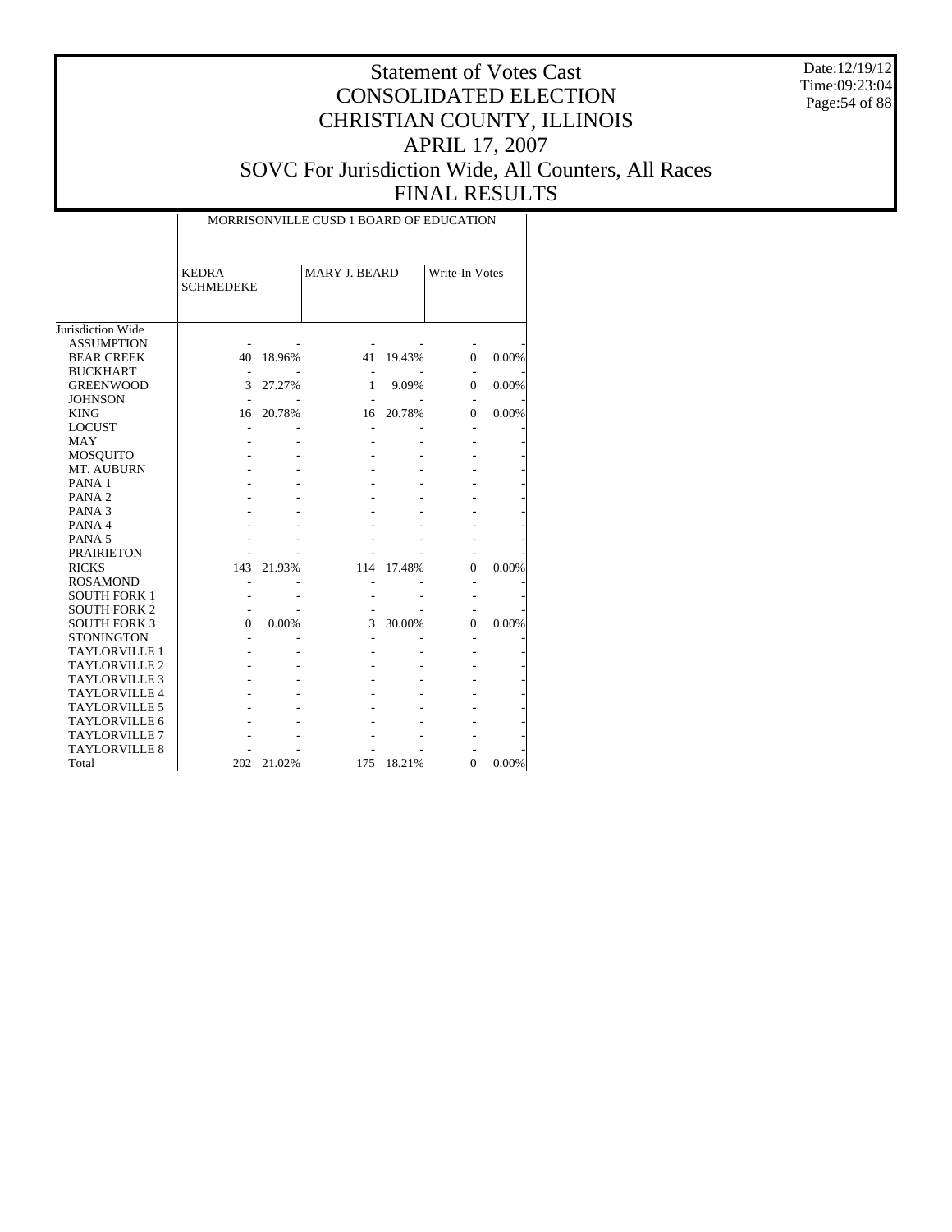Date:12/19/12 Time:09:23:04 Page:54 of 88

# Statement of Votes Cast CONSOLIDATED ELECTION CHRISTIAN COUNTY, ILLINOIS APRIL 17, 2007 SOVC For Jurisdiction Wide, All Counters, All Races FINAL RESULTS

 $\overline{\phantom{a}}$ 

|                                        | <b>KEDRA</b><br><b>SCHMEDEKE</b> |        | <b>MARY J. BEARD</b> |        | Write-In Votes |       |
|----------------------------------------|----------------------------------|--------|----------------------|--------|----------------|-------|
| Jurisdiction Wide<br><b>ASSUMPTION</b> |                                  |        |                      |        |                |       |
| <b>BEAR CREEK</b>                      | 40                               | 18.96% | 41                   | 19.43% | $\Omega$       | 0.00% |
| <b>BUCKHART</b>                        |                                  |        |                      |        |                |       |
| <b>GREENWOOD</b>                       | 3                                | 27.27% | 1                    | 9.09%  | 0              | 0.00% |
| <b>JOHNSON</b>                         |                                  |        |                      |        |                |       |
| <b>KING</b>                            | 16                               | 20.78% | 16                   | 20.78% | 0              | 0.00% |
| <b>LOCUST</b>                          |                                  |        |                      |        |                |       |
| <b>MAY</b>                             |                                  |        |                      |        |                |       |
| <b>MOSQUITO</b>                        |                                  |        |                      |        |                |       |
| MT. AUBURN                             |                                  |        |                      |        |                |       |
| PANA <sub>1</sub>                      |                                  |        |                      |        |                |       |
| PANA <sub>2</sub>                      |                                  |        |                      |        |                |       |
| PANA <sub>3</sub>                      |                                  |        |                      |        |                |       |
| PANA 4                                 |                                  |        |                      |        |                |       |
| PANA <sub>5</sub>                      |                                  |        |                      |        |                |       |
| <b>PRAIRIETON</b>                      |                                  |        |                      |        |                |       |
| <b>RICKS</b>                           | 143                              | 21.93% | 114                  | 17.48% | $\Omega$       | 0.00% |
| <b>ROSAMOND</b>                        |                                  |        |                      |        |                |       |
| <b>SOUTH FORK 1</b>                    |                                  |        |                      |        |                |       |
| <b>SOUTH FORK 2</b>                    |                                  |        |                      |        |                |       |
| <b>SOUTH FORK 3</b>                    | $\Omega$                         | 0.00%  | 3                    | 30.00% | 0              | 0.00% |
| <b>STONINGTON</b>                      |                                  |        |                      |        |                |       |
| <b>TAYLORVILLE 1</b>                   |                                  |        |                      |        |                |       |
| <b>TAYLORVILLE 2</b>                   |                                  |        |                      |        |                |       |
| <b>TAYLORVILLE 3</b>                   |                                  |        |                      |        |                |       |
| <b>TAYLORVILLE 4</b>                   |                                  |        |                      |        |                |       |
| <b>TAYLORVILLE 5</b>                   |                                  |        |                      |        |                |       |
| <b>TAYLORVILLE 6</b>                   |                                  |        |                      |        |                |       |
| <b>TAYLORVILLE 7</b>                   |                                  |        |                      |        |                |       |
| <b>TAYLORVILLE 8</b>                   |                                  |        |                      |        |                |       |
| Total                                  | 202                              | 21.02% | 175                  | 18.21% | $\Omega$       | 0.00% |

MORRISONVILLE CUSD 1 BOARD OF EDUCATION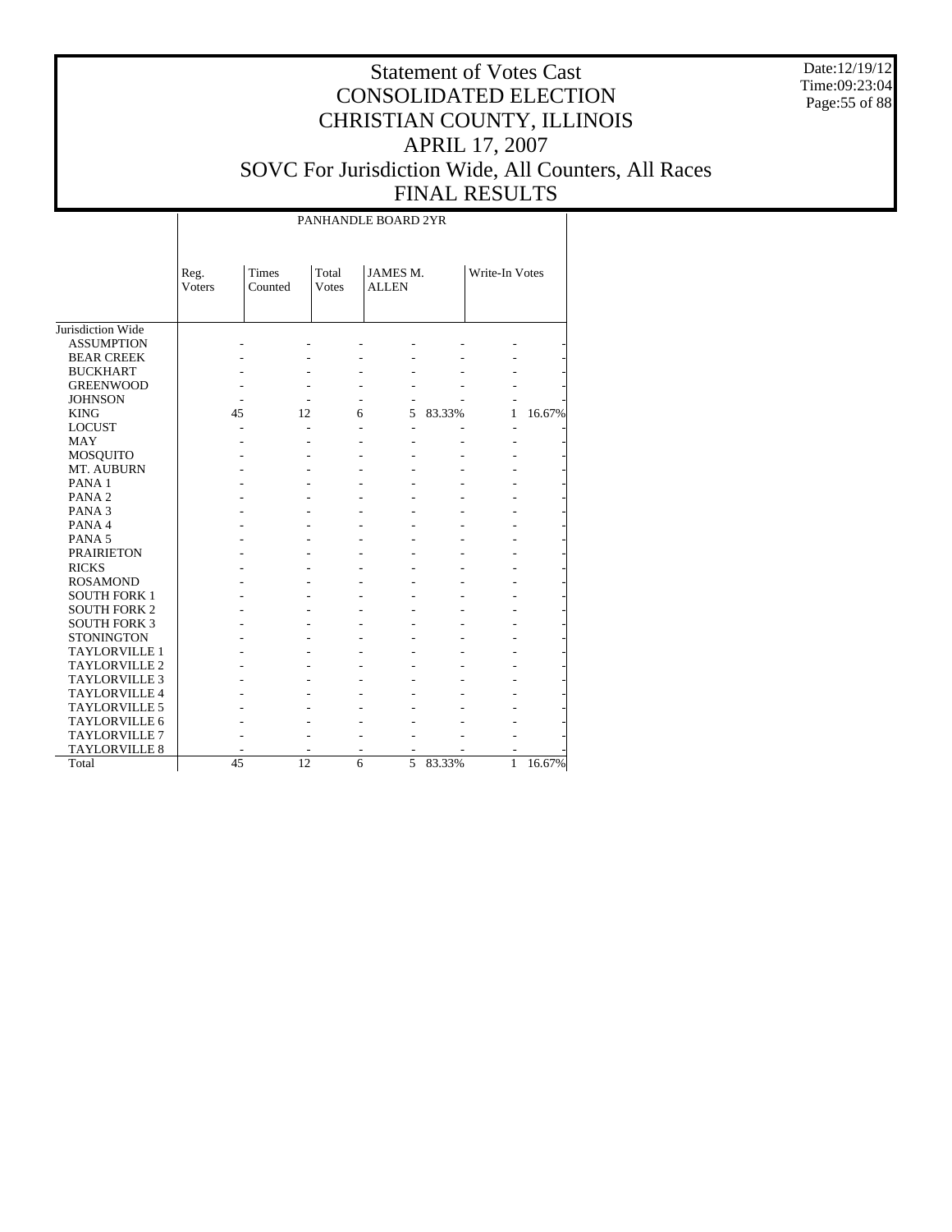Date:12/19/12 Time:09:23:04 Page:55 of 88

|                      |                       |                  |                        | PANHANDLE BOARD 2YR      |        |                |        |
|----------------------|-----------------------|------------------|------------------------|--------------------------|--------|----------------|--------|
|                      | Reg.<br><b>Voters</b> | Times<br>Counted | Total<br><b>V</b> otes | JAMES M.<br><b>ALLEN</b> |        | Write-In Votes |        |
| Jurisdiction Wide    |                       |                  |                        |                          |        |                |        |
| <b>ASSUMPTION</b>    |                       |                  |                        |                          |        |                |        |
| <b>BEAR CREEK</b>    |                       |                  |                        |                          |        |                |        |
| <b>BUCKHART</b>      |                       |                  |                        |                          |        |                |        |
| <b>GREENWOOD</b>     |                       |                  |                        |                          |        |                |        |
| <b>JOHNSON</b>       |                       |                  |                        |                          |        |                |        |
| <b>KING</b>          | 45                    | 12               | 6                      | 5                        | 83.33% | 1              | 16.67% |
| <b>LOCUST</b>        |                       |                  |                        |                          |        |                |        |
| <b>MAY</b>           |                       |                  |                        |                          |        |                |        |
| <b>MOSQUITO</b>      |                       |                  |                        |                          |        |                |        |
| MT. AUBURN           |                       |                  |                        |                          |        |                |        |
| PANA <sub>1</sub>    |                       |                  |                        |                          |        |                |        |
| PANA <sub>2</sub>    |                       |                  |                        |                          |        |                |        |
| PANA <sub>3</sub>    |                       |                  |                        |                          |        |                |        |
| PANA 4               |                       |                  |                        |                          |        |                |        |
| PANA <sub>5</sub>    |                       |                  |                        |                          |        |                |        |
| <b>PRAIRIETON</b>    |                       |                  |                        |                          |        |                |        |
| <b>RICKS</b>         |                       |                  |                        |                          |        |                |        |
| <b>ROSAMOND</b>      |                       |                  |                        |                          |        |                |        |
| <b>SOUTH FORK 1</b>  |                       |                  |                        |                          |        |                |        |
| <b>SOUTH FORK 2</b>  |                       |                  |                        |                          |        |                |        |
| <b>SOUTH FORK 3</b>  |                       |                  |                        |                          |        |                |        |
| <b>STONINGTON</b>    |                       |                  |                        |                          |        |                |        |
| <b>TAYLORVILLE 1</b> |                       |                  |                        |                          |        |                |        |
| <b>TAYLORVILLE 2</b> |                       |                  |                        |                          |        |                |        |
| TAYLORVILLE 3        |                       |                  |                        |                          |        |                |        |
| <b>TAYLORVILLE 4</b> |                       |                  |                        |                          |        |                |        |
| <b>TAYLORVILLE 5</b> |                       |                  |                        |                          |        |                |        |
| TAYLORVILLE 6        |                       |                  |                        |                          |        |                |        |
| TAYLORVILLE 7        |                       |                  |                        |                          |        |                |        |
| <b>TAYLORVILLE 8</b> |                       |                  |                        |                          |        |                |        |
| Total                | 45                    | 12               | 6                      | 5                        | 83.33% | 1              | 16.67% |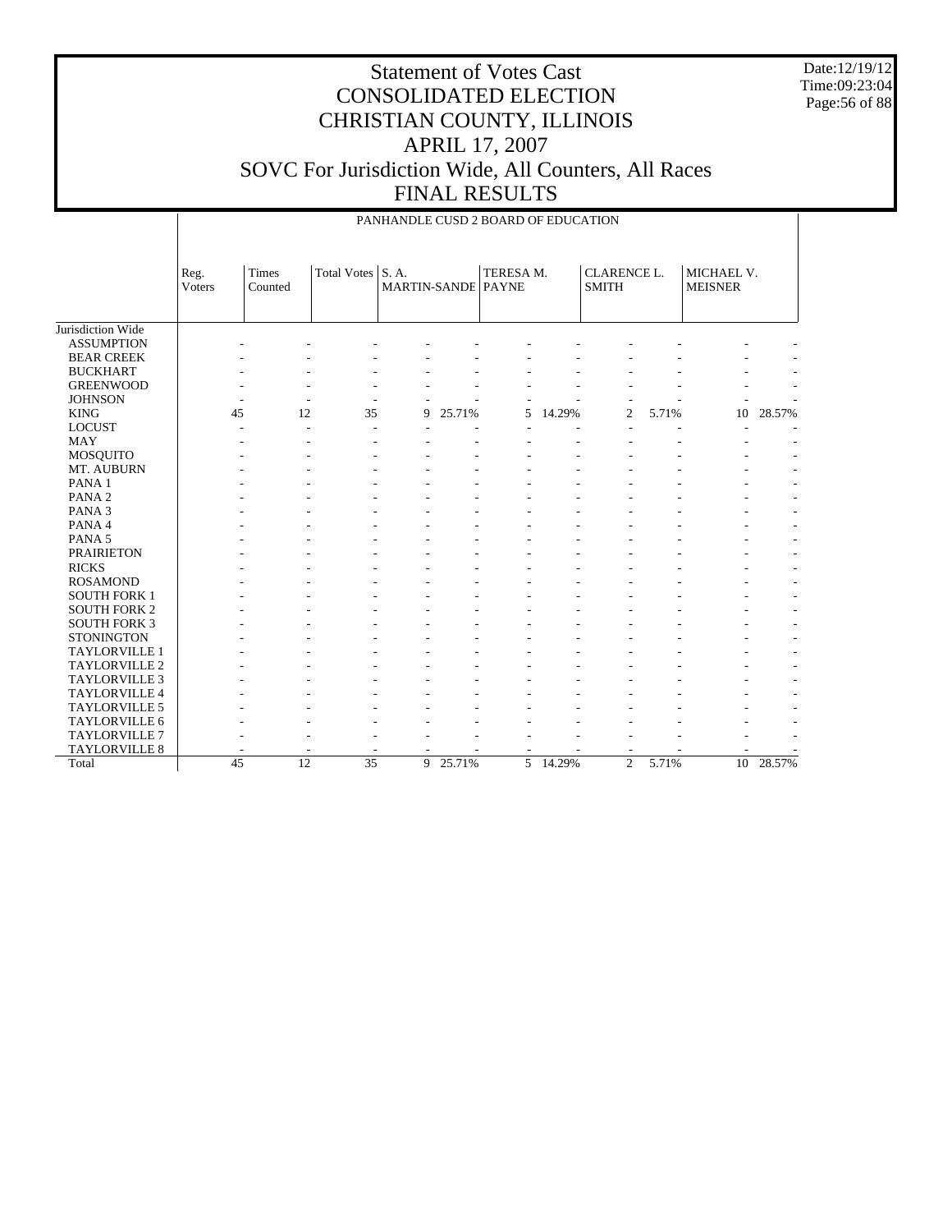Date:12/19/12 Time:09:23:04 Page:56 of 88

## Statement of Votes Cast CONSOLIDATED ELECTION CHRISTIAN COUNTY, ILLINOIS APRIL 17, 2007 SOVC For Jurisdiction Wide, All Counters, All Races FINAL RESULTS

|                      |                |                  |                    |                                   |        | PANHANDLE CUSD 2 BOARD OF EDUCATION |        |                                    |       |                              |           |
|----------------------|----------------|------------------|--------------------|-----------------------------------|--------|-------------------------------------|--------|------------------------------------|-------|------------------------------|-----------|
|                      | Reg.<br>Voters | Times<br>Counted | <b>Total Votes</b> | S.A.<br><b>MARTIN-SANDE PAYNE</b> |        | TERESA M.                           |        | <b>CLARENCE L.</b><br><b>SMITH</b> |       | MICHAEL V.<br><b>MEISNER</b> |           |
| Jurisdiction Wide    |                |                  |                    |                                   |        |                                     |        |                                    |       |                              |           |
| <b>ASSUMPTION</b>    |                |                  |                    |                                   |        |                                     |        |                                    |       |                              |           |
| <b>BEAR CREEK</b>    |                |                  |                    |                                   |        |                                     |        |                                    |       |                              |           |
| <b>BUCKHART</b>      |                |                  |                    |                                   |        |                                     |        |                                    |       |                              |           |
| <b>GREENWOOD</b>     |                |                  |                    |                                   |        |                                     |        |                                    |       |                              |           |
| <b>JOHNSON</b>       | ۰.             |                  |                    |                                   |        |                                     |        |                                    |       |                              |           |
| <b>KING</b>          | 45             | 12               | 35                 | 9                                 | 25.71% | 5                                   | 14.29% | $\overline{c}$                     | 5.71% | 10                           | 28.57%    |
| <b>LOCUST</b>        |                |                  | ٠                  |                                   |        |                                     |        |                                    |       |                              |           |
| <b>MAY</b>           |                |                  |                    |                                   |        |                                     |        |                                    |       |                              |           |
| <b>MOSQUITO</b>      |                |                  |                    |                                   |        |                                     |        |                                    |       |                              |           |
| MT. AUBURN           |                |                  |                    |                                   |        |                                     |        |                                    |       |                              |           |
| PANA <sub>1</sub>    |                |                  |                    |                                   |        |                                     |        |                                    |       |                              |           |
| PANA <sub>2</sub>    |                |                  |                    |                                   |        |                                     |        |                                    |       |                              |           |
| PANA <sub>3</sub>    |                |                  |                    |                                   |        |                                     |        |                                    |       |                              |           |
| PANA 4               |                |                  |                    |                                   |        |                                     |        |                                    |       |                              |           |
| PANA <sub>5</sub>    |                |                  |                    |                                   |        |                                     |        |                                    |       |                              |           |
| <b>PRAIRIETON</b>    |                |                  |                    |                                   |        |                                     |        |                                    |       |                              |           |
| <b>RICKS</b>         |                |                  |                    |                                   |        |                                     |        |                                    |       |                              |           |
| <b>ROSAMOND</b>      |                |                  |                    |                                   |        |                                     |        |                                    |       |                              |           |
| <b>SOUTH FORK 1</b>  |                |                  |                    |                                   |        |                                     |        |                                    |       |                              |           |
| <b>SOUTH FORK 2</b>  |                |                  |                    |                                   |        |                                     |        |                                    |       |                              |           |
| <b>SOUTH FORK 3</b>  |                |                  |                    |                                   |        |                                     |        |                                    |       |                              |           |
| <b>STONINGTON</b>    |                |                  |                    |                                   |        |                                     |        |                                    |       |                              |           |
| TAYLORVILLE 1        |                |                  |                    |                                   |        |                                     |        |                                    |       |                              |           |
| <b>TAYLORVILLE 2</b> |                |                  |                    |                                   |        |                                     |        |                                    |       |                              |           |
| <b>TAYLORVILLE 3</b> |                |                  |                    |                                   |        |                                     |        |                                    |       |                              |           |
| TAYLORVILLE 4        |                |                  |                    |                                   |        |                                     |        |                                    |       |                              |           |
| TAYLORVILLE 5        |                |                  |                    |                                   |        |                                     |        |                                    |       |                              |           |
| TAYLORVILLE 6        |                |                  |                    |                                   |        |                                     |        |                                    |       |                              |           |
| <b>TAYLORVILLE 7</b> |                |                  |                    |                                   |        |                                     |        |                                    |       |                              |           |
| TAYLORVILLE 8        |                |                  |                    | $\overline{\phantom{a}}$          |        | ٠                                   |        | ٠                                  |       |                              |           |
| Total                | 45             | $\overline{12}$  | $\overline{35}$    | 9                                 | 25.71% | $\overline{5}$                      | 14.29% | $\overline{2}$                     | 5.71% |                              | 10 28.57% |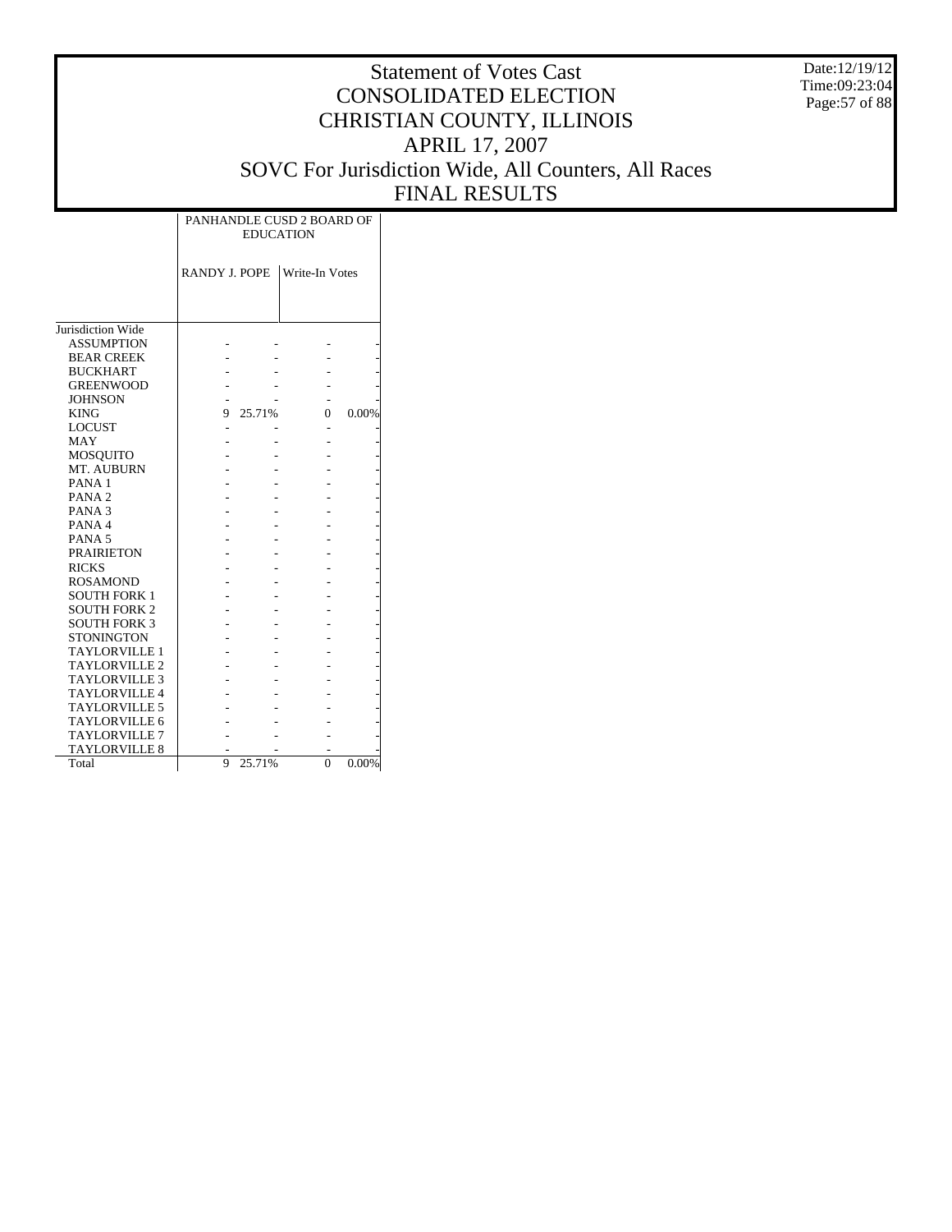Date:12/19/12 Time:09:23:04 Page:57 of 88

|                      |                      | <b>EDUCATION</b> | PANHANDLE CUSD 2 BOARD OF |       |
|----------------------|----------------------|------------------|---------------------------|-------|
|                      | <b>RANDY J. POPE</b> |                  | <b>Write-In Votes</b>     |       |
|                      |                      |                  |                           |       |
| Jurisdiction Wide    |                      |                  |                           |       |
| <b>ASSUMPTION</b>    |                      |                  |                           |       |
| <b>BEAR CREEK</b>    |                      |                  |                           |       |
| <b>BUCKHART</b>      |                      |                  |                           |       |
| <b>GREENWOOD</b>     |                      |                  |                           |       |
| <b>JOHNSON</b>       |                      |                  |                           |       |
| <b>KING</b>          | 9                    | 25.71%           | 0                         | 0.00% |
| <b>LOCUST</b>        | ٠                    |                  |                           |       |
| <b>MAY</b>           |                      |                  |                           |       |
| <b>MOSQUITO</b>      |                      |                  |                           |       |
| MT. AUBURN           |                      |                  |                           |       |
| PANA <sub>1</sub>    |                      |                  |                           |       |
| PANA <sub>2</sub>    |                      |                  |                           |       |
| PANA <sub>3</sub>    |                      |                  |                           |       |
| PANA4                |                      |                  |                           |       |
| PANA <sub>5</sub>    |                      |                  |                           |       |
| <b>PRAIRIETON</b>    |                      |                  |                           |       |
| <b>RICKS</b>         |                      |                  |                           |       |
| <b>ROSAMOND</b>      |                      |                  |                           |       |
| <b>SOUTH FORK 1</b>  |                      |                  |                           |       |
| <b>SOUTH FORK 2</b>  |                      |                  |                           |       |
| <b>SOUTH FORK 3</b>  |                      |                  |                           |       |
| <b>STONINGTON</b>    |                      |                  |                           |       |
| <b>TAYLORVILLE 1</b> |                      |                  |                           |       |
| <b>TAYLORVILLE 2</b> |                      |                  |                           |       |
| <b>TAYLORVILLE 3</b> |                      |                  |                           |       |
| <b>TAYLORVILLE 4</b> |                      |                  |                           |       |
| <b>TAYLORVILLE 5</b> |                      |                  |                           |       |
| <b>TAYLORVILLE 6</b> |                      |                  |                           |       |
| <b>TAYLORVILLE 7</b> |                      |                  |                           |       |
| <b>TAYLORVILLE 8</b> |                      |                  |                           |       |
| Total                | 9                    | 25.71%           | $\theta$                  | 0.00% |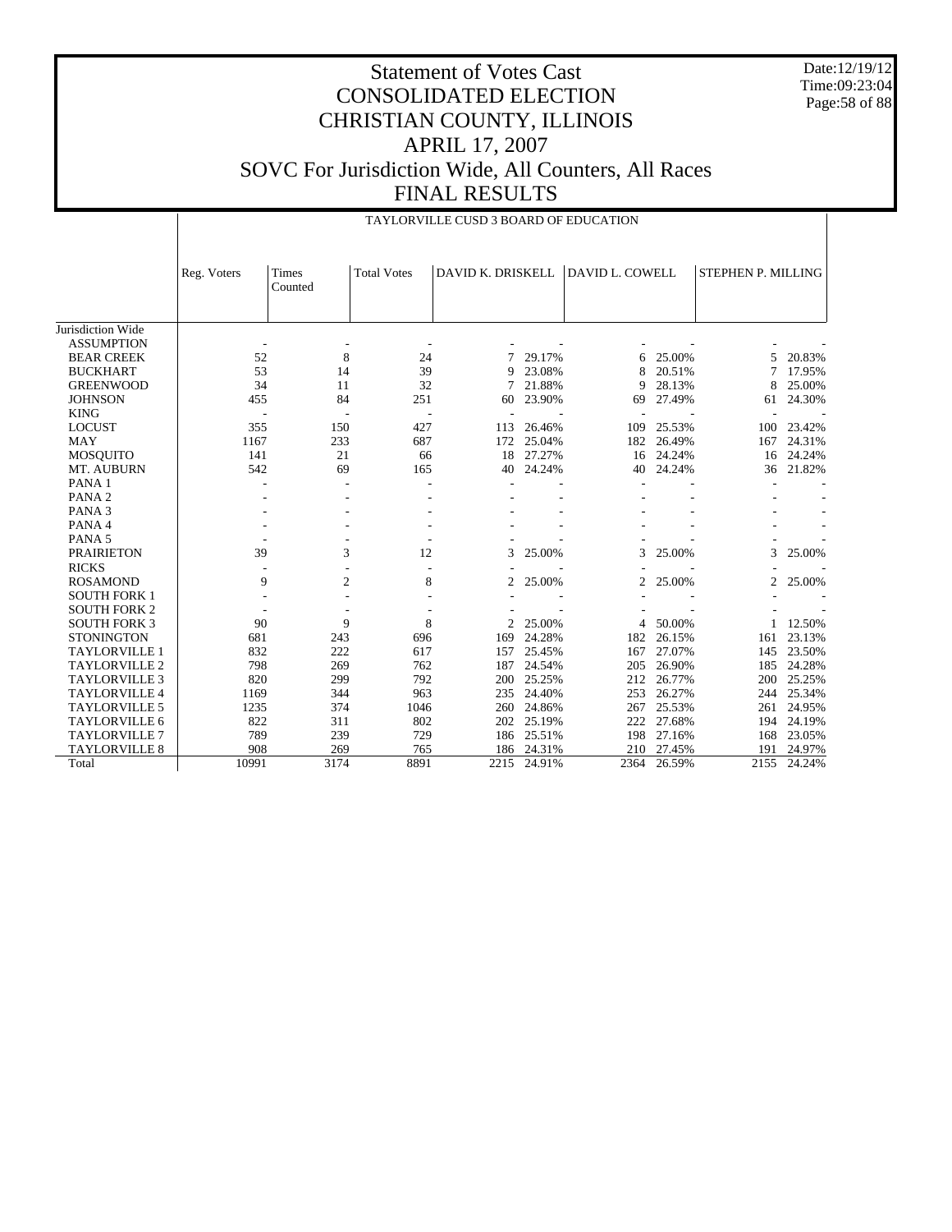Date:12/19/12 Time:09:23:04 Page:58 of 88

|                      |                          |                         |                          | TAYLORVILLE CUSD 3 BOARD OF EDUCATION |        |                        |        |                    |          |
|----------------------|--------------------------|-------------------------|--------------------------|---------------------------------------|--------|------------------------|--------|--------------------|----------|
|                      | Reg. Voters              | <b>Times</b><br>Counted | <b>Total Votes</b>       | DAVID K. DRISKELL                     |        | <b>DAVID L. COWELL</b> |        | STEPHEN P. MILLING |          |
| Jurisdiction Wide    |                          |                         |                          |                                       |        |                        |        |                    |          |
| <b>ASSUMPTION</b>    |                          |                         |                          |                                       |        |                        |        |                    |          |
| <b>BEAR CREEK</b>    | 52                       | 8                       | 24                       |                                       | 29.17% | 6                      | 25.00% | 5                  | 20.83%   |
| <b>BUCKHART</b>      | 53                       | 14                      | 39                       | 9                                     | 23.08% |                        | 20.51% | 7                  | 17.95%   |
| <b>GREENWOOD</b>     | 34                       | 11                      | 32                       | 7                                     | 21.88% | 9                      | 28.13% | 8                  | 25.00%   |
| <b>JOHNSON</b>       | 455                      | 84                      | 251                      | 60                                    | 23.90% | 69                     | 27.49% | 61                 | 24.30%   |
| <b>KING</b>          | $\overline{\phantom{a}}$ |                         | $\overline{\phantom{a}}$ |                                       |        |                        |        | ÷,                 |          |
| <b>LOCUST</b>        | 355                      | 150                     | 427                      | 113                                   | 26.46% | 109                    | 25.53% | 100                | 23.42%   |
| <b>MAY</b>           | 1167                     | 233                     | 687                      | 172                                   | 25.04% | 182                    | 26.49% | 167                | 24.31%   |
| <b>MOSQUITO</b>      | 141                      | 21                      | 66                       | 18                                    | 27.27% | 16                     | 24.24% | 16                 | 24.24%   |
| MT. AUBURN           | 542                      | 69                      | 165                      | 40                                    | 24.24% | 40                     | 24.24% | 36                 | 21.82%   |
| PANA 1               |                          |                         |                          |                                       |        |                        |        |                    |          |
| PANA <sub>2</sub>    |                          |                         |                          |                                       |        |                        |        |                    |          |
| PANA <sub>3</sub>    |                          |                         |                          |                                       |        |                        |        |                    |          |
| PANA 4               |                          |                         |                          |                                       |        |                        |        |                    |          |
| PANA <sub>5</sub>    |                          |                         |                          |                                       |        |                        |        |                    |          |
| <b>PRAIRIETON</b>    | 39                       | 3                       | 12                       | 3                                     | 25.00% | 3                      | 25.00% | 3                  | 25.00%   |
| <b>RICKS</b>         | $\overline{\phantom{a}}$ | L,                      | $\overline{a}$           |                                       |        |                        |        |                    |          |
| <b>ROSAMOND</b>      | 9                        | $\overline{c}$          | 8                        | 2                                     | 25.00% | 2                      | 25.00% | 2                  | 25.00%   |
| <b>SOUTH FORK 1</b>  |                          |                         |                          |                                       |        |                        |        |                    |          |
| <b>SOUTH FORK 2</b>  |                          |                         |                          |                                       |        |                        |        |                    |          |
| <b>SOUTH FORK 3</b>  | 90                       | 9                       | 8                        | 2                                     | 25.00% | 4                      | 50.00% |                    | 1 12.50% |
| <b>STONINGTON</b>    | 681                      | 243                     | 696                      | 169                                   | 24.28% | 182                    | 26.15% | 161                | 23.13%   |
| <b>TAYLORVILLE 1</b> | 832                      | 222                     | 617                      | 157                                   | 25.45% | 167                    | 27.07% | 145                | 23.50%   |
| <b>TAYLORVILLE 2</b> | 798                      | 269                     | 762                      | 187                                   | 24.54% | 205                    | 26.90% | 185                | 24.28%   |
| <b>TAYLORVILLE 3</b> | 820                      | 299                     | 792                      | 200                                   | 25.25% | 212                    | 26.77% | 200                | 25.25%   |
| <b>TAYLORVILLE 4</b> | 1169                     | 344                     | 963                      | 235                                   | 24.40% | 253                    | 26.27% | 244                | 25.34%   |
| <b>TAYLORVILLE 5</b> | 1235                     | 374                     | 1046                     | 260                                   | 24.86% | 267                    | 25.53% | 261                | 24.95%   |
| <b>TAYLORVILLE 6</b> | 822                      | 311                     | 802                      | 202                                   | 25.19% | 222                    | 27.68% | 194                | 24.19%   |
| <b>TAYLORVILLE 7</b> | 789                      | 239                     | 729                      | 186                                   | 25.51% | 198                    | 27.16% | 168                | 23.05%   |
| <b>TAYLORVILLE 8</b> | 908                      | 269                     | 765                      | 186                                   | 24.31% | 210                    | 27.45% | 191                | 24.97%   |
| Total                | 10991                    | 3174                    | 8891                     | 2215                                  | 24.91% | 2364                   | 26.59% | 2155               | 24.24%   |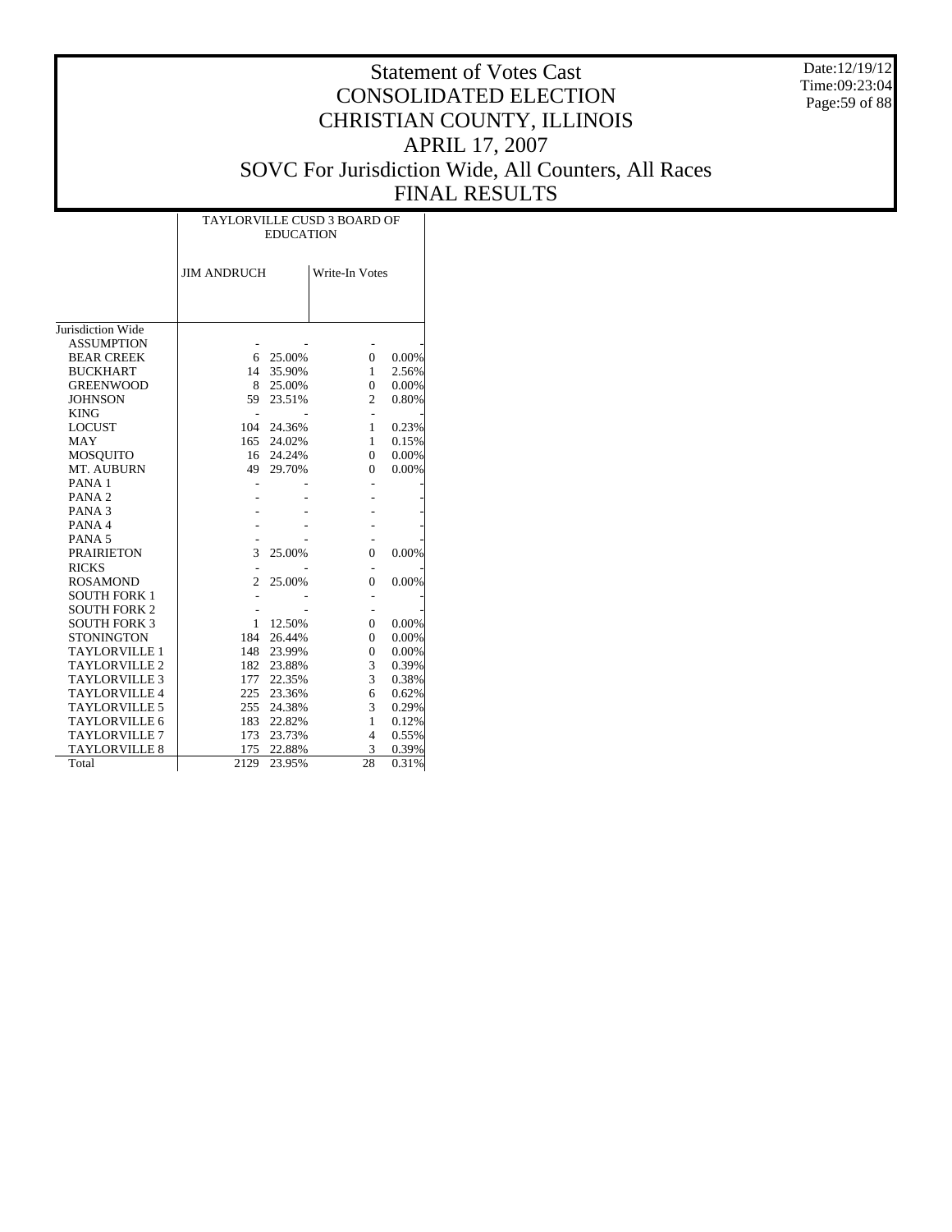Date:12/19/12 Time:09:23:04 Page:59 of 88

|                      |                    | <b>EDUCATION</b> | TAYLORVILLE CUSD 3 BOARD OF |       |
|----------------------|--------------------|------------------|-----------------------------|-------|
|                      | <b>JIM ANDRUCH</b> |                  | Write-In Votes              |       |
|                      |                    |                  |                             |       |
| Jurisdiction Wide    |                    |                  |                             |       |
| <b>ASSUMPTION</b>    |                    |                  |                             |       |
| <b>BEAR CREEK</b>    | 6                  | 25.00%           | $\mathbf{0}$                | 0.00% |
| <b>BUCKHART</b>      | 14                 | 35.90%           | 1                           | 2.56% |
| <b>GREENWOOD</b>     | 8                  | 25.00%           | $\Omega$                    | 0.00% |
| <b>JOHNSON</b>       | 59                 | 23.51%           | $\overline{c}$              | 0.80% |
| <b>KING</b>          |                    |                  |                             |       |
| <b>LOCUST</b>        | 104                | 24.36%           | 1                           | 0.23% |
| MAY                  | 165                | 24.02%           | $\mathbf{1}$                | 0.15% |
| <b>MOSQUITO</b>      | 16                 | 24.24%           | $\theta$                    | 0.00% |
| MT. AUBURN           | 49                 | 29.70%           | $\Omega$                    | 0.00% |
| PANA <sub>1</sub>    |                    |                  |                             |       |
| PANA <sub>2</sub>    |                    |                  |                             |       |
| PANA <sub>3</sub>    |                    |                  |                             |       |
| PANA 4               |                    |                  |                             |       |
| PANA <sub>5</sub>    |                    |                  |                             |       |
| <b>PRAIRIETON</b>    | 3                  | 25.00%           | $\theta$                    | 0.00% |
| <b>RICKS</b>         |                    |                  |                             |       |
| <b>ROSAMOND</b>      | $\overline{2}$     | 25.00%           | $\theta$                    | 0.00% |
| <b>SOUTH FORK 1</b>  |                    |                  |                             |       |
| <b>SOUTH FORK 2</b>  |                    |                  |                             |       |
| <b>SOUTH FORK 3</b>  | 1                  | 12.50%           | $\Omega$                    | 0.00% |
| <b>STONINGTON</b>    | 184                | 26.44%           | $\Omega$                    | 0.00% |
| <b>TAYLORVILLE 1</b> | 148                | 23.99%           | $\overline{0}$              | 0.00% |
| <b>TAYLORVILLE 2</b> | 182                | 23.88%           | 3                           | 0.39% |
| <b>TAYLORVILLE 3</b> | 177                | 22.35%           | 3                           | 0.38% |
| <b>TAYLORVILLE 4</b> | 225                | 23.36%           | 6                           | 0.62% |
| <b>TAYLORVILLE 5</b> | 255                | 24.38%           | 3                           | 0.29% |
| TAYLORVILLE 6        | 183                | 22.82%           | 1                           | 0.12% |
| TAYLORVILLE 7        | 173                | 23.73%           | $\overline{4}$              | 0.55% |
| <b>TAYLORVILLE 8</b> | 175                | 22.88%           | 3                           | 0.39% |
| Total                | 2129               | 23.95%           | 28                          | 0.31% |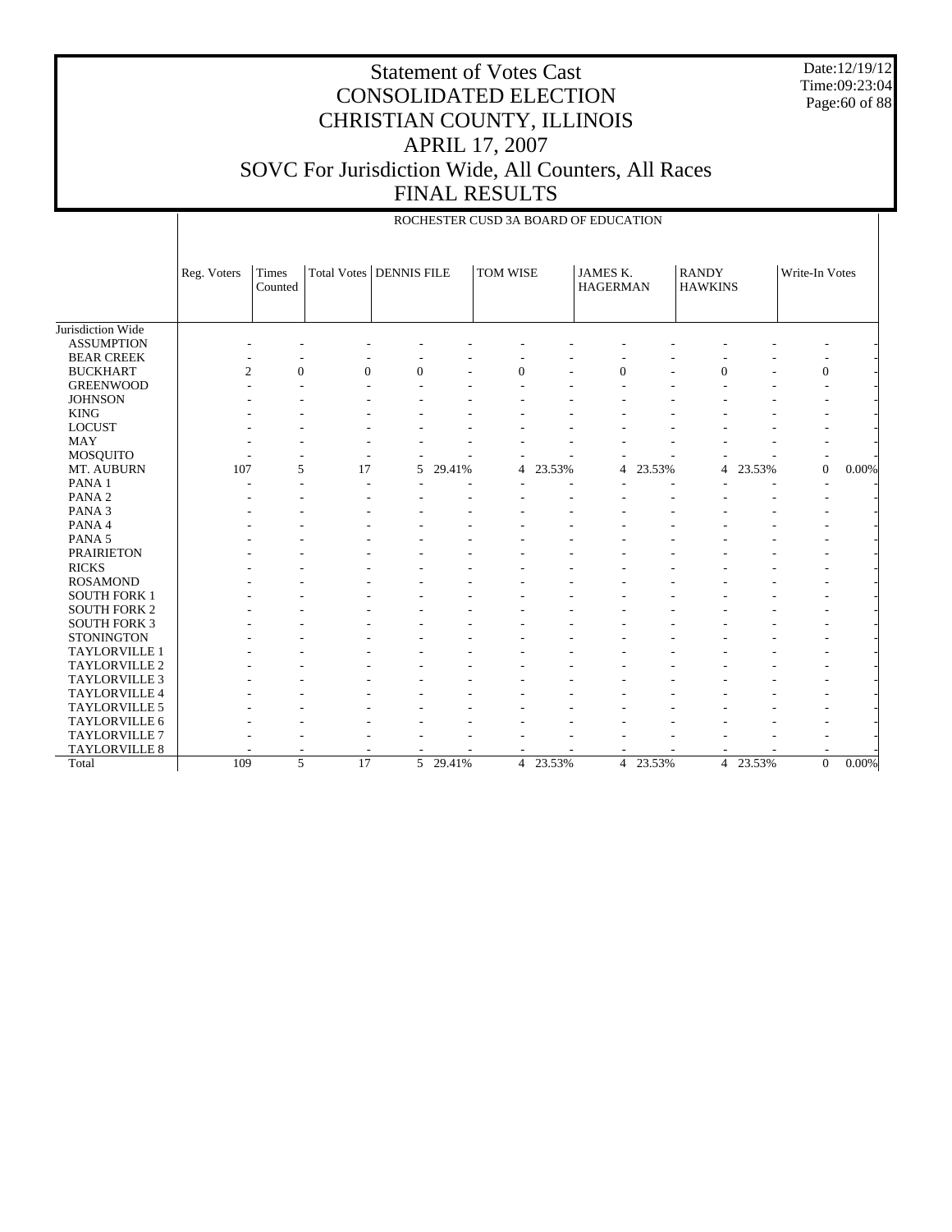Date:12/19/12 Time:09:23:04 Page:60 of 88

#### Statement of Votes Cast CONSOLIDATED ELECTION CHRISTIAN COUNTY, ILLINOIS APRIL 17, 2007 SOVC For Jurisdiction Wide, All Counters, All Races FINAL RESULTS

Jurisdiction Wide ASSUMPTION BEAR CREEK BUCKHART GREENWOOD **JOHNSON**  KING LOCUST MAY MOSQUITO MT. AUBURN PANA 1 PANA 2 PANA 3 PANA 4 PANA 5 PRAIRIETON RICKS ROSAMOND SOUTH FORK 1 SOUTH FORK 2 SOUTH FORK 3 **STONINGTON**  TAYLORVILLE 1 TAYLORVILLE 2 TAYLORVILLE 3 TAYLORVILLE 4 TAYLORVILLE 5 TAYLORVILLE 6 TAYLORVILLE 7 TAYLORVILLE 8 Total Reg. Voters Times Counted Total Votes DENNIS FILE TOM WISE JAMES K. HAGERMAN RANDY HAWKINS Write-In Votes ROCHESTER CUSD 3A BOARD OF EDUCATION - - - - - - - - - - - - - - - - - - - - - - - - - -  $2$  0 0 0 - 0 - 0 - 0 - 0 -- - - - - - - - - - - - - - - - - - - - - - - - - - - - - - - - - - - - - - - - - - - - - - - - - - - - - - - - - - - - - - - - - - - - - - - - - - - - - - 107 5 17 5 29.41% 4 23.53% 4 23.53% 4 23.53% 0 0.00% - - - - - - - - - - - - - - - - - - - - - - - - - - - - - - - - - - - - - - - - - - - - - - - - - - - - - - - - - - - - - - - - - - - - - - - - - - - - - - - - - - - - - - - - - - - - - - - - - - - - - - - - - - - - - - - - - - - - - - - - - - - - - - - - - - - - - - - - - - - - - - - - - - - - - - - - - - - - - - - - - - - - - - - - - - - - - - - - - - - - - - - - - - - - - - - - - - - - - - - - - - - - - - - - - - - - - - - - - - - - - - - - - - - - - - - - - - - - - - - - - - - - - - - - - - - - - - - - - - - - 109 5 17 5 29.41% 4 23.53% 4 23.53% 4 23.53% 0 0.00%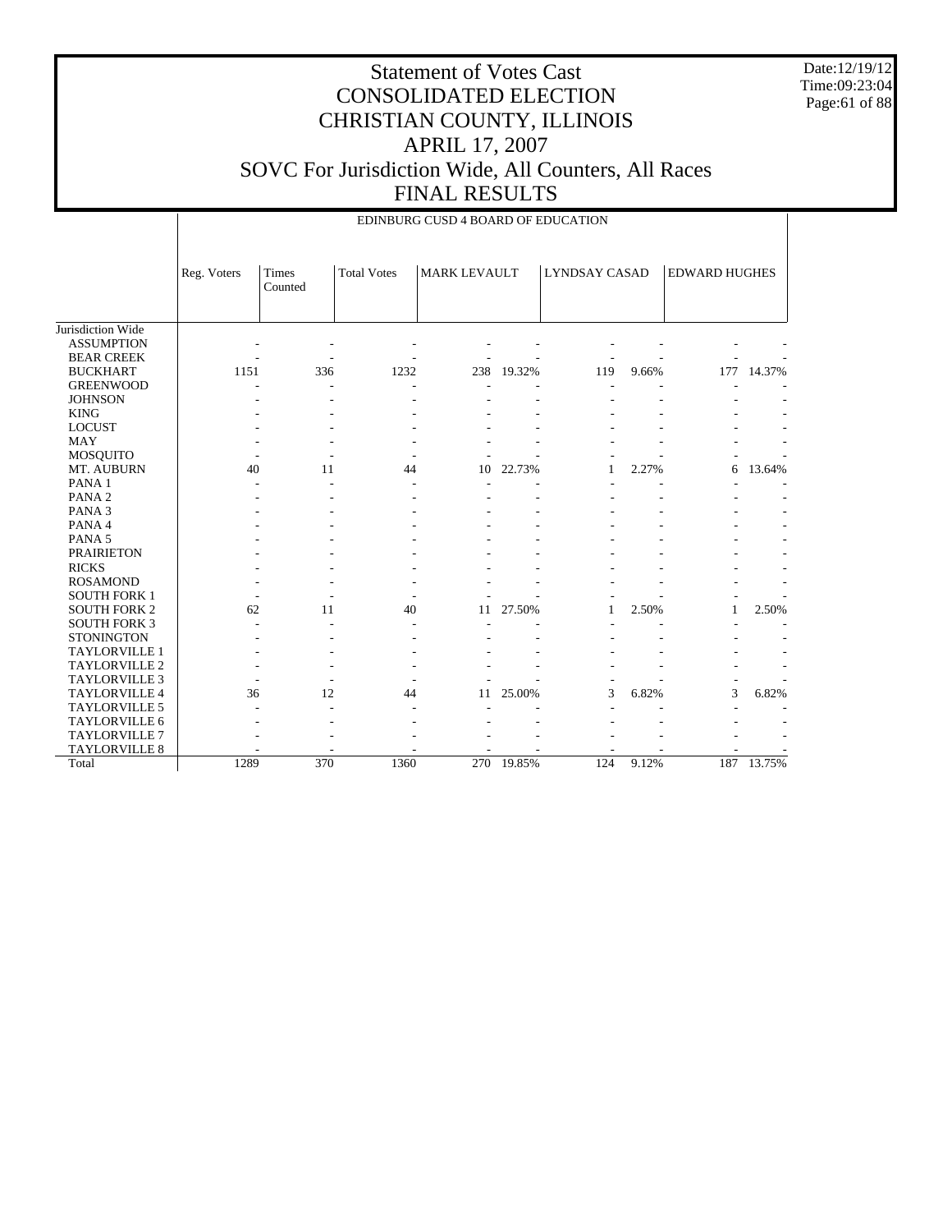Date:12/19/12 Time:09:23:04 Page:61 of 88

|                      |             |                  |                    | EDINBURG CUSD 4 BOARD OF EDUCATION |            |               |       |                      |            |
|----------------------|-------------|------------------|--------------------|------------------------------------|------------|---------------|-------|----------------------|------------|
|                      | Reg. Voters | Times<br>Counted | <b>Total Votes</b> | <b>MARK LEVAULT</b>                |            | LYNDSAY CASAD |       | <b>EDWARD HUGHES</b> |            |
| Jurisdiction Wide    |             |                  |                    |                                    |            |               |       |                      |            |
| <b>ASSUMPTION</b>    |             |                  |                    |                                    |            |               |       |                      |            |
| <b>BEAR CREEK</b>    |             |                  |                    |                                    |            |               |       |                      |            |
| <b>BUCKHART</b>      | 1151        | 336              | 1232               | 238                                | 19.32%     | 119           | 9.66% | 177                  | 14.37%     |
| <b>GREENWOOD</b>     |             |                  |                    |                                    |            |               |       |                      |            |
| <b>JOHNSON</b>       |             |                  |                    |                                    |            |               |       |                      |            |
| <b>KING</b>          |             |                  |                    |                                    |            |               |       |                      |            |
| <b>LOCUST</b>        |             |                  |                    |                                    |            |               |       |                      |            |
| <b>MAY</b>           |             |                  |                    |                                    |            |               |       |                      |            |
| <b>MOSQUITO</b>      |             |                  |                    |                                    |            |               |       |                      |            |
| MT. AUBURN           | 40          | 11               | 44                 | 10                                 | 22.73%     | $\mathbf{1}$  | 2.27% | 6                    | 13.64%     |
| PANA 1               |             |                  |                    |                                    |            |               |       |                      |            |
| PANA <sub>2</sub>    |             |                  |                    |                                    |            |               |       |                      |            |
| PANA <sub>3</sub>    |             |                  |                    |                                    |            |               |       |                      |            |
| PANA 4               |             |                  |                    |                                    |            |               |       |                      |            |
| PANA <sub>5</sub>    |             |                  |                    |                                    |            |               |       |                      |            |
| <b>PRAIRIETON</b>    |             |                  |                    |                                    |            |               |       |                      |            |
| <b>RICKS</b>         |             |                  |                    |                                    |            |               |       |                      |            |
| <b>ROSAMOND</b>      |             |                  |                    |                                    |            |               |       |                      |            |
| <b>SOUTH FORK 1</b>  |             |                  |                    |                                    |            |               |       |                      |            |
| <b>SOUTH FORK 2</b>  | 62          | 11               | 40                 | 11                                 | 27.50%     | 1             | 2.50% | 1                    | 2.50%      |
| <b>SOUTH FORK 3</b>  |             |                  |                    |                                    |            |               |       |                      |            |
| <b>STONINGTON</b>    |             |                  |                    |                                    |            |               |       |                      |            |
| TAYLORVILLE 1        |             |                  |                    |                                    |            |               |       |                      |            |
| TAYLORVILLE 2        |             |                  |                    |                                    |            |               |       |                      |            |
| <b>TAYLORVILLE 3</b> |             |                  |                    |                                    |            |               |       |                      |            |
| <b>TAYLORVILLE 4</b> | 36          | 12               | 44                 | 11                                 | 25.00%     | 3             | 6.82% | 3                    | 6.82%      |
| <b>TAYLORVILLE 5</b> |             |                  |                    |                                    |            |               |       |                      |            |
| <b>TAYLORVILLE 6</b> |             |                  |                    |                                    |            |               |       |                      |            |
| <b>TAYLORVILLE 7</b> |             |                  |                    |                                    |            |               |       |                      |            |
| TAYLORVILLE 8        |             |                  |                    |                                    |            |               |       |                      |            |
| Total                | 1289        | 370              | 1360               |                                    | 270 19.85% | 124           | 9.12% |                      | 187 13.75% |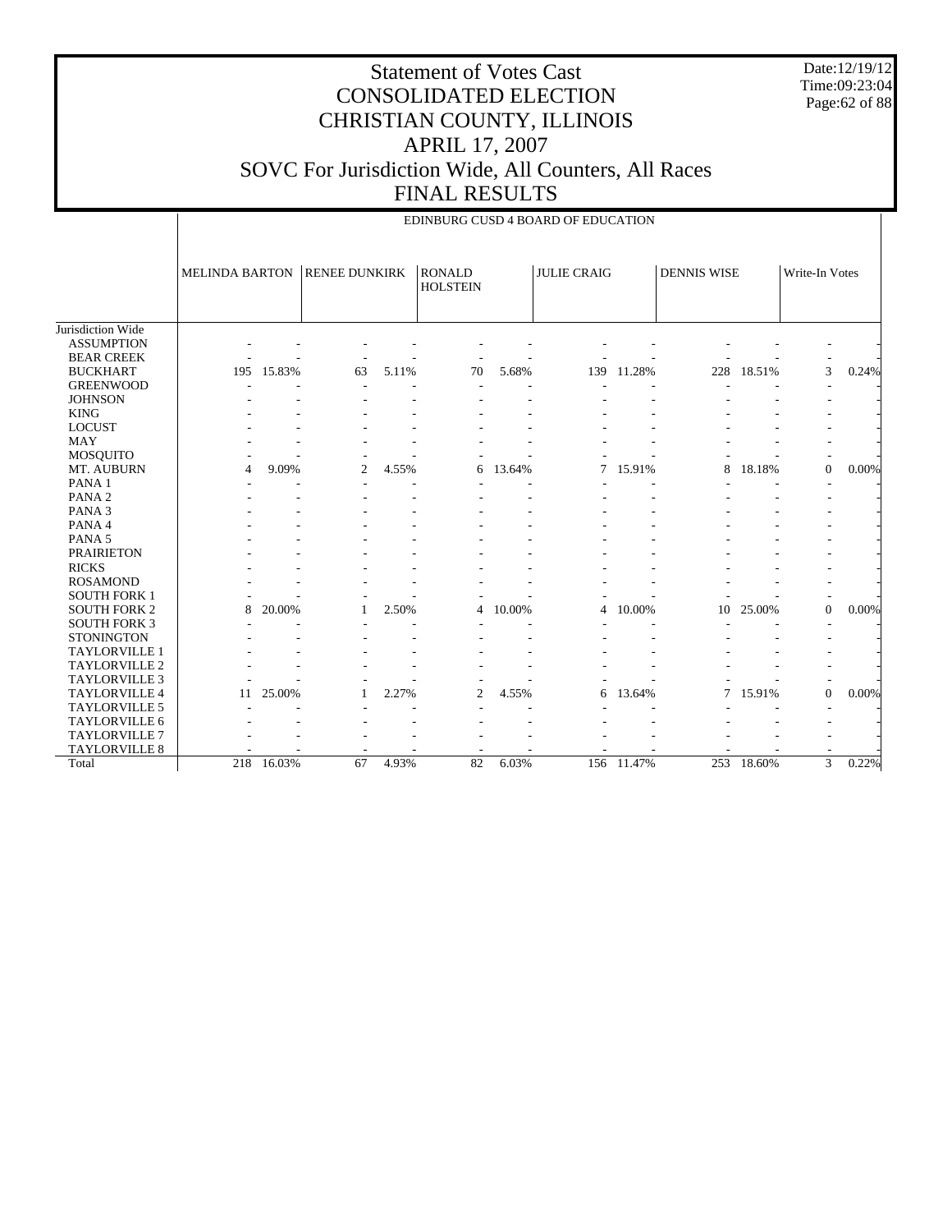Date:12/19/12 Time:09:23:04 Page:62 of 88

|                      | EDINBURG CUSD 4 BOARD OF EDUCATION |        |                      |       |                                  |        |                    |        |                    |        |                |       |
|----------------------|------------------------------------|--------|----------------------|-------|----------------------------------|--------|--------------------|--------|--------------------|--------|----------------|-------|
|                      | <b>MELINDA BARTON</b>              |        | <b>RENEE DUNKIRK</b> |       | <b>RONALD</b><br><b>HOLSTEIN</b> |        | <b>JULIE CRAIG</b> |        | <b>DENNIS WISE</b> |        | Write-In Votes |       |
| Jurisdiction Wide    |                                    |        |                      |       |                                  |        |                    |        |                    |        |                |       |
| <b>ASSUMPTION</b>    |                                    |        |                      |       |                                  |        |                    |        |                    |        |                |       |
| <b>BEAR CREEK</b>    |                                    |        |                      |       |                                  |        |                    |        |                    |        |                |       |
| <b>BUCKHART</b>      | 195                                | 15.83% | 63                   | 5.11% | 70                               | 5.68%  | 139                | 11.28% | 228                | 18.51% | 3              | 0.24% |
| <b>GREENWOOD</b>     |                                    |        |                      |       |                                  |        |                    |        |                    |        |                |       |
| <b>JOHNSON</b>       |                                    |        |                      |       |                                  |        |                    |        |                    |        |                |       |
| <b>KING</b>          |                                    |        |                      |       |                                  |        |                    |        |                    |        |                |       |
| <b>LOCUST</b>        |                                    |        |                      |       |                                  |        |                    |        |                    |        |                |       |
| <b>MAY</b>           |                                    |        |                      |       |                                  |        |                    |        |                    |        |                |       |
| MOSQUITO             |                                    |        |                      |       |                                  |        |                    |        |                    |        |                |       |
| MT. AUBURN           | 4                                  | 9.09%  | $\overline{2}$       | 4.55% | 6                                | 13.64% | 7                  | 15.91% | 8                  | 18.18% | $\mathbf{0}$   | 0.00% |
| PANA <sub>1</sub>    |                                    |        |                      |       |                                  |        |                    |        |                    |        |                |       |
| PANA <sub>2</sub>    |                                    |        |                      |       |                                  |        |                    |        |                    |        |                |       |
| PANA <sub>3</sub>    |                                    |        |                      |       |                                  |        |                    |        |                    |        |                |       |
| PANA 4               |                                    |        |                      |       |                                  |        |                    |        |                    |        |                |       |
| PANA <sub>5</sub>    |                                    |        |                      |       |                                  |        |                    |        |                    |        |                |       |
| <b>PRAIRIETON</b>    |                                    |        |                      |       |                                  |        |                    |        |                    |        |                |       |
| <b>RICKS</b>         |                                    |        |                      |       |                                  |        |                    |        |                    |        |                |       |
| <b>ROSAMOND</b>      |                                    |        |                      |       |                                  |        |                    |        |                    |        |                |       |
| <b>SOUTH FORK 1</b>  |                                    |        |                      |       |                                  |        |                    |        |                    |        |                |       |
| <b>SOUTH FORK 2</b>  | 8                                  | 20.00% |                      | 2.50% | 4                                | 10.00% | 4                  | 10.00% | 10                 | 25.00% | $\mathbf{0}$   | 0.00% |
| <b>SOUTH FORK 3</b>  |                                    |        |                      |       |                                  |        |                    |        |                    |        |                |       |
| <b>STONINGTON</b>    |                                    |        |                      |       |                                  |        |                    |        |                    |        |                |       |
| <b>TAYLORVILLE 1</b> |                                    |        |                      |       |                                  |        |                    |        |                    |        |                |       |
| <b>TAYLORVILLE 2</b> |                                    |        |                      |       |                                  |        |                    |        |                    |        |                |       |
| <b>TAYLORVILLE 3</b> |                                    |        |                      |       |                                  |        |                    |        |                    |        |                |       |
| <b>TAYLORVILLE 4</b> | 11                                 | 25.00% |                      | 2.27% | 2                                | 4.55%  | 6                  | 13.64% | 7                  | 15.91% | $\mathbf{0}$   | 0.00% |
| <b>TAYLORVILLE 5</b> |                                    |        |                      |       |                                  |        |                    |        |                    |        |                |       |
| TAYLORVILLE 6        |                                    |        |                      |       |                                  |        |                    |        |                    |        |                |       |
| <b>TAYLORVILLE 7</b> |                                    |        |                      |       |                                  |        |                    |        |                    |        |                |       |
| TAYLORVILLE 8        |                                    |        |                      |       |                                  |        |                    |        |                    |        |                |       |
| Total                | 218                                | 16.03% | 67                   | 4.93% | 82                               | 6.03%  | 156                | 11.47% | 253                | 18.60% | 3              | 0.22% |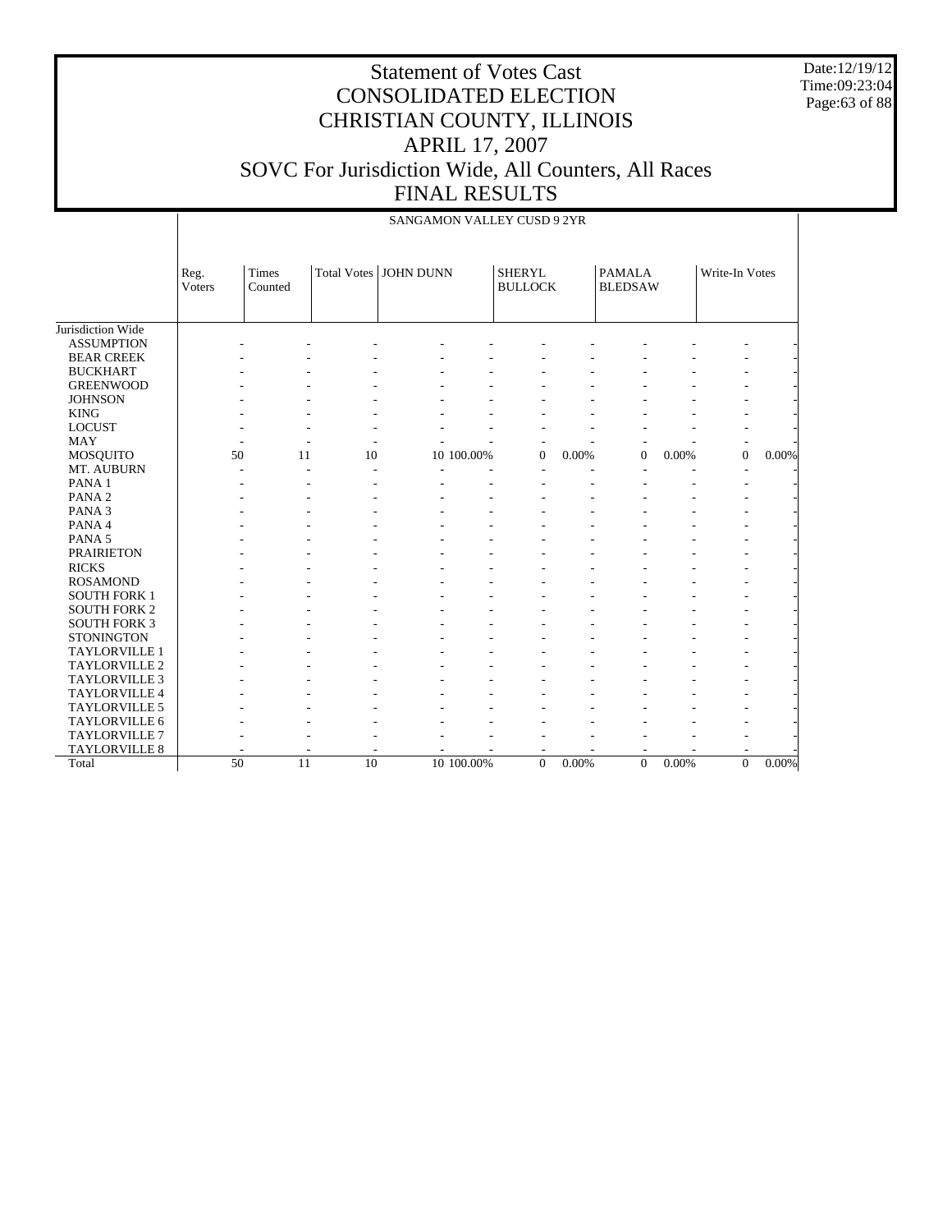Date:12/19/12 Time:09:23:04 Page:63 of 88

## Statement of Votes Cast CONSOLIDATED ELECTION CHRISTIAN COUNTY, ILLINOIS APRIL 17, 2007 SOVC For Jurisdiction Wide, All Counters, All Races FINAL RESULTS

|                      |                | SANGAMON VALLEY CUSD 9 2YR |                    |                  |            |                                 |       |                                 |       |                |       |  |  |  |
|----------------------|----------------|----------------------------|--------------------|------------------|------------|---------------------------------|-------|---------------------------------|-------|----------------|-------|--|--|--|
|                      | Reg.<br>Voters | Times<br>Counted           | <b>Total Votes</b> | <b>JOHN DUNN</b> |            | <b>SHERYL</b><br><b>BULLOCK</b> |       | <b>PAMALA</b><br><b>BLEDSAW</b> |       | Write-In Votes |       |  |  |  |
| Jurisdiction Wide    |                |                            |                    |                  |            |                                 |       |                                 |       |                |       |  |  |  |
| <b>ASSUMPTION</b>    |                |                            |                    |                  |            |                                 |       |                                 |       |                |       |  |  |  |
| <b>BEAR CREEK</b>    |                |                            |                    |                  |            |                                 |       |                                 |       |                |       |  |  |  |
| <b>BUCKHART</b>      |                |                            |                    |                  |            |                                 |       |                                 |       |                |       |  |  |  |
| <b>GREENWOOD</b>     |                |                            |                    |                  |            |                                 |       |                                 |       |                |       |  |  |  |
| <b>JOHNSON</b>       |                |                            |                    |                  |            |                                 |       |                                 |       |                |       |  |  |  |
| <b>KING</b>          |                |                            |                    |                  |            |                                 |       |                                 |       |                |       |  |  |  |
| <b>LOCUST</b>        |                |                            |                    |                  |            |                                 |       |                                 |       |                |       |  |  |  |
| <b>MAY</b>           |                |                            |                    |                  |            |                                 |       |                                 |       |                |       |  |  |  |
| MOSQUITO             | 50             | 11                         | 10                 |                  | 10 100.00% | $\overline{0}$                  | 0.00% | $\overline{0}$                  | 0.00% | $\overline{0}$ | 0.00% |  |  |  |
| MT. AUBURN           |                |                            |                    |                  |            |                                 |       |                                 |       |                |       |  |  |  |
| PANA <sub>1</sub>    |                |                            |                    |                  |            |                                 |       |                                 |       |                |       |  |  |  |
| PANA <sub>2</sub>    |                |                            |                    |                  |            |                                 |       |                                 |       |                |       |  |  |  |
| PANA <sub>3</sub>    |                |                            |                    |                  |            |                                 |       |                                 |       |                |       |  |  |  |
| PANA 4               |                |                            |                    |                  |            |                                 |       |                                 |       |                |       |  |  |  |
| PANA <sub>5</sub>    |                |                            |                    |                  |            |                                 |       |                                 |       |                |       |  |  |  |
| <b>PRAIRIETON</b>    |                |                            |                    |                  |            |                                 |       |                                 |       |                |       |  |  |  |
| <b>RICKS</b>         |                |                            |                    |                  |            |                                 |       |                                 |       |                |       |  |  |  |
| <b>ROSAMOND</b>      |                |                            |                    |                  |            |                                 |       |                                 |       |                |       |  |  |  |
| <b>SOUTH FORK 1</b>  |                |                            |                    |                  |            |                                 |       |                                 |       |                |       |  |  |  |
| <b>SOUTH FORK 2</b>  |                |                            |                    |                  |            |                                 |       |                                 |       |                |       |  |  |  |
| <b>SOUTH FORK 3</b>  |                |                            |                    |                  |            |                                 |       |                                 |       |                |       |  |  |  |
| <b>STONINGTON</b>    |                |                            |                    |                  |            |                                 |       |                                 |       |                |       |  |  |  |
| <b>TAYLORVILLE 1</b> |                |                            |                    |                  |            |                                 |       |                                 |       |                |       |  |  |  |
| TAYLORVILLE 2        |                |                            |                    |                  |            |                                 |       |                                 |       |                |       |  |  |  |
| <b>TAYLORVILLE 3</b> |                |                            |                    |                  |            |                                 |       |                                 |       |                |       |  |  |  |
| TAYLORVILLE 4        |                |                            |                    |                  |            |                                 |       |                                 |       |                |       |  |  |  |
| TAYLORVILLE 5        |                |                            |                    |                  |            |                                 |       |                                 |       |                |       |  |  |  |
| TAYLORVILLE 6        |                |                            |                    |                  |            |                                 |       |                                 |       |                |       |  |  |  |
| <b>TAYLORVILLE 7</b> |                |                            |                    |                  |            |                                 |       |                                 |       |                |       |  |  |  |
| <b>TAYLORVILLE 8</b> |                |                            |                    |                  |            |                                 |       |                                 |       |                |       |  |  |  |
| Total                | 50             | 11                         | 10                 |                  | 10 100.00% | $\theta$                        | 0.00% | $\overline{0}$                  | 0.00% | $\overline{0}$ | 0.00% |  |  |  |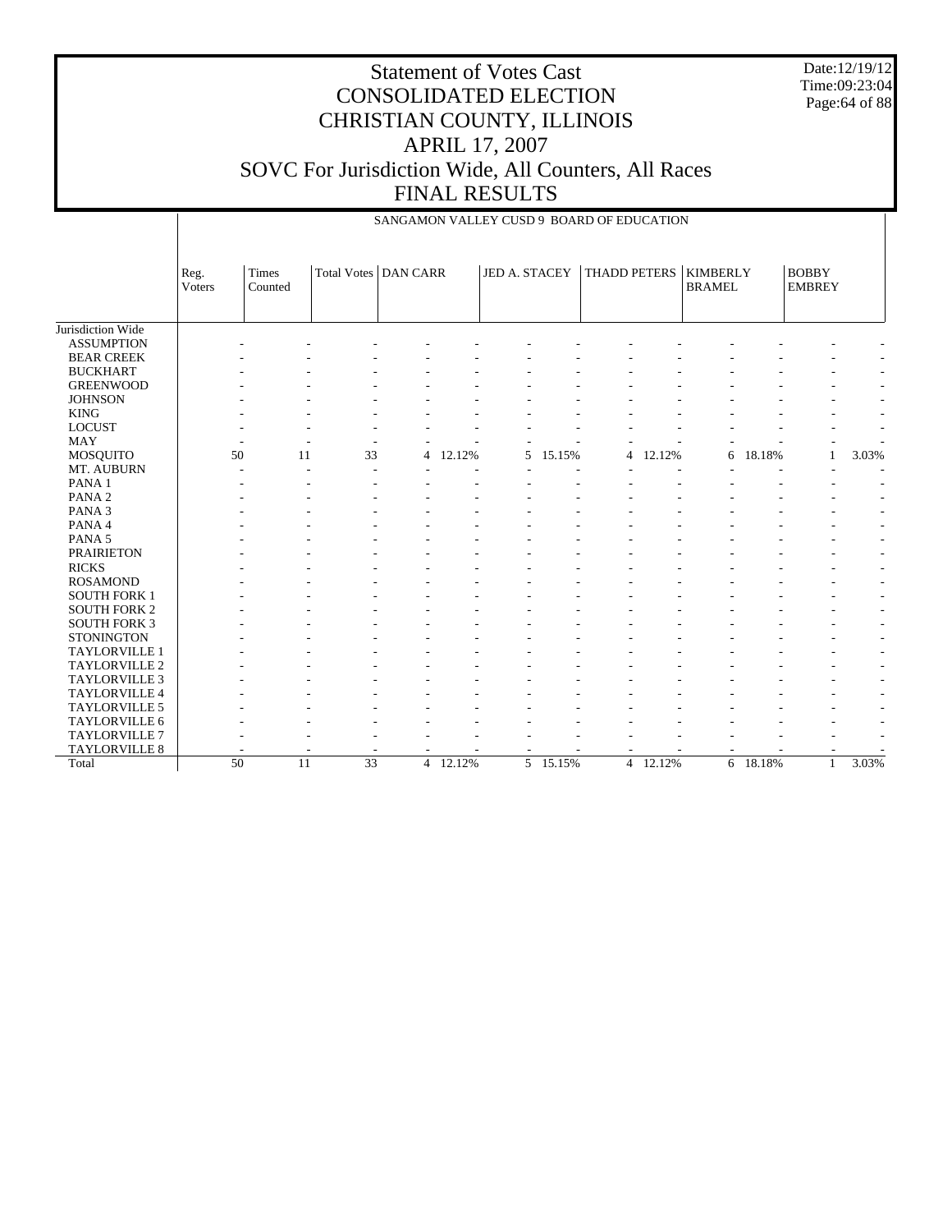| <b>Statement of Votes Cast</b>                      |
|-----------------------------------------------------|
| <b>CONSOLIDATED ELECTION</b>                        |
| CHRISTIAN COUNTY, ILLINOIS                          |
| <b>APRIL 17, 2007</b>                               |
| SOVC For Jurisdiction Wide, All Counters, All Races |
| <b>FINAL RESULTS</b>                                |

Date:12/19/12 Time:09:23:04 Page:64 of 88

|                      | SANGAMON VALLEY CUSD 9 BOARD OF EDUCATION |              |                        |                |        |               |          |                |        |                 |          |               |       |
|----------------------|-------------------------------------------|--------------|------------------------|----------------|--------|---------------|----------|----------------|--------|-----------------|----------|---------------|-------|
|                      |                                           |              |                        |                |        |               |          |                |        |                 |          |               |       |
|                      |                                           |              |                        |                |        |               |          |                |        |                 |          |               |       |
|                      | Reg.                                      | <b>Times</b> | Total Votes   DAN CARR |                |        | JED A. STACEY |          | THADD PETERS   |        | <b>KIMBERLY</b> |          | <b>BOBBY</b>  |       |
|                      | Voters                                    | Counted      |                        |                |        |               |          |                |        | <b>BRAMEL</b>   |          | <b>EMBREY</b> |       |
|                      |                                           |              |                        |                |        |               |          |                |        |                 |          |               |       |
| Jurisdiction Wide    |                                           |              |                        |                |        |               |          |                |        |                 |          |               |       |
| <b>ASSUMPTION</b>    |                                           |              |                        |                |        |               |          |                |        |                 |          |               |       |
| <b>BEAR CREEK</b>    |                                           |              |                        |                |        |               |          |                |        |                 |          |               |       |
| <b>BUCKHART</b>      |                                           |              |                        |                |        |               |          |                |        |                 |          |               |       |
| <b>GREENWOOD</b>     |                                           |              |                        |                |        |               |          |                |        |                 |          |               |       |
| <b>JOHNSON</b>       |                                           |              |                        |                |        |               |          |                |        |                 |          |               |       |
| <b>KING</b>          |                                           |              |                        |                |        |               |          |                |        |                 |          |               |       |
| <b>LOCUST</b>        |                                           |              |                        |                |        |               |          |                |        |                 |          |               |       |
| <b>MAY</b>           |                                           |              |                        |                |        |               |          |                |        |                 |          |               |       |
| MOSQUITO             | 50                                        | 11           | 33                     | 4              | 12.12% | 5             | 15.15%   | 4              | 12.12% | 6               | 18.18%   | 1             | 3.03% |
| MT. AUBURN           |                                           |              |                        |                |        |               |          |                |        |                 |          |               |       |
| PANA <sub>1</sub>    |                                           |              |                        |                |        |               |          |                |        |                 |          |               |       |
| PANA <sub>2</sub>    |                                           |              |                        |                |        |               |          |                |        |                 |          |               |       |
| PANA <sub>3</sub>    |                                           |              |                        |                |        |               |          |                |        |                 |          |               |       |
| PANA 4               |                                           |              |                        |                |        |               |          |                |        |                 |          |               |       |
| PANA <sub>5</sub>    |                                           |              |                        |                |        |               |          |                |        |                 |          |               |       |
| <b>PRAIRIETON</b>    |                                           |              |                        |                |        |               |          |                |        |                 |          |               |       |
| <b>RICKS</b>         |                                           |              |                        |                |        |               |          |                |        |                 |          |               |       |
| <b>ROSAMOND</b>      |                                           |              |                        |                |        |               |          |                |        |                 |          |               | ٠     |
| <b>SOUTH FORK 1</b>  |                                           |              |                        |                |        |               |          |                |        |                 |          |               | ٠     |
| <b>SOUTH FORK 2</b>  |                                           |              |                        |                |        |               |          |                |        |                 |          |               |       |
| <b>SOUTH FORK 3</b>  |                                           |              |                        |                |        |               |          |                |        |                 |          |               |       |
| <b>STONINGTON</b>    |                                           |              |                        |                |        |               |          |                |        |                 |          |               |       |
| TAYLORVILLE 1        |                                           |              |                        |                |        |               |          |                |        |                 |          |               |       |
| TAYLORVILLE 2        |                                           |              |                        |                |        |               |          |                |        |                 |          |               |       |
| <b>TAYLORVILLE 3</b> |                                           |              |                        |                |        |               |          |                |        |                 |          |               |       |
| <b>TAYLORVILLE 4</b> |                                           |              |                        |                |        |               |          |                |        |                 |          |               |       |
| TAYLORVILLE 5        |                                           |              |                        |                |        |               |          |                |        |                 |          |               |       |
| TAYLORVILLE 6        |                                           |              |                        |                |        |               |          |                |        |                 |          |               |       |
| <b>TAYLORVILLE 7</b> |                                           |              |                        |                |        |               |          |                |        |                 |          |               |       |
| TAYLORVILLE 8        |                                           |              |                        |                |        |               |          |                |        |                 |          |               |       |
| Total                | 50                                        | 11           | $\overline{33}$        | $\overline{4}$ | 12.12% |               | 5 15.15% | $\overline{4}$ | 12.12% |                 | 6 18.18% | $\mathbf{1}$  | 3.03% |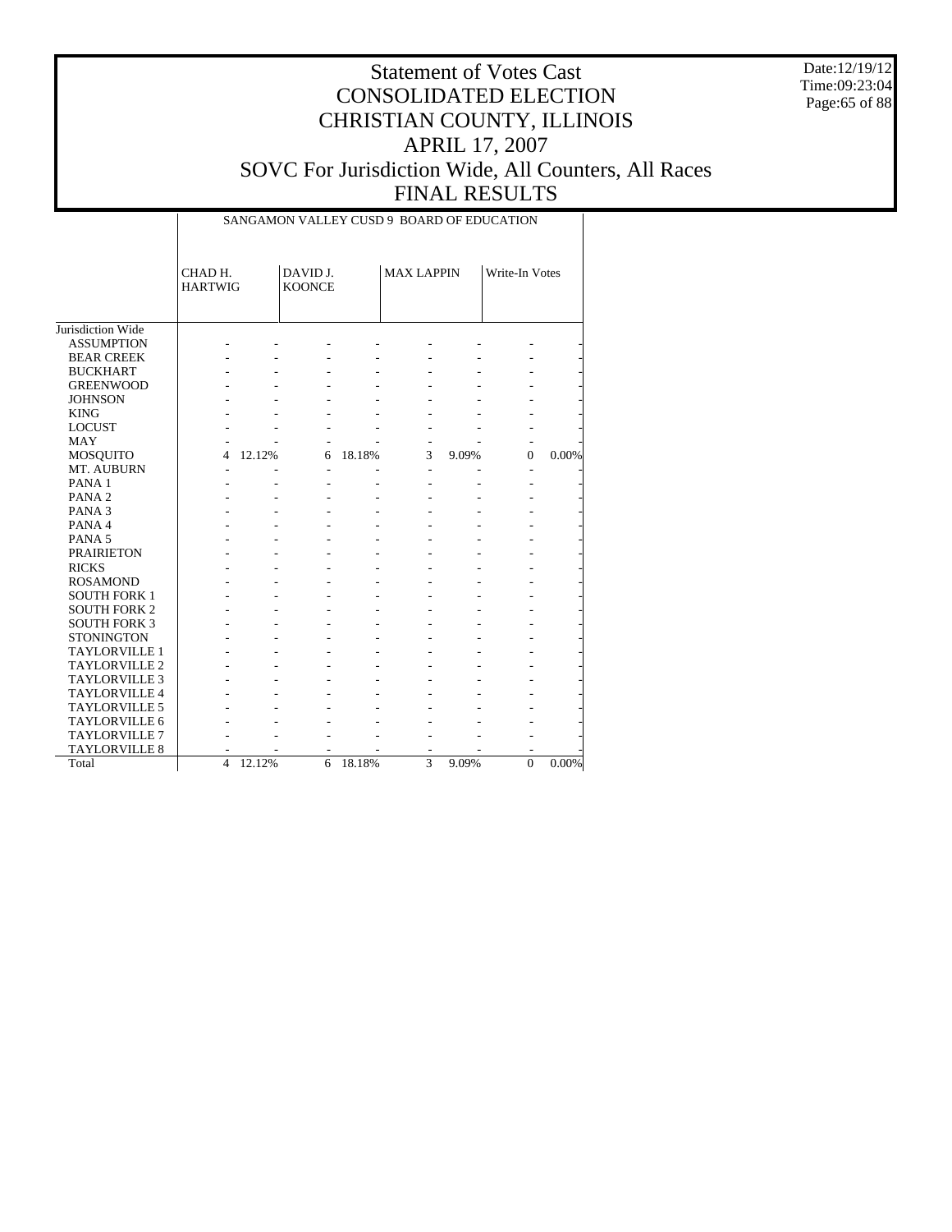Date:12/19/12 Time:09:23:04 Page:65 of 88

|                      |                           | SANGAMON VALLEY CUSD 9 BOARD OF EDUCATION |                           |        |                   |       |                |          |  |  |  |  |  |  |
|----------------------|---------------------------|-------------------------------------------|---------------------------|--------|-------------------|-------|----------------|----------|--|--|--|--|--|--|
|                      | CHAD H.<br><b>HARTWIG</b> |                                           | DAVID J.<br><b>KOONCE</b> |        | <b>MAX LAPPIN</b> |       | Write-In Votes |          |  |  |  |  |  |  |
| Jurisdiction Wide    |                           |                                           |                           |        |                   |       |                |          |  |  |  |  |  |  |
| <b>ASSUMPTION</b>    |                           |                                           |                           |        |                   |       |                |          |  |  |  |  |  |  |
| <b>BEAR CREEK</b>    |                           |                                           |                           |        |                   |       |                |          |  |  |  |  |  |  |
| <b>BUCKHART</b>      |                           |                                           |                           |        |                   |       |                |          |  |  |  |  |  |  |
| <b>GREENWOOD</b>     |                           |                                           |                           |        |                   |       |                |          |  |  |  |  |  |  |
| <b>JOHNSON</b>       |                           |                                           |                           |        |                   |       |                |          |  |  |  |  |  |  |
| <b>KING</b>          |                           |                                           |                           |        |                   |       |                |          |  |  |  |  |  |  |
| <b>LOCUST</b>        |                           |                                           |                           |        |                   |       |                |          |  |  |  |  |  |  |
| <b>MAY</b>           |                           |                                           |                           |        |                   |       |                |          |  |  |  |  |  |  |
| MOSQUITO             | 4                         | 12.12%                                    | 6                         | 18.18% | 3                 | 9.09% | $\Omega$       | 0.00%    |  |  |  |  |  |  |
| MT. AUBURN           | ÷.                        |                                           | ä,                        |        | $\overline{a}$    |       |                |          |  |  |  |  |  |  |
| PANA <sub>1</sub>    |                           |                                           |                           |        |                   |       |                |          |  |  |  |  |  |  |
| PANA <sub>2</sub>    |                           |                                           |                           |        |                   |       |                |          |  |  |  |  |  |  |
| PANA <sub>3</sub>    |                           |                                           |                           |        |                   |       |                |          |  |  |  |  |  |  |
| PANA 4               |                           |                                           |                           |        |                   |       |                |          |  |  |  |  |  |  |
| PANA <sub>5</sub>    |                           |                                           |                           |        |                   |       |                |          |  |  |  |  |  |  |
| <b>PRAIRIETON</b>    |                           |                                           |                           |        |                   |       |                |          |  |  |  |  |  |  |
| <b>RICKS</b>         |                           |                                           |                           |        |                   |       |                |          |  |  |  |  |  |  |
| <b>ROSAMOND</b>      |                           |                                           |                           |        |                   |       |                |          |  |  |  |  |  |  |
| <b>SOUTH FORK 1</b>  |                           |                                           |                           |        |                   |       |                |          |  |  |  |  |  |  |
| <b>SOUTH FORK 2</b>  |                           |                                           |                           |        |                   |       |                |          |  |  |  |  |  |  |
| <b>SOUTH FORK 3</b>  |                           |                                           |                           |        |                   |       |                |          |  |  |  |  |  |  |
| <b>STONINGTON</b>    |                           |                                           |                           |        |                   |       |                |          |  |  |  |  |  |  |
| <b>TAYLORVILLE 1</b> |                           |                                           |                           |        |                   |       |                |          |  |  |  |  |  |  |
| <b>TAYLORVILLE 2</b> |                           |                                           |                           |        |                   |       |                |          |  |  |  |  |  |  |
| <b>TAYLORVILLE 3</b> |                           |                                           |                           |        |                   |       |                |          |  |  |  |  |  |  |
| TAYLORVILLE 4        |                           |                                           |                           |        |                   |       |                |          |  |  |  |  |  |  |
| TAYLORVILLE 5        |                           |                                           |                           |        |                   |       |                |          |  |  |  |  |  |  |
| TAYLORVILLE 6        |                           |                                           |                           |        |                   |       |                |          |  |  |  |  |  |  |
| <b>TAYLORVILLE 7</b> |                           |                                           |                           |        |                   |       |                |          |  |  |  |  |  |  |
| <b>TAYLORVILLE 8</b> |                           |                                           |                           |        |                   |       |                |          |  |  |  |  |  |  |
| Total                | $\overline{\mathbf{4}}$   | 12.12%                                    | 6                         | 18.18% | $\overline{3}$    | 9.09% | $\Omega$       | $0.00\%$ |  |  |  |  |  |  |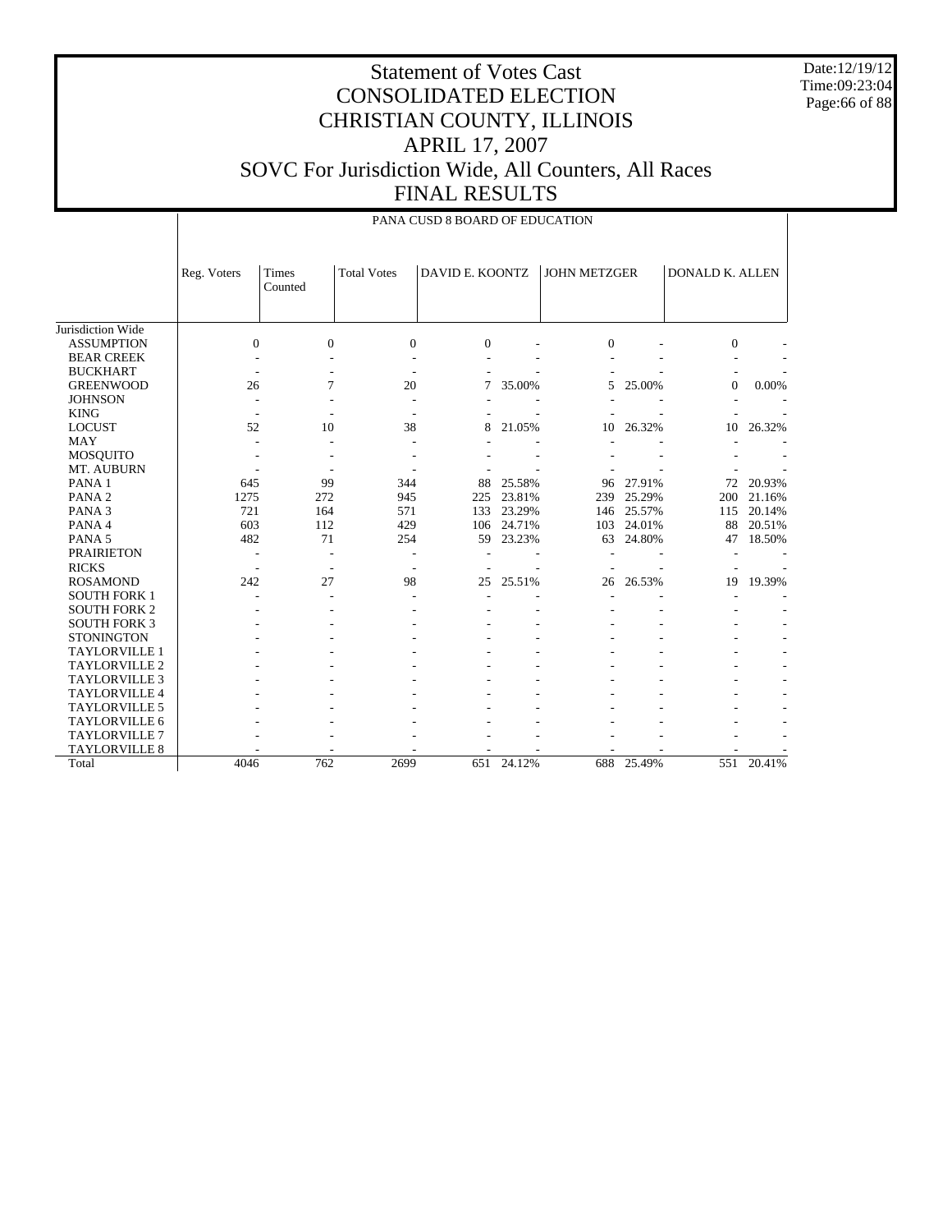Date:12/19/12 Time:09:23:04 Page:66 of 88

|                      |              | PANA CUSD 8 BOARD OF EDUCATION |                          |                 |        |                     |            |                 |            |  |  |  |  |
|----------------------|--------------|--------------------------------|--------------------------|-----------------|--------|---------------------|------------|-----------------|------------|--|--|--|--|
|                      | Reg. Voters  | Times<br>Counted               | <b>Total Votes</b>       | DAVID E. KOONTZ |        | <b>JOHN METZGER</b> |            | DONALD K. ALLEN |            |  |  |  |  |
| Jurisdiction Wide    |              |                                |                          |                 |        |                     |            |                 |            |  |  |  |  |
| <b>ASSUMPTION</b>    | $\mathbf{0}$ | $\Omega$                       | $\overline{0}$           | $\Omega$        |        | $\overline{0}$      |            | $\theta$        |            |  |  |  |  |
| <b>BEAR CREEK</b>    |              |                                |                          |                 |        |                     |            |                 |            |  |  |  |  |
| <b>BUCKHART</b>      |              |                                |                          |                 |        |                     |            |                 |            |  |  |  |  |
| <b>GREENWOOD</b>     | 26           | 7                              | 20                       | 7               | 35.00% | 5                   | 25.00%     | $\overline{0}$  | 0.00%      |  |  |  |  |
| <b>JOHNSON</b>       |              |                                |                          |                 |        |                     |            |                 |            |  |  |  |  |
| <b>KING</b>          |              |                                |                          |                 |        |                     |            |                 |            |  |  |  |  |
| <b>LOCUST</b>        | 52           | 10                             | 38                       | 8               | 21.05% | 10                  | 26.32%     | 10              | 26.32%     |  |  |  |  |
| <b>MAY</b>           | ÷            |                                | ٠                        |                 |        |                     |            |                 |            |  |  |  |  |
| <b>MOSQUITO</b>      |              |                                |                          |                 |        |                     |            |                 |            |  |  |  |  |
| MT. AUBURN           |              |                                |                          |                 |        |                     |            |                 |            |  |  |  |  |
| PANA 1               | 645          | 99                             | 344                      | 88              | 25.58% | 96                  | 27.91%     | 72              | 20.93%     |  |  |  |  |
| PANA <sub>2</sub>    | 1275         | 272                            | 945                      | 225             | 23.81% | 239                 | 25.29%     | 200             | 21.16%     |  |  |  |  |
| PANA <sub>3</sub>    | 721          | 164                            | 571                      | 133             | 23.29% | 146                 | 25.57%     | 115             | 20.14%     |  |  |  |  |
| PANA 4               | 603          | 112                            | 429                      | 106             | 24.71% | 103                 | 24.01%     | 88              | 20.51%     |  |  |  |  |
| PANA <sub>5</sub>    | 482          | 71                             | 254                      | 59              | 23.23% | 63                  | 24.80%     | 47              | 18.50%     |  |  |  |  |
| <b>PRAIRIETON</b>    | L,           |                                |                          |                 |        |                     |            |                 |            |  |  |  |  |
| <b>RICKS</b>         | ÷            | ÷                              | $\overline{\phantom{a}}$ |                 |        |                     |            |                 |            |  |  |  |  |
| <b>ROSAMOND</b>      | 242          | 27                             | 98                       | 25              | 25.51% | 26                  | 26.53%     | 19              | 19.39%     |  |  |  |  |
| <b>SOUTH FORK 1</b>  |              |                                |                          |                 |        |                     |            |                 |            |  |  |  |  |
| <b>SOUTH FORK 2</b>  |              |                                |                          |                 |        |                     |            |                 |            |  |  |  |  |
| <b>SOUTH FORK 3</b>  |              |                                |                          |                 |        |                     |            |                 |            |  |  |  |  |
| <b>STONINGTON</b>    |              |                                |                          |                 |        |                     |            |                 |            |  |  |  |  |
| <b>TAYLORVILLE 1</b> |              |                                |                          |                 |        |                     |            |                 |            |  |  |  |  |
| TAYLORVILLE 2        |              |                                |                          |                 |        |                     |            |                 |            |  |  |  |  |
| <b>TAYLORVILLE 3</b> |              |                                |                          |                 |        |                     |            |                 |            |  |  |  |  |
| <b>TAYLORVILLE 4</b> |              |                                |                          |                 |        |                     |            |                 |            |  |  |  |  |
| <b>TAYLORVILLE 5</b> |              |                                |                          |                 |        |                     |            |                 |            |  |  |  |  |
| <b>TAYLORVILLE 6</b> |              |                                |                          |                 |        |                     |            |                 |            |  |  |  |  |
| <b>TAYLORVILLE 7</b> |              |                                |                          |                 |        |                     |            |                 |            |  |  |  |  |
| TAYLORVILLE 8        |              |                                |                          |                 |        |                     |            |                 |            |  |  |  |  |
| Total                | 4046         | 762                            | 2699                     | 651             | 24.12% |                     | 688 25.49% |                 | 551 20.41% |  |  |  |  |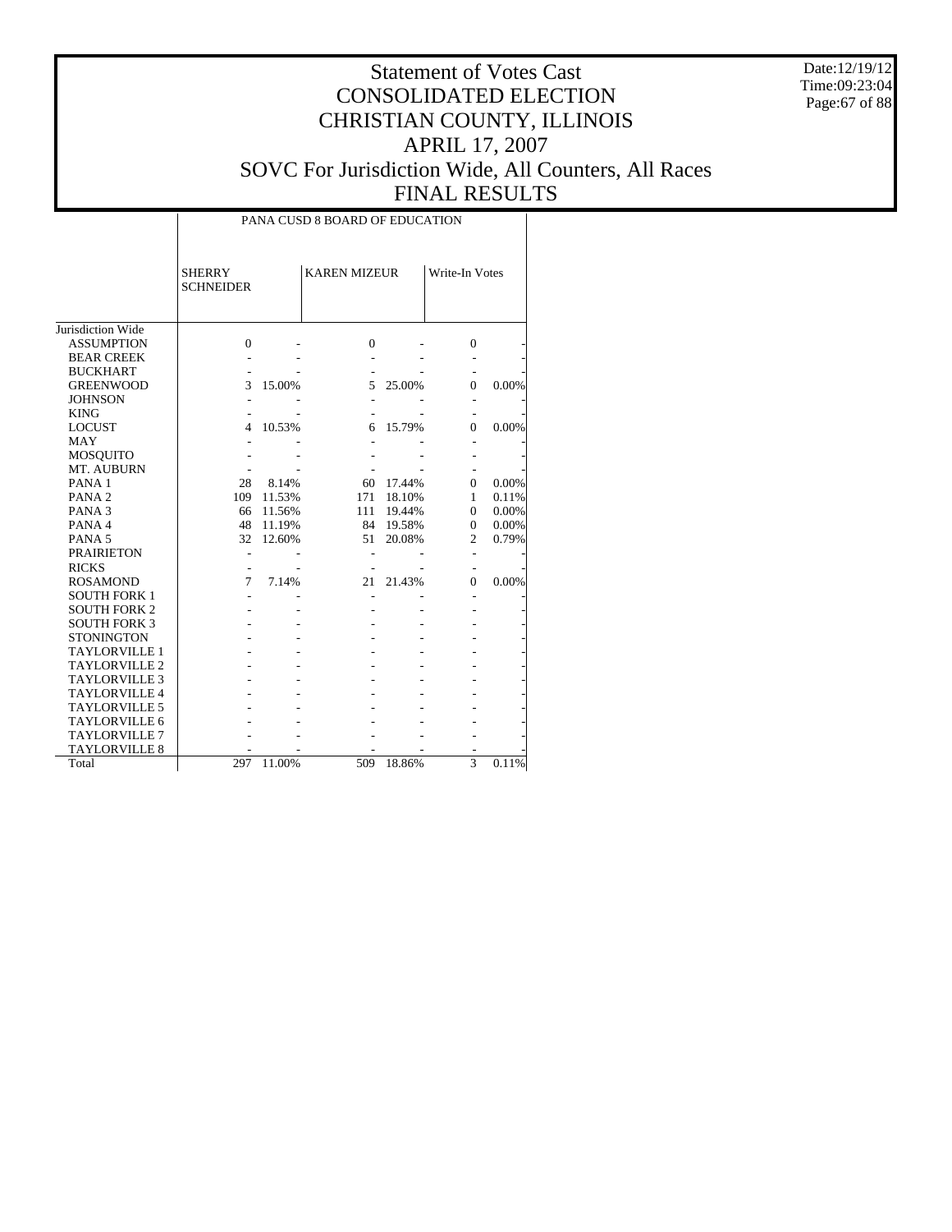Date:12/19/12 Time:09:23:04 Page:67 of 88

# Statement of Votes Cast CONSOLIDATED ELECTION CHRISTIAN COUNTY, ILLINOIS APRIL 17, 2007 SOVC For Jurisdiction Wide, All Counters, All Races FINAL RESULTS

 $\top$ 

|                      | <b>SHERRY</b><br><b>SCHNEIDER</b> |        | <b>KAREN MIZEUR</b> |           | Write-In Votes |       |
|----------------------|-----------------------------------|--------|---------------------|-----------|----------------|-------|
| Jurisdiction Wide    |                                   |        |                     |           |                |       |
| <b>ASSUMPTION</b>    | $\overline{0}$                    |        | $\mathbf{0}$        |           | $\mathbf{0}$   |       |
| <b>BEAR CREEK</b>    |                                   |        |                     |           |                |       |
| <b>BUCKHART</b>      |                                   |        |                     |           |                |       |
| <b>GREENWOOD</b>     | 3                                 | 15.00% | 5                   | 25.00%    | 0              | 0.00% |
| <b>JOHNSON</b>       |                                   |        |                     |           |                |       |
| <b>KING</b>          |                                   |        |                     |           |                |       |
| <b>LOCUST</b>        | 4                                 | 10.53% | 6                   | 15.79%    | 0              | 0.00% |
| <b>MAY</b>           |                                   |        |                     |           |                |       |
| <b>MOSQUITO</b>      |                                   |        |                     |           |                |       |
| MT. AUBURN           |                                   |        |                     |           |                |       |
| PANA <sub>1</sub>    | 28                                | 8.14%  | 60                  | 17.44%    | $\Omega$       | 0.00% |
| PANA <sub>2</sub>    | 109                               | 11.53% | 171                 | 18.10%    | 1              | 0.11% |
| PANA <sub>3</sub>    | 66                                | 11.56% | 111                 | 19.44%    | $\Omega$       | 0.00% |
| PANA 4               | 48                                | 11.19% |                     | 84 19.58% | $\mathbf{0}$   | 0.00% |
| PANA <sub>5</sub>    | 32                                | 12.60% | 51                  | 20.08%    | $\overline{2}$ | 0.79% |
| <b>PRAIRIETON</b>    |                                   |        |                     |           |                |       |
| <b>RICKS</b>         |                                   |        |                     |           |                |       |
| <b>ROSAMOND</b>      | 7                                 | 7.14%  | 21                  | 21.43%    | 0              | 0.00% |
| <b>SOUTH FORK 1</b>  |                                   |        |                     |           |                |       |
| <b>SOUTH FORK 2</b>  |                                   |        |                     |           |                |       |
| <b>SOUTH FORK 3</b>  |                                   |        |                     |           |                |       |
| <b>STONINGTON</b>    |                                   |        |                     |           |                |       |
| <b>TAYLORVILLE 1</b> |                                   |        |                     |           |                |       |
| <b>TAYLORVILLE 2</b> |                                   |        |                     |           |                |       |
| <b>TAYLORVILLE 3</b> |                                   |        |                     |           |                |       |
| <b>TAYLORVILLE4</b>  |                                   |        |                     |           |                |       |
| <b>TAYLORVILLE 5</b> |                                   |        |                     |           |                |       |
| <b>TAYLORVILLE 6</b> |                                   |        |                     |           |                |       |
| <b>TAYLORVILLE 7</b> |                                   |        |                     |           |                |       |
| <b>TAYLORVILLE 8</b> |                                   |        |                     |           |                |       |
| Total                | 297                               | 11.00% | 509                 | 18.86%    | 3              | 0.11% |

PANA CUSD 8 BOARD OF EDUCATION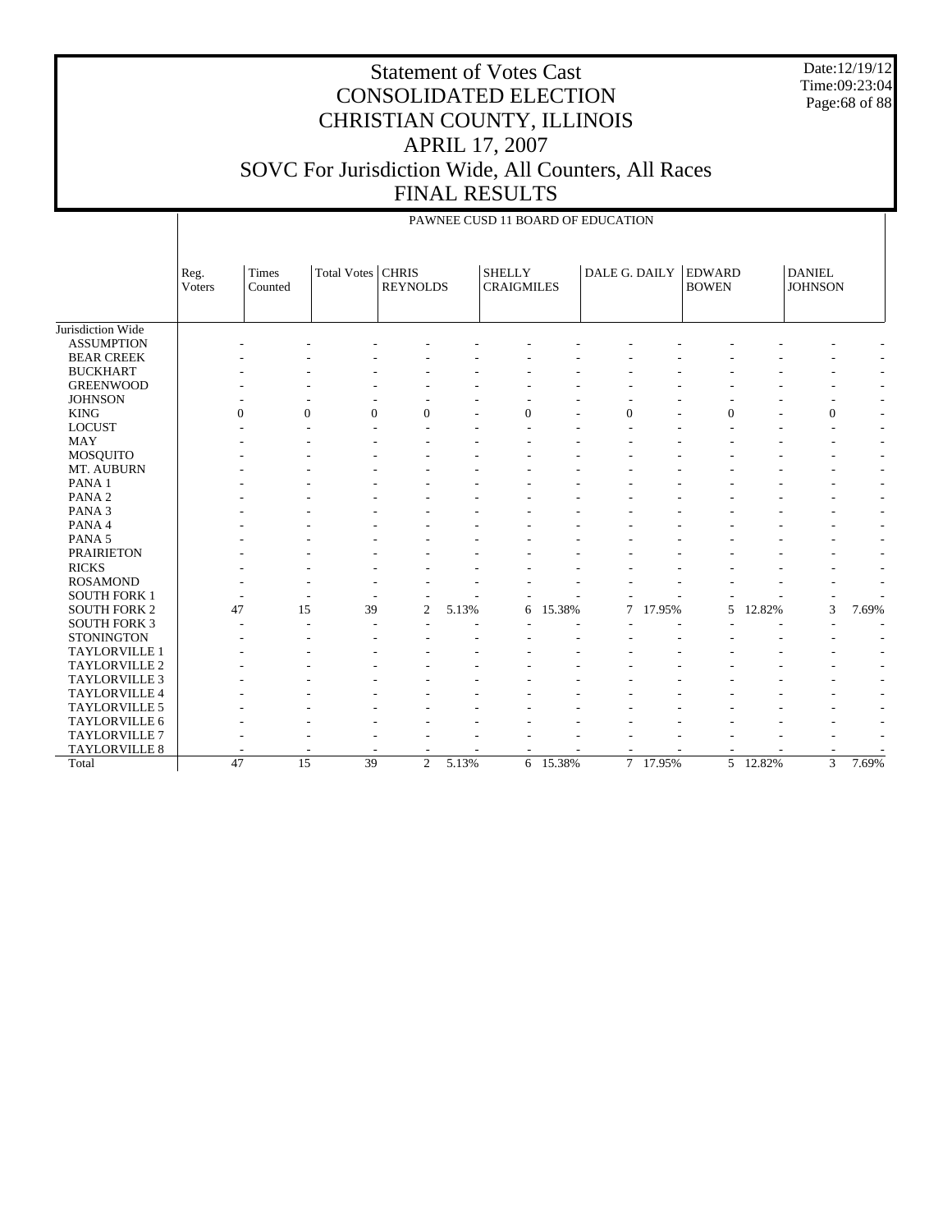Date:12/19/12 Time:09:23:04 Page:68 of 88

## Statement of Votes Cast CONSOLIDATED ELECTION CHRISTIAN COUNTY, ILLINOIS APRIL 17, 2007 SOVC For Jurisdiction Wide, All Counters, All Races FINAL RESULTS

|                      |                | PAWNEE CUSD 11 BOARD OF EDUCATION |                          |                 |       |                                    |          |               |        |                               |        |                                 |                          |  |
|----------------------|----------------|-----------------------------------|--------------------------|-----------------|-------|------------------------------------|----------|---------------|--------|-------------------------------|--------|---------------------------------|--------------------------|--|
|                      | Reg.<br>Voters | Times<br>Counted                  | Total Votes   CHRIS      | <b>REYNOLDS</b> |       | <b>SHELLY</b><br><b>CRAIGMILES</b> |          | DALE G. DAILY |        | <b>EDWARD</b><br><b>BOWEN</b> |        | <b>DANIEL</b><br><b>JOHNSON</b> |                          |  |
| Jurisdiction Wide    |                |                                   |                          |                 |       |                                    |          |               |        |                               |        |                                 |                          |  |
| <b>ASSUMPTION</b>    |                |                                   |                          |                 |       |                                    |          |               |        |                               |        |                                 |                          |  |
| <b>BEAR CREEK</b>    |                |                                   |                          |                 |       |                                    |          |               |        |                               |        |                                 | $\overline{\phantom{a}}$ |  |
| <b>BUCKHART</b>      |                |                                   |                          |                 |       |                                    |          |               |        |                               |        |                                 | $\overline{\phantom{a}}$ |  |
| <b>GREENWOOD</b>     |                |                                   |                          |                 |       |                                    |          |               |        |                               |        |                                 | $\overline{\phantom{a}}$ |  |
| <b>JOHNSON</b>       |                |                                   |                          |                 |       |                                    |          |               |        |                               |        |                                 | $\overline{\phantom{a}}$ |  |
| <b>KING</b>          |                | $\Omega$                          | $\Omega$<br>$\mathbf{0}$ | $\Omega$        |       | $\mathbf{0}$                       |          | $\mathbf{0}$  |        | $\Omega$                      |        | $\mathbf{0}$                    | ÷.                       |  |
| <b>LOCUST</b>        |                |                                   |                          |                 |       |                                    |          |               |        |                               |        |                                 | $\overline{\phantom{a}}$ |  |
| <b>MAY</b>           |                |                                   |                          |                 |       |                                    |          |               |        |                               |        |                                 | $\overline{\phantom{a}}$ |  |
| <b>MOSQUITO</b>      |                |                                   |                          |                 |       |                                    |          |               |        |                               |        |                                 | $\overline{\phantom{a}}$ |  |
| MT. AUBURN           |                |                                   |                          |                 |       |                                    |          |               |        |                               |        |                                 | $\overline{\phantom{a}}$ |  |
| PANA <sub>1</sub>    |                |                                   |                          |                 |       |                                    |          |               |        |                               |        |                                 | $\overline{\phantom{a}}$ |  |
| PANA <sub>2</sub>    |                |                                   |                          |                 |       |                                    |          |               |        |                               |        |                                 | $\overline{\phantom{a}}$ |  |
| PANA <sub>3</sub>    |                |                                   |                          |                 |       |                                    |          |               |        |                               |        |                                 | ٠                        |  |
| PANA 4               |                |                                   |                          |                 |       |                                    |          |               |        |                               |        |                                 | ٠                        |  |
| PANA <sub>5</sub>    |                |                                   |                          |                 |       |                                    |          |               |        |                               |        |                                 | ÷,                       |  |
| <b>PRAIRIETON</b>    |                |                                   |                          |                 |       |                                    |          |               |        |                               |        |                                 | $\overline{\phantom{a}}$ |  |
| <b>RICKS</b>         |                |                                   |                          |                 |       |                                    |          |               |        |                               |        |                                 | $\overline{\phantom{a}}$ |  |
| <b>ROSAMOND</b>      |                |                                   |                          |                 |       |                                    |          |               |        |                               |        |                                 | ٠                        |  |
| <b>SOUTH FORK 1</b>  |                |                                   |                          |                 |       |                                    |          |               |        |                               |        |                                 |                          |  |
| <b>SOUTH FORK 2</b>  | 47             | 15                                | 39                       | $\overline{c}$  | 5.13% | 6                                  | 15.38%   | 7             | 17.95% | 5                             | 12.82% | 3                               | 7.69%                    |  |
| <b>SOUTH FORK 3</b>  |                |                                   |                          |                 |       |                                    |          |               |        |                               |        |                                 |                          |  |
| <b>STONINGTON</b>    |                |                                   |                          |                 |       |                                    |          |               |        |                               |        |                                 |                          |  |
| TAYLORVILLE 1        |                |                                   |                          |                 |       |                                    |          |               |        |                               |        |                                 |                          |  |
| TAYLORVILLE 2        |                |                                   |                          |                 |       |                                    |          |               |        |                               |        |                                 | $\sim$                   |  |
| <b>TAYLORVILLE 3</b> |                |                                   |                          |                 |       |                                    |          |               |        |                               |        |                                 |                          |  |
| TAYLORVILLE 4        |                |                                   |                          |                 |       |                                    |          |               |        |                               |        |                                 | $\overline{\phantom{a}}$ |  |
| TAYLORVILLE 5        |                |                                   |                          |                 |       |                                    |          |               |        |                               |        |                                 | ٠                        |  |
| TAYLORVILLE 6        |                |                                   |                          |                 |       |                                    |          |               |        |                               |        |                                 | ٠                        |  |
| <b>TAYLORVILLE 7</b> |                |                                   |                          |                 |       |                                    |          |               |        |                               |        |                                 |                          |  |
| TAYLORVILLE 8        |                |                                   |                          |                 |       |                                    |          |               |        |                               |        |                                 |                          |  |
| Total                | 47             | $\overline{15}$                   | 39                       | 2               | 5.13% |                                    | 6 15.38% | $\tau$        | 17.95% | 5                             | 12.82% | 3                               | 7.69%                    |  |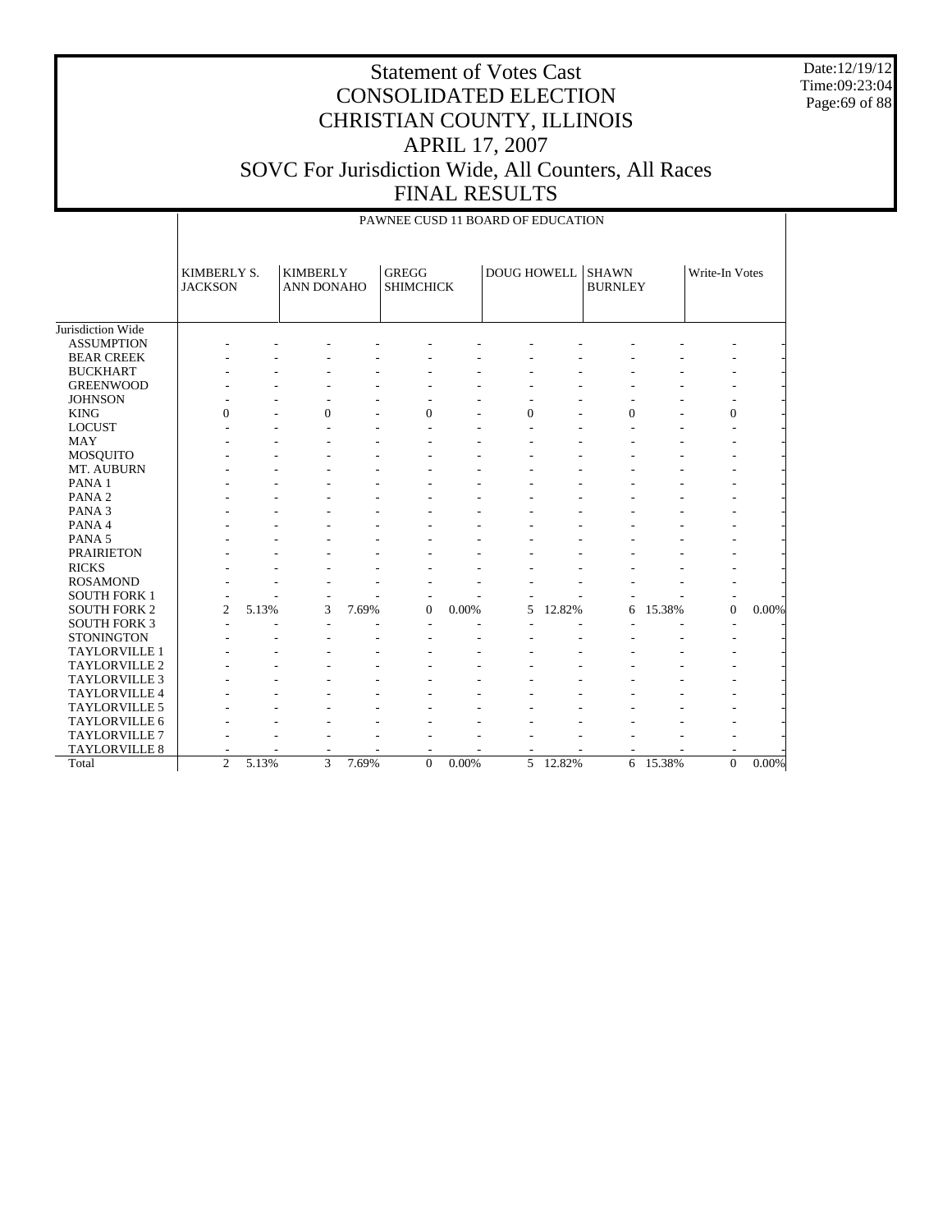Date:12/19/12 Time:09:23:04 Page:69 of 88

|                      |                               |       |                                      |       | PAWNEE CUSD 11 BOARD OF EDUCATION |       |                |        |                                |        |                |          |
|----------------------|-------------------------------|-------|--------------------------------------|-------|-----------------------------------|-------|----------------|--------|--------------------------------|--------|----------------|----------|
|                      | KIMBERLY S.<br><b>JACKSON</b> |       | <b>KIMBERLY</b><br><b>ANN DONAHO</b> |       | <b>GREGG</b><br><b>SHIMCHICK</b>  |       | DOUG HOWELL    |        | <b>SHAWN</b><br><b>BURNLEY</b> |        | Write-In Votes |          |
| Jurisdiction Wide    |                               |       |                                      |       |                                   |       |                |        |                                |        |                |          |
| <b>ASSUMPTION</b>    |                               |       |                                      |       |                                   |       |                |        |                                |        |                |          |
| <b>BEAR CREEK</b>    |                               |       |                                      |       |                                   |       |                |        |                                |        |                |          |
| <b>BUCKHART</b>      |                               |       |                                      |       |                                   |       |                |        |                                |        |                |          |
| <b>GREENWOOD</b>     |                               |       |                                      |       |                                   |       |                |        |                                |        |                |          |
| <b>JOHNSON</b>       |                               |       |                                      |       |                                   |       |                |        |                                |        |                |          |
| <b>KING</b>          | $\theta$                      |       | $\Omega$                             |       | $\mathbf{0}$                      |       | $\overline{0}$ |        | $\Omega$                       |        | $\theta$       |          |
| <b>LOCUST</b>        |                               |       |                                      |       |                                   |       |                |        |                                |        |                |          |
| <b>MAY</b>           |                               |       |                                      |       |                                   |       |                |        |                                |        |                |          |
| MOSQUITO             |                               |       |                                      |       |                                   |       |                |        |                                |        |                |          |
| MT. AUBURN           |                               |       |                                      |       |                                   |       |                |        |                                |        |                |          |
| PANA <sub>1</sub>    |                               |       |                                      |       |                                   |       |                |        |                                |        |                |          |
| PANA <sub>2</sub>    |                               |       |                                      |       |                                   |       |                |        |                                |        |                |          |
| PANA <sub>3</sub>    |                               |       |                                      |       |                                   |       |                |        |                                |        |                |          |
| PANA 4               |                               |       |                                      |       |                                   |       |                |        |                                |        |                |          |
| PANA <sub>5</sub>    |                               |       |                                      |       |                                   |       |                |        |                                |        |                |          |
| <b>PRAIRIETON</b>    |                               |       |                                      |       |                                   |       |                |        |                                |        |                |          |
| <b>RICKS</b>         |                               |       |                                      |       |                                   |       |                |        |                                |        |                |          |
| <b>ROSAMOND</b>      |                               |       |                                      |       |                                   |       |                |        |                                |        |                |          |
| <b>SOUTH FORK 1</b>  |                               |       |                                      |       |                                   |       |                |        |                                |        |                |          |
| <b>SOUTH FORK 2</b>  | $\overline{c}$                | 5.13% | 3                                    | 7.69% | $\mathbf{0}$                      | 0.00% | 5              | 12.82% | 6                              | 15.38% | $\overline{0}$ | 0.00%    |
| <b>SOUTH FORK 3</b>  |                               |       |                                      |       |                                   |       |                |        |                                |        |                |          |
| <b>STONINGTON</b>    |                               |       |                                      |       |                                   |       |                |        |                                |        |                |          |
| <b>TAYLORVILLE 1</b> |                               |       |                                      |       |                                   |       |                |        |                                |        |                |          |
| <b>TAYLORVILLE 2</b> |                               |       |                                      |       |                                   |       |                |        |                                |        |                |          |
| <b>TAYLORVILLE 3</b> |                               |       |                                      |       |                                   |       |                |        |                                |        |                |          |
| TAYLORVILLE 4        |                               |       |                                      |       |                                   |       |                |        |                                |        |                |          |
| TAYLORVILLE 5        |                               |       |                                      |       |                                   |       |                |        |                                |        |                |          |
| <b>TAYLORVILLE 6</b> |                               |       |                                      |       |                                   |       |                |        |                                |        |                |          |
| <b>TAYLORVILLE 7</b> |                               |       |                                      |       |                                   |       |                |        |                                |        |                |          |
| <b>TAYLORVILLE 8</b> |                               |       |                                      |       |                                   |       |                |        |                                |        |                |          |
| Total                | $\overline{2}$                | 5.13% | 3                                    | 7.69% | $\Omega$                          | 0.00% | 5              | 12.82% | 6                              | 15.38% | $\Omega$       | $0.00\%$ |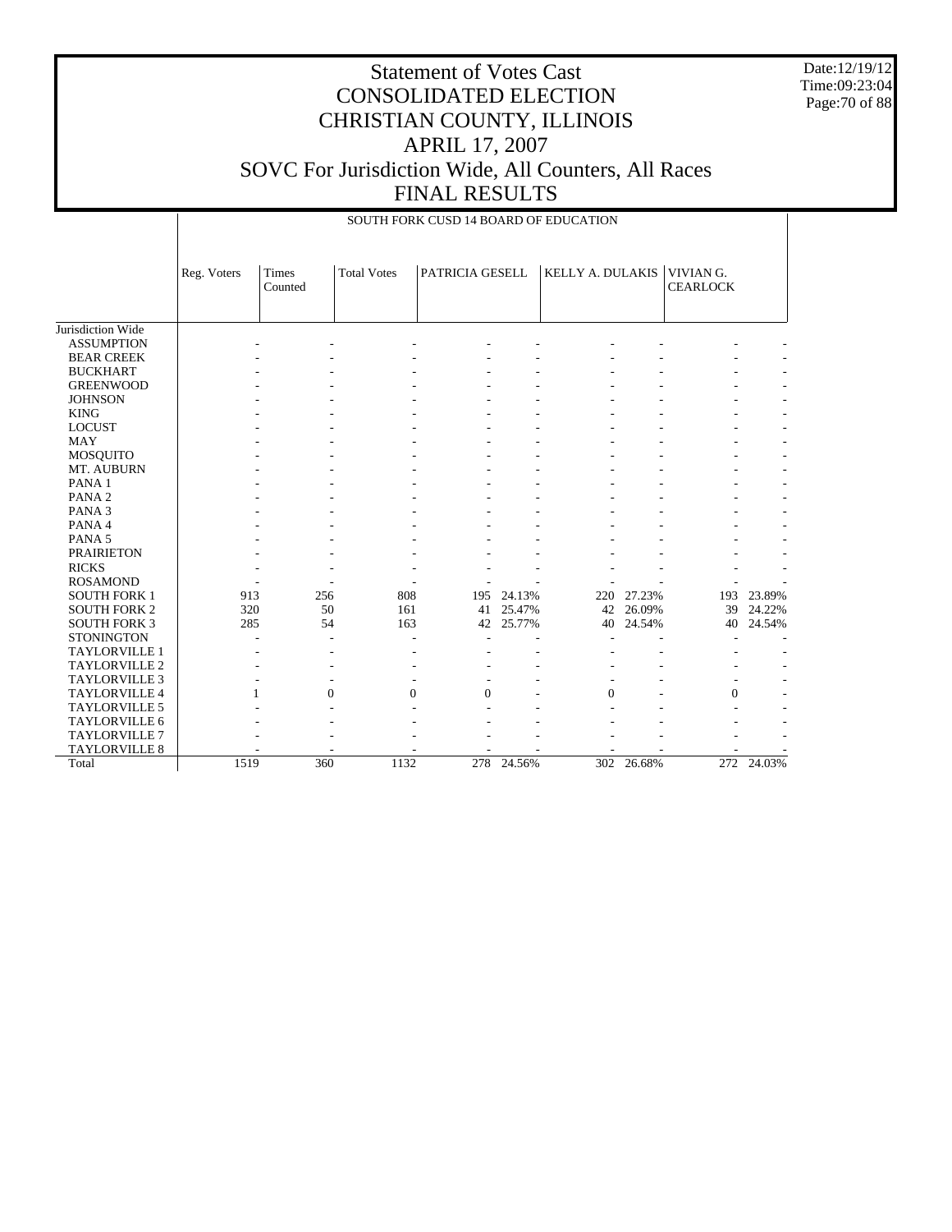Date:12/19/12 Time:09:23:04 Page:70 of 88

|                      |             | SOUTH FORK CUSD 14 BOARD OF EDUCATION |                    |                 |        |                  |        |                              |        |  |  |  |  |
|----------------------|-------------|---------------------------------------|--------------------|-----------------|--------|------------------|--------|------------------------------|--------|--|--|--|--|
|                      | Reg. Voters | Times<br>Counted                      | <b>Total Votes</b> | PATRICIA GESELL |        | KELLY A. DULAKIS |        | VIVIAN G.<br><b>CEARLOCK</b> |        |  |  |  |  |
| Jurisdiction Wide    |             |                                       |                    |                 |        |                  |        |                              |        |  |  |  |  |
| <b>ASSUMPTION</b>    |             |                                       |                    |                 |        |                  |        |                              |        |  |  |  |  |
| <b>BEAR CREEK</b>    |             |                                       |                    |                 |        |                  |        |                              |        |  |  |  |  |
| <b>BUCKHART</b>      |             |                                       |                    |                 |        |                  |        |                              |        |  |  |  |  |
| <b>GREENWOOD</b>     |             |                                       |                    |                 |        |                  |        |                              |        |  |  |  |  |
| <b>JOHNSON</b>       |             |                                       |                    |                 |        |                  |        |                              |        |  |  |  |  |
| <b>KING</b>          |             |                                       |                    |                 |        |                  |        |                              |        |  |  |  |  |
| <b>LOCUST</b>        |             |                                       |                    |                 |        |                  |        |                              |        |  |  |  |  |
| <b>MAY</b>           |             |                                       |                    |                 |        |                  |        |                              |        |  |  |  |  |
| MOSQUITO             |             |                                       |                    |                 |        |                  |        |                              |        |  |  |  |  |
| MT. AUBURN           |             |                                       |                    |                 |        |                  |        |                              |        |  |  |  |  |
| PANA <sub>1</sub>    |             |                                       |                    |                 |        |                  |        |                              |        |  |  |  |  |
| PANA <sub>2</sub>    |             |                                       |                    |                 |        |                  |        |                              |        |  |  |  |  |
| PANA <sub>3</sub>    |             |                                       |                    |                 |        |                  |        |                              |        |  |  |  |  |
| PANA 4               |             |                                       |                    |                 |        |                  |        |                              |        |  |  |  |  |
| PANA <sub>5</sub>    |             |                                       |                    |                 |        |                  |        |                              |        |  |  |  |  |
| <b>PRAIRIETON</b>    |             |                                       |                    |                 |        |                  |        |                              |        |  |  |  |  |
| <b>RICKS</b>         |             |                                       |                    |                 |        |                  |        |                              |        |  |  |  |  |
| <b>ROSAMOND</b>      |             |                                       |                    |                 |        |                  |        |                              |        |  |  |  |  |
| <b>SOUTH FORK 1</b>  | 913         | 256                                   | 808                | 195             | 24.13% | 220              | 27.23% | 193                          | 23.89% |  |  |  |  |
| <b>SOUTH FORK 2</b>  | 320         | 50                                    | 161                | 41              | 25.47% | 42               | 26.09% | 39                           | 24.22% |  |  |  |  |
| <b>SOUTH FORK 3</b>  | 285         | 54                                    | 163                | 42              | 25.77% | 40               | 24.54% | 40                           | 24.54% |  |  |  |  |
| <b>STONINGTON</b>    |             |                                       |                    |                 |        |                  |        |                              |        |  |  |  |  |
| TAYLORVILLE 1        |             |                                       |                    |                 |        |                  |        |                              |        |  |  |  |  |
| <b>TAYLORVILLE 2</b> |             |                                       |                    |                 |        |                  |        |                              |        |  |  |  |  |
| <b>TAYLORVILLE 3</b> |             |                                       | ٠                  |                 |        |                  |        |                              |        |  |  |  |  |
| <b>TAYLORVILLE 4</b> |             | $\Omega$<br>$\mathbf{1}$              | $\Omega$           | $\Omega$        |        | $\Omega$         |        | $\overline{0}$               |        |  |  |  |  |
| TAYLORVILLE 5        |             |                                       |                    |                 |        |                  |        |                              |        |  |  |  |  |
| TAYLORVILLE 6        |             |                                       |                    |                 |        |                  |        |                              |        |  |  |  |  |
| <b>TAYLORVILLE 7</b> |             |                                       |                    |                 |        |                  |        |                              |        |  |  |  |  |
| <b>TAYLORVILLE 8</b> |             |                                       |                    |                 |        |                  |        |                              |        |  |  |  |  |
| Total                | 1519        | 360                                   | 1132               | 278             | 24.56% | 302              | 26.68% | 272                          | 24.03% |  |  |  |  |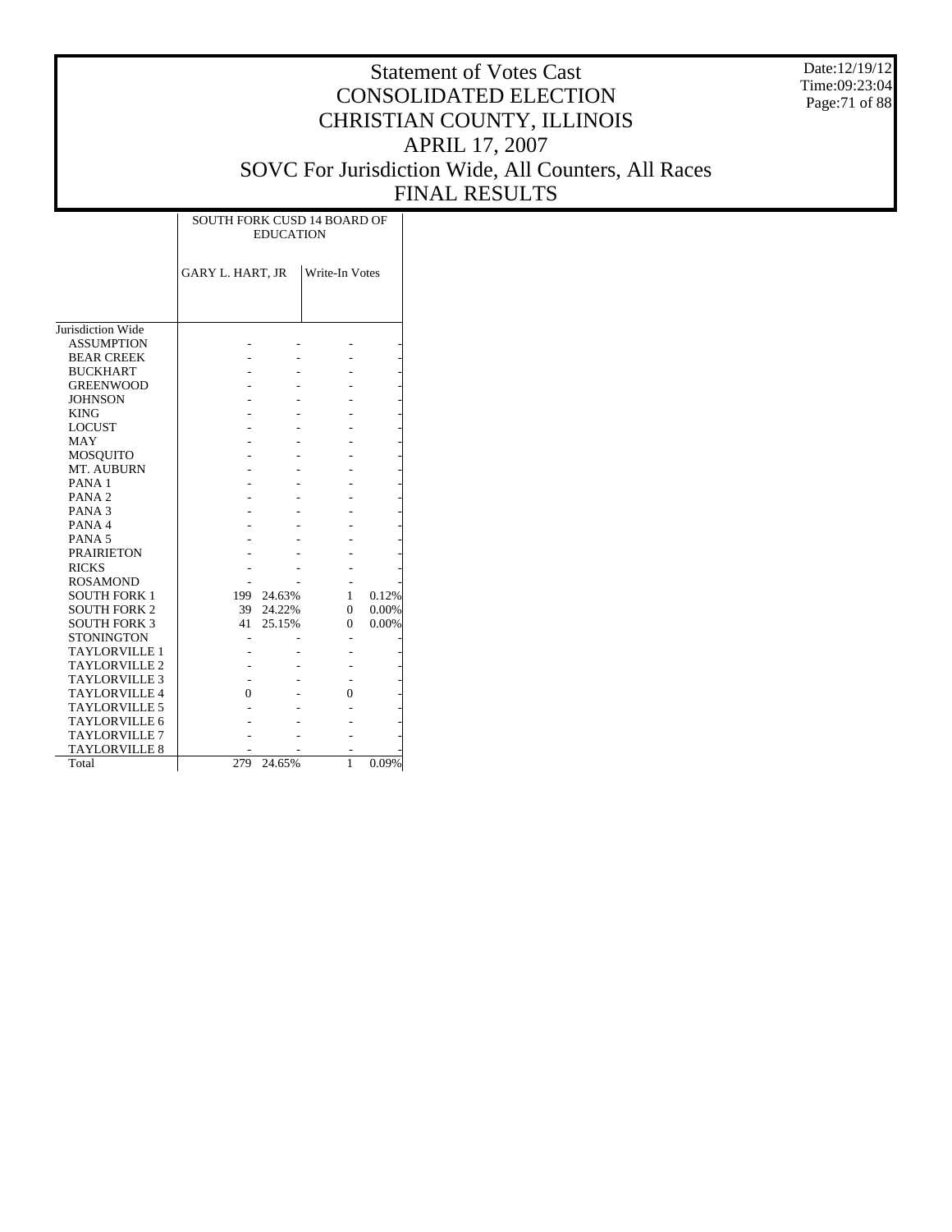Date:12/19/12 Time:09:23:04 Page:71 of 88

|                      | <b>SOUTH FORK CUSD 14 BOARD OF</b> | <b>EDUCATION</b> |                |       |
|----------------------|------------------------------------|------------------|----------------|-------|
|                      | <b>GARY L. HART, JR</b>            |                  | Write-In Votes |       |
|                      |                                    |                  |                |       |
| Jurisdiction Wide    |                                    |                  |                |       |
| <b>ASSUMPTION</b>    |                                    |                  |                |       |
| <b>BEAR CREEK</b>    |                                    |                  |                |       |
| <b>BUCKHART</b>      |                                    |                  |                |       |
| <b>GREENWOOD</b>     |                                    |                  |                |       |
| <b>JOHNSON</b>       |                                    |                  |                |       |
| <b>KING</b>          |                                    |                  |                |       |
| <b>LOCUST</b>        |                                    |                  |                |       |
| <b>MAY</b>           |                                    |                  |                |       |
| MOSQUITO             |                                    |                  |                |       |
| MT. AUBURN           |                                    |                  |                |       |
| PANA <sub>1</sub>    |                                    |                  |                |       |
| PANA <sub>2</sub>    |                                    |                  |                |       |
| PANA <sub>3</sub>    |                                    |                  |                |       |
| PANA4                |                                    |                  |                |       |
| PANA <sub>5</sub>    |                                    |                  |                |       |
| <b>PRAIRIETON</b>    |                                    |                  |                |       |
| <b>RICKS</b>         |                                    |                  |                |       |
| <b>ROSAMOND</b>      |                                    |                  |                |       |
| <b>SOUTH FORK 1</b>  | 199                                | 24.63%           | 1              | 0.12% |
| <b>SOUTH FORK 2</b>  | 39                                 | 24.22%           | 0              | 0.00% |
| <b>SOUTH FORK 3</b>  | 41                                 | 25.15%           | 0              | 0.00% |
| <b>STONINGTON</b>    |                                    |                  |                |       |
| <b>TAYLORVILLE 1</b> |                                    |                  |                |       |
| <b>TAYLORVILLE 2</b> |                                    |                  |                |       |
| <b>TAYLORVILLE 3</b> |                                    |                  |                |       |
| <b>TAYLORVILLE 4</b> | 0                                  |                  | $\theta$       |       |
| <b>TAYLORVILLE 5</b> |                                    |                  |                |       |
| TAYLORVILLE 6        |                                    |                  |                |       |
| <b>TAYLORVILLE 7</b> |                                    |                  |                |       |
| <b>TAYLORVILLE 8</b> |                                    |                  |                |       |
| Total                | 279                                | 24.65%           | 1              | 0.09% |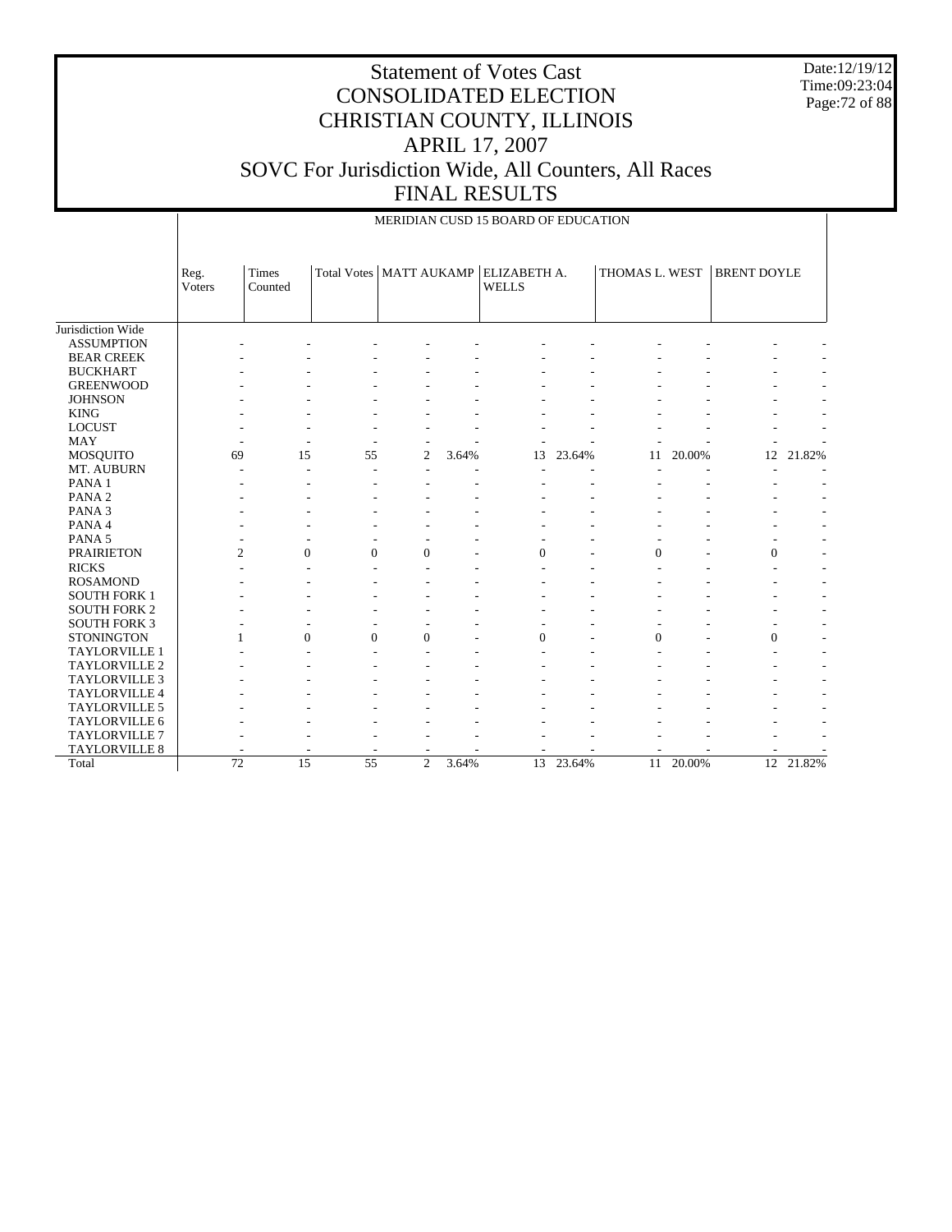Date:12/19/12 Time:09:23:04 Page:72 of 88

|                      |                       | MERIDIAN CUSD 15 BOARD OF EDUCATION |              |                |       |                                                          |        |                |        |                    |        |  |  |
|----------------------|-----------------------|-------------------------------------|--------------|----------------|-------|----------------------------------------------------------|--------|----------------|--------|--------------------|--------|--|--|
|                      | Reg.<br><b>Voters</b> | Times<br>Counted                    |              |                |       | Total Votes   MATT AUKAMP   ELIZABETH A.<br><b>WELLS</b> |        | THOMAS L. WEST |        | <b>BRENT DOYLE</b> |        |  |  |
| Jurisdiction Wide    |                       |                                     |              |                |       |                                                          |        |                |        |                    |        |  |  |
| <b>ASSUMPTION</b>    |                       |                                     |              |                |       |                                                          |        |                |        |                    |        |  |  |
| <b>BEAR CREEK</b>    |                       |                                     |              |                |       |                                                          |        |                |        |                    |        |  |  |
| <b>BUCKHART</b>      |                       |                                     |              |                |       |                                                          |        |                |        |                    |        |  |  |
| <b>GREENWOOD</b>     |                       |                                     |              |                |       |                                                          |        |                |        |                    |        |  |  |
| <b>JOHNSON</b>       |                       |                                     |              |                |       |                                                          |        |                |        |                    |        |  |  |
| <b>KING</b>          |                       |                                     |              |                |       |                                                          |        |                |        |                    |        |  |  |
| <b>LOCUST</b>        |                       |                                     |              |                |       |                                                          |        |                |        |                    |        |  |  |
| <b>MAY</b>           |                       |                                     |              |                |       |                                                          |        |                |        |                    |        |  |  |
| MOSQUITO             | 69                    | 15                                  | 55           | 2              | 3.64% | 13                                                       | 23.64% | 11             | 20.00% | 12                 | 21.82% |  |  |
| MT. AUBURN           |                       |                                     | Ē,           |                |       |                                                          |        |                |        |                    |        |  |  |
| PANA <sub>1</sub>    |                       |                                     |              |                |       |                                                          |        |                |        |                    |        |  |  |
| PANA <sub>2</sub>    |                       |                                     |              |                |       |                                                          |        |                |        |                    |        |  |  |
| PANA <sub>3</sub>    |                       |                                     |              |                |       |                                                          |        |                |        |                    |        |  |  |
| PANA 4               |                       |                                     |              |                |       |                                                          |        |                |        |                    |        |  |  |
| PANA <sub>5</sub>    |                       |                                     |              |                |       |                                                          |        |                |        |                    |        |  |  |
| <b>PRAIRIETON</b>    | $\overline{2}$        | $\mathbf{0}$                        | $\mathbf{0}$ | $\mathbf{0}$   |       | $\Omega$                                                 |        | $\mathbf{0}$   |        | $\theta$           |        |  |  |
| <b>RICKS</b>         |                       |                                     |              |                |       |                                                          |        |                |        |                    |        |  |  |
| <b>ROSAMOND</b>      |                       |                                     |              |                |       |                                                          |        |                |        |                    |        |  |  |
| <b>SOUTH FORK 1</b>  |                       |                                     |              |                |       |                                                          |        |                |        |                    |        |  |  |
| <b>SOUTH FORK 2</b>  |                       |                                     |              |                |       |                                                          |        |                |        |                    |        |  |  |
| <b>SOUTH FORK 3</b>  |                       |                                     |              |                |       |                                                          |        |                |        |                    |        |  |  |
| <b>STONINGTON</b>    | 1                     | $\Omega$                            | $\Omega$     | $\Omega$       |       | $\Omega$                                                 |        | $\Omega$       |        | $\Omega$           |        |  |  |
| <b>TAYLORVILLE 1</b> |                       |                                     |              |                |       |                                                          |        |                |        |                    |        |  |  |
| <b>TAYLORVILLE 2</b> |                       |                                     |              |                |       |                                                          |        |                |        |                    |        |  |  |
| <b>TAYLORVILLE 3</b> |                       |                                     |              |                |       |                                                          |        |                |        |                    |        |  |  |
| TAYLORVILLE 4        |                       |                                     |              |                |       |                                                          |        |                |        |                    |        |  |  |
| TAYLORVILLE 5        |                       |                                     |              |                |       |                                                          |        |                |        |                    |        |  |  |
| TAYLORVILLE 6        |                       |                                     |              |                |       |                                                          |        |                |        |                    |        |  |  |
| <b>TAYLORVILLE 7</b> |                       |                                     |              |                |       |                                                          |        |                |        |                    |        |  |  |
| TAYLORVILLE 8        |                       |                                     |              |                |       |                                                          |        |                |        |                    |        |  |  |
| Total                | 72                    | 15                                  | 55           | $\overline{c}$ | 3.64% | 13                                                       | 23.64% | 11             | 20.00% | 12                 | 21.82% |  |  |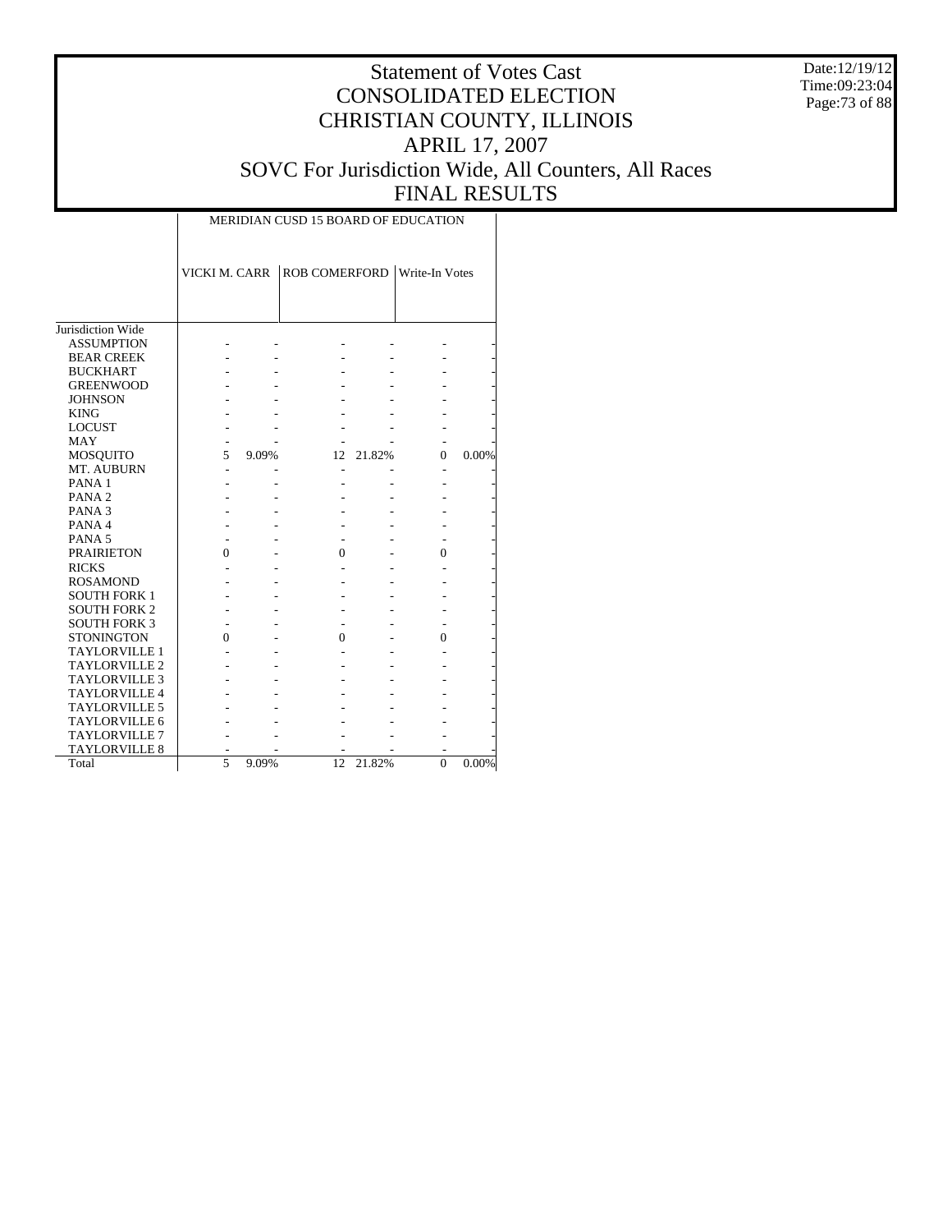Date:12/19/12 Time:09:23:04 Page:73 of 88

|                      |               |       | <b>MERIDIAN CUSD 15 BOARD OF EDUCATION</b> |        |                |       |
|----------------------|---------------|-------|--------------------------------------------|--------|----------------|-------|
|                      | VICKI M. CARR |       | ROB COMERFORD Write-In Votes               |        |                |       |
|                      |               |       |                                            |        |                |       |
| Jurisdiction Wide    |               |       |                                            |        |                |       |
| <b>ASSUMPTION</b>    |               |       |                                            |        |                |       |
| <b>BEAR CREEK</b>    |               |       |                                            |        |                |       |
| <b>BUCKHART</b>      |               |       |                                            |        |                |       |
| <b>GREENWOOD</b>     |               |       |                                            |        |                |       |
| <b>JOHNSON</b>       |               |       |                                            |        |                |       |
| <b>KING</b>          |               |       |                                            |        |                |       |
| <b>LOCUST</b>        |               |       |                                            |        |                |       |
| MAY                  |               |       |                                            |        |                |       |
| <b>MOSQUITO</b>      | 5             | 9.09% | 12                                         | 21.82% | 0              | 0.00% |
| MT. AUBURN           |               |       | $\overline{\phantom{a}}$                   |        |                |       |
| PANA <sub>1</sub>    |               |       |                                            |        |                |       |
| PANA <sub>2</sub>    |               |       |                                            |        |                |       |
| PANA <sub>3</sub>    |               |       |                                            |        |                |       |
| PANA4                |               |       |                                            |        |                |       |
| PANA <sub>5</sub>    |               |       |                                            |        |                |       |
| <b>PRAIRIETON</b>    | 0             |       | 0                                          |        | 0              |       |
| <b>RICKS</b>         |               |       |                                            |        |                |       |
| <b>ROSAMOND</b>      |               |       |                                            |        |                |       |
| <b>SOUTH FORK 1</b>  |               |       |                                            |        |                |       |
| <b>SOUTH FORK 2</b>  |               |       |                                            |        |                |       |
| <b>SOUTH FORK 3</b>  |               |       |                                            |        |                |       |
| <b>STONINGTON</b>    | 0             |       | $\theta$                                   |        | 0              |       |
| <b>TAYLORVILLE 1</b> |               |       |                                            |        |                |       |
| <b>TAYLORVILLE 2</b> |               |       |                                            |        |                |       |
|                      |               |       |                                            |        |                |       |
| <b>TAYLORVILLE 3</b> |               |       |                                            |        |                |       |
| <b>TAYLORVILLE 4</b> |               |       |                                            |        |                |       |
| <b>TAYLORVILLE 5</b> |               |       |                                            |        |                |       |
| TAYLORVILLE 6        |               |       |                                            |        |                |       |
| TAYLORVILLE 7        |               |       |                                            |        |                |       |
| TAYLORVILLE 8        |               |       |                                            |        |                |       |
| Total                | 5             | 9.09% | 12                                         | 21.82% | $\overline{0}$ | 0.00% |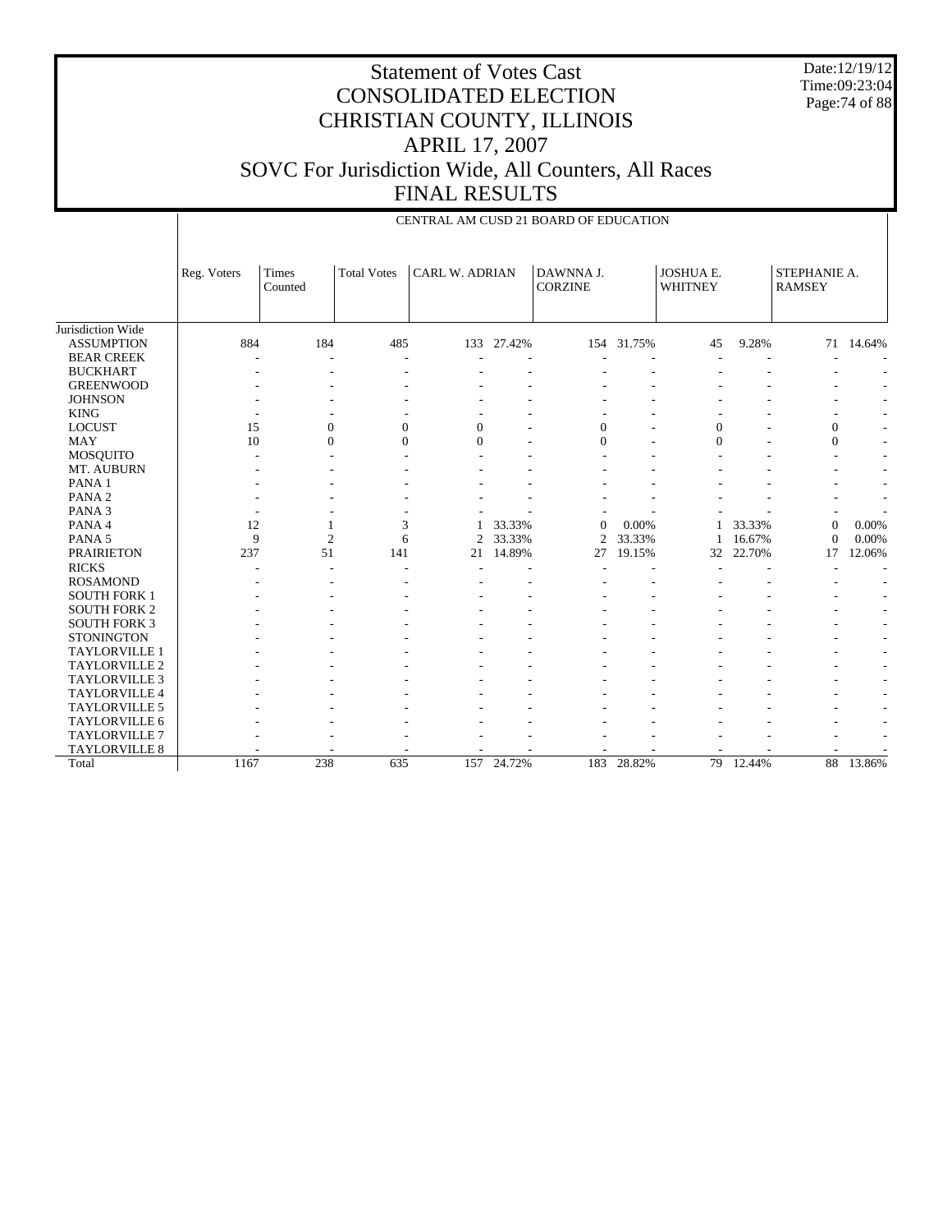Date:12/19/12 Time:09:23:04 Page:74 of 88

|                      |              |                  |                    |                       |            | CENTRAL AM CUSD 21 BOARD OF EDUCATION |            |                             |        |                               |                          |
|----------------------|--------------|------------------|--------------------|-----------------------|------------|---------------------------------------|------------|-----------------------------|--------|-------------------------------|--------------------------|
|                      | Reg. Voters  | Times<br>Counted | <b>Total Votes</b> | <b>CARL W. ADRIAN</b> |            | DAWNNA J.<br><b>CORZINE</b>           |            | JOSHUA E.<br><b>WHITNEY</b> |        | STEPHANIE A.<br><b>RAMSEY</b> |                          |
| Jurisdiction Wide    |              |                  |                    |                       |            |                                       |            |                             |        |                               |                          |
| <b>ASSUMPTION</b>    | 884          | 184              | 485                | 133                   | 27.42%     |                                       | 154 31.75% | 45                          | 9.28%  |                               | 71 14.64%                |
| <b>BEAR CREEK</b>    |              |                  |                    |                       |            |                                       |            |                             |        |                               |                          |
| <b>BUCKHART</b>      |              |                  |                    |                       |            |                                       |            |                             |        |                               |                          |
| <b>GREENWOOD</b>     |              |                  |                    |                       |            |                                       |            |                             |        |                               |                          |
| <b>JOHNSON</b>       |              |                  |                    |                       |            |                                       |            |                             |        |                               |                          |
| <b>KING</b>          |              |                  |                    |                       |            |                                       |            |                             |        |                               |                          |
| <b>LOCUST</b>        | 15           | $\mathbf{0}$     | $\overline{0}$     | $\mathbf{0}$          |            | $\overline{0}$                        |            | $\mathbf{0}$                |        | $\boldsymbol{0}$              |                          |
| <b>MAY</b>           | 10           | $\Omega$         | $\theta$           | $\Omega$              |            | $\theta$                              |            | $\Omega$                    |        | $\mathbf{0}$                  | $\overline{\phantom{a}}$ |
| MOSQUITO             |              |                  |                    |                       |            |                                       |            |                             |        |                               | $\overline{\phantom{a}}$ |
| MT. AUBURN           |              |                  |                    |                       |            |                                       |            |                             |        |                               |                          |
| PANA 1               |              |                  |                    |                       |            |                                       |            |                             |        |                               |                          |
| PANA <sub>2</sub>    |              |                  |                    |                       |            |                                       |            |                             |        |                               |                          |
| PANA <sub>3</sub>    |              |                  |                    |                       |            |                                       |            |                             |        |                               |                          |
| PANA 4               | 12           | 1                | 3                  |                       | 33.33%     | $\theta$                              | 0.00%      | 1                           | 33.33% | $\theta$                      | 0.00%                    |
| PANA <sub>5</sub>    | $\mathbf{Q}$ | $\overline{2}$   | 6                  | 2                     | 33.33%     | $\overline{2}$                        | 33.33%     | 1                           | 16.67% | $\Omega$                      | 0.00%                    |
| <b>PRAIRIETON</b>    | 237          | 51               | 141                | 21                    | 14.89%     | 27                                    | 19.15%     | 32                          | 22.70% | 17                            | 12.06%                   |
| <b>RICKS</b>         |              |                  |                    |                       |            |                                       |            |                             |        |                               |                          |
| <b>ROSAMOND</b>      |              |                  |                    |                       |            |                                       |            |                             |        |                               |                          |
| <b>SOUTH FORK 1</b>  |              |                  |                    |                       |            |                                       |            |                             |        |                               |                          |
| <b>SOUTH FORK 2</b>  |              |                  |                    |                       |            |                                       |            |                             |        |                               |                          |
| <b>SOUTH FORK 3</b>  |              |                  |                    |                       |            |                                       |            |                             |        |                               |                          |
| <b>STONINGTON</b>    |              |                  |                    |                       |            |                                       |            |                             |        |                               | ٠                        |
| <b>TAYLORVILLE 1</b> |              |                  |                    |                       |            |                                       |            |                             |        |                               |                          |
| TAYLORVILLE 2        |              |                  |                    |                       |            |                                       |            |                             |        |                               | $\overline{\phantom{a}}$ |
| <b>TAYLORVILLE 3</b> |              |                  |                    |                       |            |                                       |            |                             |        |                               | $\overline{\phantom{a}}$ |
| TAYLORVILLE 4        |              |                  |                    |                       |            |                                       |            |                             |        |                               | $\overline{\phantom{a}}$ |
| <b>TAYLORVILLE 5</b> |              |                  |                    |                       |            |                                       |            |                             |        |                               | $\overline{\phantom{a}}$ |
| <b>TAYLORVILLE 6</b> |              |                  |                    |                       |            |                                       |            |                             |        |                               |                          |
| <b>TAYLORVILLE 7</b> |              |                  |                    |                       |            |                                       |            |                             |        |                               |                          |
| <b>TAYLORVILLE 8</b> |              |                  |                    |                       |            |                                       |            |                             |        |                               |                          |
| Total                | 1167         | 238              | 635                |                       | 157 24.72% | 183                                   | 28.82%     | 79                          | 12.44% | 88                            | 13.86%                   |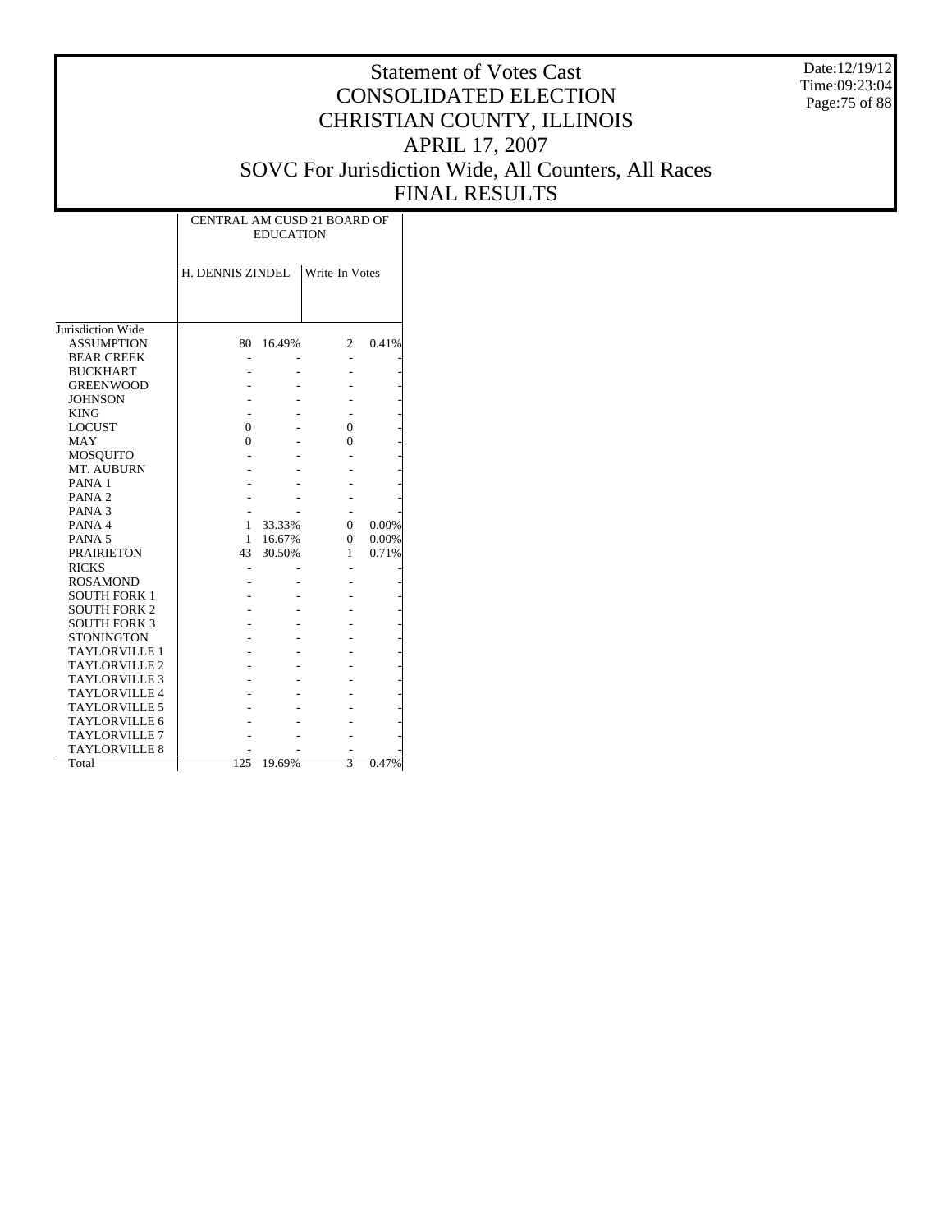Date:12/19/12 Time:09:23:04 Page:75 of 88

|                      | CENTRAL AM CUSD 21 BOARD OF | <b>EDUCATION</b> |                |       |
|----------------------|-----------------------------|------------------|----------------|-------|
|                      | H. DENNIS ZINDEL            |                  | Write-In Votes |       |
|                      |                             |                  |                |       |
| Jurisdiction Wide    |                             |                  |                |       |
| <b>ASSUMPTION</b>    | 80                          | 16.49%           | $\overline{c}$ | 0.41% |
| <b>BEAR CREEK</b>    |                             |                  |                |       |
| <b>BUCKHART</b>      |                             |                  |                |       |
| <b>GREENWOOD</b>     |                             |                  |                |       |
| <b>JOHNSON</b>       |                             |                  |                |       |
| <b>KING</b>          |                             |                  |                |       |
| <b>LOCUST</b>        | 0                           |                  | 0              |       |
| <b>MAY</b>           | $\Omega$                    |                  | $\Omega$       |       |
| MOSQUITO             |                             |                  |                |       |
| MT. AUBURN           |                             |                  |                |       |
| PANA <sub>1</sub>    |                             |                  |                |       |
| PANA <sub>2</sub>    |                             |                  |                |       |
| PANA <sub>3</sub>    |                             |                  |                |       |
| PANA <sub>4</sub>    | 1                           | 33.33%           | 0              | 0.00% |
| PANA <sub>5</sub>    | 1                           | 16.67%           | $\theta$       | 0.00% |
| <b>PRAIRIETON</b>    | 43                          | 30.50%           | 1              | 0.71% |
| <b>RICKS</b>         |                             |                  |                |       |
| <b>ROSAMOND</b>      |                             |                  |                |       |
| <b>SOUTH FORK 1</b>  |                             |                  |                |       |
| <b>SOUTH FORK 2</b>  |                             |                  |                |       |
| <b>SOUTH FORK 3</b>  |                             |                  |                |       |
| <b>STONINGTON</b>    |                             |                  |                |       |
| <b>TAYLORVILLE 1</b> |                             |                  |                |       |
| <b>TAYLORVILLE 2</b> |                             |                  |                |       |
| <b>TAYLORVILLE 3</b> |                             |                  |                |       |
| <b>TAYLORVILLE 4</b> |                             |                  |                |       |
| TAYLORVILLE 5        |                             |                  |                |       |
| <b>TAYLORVILLE 6</b> |                             |                  |                |       |
| <b>TAYLORVILLE 7</b> |                             |                  |                |       |
| <b>TAYLORVILLE 8</b> |                             |                  |                |       |
| Total                | 125                         | 19.69%           | 3              | 0.47% |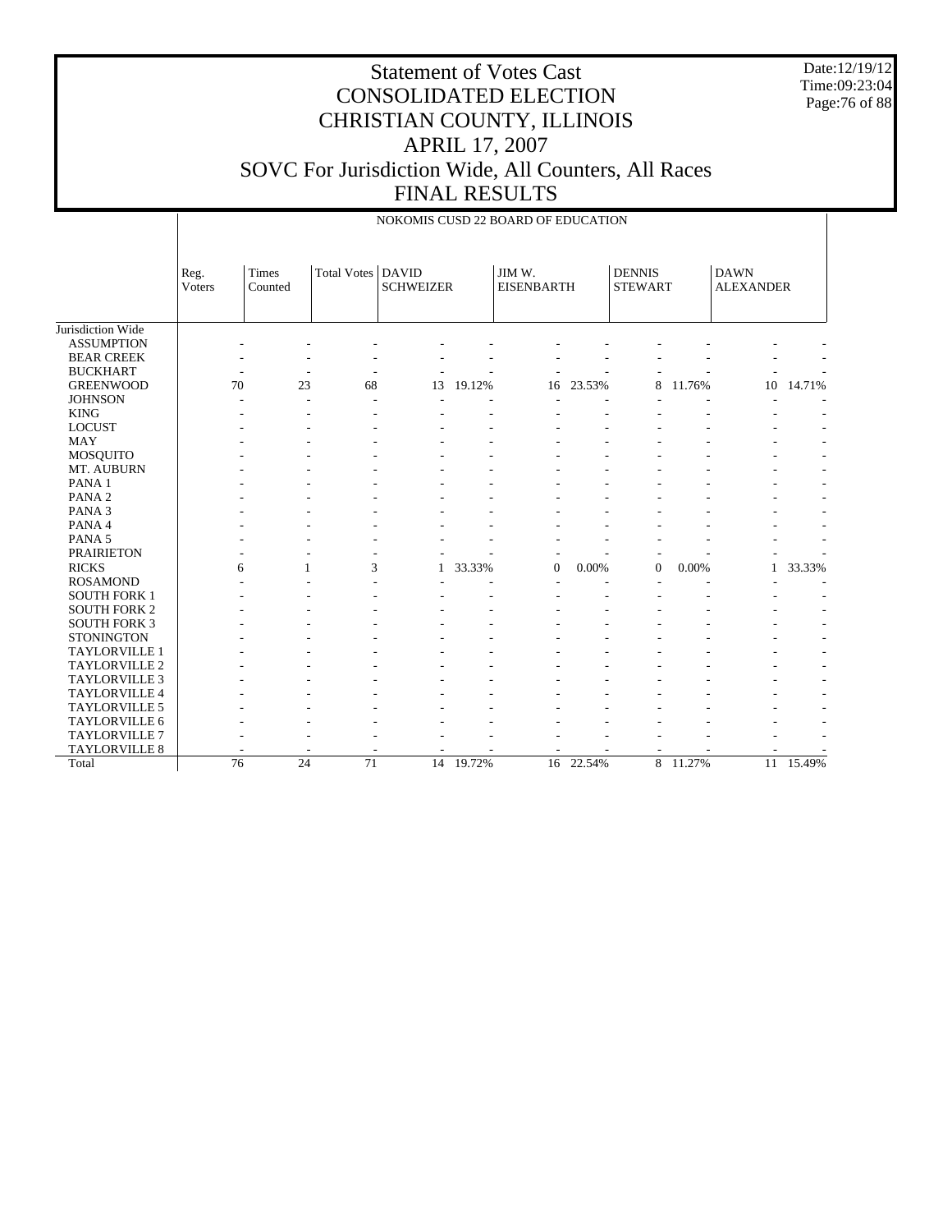Date:12/19/12 Time:09:23:04 Page:76 of 88

## Statement of Votes Cast CONSOLIDATED ELECTION CHRISTIAN COUNTY, ILLINOIS APRIL 17, 2007 SOVC For Jurisdiction Wide, All Counters, All Races FINAL RESULTS

|                      |                 |                  |             | NOKOMIS CUSD 22 BOARD OF EDUCATION |        |                             |           |                                 |        |                                 |        |
|----------------------|-----------------|------------------|-------------|------------------------------------|--------|-----------------------------|-----------|---------------------------------|--------|---------------------------------|--------|
|                      | Reg.<br>Voters  | Times<br>Counted | Total Votes | <b>DAVID</b><br><b>SCHWEIZER</b>   |        | JIM W.<br><b>EISENBARTH</b> |           | <b>DENNIS</b><br><b>STEWART</b> |        | <b>DAWN</b><br><b>ALEXANDER</b> |        |
| Jurisdiction Wide    |                 |                  |             |                                    |        |                             |           |                                 |        |                                 |        |
| <b>ASSUMPTION</b>    |                 |                  |             |                                    |        |                             |           |                                 |        |                                 |        |
| <b>BEAR CREEK</b>    |                 |                  |             |                                    |        |                             |           |                                 |        |                                 |        |
| <b>BUCKHART</b>      |                 |                  |             |                                    |        |                             |           |                                 |        |                                 |        |
| <b>GREENWOOD</b>     | 70              | 23               | 68          | 13                                 | 19.12% | 16                          | 23.53%    | 8                               | 11.76% | 10                              | 14.71% |
| <b>JOHNSON</b>       |                 |                  |             |                                    |        |                             |           |                                 |        |                                 |        |
| <b>KING</b>          |                 |                  |             |                                    |        |                             |           |                                 |        |                                 |        |
| <b>LOCUST</b>        |                 |                  |             |                                    |        |                             |           |                                 |        |                                 |        |
| <b>MAY</b>           |                 |                  |             |                                    |        |                             |           |                                 |        |                                 |        |
| <b>MOSQUITO</b>      |                 |                  |             |                                    |        |                             |           |                                 |        |                                 |        |
| MT. AUBURN           |                 |                  |             |                                    |        |                             |           |                                 |        |                                 |        |
| PANA <sub>1</sub>    |                 |                  |             |                                    |        |                             |           |                                 |        |                                 |        |
| PANA <sub>2</sub>    |                 |                  |             |                                    |        |                             |           |                                 |        |                                 |        |
| PANA <sub>3</sub>    |                 |                  |             |                                    |        |                             |           |                                 |        |                                 |        |
| PANA 4               |                 |                  |             |                                    |        |                             |           |                                 |        |                                 |        |
| PANA 5               |                 |                  |             |                                    |        |                             |           |                                 |        |                                 |        |
| <b>PRAIRIETON</b>    |                 |                  |             |                                    |        | $\overline{a}$              |           | ٠                               |        |                                 |        |
| <b>RICKS</b>         | 6               | 1                | 3           | 1                                  | 33.33% | $\mathbf{0}$                | 0.00%     | $\mathbf{0}$                    | 0.00%  | 1                               | 33.33% |
| <b>ROSAMOND</b>      |                 |                  |             |                                    |        |                             |           |                                 |        |                                 |        |
| <b>SOUTH FORK 1</b>  |                 |                  |             |                                    |        |                             |           |                                 |        |                                 |        |
| <b>SOUTH FORK 2</b>  |                 |                  |             |                                    |        |                             |           |                                 |        |                                 |        |
| <b>SOUTH FORK 3</b>  |                 |                  |             |                                    |        |                             |           |                                 |        |                                 |        |
| <b>STONINGTON</b>    |                 |                  |             |                                    |        |                             |           |                                 |        |                                 |        |
| TAYLORVILLE 1        |                 |                  |             |                                    |        |                             |           |                                 |        |                                 |        |
| TAYLORVILLE 2        |                 |                  |             |                                    |        |                             |           |                                 |        |                                 |        |
| <b>TAYLORVILLE 3</b> |                 |                  |             |                                    |        |                             |           |                                 |        |                                 |        |
| TAYLORVILLE 4        |                 |                  |             |                                    |        |                             |           |                                 |        |                                 |        |
| TAYLORVILLE 5        |                 |                  |             |                                    |        |                             |           |                                 |        |                                 |        |
| TAYLORVILLE 6        |                 |                  |             |                                    |        |                             |           |                                 |        |                                 |        |
| <b>TAYLORVILLE 7</b> |                 |                  |             |                                    |        |                             |           |                                 |        |                                 |        |
| <b>TAYLORVILLE 8</b> |                 |                  |             |                                    |        |                             |           |                                 |        |                                 |        |
| Total                | $\overline{76}$ | 24               | 71          | 14                                 | 19.72% |                             | 16 22.54% | 8                               | 11.27% | 11                              | 15.49% |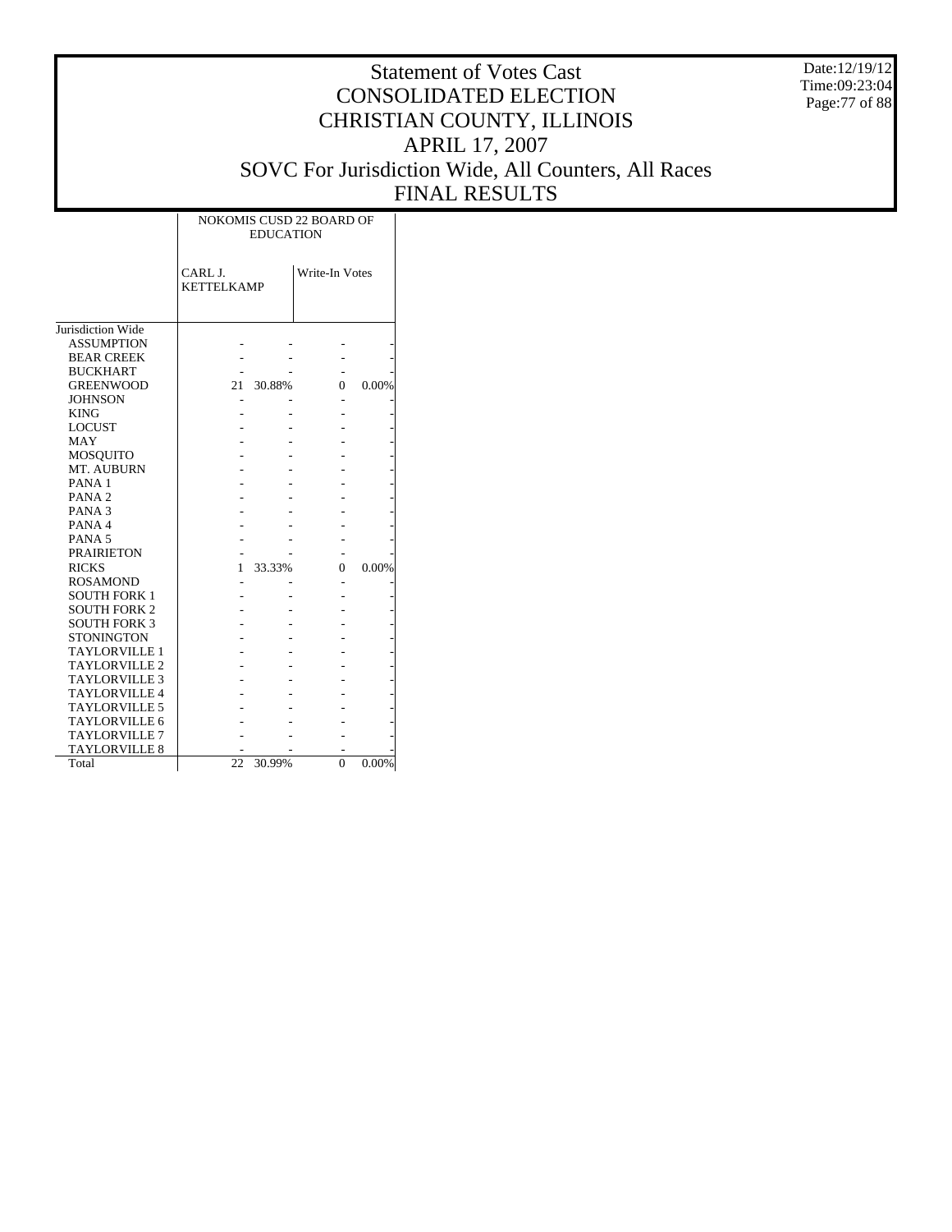Date:12/19/12 Time:09:23:04 Page:77 of 88

|                      |                              | <b>EDUCATION</b> | NOKOMIS CUSD 22 BOARD OF |          |
|----------------------|------------------------------|------------------|--------------------------|----------|
|                      | CARL J.<br><b>KETTELKAMP</b> |                  | Write-In Votes           |          |
| Jurisdiction Wide    |                              |                  |                          |          |
| <b>ASSUMPTION</b>    |                              |                  |                          |          |
| <b>BEAR CREEK</b>    |                              |                  |                          |          |
| <b>BUCKHART</b>      |                              |                  |                          |          |
| <b>GREENWOOD</b>     | 21                           | 30.88%           | 0                        | 0.00%    |
| <b>JOHNSON</b>       |                              |                  |                          |          |
| <b>KING</b>          |                              |                  |                          |          |
| <b>LOCUST</b>        |                              |                  |                          |          |
| MAY                  |                              |                  |                          |          |
| MOSQUITO             |                              |                  |                          |          |
| MT. AUBURN           |                              |                  |                          |          |
| PANA <sub>1</sub>    |                              |                  |                          |          |
| PANA <sub>2</sub>    |                              |                  |                          |          |
| PANA <sub>3</sub>    |                              |                  |                          |          |
| PANA <sub>4</sub>    |                              |                  |                          |          |
| PANA <sub>5</sub>    |                              |                  |                          |          |
| <b>PRAIRIETON</b>    |                              |                  |                          |          |
| <b>RICKS</b>         | 1                            | 33.33%           | 0                        | 0.00%    |
| <b>ROSAMOND</b>      |                              |                  |                          |          |
| <b>SOUTH FORK 1</b>  |                              |                  |                          |          |
| <b>SOUTH FORK 2</b>  |                              |                  |                          |          |
| <b>SOUTH FORK 3</b>  |                              |                  |                          |          |
| <b>STONINGTON</b>    |                              |                  |                          |          |
| TAYLORVILLE 1        |                              |                  |                          |          |
| <b>TAYLORVILLE 2</b> |                              |                  |                          |          |
| <b>TAYLORVILLE 3</b> |                              |                  |                          |          |
| <b>TAYLORVILLE 4</b> |                              |                  |                          |          |
| <b>TAYLORVILLE 5</b> |                              |                  |                          |          |
| <b>TAYLORVILLE 6</b> |                              |                  |                          |          |
| <b>TAYLORVILLE 7</b> |                              |                  |                          |          |
| <b>TAYLORVILLE 8</b> |                              |                  |                          |          |
| Total                | 22                           | 30.99%           | 0                        | $0.00\%$ |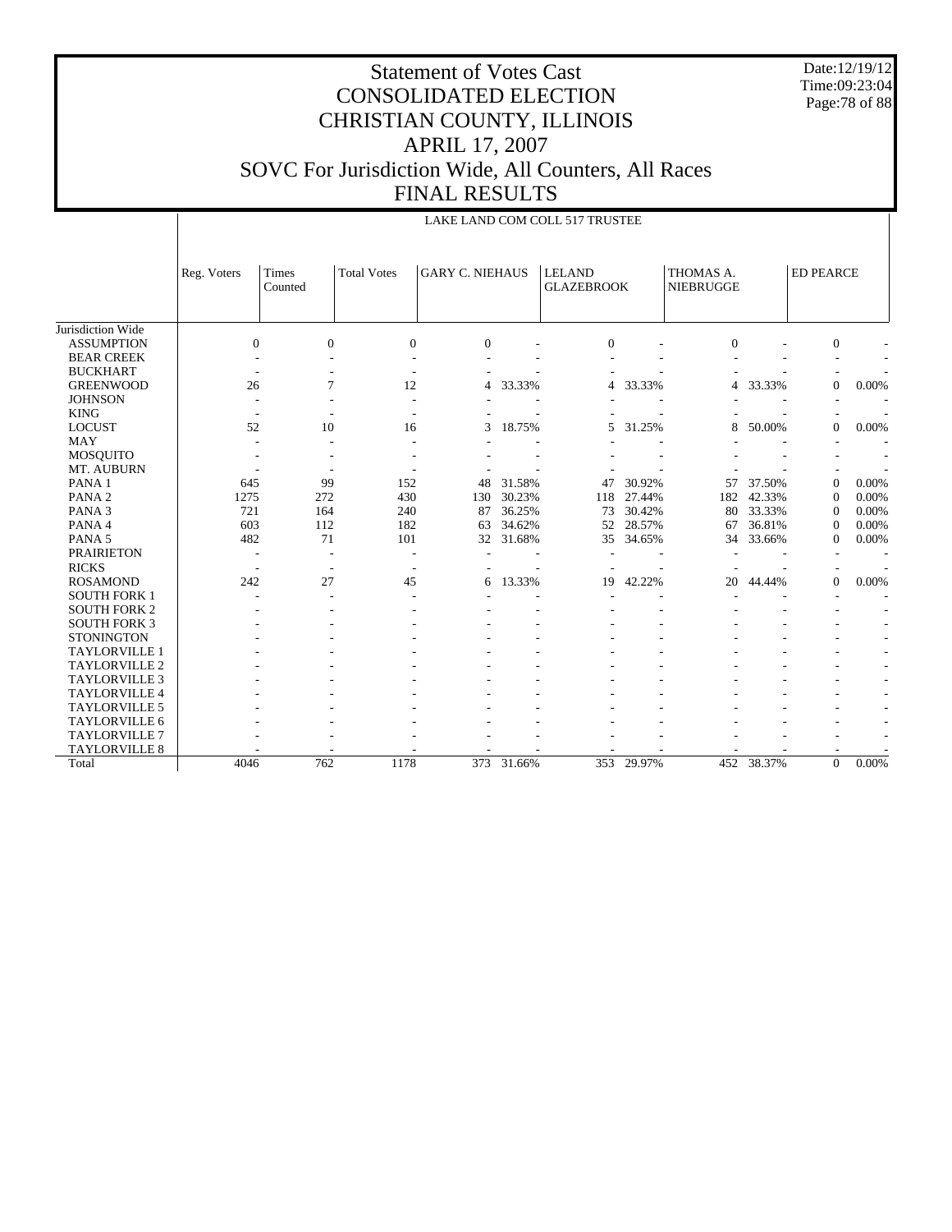Date:12/19/12 Time:09:23:04 Page:78 of 88

|                      |             |                  |                    |                        |        | LAKE LAND COM COLL 517 TRUSTEE     |        |                               |            |                  |                          |
|----------------------|-------------|------------------|--------------------|------------------------|--------|------------------------------------|--------|-------------------------------|------------|------------------|--------------------------|
|                      | Reg. Voters | Times<br>Counted | <b>Total Votes</b> | <b>GARY C. NIEHAUS</b> |        | <b>LELAND</b><br><b>GLAZEBROOK</b> |        | THOMAS A.<br><b>NIEBRUGGE</b> |            | <b>ED PEARCE</b> |                          |
| Jurisdiction Wide    |             |                  |                    |                        |        |                                    |        |                               |            |                  |                          |
| <b>ASSUMPTION</b>    | $\Omega$    | $\Omega$         | $\overline{0}$     | $\Omega$               |        | $\Omega$                           |        | $\Omega$                      |            | $\mathbf{0}$     |                          |
| <b>BEAR CREEK</b>    |             |                  |                    |                        |        |                                    |        |                               |            |                  |                          |
| <b>BUCKHART</b>      |             |                  |                    |                        |        |                                    |        |                               |            |                  |                          |
| <b>GREENWOOD</b>     | 26          | $\overline{7}$   | 12                 | 4                      | 33.33% | 4                                  | 33.33% | 4                             | 33.33%     | $\overline{0}$   | 0.00%                    |
| <b>JOHNSON</b>       |             |                  | ÷                  |                        |        |                                    |        |                               |            |                  |                          |
| <b>KING</b>          |             |                  |                    |                        |        |                                    |        |                               |            |                  |                          |
| <b>LOCUST</b>        | 52          | 10               | 16                 | 3                      | 18.75% | 5                                  | 31.25% | 8                             | 50.00%     | $\overline{0}$   | 0.00%                    |
| <b>MAY</b>           |             |                  |                    |                        |        |                                    |        |                               |            |                  |                          |
| <b>MOSQUITO</b>      |             |                  |                    |                        |        |                                    |        |                               |            |                  |                          |
| MT. AUBURN           |             |                  |                    |                        |        |                                    |        |                               |            |                  |                          |
| PANA <sub>1</sub>    | 645         | 99               | 152                | 48                     | 31.58% | 47                                 | 30.92% | 57                            | 37.50%     | $\overline{0}$   | 0.00%                    |
| PANA <sub>2</sub>    | 1275        | 272              | 430                | 130                    | 30.23% | 118                                | 27.44% | 182                           | 42.33%     | $\overline{0}$   | 0.00%                    |
| PANA <sub>3</sub>    | 721         | 164              | 240                | 87                     | 36.25% | 73                                 | 30.42% | 80                            | 33.33%     | $\boldsymbol{0}$ | 0.00%                    |
| PANA 4               | 603         | 112              | 182                | 63                     | 34.62% | 52                                 | 28.57% | 67                            | 36.81%     | $\boldsymbol{0}$ | 0.00%                    |
| PANA <sub>5</sub>    | 482         | 71               | 101                | 32                     | 31.68% | 35                                 | 34.65% | 34                            | 33.66%     | $\overline{0}$   | 0.00%                    |
| <b>PRAIRIETON</b>    |             |                  |                    |                        |        |                                    |        |                               |            |                  |                          |
| <b>RICKS</b>         |             |                  |                    |                        |        |                                    |        |                               |            |                  |                          |
| <b>ROSAMOND</b>      | 242         | 27               | 45                 | 6                      | 13.33% | 19                                 | 42.22% | 20                            | 44.44%     | $\mathbf{0}$     | 0.00%                    |
| <b>SOUTH FORK 1</b>  |             |                  |                    |                        |        |                                    |        |                               |            |                  |                          |
| <b>SOUTH FORK 2</b>  |             |                  |                    |                        |        |                                    |        |                               |            |                  |                          |
| <b>SOUTH FORK 3</b>  |             |                  |                    |                        |        |                                    |        |                               |            |                  |                          |
| <b>STONINGTON</b>    |             |                  |                    |                        |        |                                    |        |                               |            |                  |                          |
| <b>TAYLORVILLE 1</b> |             |                  |                    |                        |        |                                    |        |                               |            |                  |                          |
| TAYLORVILLE 2        |             |                  |                    |                        |        |                                    |        |                               |            |                  |                          |
| TAYLORVILLE 3        |             |                  |                    |                        |        |                                    |        |                               |            |                  |                          |
| TAYLORVILLE 4        |             |                  |                    |                        |        |                                    |        |                               |            |                  |                          |
| <b>TAYLORVILLE 5</b> |             |                  |                    |                        |        |                                    |        |                               |            |                  | $\overline{\phantom{a}}$ |
| <b>TAYLORVILLE 6</b> |             |                  |                    |                        |        |                                    |        |                               |            |                  | $\overline{\phantom{a}}$ |
| <b>TAYLORVILLE 7</b> |             |                  |                    |                        |        |                                    |        |                               |            |                  |                          |
| <b>TAYLORVILLE 8</b> |             |                  |                    |                        |        |                                    |        |                               |            |                  |                          |
| Total                | 4046        | 762              | 1178               | $\overline{373}$       | 31.66% | 353                                | 29.97% |                               | 452 38.37% | $\Omega$         | 0.00%                    |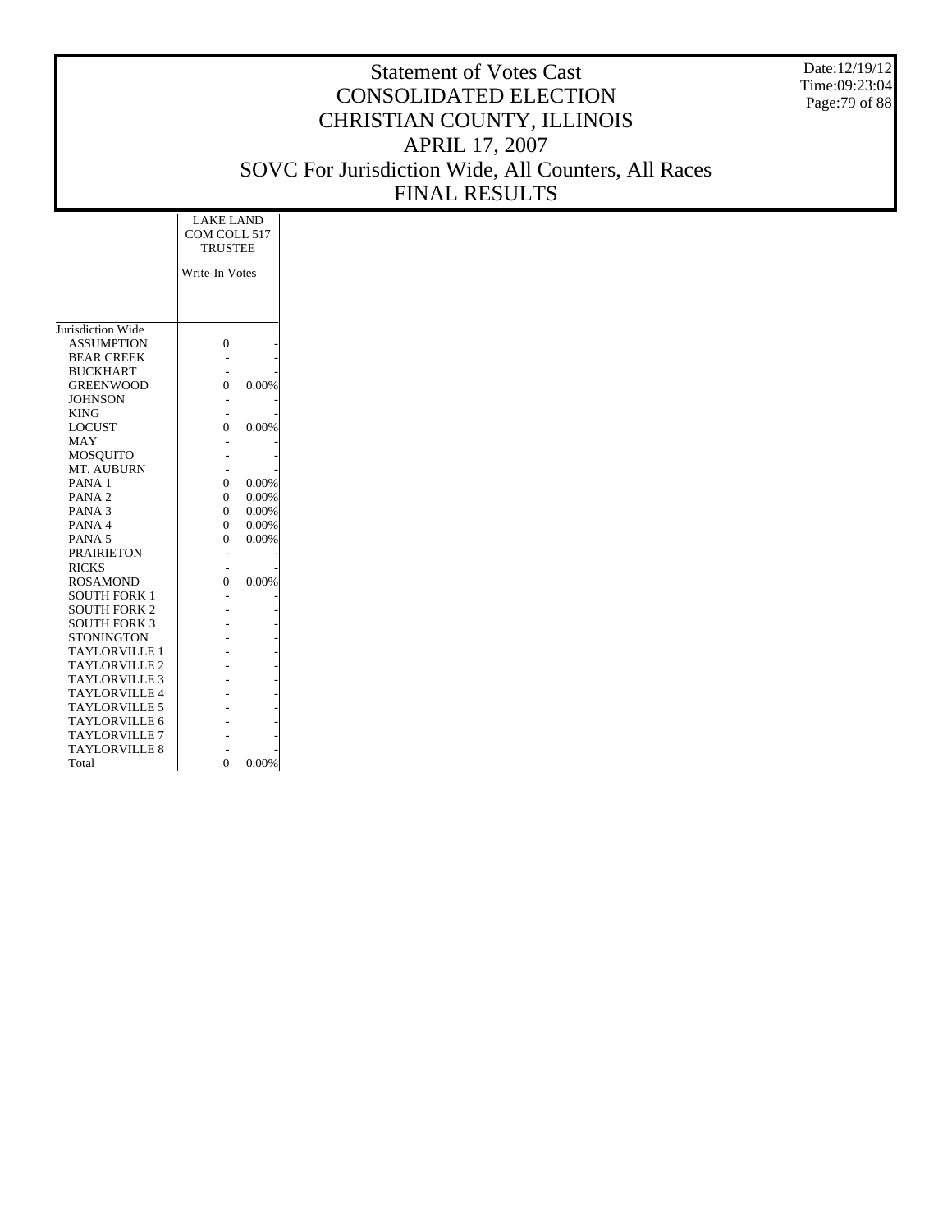Date:12/19/12 Time:09:23:04 Page:79 of 88

|                      | <b>LAKE LAND</b><br>COM COLL 517<br><b>TRUSTEE</b> |       |
|----------------------|----------------------------------------------------|-------|
|                      | Write-In Votes                                     |       |
|                      |                                                    |       |
|                      |                                                    |       |
|                      |                                                    |       |
| Jurisdiction Wide    |                                                    |       |
| <b>ASSUMPTION</b>    | $\theta$                                           |       |
| <b>BEAR CREEK</b>    |                                                    |       |
| <b>BUCKHART</b>      |                                                    |       |
| <b>GREENWOOD</b>     | $\theta$                                           | 0.00% |
| <b>JOHNSON</b>       |                                                    |       |
| <b>KING</b>          |                                                    |       |
| <b>LOCUST</b>        | 0                                                  | 0.00% |
| <b>MAY</b>           |                                                    |       |
| MOSOUITO             |                                                    |       |
| MT. AUBURN           |                                                    |       |
| PANA <sub>1</sub>    | $\theta$                                           | 0.00% |
| PANA <sub>2</sub>    | $\theta$                                           | 0.00% |
| PANA <sub>3</sub>    | $\theta$                                           | 0.00% |
| PANA 4               | 0                                                  | 0.00% |
| PANA <sub>5</sub>    | $\theta$                                           | 0.00% |
| <b>PRAIRIETON</b>    |                                                    |       |
| <b>RICKS</b>         |                                                    |       |
| <b>ROSAMOND</b>      | $\theta$                                           | 0.00% |
| <b>SOUTH FORK 1</b>  |                                                    |       |
| <b>SOUTH FORK 2</b>  |                                                    |       |
| <b>SOUTH FORK 3</b>  |                                                    |       |
| <b>STONINGTON</b>    |                                                    |       |
| <b>TAYLORVILLE 1</b> |                                                    |       |
| TAYLORVILLE 2        |                                                    |       |
| <b>TAYLORVILLE 3</b> |                                                    |       |
| <b>TAYLORVILLE 4</b> |                                                    |       |
| TAYLORVILLE 5        |                                                    |       |
| <b>TAYLORVILLE 6</b> |                                                    |       |
| <b>TAYLORVILLE 7</b> |                                                    |       |
| <b>TAYLORVILLE 8</b> |                                                    |       |
| Total                | $\theta$                                           | 0.00% |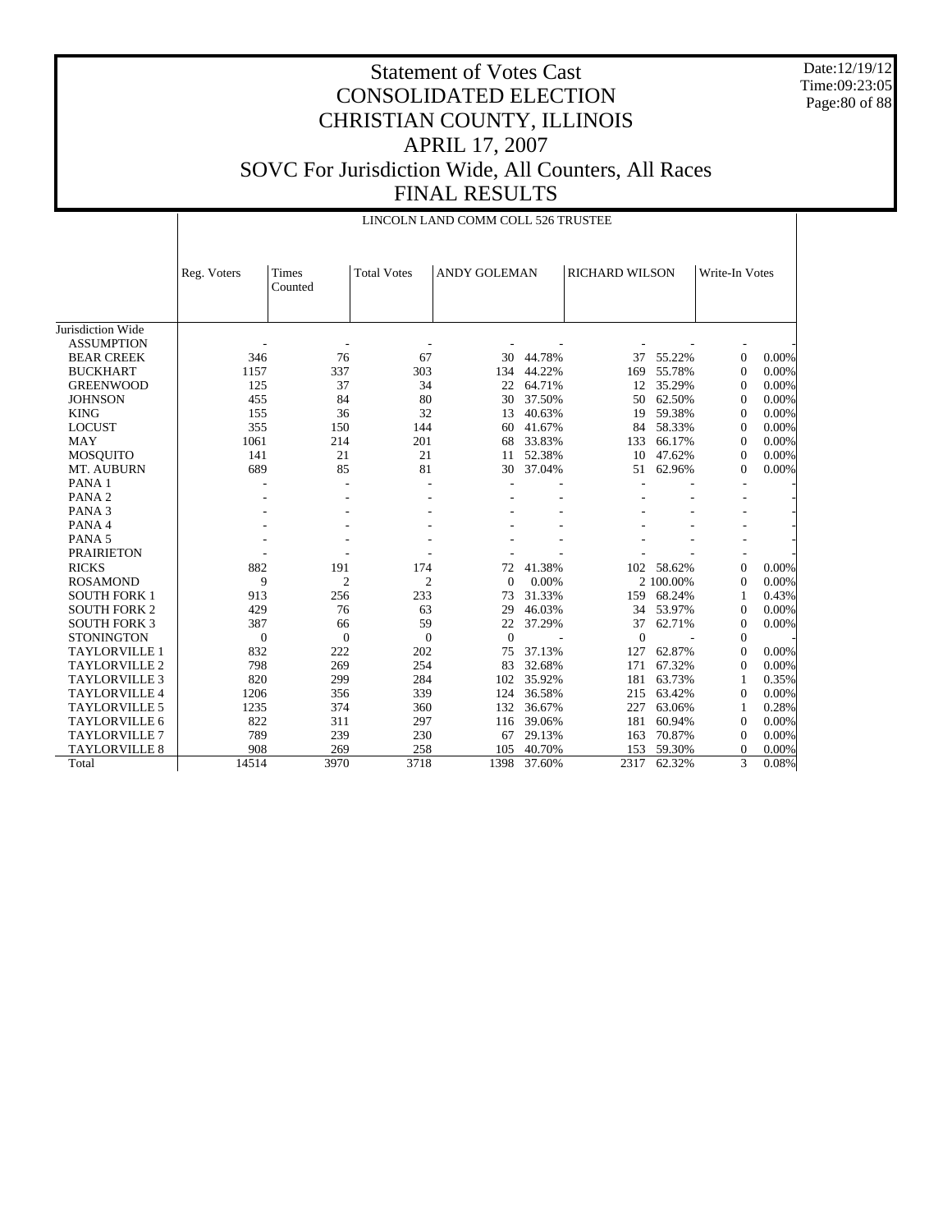Date:12/19/12 Time:09:23:05 Page:80 of 88

|                      |                  |                  |                    | LINCOLN LAND COMM COLL 526 TRUSTEE |        |                       |           |                  |       |
|----------------------|------------------|------------------|--------------------|------------------------------------|--------|-----------------------|-----------|------------------|-------|
|                      | Reg. Voters      | Times<br>Counted | <b>Total Votes</b> | <b>ANDY GOLEMAN</b>                |        | <b>RICHARD WILSON</b> |           | Write-In Votes   |       |
| Jurisdiction Wide    |                  |                  |                    |                                    |        |                       |           |                  |       |
| <b>ASSUMPTION</b>    |                  |                  |                    |                                    |        |                       |           |                  |       |
| <b>BEAR CREEK</b>    | 346              | 76               | 67                 | 30                                 | 44.78% | 37                    | 55.22%    | $\mathbf{0}$     | 0.00% |
| <b>BUCKHART</b>      | 1157             | 337              | 303                | 134                                | 44.22% | 169                   | 55.78%    | $\mathbf{0}$     | 0.00% |
| <b>GREENWOOD</b>     | 125              | 37               | 34                 | 22                                 | 64.71% | 12                    | 35.29%    | $\mathbf{0}$     | 0.00% |
| <b>JOHNSON</b>       | 455              | 84               | 80                 | 30                                 | 37.50% | 50                    | 62.50%    | $\mathbf{0}$     | 0.00% |
| <b>KING</b>          | 155              | 36               | 32                 | 13                                 | 40.63% | 19                    | 59.38%    | $\mathbf{0}$     | 0.00% |
| <b>LOCUST</b>        | 355              | 150              | 144                | 60                                 | 41.67% | 84                    | 58.33%    | $\mathbf{0}$     | 0.00% |
| <b>MAY</b>           | 1061             | 214              | 201                | 68                                 | 33.83% | 133                   | 66.17%    | $\Omega$         | 0.00% |
| <b>MOSQUITO</b>      | 141              | 21               | 21                 | 11                                 | 52.38% | 10                    | 47.62%    | $\Omega$         | 0.00% |
| MT. AUBURN           | 689              | 85               | 81                 | 30                                 | 37.04% | 51                    | 62.96%    | $\Omega$         | 0.00% |
| PANA <sub>1</sub>    |                  |                  |                    |                                    |        |                       |           |                  |       |
| PANA <sub>2</sub>    |                  |                  |                    |                                    |        |                       |           |                  |       |
| PANA <sub>3</sub>    |                  |                  |                    |                                    |        |                       |           |                  |       |
| PANA 4               |                  |                  |                    |                                    |        |                       |           |                  |       |
| PANA <sub>5</sub>    |                  |                  |                    |                                    |        |                       |           |                  |       |
| <b>PRAIRIETON</b>    |                  |                  |                    |                                    |        |                       |           |                  |       |
| <b>RICKS</b>         | 882              | 191              | 174                | 72                                 | 41.38% | 102                   | 58.62%    | $\mathbf{0}$     | 0.00% |
| <b>ROSAMOND</b>      | 9                | $\overline{c}$   | $\overline{2}$     | $\Omega$                           | 0.00%  |                       | 2 100.00% | $\mathbf{0}$     | 0.00% |
| <b>SOUTH FORK 1</b>  | 913              | 256              | 233                | 73                                 | 31.33% | 159                   | 68.24%    | 1                | 0.43% |
| <b>SOUTH FORK 2</b>  | 429              | 76               | 63                 | 29                                 | 46.03% | 34                    | 53.97%    | $\Omega$         | 0.00% |
| <b>SOUTH FORK 3</b>  | 387              | 66               | 59                 | 22                                 | 37.29% | 37                    | 62.71%    | $\mathbf{0}$     | 0.00% |
| <b>STONINGTON</b>    | $\boldsymbol{0}$ | $\mathbf{0}$     | $\mathbf{0}$       | $\overline{0}$                     |        | $\mathbf{0}$          |           | $\boldsymbol{0}$ |       |
| <b>TAYLORVILLE 1</b> | 832              | 222              | 202                | 75                                 | 37.13% | 127                   | 62.87%    | $\mathbf{0}$     | 0.00% |
| <b>TAYLORVILLE 2</b> | 798              | 269              | 254                | 83                                 | 32.68% | 171                   | 67.32%    | $\Omega$         | 0.00% |
| <b>TAYLORVILLE 3</b> | 820              | 299              | 284                | 102                                | 35.92% | 181                   | 63.73%    | 1                | 0.35% |
| <b>TAYLORVILLE 4</b> | 1206             | 356              | 339                | 124                                | 36.58% | 215                   | 63.42%    | $\mathbf{0}$     | 0.00% |
| <b>TAYLORVILLE 5</b> | 1235             | 374              | 360                | 132                                | 36.67% | 227                   | 63.06%    | 1                | 0.28% |
| <b>TAYLORVILLE 6</b> | 822              | 311              | 297                | 116                                | 39.06% | 181                   | 60.94%    | $\mathbf{0}$     | 0.00% |
| <b>TAYLORVILLE 7</b> | 789              | 239              | 230                | 67                                 | 29.13% | 163                   | 70.87%    | $\mathbf{0}$     | 0.00% |
| <b>TAYLORVILLE 8</b> | 908              | 269              | 258                | 105                                | 40.70% | 153                   | 59.30%    | $\mathbf{0}$     | 0.00% |
| Total                | 14514            | 3970             | 3718               | 1398                               | 37.60% | 2317                  | 62.32%    | 3                | 0.08% |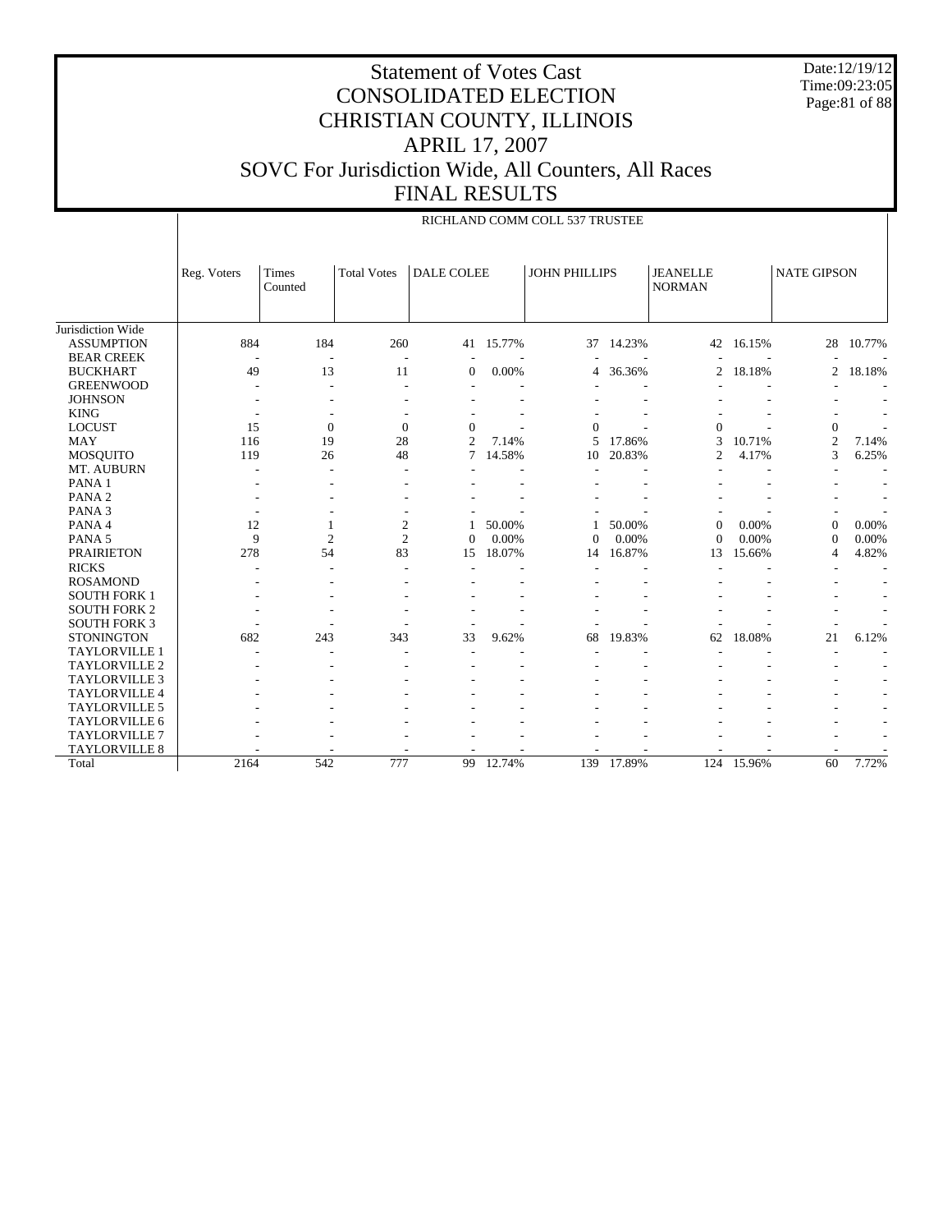Date:12/19/12 Time:09:23:05 Page:81 of 88

|                      |             |                  |                    |                          |        | RICHLAND COMM COLL 537 TRUSTEE |        |                                  |        |                    |                          |
|----------------------|-------------|------------------|--------------------|--------------------------|--------|--------------------------------|--------|----------------------------------|--------|--------------------|--------------------------|
|                      | Reg. Voters | Times<br>Counted | <b>Total Votes</b> | <b>DALE COLEE</b>        |        | <b>JOHN PHILLIPS</b>           |        | <b>JEANELLE</b><br><b>NORMAN</b> |        | <b>NATE GIPSON</b> |                          |
| Jurisdiction Wide    |             |                  |                    |                          |        |                                |        |                                  |        |                    |                          |
| <b>ASSUMPTION</b>    | 884         | 184              | 260                | 41                       | 15.77% | 37                             | 14.23% | 42                               | 16.15% | 28                 | 10.77%                   |
| <b>BEAR CREEK</b>    | ÷           |                  | $\overline{a}$     | $\overline{\phantom{a}}$ |        |                                |        |                                  |        |                    |                          |
| <b>BUCKHART</b>      | 49          | 13               | 11                 | $\mathbf{0}$             | 0.00%  | 4                              | 36.36% | $\overline{c}$                   | 18.18% | $\overline{2}$     | 18.18%                   |
| <b>GREENWOOD</b>     |             |                  | $\overline{a}$     |                          |        |                                |        |                                  |        |                    | ٠                        |
| <b>JOHNSON</b>       |             |                  |                    |                          |        |                                |        |                                  |        |                    |                          |
| <b>KING</b>          |             |                  |                    |                          |        |                                |        |                                  |        |                    |                          |
| <b>LOCUST</b>        | 15          | $\theta$         | $\mathbf{0}$       | $\mathbf{0}$             |        | $\Omega$                       |        | $\mathbf{0}$                     |        | $\theta$           |                          |
| <b>MAY</b>           | 116         | 19               | 28                 | $\overline{c}$           | 7.14%  | 5                              | 17.86% | 3                                | 10.71% | 2                  | 7.14%                    |
| MOSQUITO             | 119         | 26               | 48                 | 7                        | 14.58% | 10                             | 20.83% | $\overline{2}$                   | 4.17%  | 3                  | 6.25%                    |
| MT. AUBURN           |             |                  |                    |                          |        |                                |        |                                  |        |                    |                          |
| PANA <sub>1</sub>    |             |                  |                    |                          |        |                                |        |                                  |        |                    |                          |
| PANA <sub>2</sub>    |             |                  |                    |                          |        |                                |        |                                  |        |                    |                          |
| PANA <sub>3</sub>    |             |                  |                    |                          |        |                                |        |                                  |        |                    |                          |
| PANA 4               | 12          | 1                | $\mathfrak{2}$     |                          | 50.00% |                                | 50.00% | $\Omega$                         | 0.00%  | $\Omega$           | 0.00%                    |
| PANA <sub>5</sub>    | 9           | $\overline{2}$   | $\overline{2}$     | $\Omega$                 | 0.00%  | $\Omega$                       | 0.00%  | $\Omega$                         | 0.00%  | $\Omega$           | 0.00%                    |
| <b>PRAIRIETON</b>    | 278         | 54               | 83                 | 15                       | 18.07% | 14                             | 16.87% | 13                               | 15.66% | $\overline{4}$     | 4.82%                    |
| <b>RICKS</b>         |             |                  |                    |                          |        |                                |        |                                  |        |                    |                          |
| <b>ROSAMOND</b>      |             |                  |                    |                          |        |                                |        |                                  |        |                    | $\overline{\phantom{a}}$ |
| <b>SOUTH FORK 1</b>  |             |                  |                    |                          |        |                                |        |                                  |        |                    | ٠                        |
| <b>SOUTH FORK 2</b>  |             |                  |                    |                          |        |                                |        |                                  |        |                    | $\overline{\phantom{a}}$ |
| <b>SOUTH FORK 3</b>  |             |                  |                    |                          |        |                                |        |                                  |        |                    |                          |
| <b>STONINGTON</b>    | 682         | 243              | 343                | 33                       | 9.62%  | 68                             | 19.83% | 62                               | 18.08% | 21                 | 6.12%                    |
| TAYLORVILLE 1        |             |                  |                    |                          |        |                                |        |                                  |        |                    |                          |
| <b>TAYLORVILLE 2</b> |             |                  |                    |                          |        |                                |        |                                  |        |                    |                          |
| <b>TAYLORVILLE 3</b> |             |                  |                    |                          |        |                                |        |                                  |        |                    |                          |
| TAYLORVILLE 4        |             |                  |                    |                          |        |                                |        |                                  |        |                    |                          |
| TAYLORVILLE 5        |             |                  |                    |                          |        |                                |        |                                  |        |                    | ٠                        |
| TAYLORVILLE 6        |             |                  |                    |                          |        |                                |        |                                  |        |                    | ٠                        |
| TAYLORVILLE 7        |             |                  |                    |                          |        |                                |        |                                  |        |                    |                          |
| <b>TAYLORVILLE 8</b> |             |                  |                    |                          |        |                                |        |                                  |        |                    |                          |
| Total                | 2164        | 542              | 777                | 99                       | 12.74% | 139                            | 17.89% | 124                              | 15.96% | 60                 | 7.72%                    |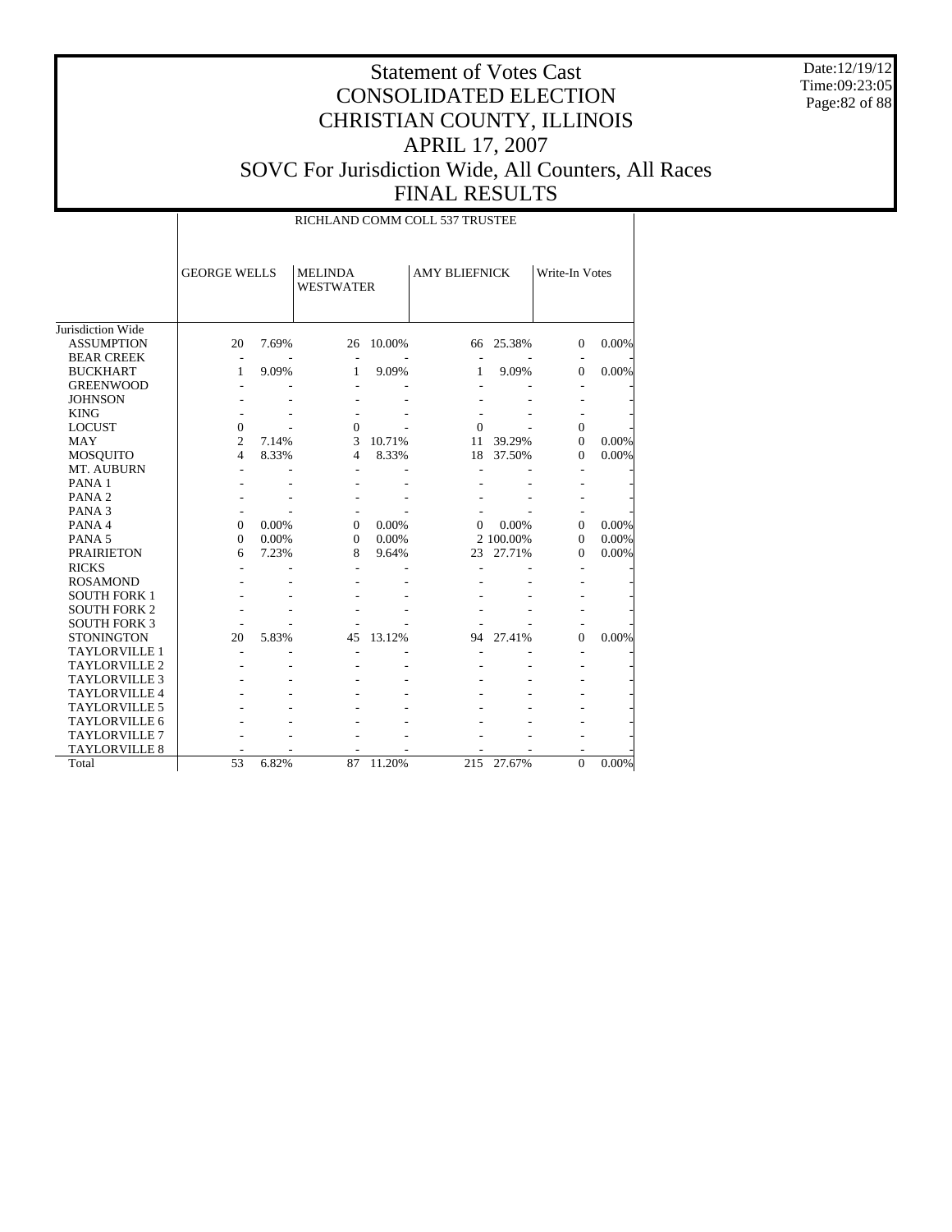Date:12/19/12 Time:09:23:05 Page:82 of 88

|                      |                     |       |                                    |        | RICHLAND COMM COLL 537 TRUSTEE |           |                |       |
|----------------------|---------------------|-------|------------------------------------|--------|--------------------------------|-----------|----------------|-------|
|                      | <b>GEORGE WELLS</b> |       | <b>MELINDA</b><br><b>WESTWATER</b> |        | <b>AMY BLIEFNICK</b>           |           | Write-In Votes |       |
| Jurisdiction Wide    |                     |       |                                    |        |                                |           |                |       |
| <b>ASSUMPTION</b>    | 20                  | 7.69% | 26                                 | 10.00% | 66                             | 25.38%    | $\mathbf{0}$   | 0.00% |
| <b>BEAR CREEK</b>    |                     |       |                                    |        |                                |           |                |       |
| <b>BUCKHART</b>      | 1                   | 9.09% | 1                                  | 9.09%  | 1                              | 9.09%     | $\mathbf{0}$   | 0.00% |
| <b>GREENWOOD</b>     |                     |       |                                    |        |                                |           |                |       |
| <b>JOHNSON</b>       |                     |       |                                    |        |                                |           |                |       |
| <b>KING</b>          |                     |       |                                    |        |                                |           |                |       |
| <b>LOCUST</b>        | $\mathbf{0}$        |       | $\mathbf{0}$                       |        | $\Omega$                       |           | $\mathbf{0}$   |       |
| <b>MAY</b>           | $\overline{c}$      | 7.14% | 3                                  | 10.71% | 11                             | 39.29%    | $\mathbf{0}$   | 0.00% |
| <b>MOSQUITO</b>      | 4                   | 8.33% | $\overline{4}$                     | 8.33%  | 18                             | 37.50%    | $\Omega$       | 0.00% |
| MT. AUBURN           |                     |       |                                    |        |                                |           |                |       |
| PANA <sub>1</sub>    |                     |       |                                    |        |                                |           |                |       |
| PANA <sub>2</sub>    |                     |       |                                    |        |                                |           |                |       |
| PANA <sub>3</sub>    |                     |       |                                    |        |                                |           |                |       |
| PANA 4               | $\Omega$            | 0.00% | $\mathbf{0}$                       | 0.00%  | $\Omega$                       | 0.00%     | $\Omega$       | 0.00% |
| PANA <sub>5</sub>    | $\Omega$            | 0.00% | $\mathbf{0}$                       | 0.00%  |                                | 2 100.00% | $\Omega$       | 0.00% |
| <b>PRAIRIETON</b>    | 6                   | 7.23% | 8                                  | 9.64%  | 23                             | 27.71%    | 0              | 0.00% |
| <b>RICKS</b>         |                     |       |                                    |        |                                |           |                |       |
| <b>ROSAMOND</b>      |                     |       |                                    |        |                                |           |                |       |
| <b>SOUTH FORK 1</b>  |                     |       |                                    |        |                                |           |                |       |
| <b>SOUTH FORK 2</b>  |                     |       |                                    |        |                                |           |                |       |
| <b>SOUTH FORK 3</b>  |                     |       |                                    |        |                                |           |                |       |
| <b>STONINGTON</b>    | 20                  | 5.83% | 45                                 | 13.12% | 94                             | 27.41%    | $\Omega$       | 0.00% |
| <b>TAYLORVILLE 1</b> |                     |       |                                    |        |                                |           |                |       |
| <b>TAYLORVILLE 2</b> |                     |       |                                    |        |                                |           |                |       |
| <b>TAYLORVILLE 3</b> |                     |       |                                    |        |                                |           |                |       |
| <b>TAYLORVILLE 4</b> |                     |       |                                    |        |                                |           |                |       |
| TAYLORVILLE 5        |                     |       |                                    |        |                                |           |                |       |
| TAYLORVILLE 6        |                     |       |                                    |        |                                |           |                |       |
| <b>TAYLORVILLE 7</b> |                     |       |                                    |        |                                |           |                |       |
| <b>TAYLORVILLE 8</b> |                     |       |                                    |        |                                |           |                |       |
| Total                | 53                  | 6.82% | 87                                 | 11.20% | 215                            | 27.67%    | $\Omega$       | 0.00% |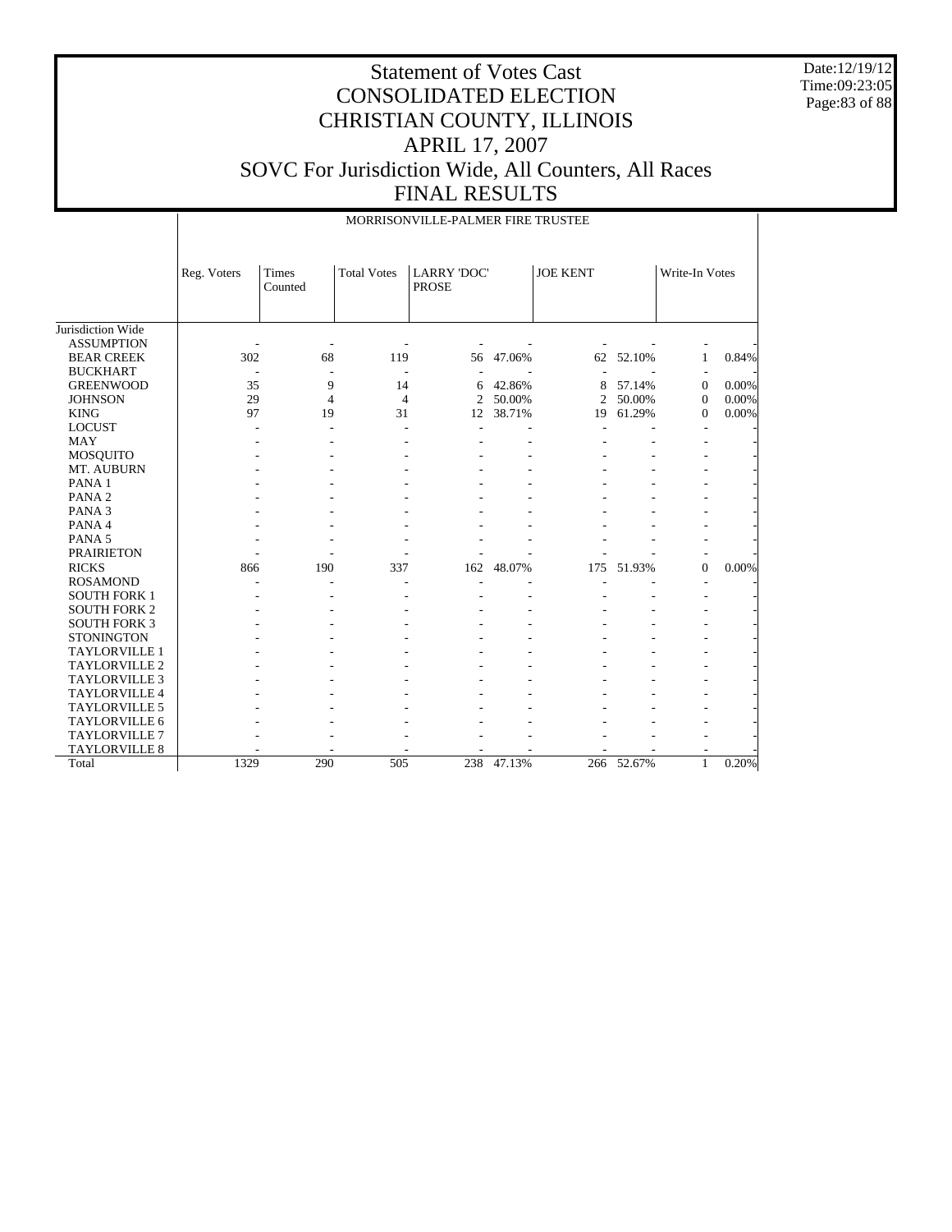Date:12/19/12 Time:09:23:05 Page:83 of 88

|                      |             |                  |                    | MORRISONVILLE-PALMER FIRE TRUSTEE  |        |                 |        |                |       |
|----------------------|-------------|------------------|--------------------|------------------------------------|--------|-----------------|--------|----------------|-------|
|                      | Reg. Voters | Times<br>Counted | <b>Total Votes</b> | <b>LARRY 'DOC'</b><br><b>PROSE</b> |        | <b>JOE KENT</b> |        | Write-In Votes |       |
| Jurisdiction Wide    |             |                  |                    |                                    |        |                 |        |                |       |
| <b>ASSUMPTION</b>    |             |                  |                    |                                    |        |                 |        |                |       |
| <b>BEAR CREEK</b>    | 302         | 68               | 119                | 56                                 | 47.06% | 62              | 52.10% | 1              | 0.84% |
| <b>BUCKHART</b>      |             |                  |                    |                                    |        |                 |        |                |       |
| <b>GREENWOOD</b>     | 35          | 9                | 14                 | 6                                  | 42.86% | 8               | 57.14% | $\mathbf{0}$   | 0.00% |
| <b>JOHNSON</b>       | 29          | 4                | $\overline{4}$     | 2                                  | 50.00% | 2               | 50.00% | $\mathbf{0}$   | 0.00% |
| <b>KING</b>          | 97          | 19               | 31                 | 12                                 | 38.71% | 19              | 61.29% | $\mathbf{0}$   | 0.00% |
| <b>LOCUST</b>        |             |                  |                    |                                    |        |                 |        |                |       |
| <b>MAY</b>           |             |                  |                    |                                    |        |                 |        |                |       |
| MOSQUITO             |             |                  |                    |                                    |        |                 |        |                |       |
| MT. AUBURN           |             |                  |                    |                                    |        |                 |        |                |       |
| PANA 1               |             |                  |                    |                                    |        |                 |        |                |       |
| PANA <sub>2</sub>    |             |                  |                    |                                    |        |                 |        |                |       |
| PANA <sub>3</sub>    |             |                  |                    |                                    |        |                 |        |                |       |
| PANA 4               |             |                  |                    |                                    |        |                 |        |                |       |
| PANA <sub>5</sub>    |             |                  |                    |                                    |        |                 |        |                |       |
| <b>PRAIRIETON</b>    |             |                  |                    |                                    |        |                 |        |                |       |
| <b>RICKS</b>         | 866         | 190              | 337                | 162                                | 48.07% | 175             | 51.93% | 0              | 0.00% |
| <b>ROSAMOND</b>      |             |                  |                    |                                    |        |                 |        |                |       |
| <b>SOUTH FORK 1</b>  |             |                  |                    |                                    |        |                 |        |                |       |
| <b>SOUTH FORK 2</b>  |             |                  |                    |                                    |        |                 |        |                |       |
| <b>SOUTH FORK 3</b>  |             |                  |                    |                                    |        |                 |        |                |       |
| <b>STONINGTON</b>    |             |                  |                    |                                    |        |                 |        |                |       |
| <b>TAYLORVILLE 1</b> |             |                  |                    |                                    |        |                 |        |                |       |
| TAYLORVILLE 2        |             |                  |                    |                                    |        |                 |        |                |       |
| <b>TAYLORVILLE 3</b> |             |                  |                    |                                    |        |                 |        |                |       |
| <b>TAYLORVILLE 4</b> |             |                  |                    |                                    |        |                 |        |                |       |
| <b>TAYLORVILLE 5</b> |             |                  |                    |                                    |        |                 |        |                |       |
| <b>TAYLORVILLE 6</b> |             |                  |                    |                                    |        |                 |        |                |       |
| <b>TAYLORVILLE 7</b> |             |                  |                    |                                    |        |                 |        |                |       |
| TAYLORVILLE 8        |             |                  |                    |                                    |        |                 |        |                |       |
| Total                | 1329        | 290              | 505                | 238                                | 47.13% | 266             | 52.67% | $\mathbf{1}$   | 0.20% |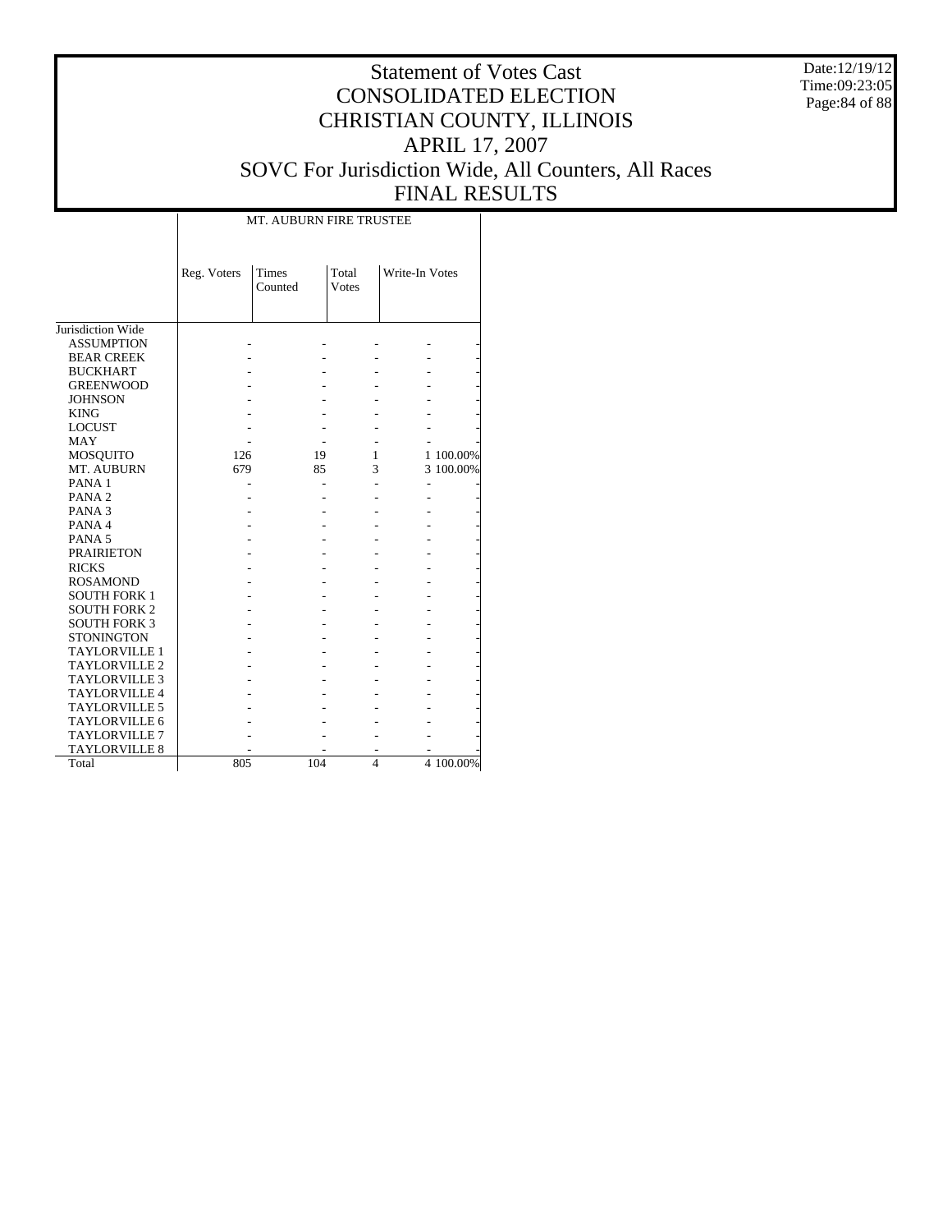Date:12/19/12 Time:09:23:05 Page:84 of 88

# Statement of Votes Cast CONSOLIDATED ELECTION CHRISTIAN COUNTY, ILLINOIS APRIL 17, 2007 SOVC For Jurisdiction Wide, All Counters, All Races FINAL RESULTS

|                      | Reg. Voters | Times<br>Counted | Total<br><b>Votes</b>   | Write-In Votes |           |
|----------------------|-------------|------------------|-------------------------|----------------|-----------|
|                      |             |                  |                         |                |           |
| Jurisdiction Wide    |             |                  |                         |                |           |
| <b>ASSUMPTION</b>    |             |                  |                         |                |           |
| <b>BEAR CREEK</b>    |             |                  |                         |                |           |
| <b>BUCKHART</b>      |             |                  |                         |                |           |
| <b>GREENWOOD</b>     |             |                  |                         |                |           |
| <b>JOHNSON</b>       |             |                  |                         |                |           |
| <b>KING</b>          |             |                  |                         |                |           |
| <b>LOCUST</b>        |             |                  |                         |                |           |
| MAY                  |             |                  |                         |                |           |
| <b>MOSQUITO</b>      | 126         | 19               | 1                       |                | 1 100.00% |
| MT. AUBURN           | 679         | 85               | 3                       |                | 3 100.00% |
| PANA <sub>1</sub>    |             |                  |                         |                |           |
| PANA <sub>2</sub>    |             |                  |                         |                |           |
| PANA <sub>3</sub>    |             |                  |                         |                |           |
| PANA4                |             |                  |                         |                |           |
| PANA <sub>5</sub>    |             |                  |                         |                |           |
| <b>PRAIRIETON</b>    |             |                  |                         |                |           |
| <b>RICKS</b>         |             |                  |                         |                |           |
| <b>ROSAMOND</b>      |             |                  |                         |                |           |
| <b>SOUTH FORK 1</b>  |             |                  |                         |                |           |
| <b>SOUTH FORK 2</b>  |             |                  |                         |                |           |
| <b>SOUTH FORK 3</b>  |             |                  |                         |                |           |
| <b>STONINGTON</b>    |             |                  |                         |                |           |
| <b>TAYLORVILLE 1</b> |             |                  |                         |                |           |
| <b>TAYLORVILLE 2</b> |             |                  |                         |                |           |
| <b>TAYLORVILLE 3</b> |             |                  |                         |                |           |
| <b>TAYLORVILLE 4</b> |             |                  |                         |                |           |
| <b>TAYLORVILLE 5</b> |             |                  |                         |                |           |
| <b>TAYLORVILLE 6</b> |             |                  |                         |                |           |
| <b>TAYLORVILLE 7</b> |             |                  |                         |                |           |
| <b>TAYLORVILLE 8</b> |             |                  |                         |                |           |
| Total                | 805         | 104              | $\overline{\mathbf{4}}$ |                | 4 100.00% |

MT. AUBURN FIRE TRUSTEE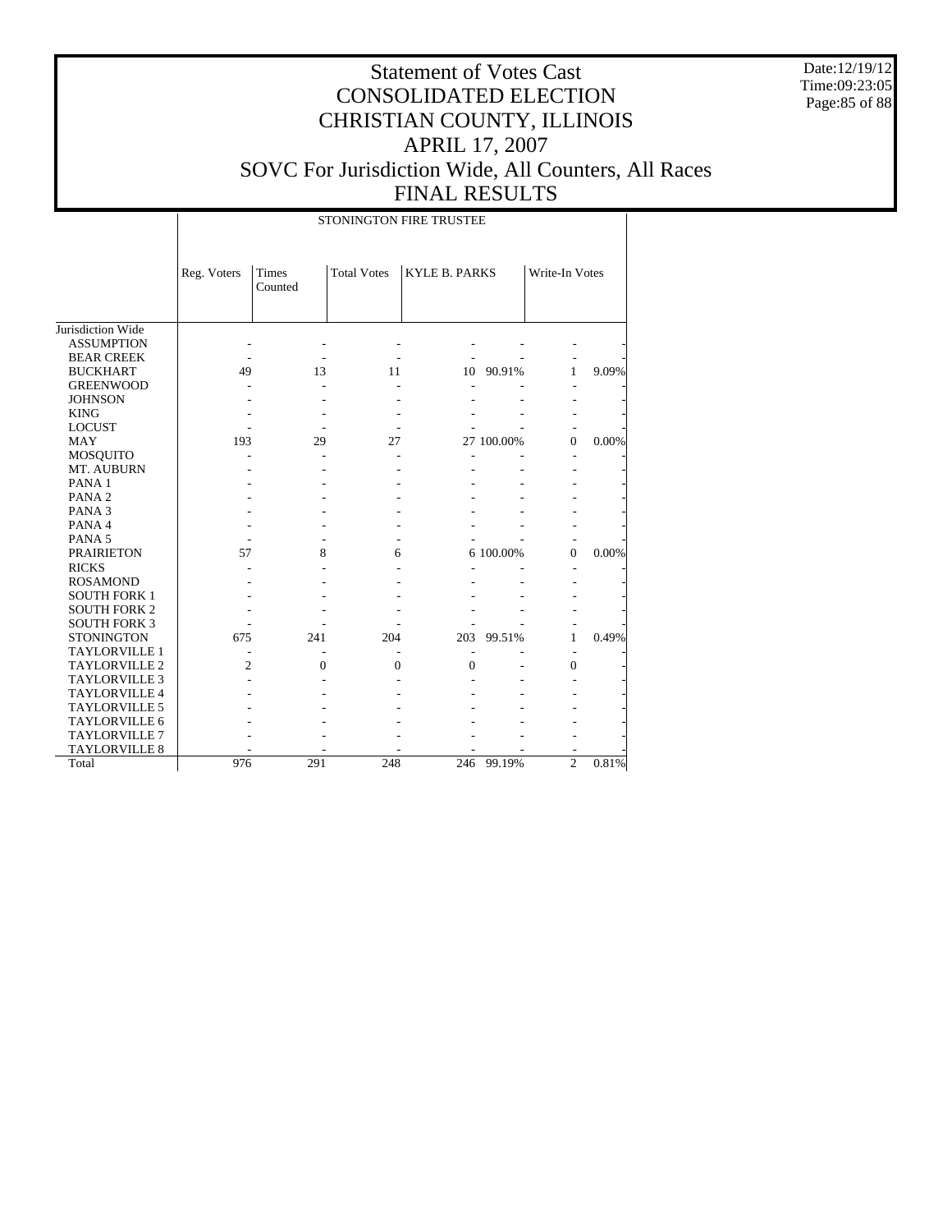Date:12/19/12 Time:09:23:05 Page:85 of 88

# Statement of Votes Cast CONSOLIDATED ELECTION CHRISTIAN COUNTY, ILLINOIS APRIL 17, 2007 SOVC For Jurisdiction Wide, All Counters, All Races FINAL RESULTS

STONINGTON FIRE TRUSTEE

|                      | Reg. Voters    | Times<br>Counted | <b>Total Votes</b> | <b>KYLE B. PARKS</b> |            | Write-In Votes |       |
|----------------------|----------------|------------------|--------------------|----------------------|------------|----------------|-------|
| Jurisdiction Wide    |                |                  |                    |                      |            |                |       |
| <b>ASSUMPTION</b>    |                |                  |                    |                      |            |                |       |
| <b>BEAR CREEK</b>    |                |                  |                    |                      |            |                |       |
| <b>BUCKHART</b>      | 49             | 13               | 11                 | 10                   | 90.91%     | 1              | 9.09% |
| <b>GREENWOOD</b>     |                |                  |                    |                      |            |                |       |
| <b>JOHNSON</b>       |                |                  |                    |                      |            |                |       |
| <b>KING</b>          |                |                  |                    |                      |            |                |       |
| <b>LOCUST</b>        |                |                  |                    |                      |            |                |       |
| <b>MAY</b>           | 193            | 29               | 27                 |                      | 27 100.00% | $\theta$       | 0.00% |
| <b>MOSQUITO</b>      |                |                  |                    |                      |            |                |       |
| MT. AUBURN           |                |                  |                    |                      |            |                |       |
| PANA <sub>1</sub>    |                |                  |                    |                      |            |                |       |
| PANA <sub>2</sub>    |                |                  |                    |                      |            |                |       |
| PANA <sub>3</sub>    |                |                  |                    |                      |            |                |       |
| PANA 4               |                |                  |                    |                      |            |                |       |
| PANA <sub>5</sub>    |                |                  |                    |                      |            |                |       |
| <b>PRAIRIETON</b>    | 57             | 8                | 6                  |                      | 6 100.00%  | $\overline{0}$ | 0.00% |
| <b>RICKS</b>         |                |                  |                    |                      |            | ٠              |       |
| <b>ROSAMOND</b>      |                |                  |                    |                      |            |                |       |
| <b>SOUTH FORK 1</b>  |                |                  |                    |                      |            |                |       |
| <b>SOUTH FORK 2</b>  |                |                  |                    |                      |            |                |       |
| <b>SOUTH FORK 3</b>  |                |                  |                    |                      |            |                |       |
| <b>STONINGTON</b>    | 675            | 241              | 204                | 203                  | 99.51%     | 1              | 0.49% |
| <b>TAYLORVILLE 1</b> |                |                  |                    |                      |            | ٠              |       |
| <b>TAYLORVILLE 2</b> | $\overline{c}$ | 0                | $\mathbf{0}$       | $\mathbf{0}$         |            | $\overline{0}$ |       |
| <b>TAYLORVILLE 3</b> |                |                  |                    |                      |            |                |       |
| <b>TAYLORVILLE 4</b> |                |                  |                    |                      |            |                |       |
| <b>TAYLORVILLE 5</b> |                |                  |                    |                      |            |                |       |
| <b>TAYLORVILLE 6</b> |                |                  |                    |                      |            |                |       |
| <b>TAYLORVILLE 7</b> |                |                  |                    |                      |            |                |       |
| <b>TAYLORVILLE 8</b> |                |                  |                    |                      |            | ۰              |       |
| Total                | 976            | 291              | 248                | 246                  | 99.19%     | $\overline{2}$ | 0.81% |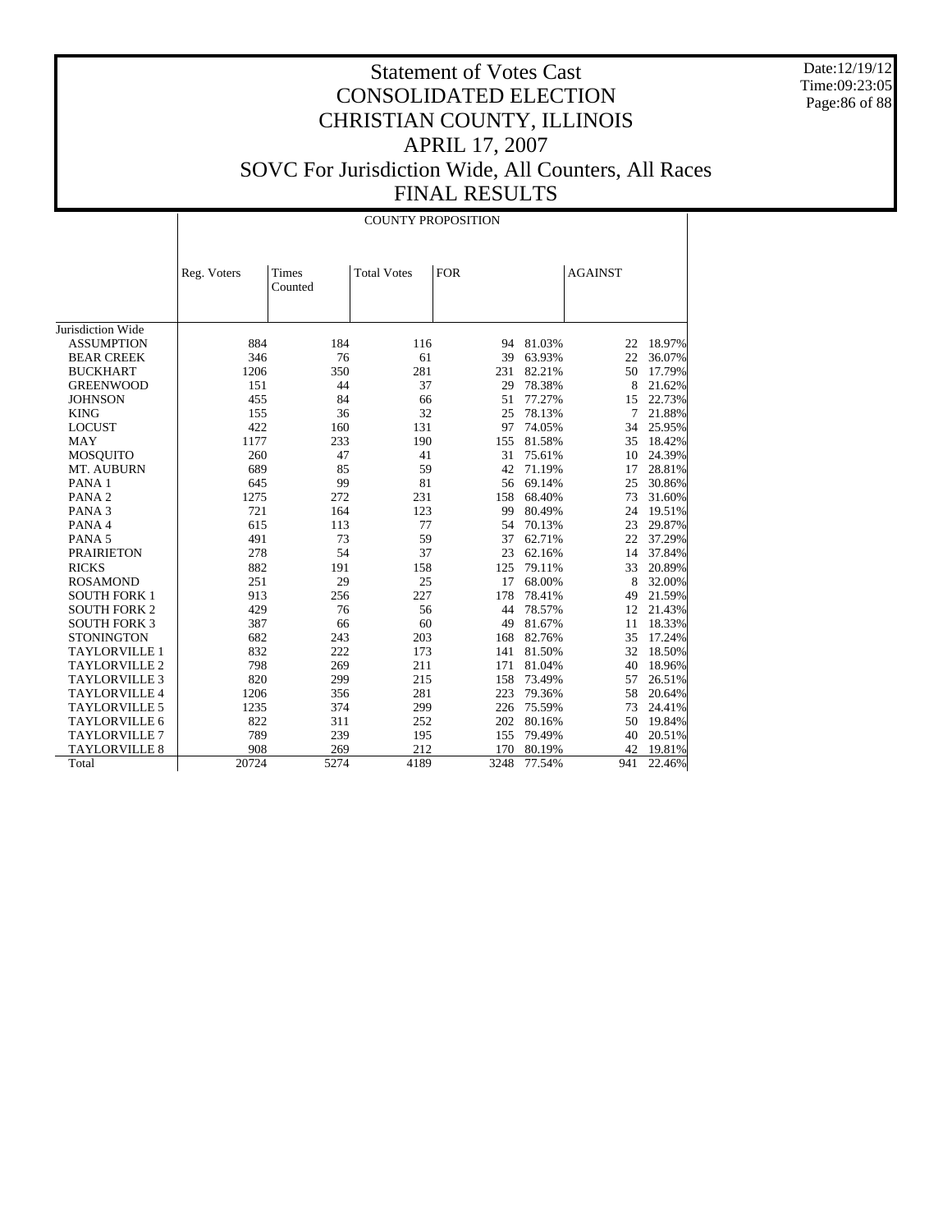Date:12/19/12 Time:09:23:05 Page:86 of 88

|                      | <b>COUNTY PROPOSITION</b> |                  |                    |            |        |                |        |
|----------------------|---------------------------|------------------|--------------------|------------|--------|----------------|--------|
|                      |                           |                  |                    |            |        |                |        |
|                      | Reg. Voters               | Times<br>Counted | <b>Total Votes</b> | <b>FOR</b> |        | <b>AGAINST</b> |        |
| Jurisdiction Wide    |                           |                  |                    |            |        |                |        |
| <b>ASSUMPTION</b>    | 884                       | 184              | 116                | 94         | 81.03% | 22             | 18.97% |
| <b>BEAR CREEK</b>    | 346                       | 76               | 61                 | 39         | 63.93% | 22             | 36.07% |
| <b>BUCKHART</b>      | 1206                      | 350              | 281                | 231        | 82.21% | 50             | 17.79% |
| <b>GREENWOOD</b>     | 151                       | 44               | 37                 | 29         | 78.38% | 8              | 21.62% |
| <b>JOHNSON</b>       | 455                       | 84               | 66                 | 51         | 77.27% | 15             | 22.73% |
| <b>KING</b>          | 155                       | 36               | 32                 | 25         | 78.13% | 7              | 21.88% |
| <b>LOCUST</b>        | 422                       | 160              | 131                | 97         | 74.05% | 34             | 25.95% |
| <b>MAY</b>           | 1177                      | 233              | 190                | 155        | 81.58% | 35             | 18.42% |
| <b>MOSQUITO</b>      | 260                       | 47               | 41                 | 31         | 75.61% | 10             | 24.39% |
| MT. AUBURN           | 689                       | 85               | 59                 | 42         | 71.19% | 17             | 28.81% |
| PANA <sub>1</sub>    | 645                       | 99               | 81                 | 56         | 69.14% | 25             | 30.86% |
| PANA <sub>2</sub>    | 1275                      | 272              | 231                | 158        | 68.40% | 73             | 31.60% |
| PANA <sub>3</sub>    | 721                       | 164              | 123                | 99         | 80.49% | 24             | 19.51% |
| PANA 4               | 615                       | 113              | 77                 | 54         | 70.13% | 23             | 29.87% |
| PANA <sub>5</sub>    | 491                       | 73               | 59                 | 37         | 62.71% | 22             | 37.29% |
| <b>PRAIRIETON</b>    | 278                       | 54               | 37                 | 23         | 62.16% | 14             | 37.84% |
| <b>RICKS</b>         | 882                       | 191              | 158                | 125        | 79.11% | 33             | 20.89% |
| <b>ROSAMOND</b>      | 251                       | 29               | 25                 | 17         | 68.00% | 8              | 32.00% |
| <b>SOUTH FORK 1</b>  | 913                       | 256              | 227                | 178        | 78.41% | 49             | 21.59% |
| <b>SOUTH FORK 2</b>  | 429                       | 76               | 56                 | 44         | 78.57% | 12             | 21.43% |
| <b>SOUTH FORK 3</b>  | 387                       | 66               | 60                 | 49         | 81.67% | 11             | 18.33% |
| <b>STONINGTON</b>    | 682                       | 243              | 203                | 168        | 82.76% | 35             | 17.24% |
| <b>TAYLORVILLE 1</b> | 832                       | 222              | 173                | 141        | 81.50% | 32             | 18.50% |
| <b>TAYLORVILLE 2</b> | 798                       | 269              | 211                | 171        | 81.04% | 40             | 18.96% |
| <b>TAYLORVILLE 3</b> | 820                       | 299              | 215                | 158        | 73.49% | 57             | 26.51% |
| <b>TAYLORVILLE 4</b> | 1206                      | 356              | 281                | 223        | 79.36% | 58             | 20.64% |
| <b>TAYLORVILLE 5</b> | 1235                      | 374              | 299                | 226        | 75.59% | 73             | 24.41% |
| <b>TAYLORVILLE 6</b> | 822                       | 311              | 252                | 202        | 80.16% | 50             | 19.84% |
| <b>TAYLORVILLE 7</b> | 789                       | 239              | 195                | 155        | 79.49% | 40             | 20.51% |
| <b>TAYLORVILLE 8</b> | 908                       | 269              | 212                | 170        | 80.19% | 42             | 19.81% |
| Total                | 20724                     | 5274             | 4189               | 3248       | 77.54% | 941            | 22.46% |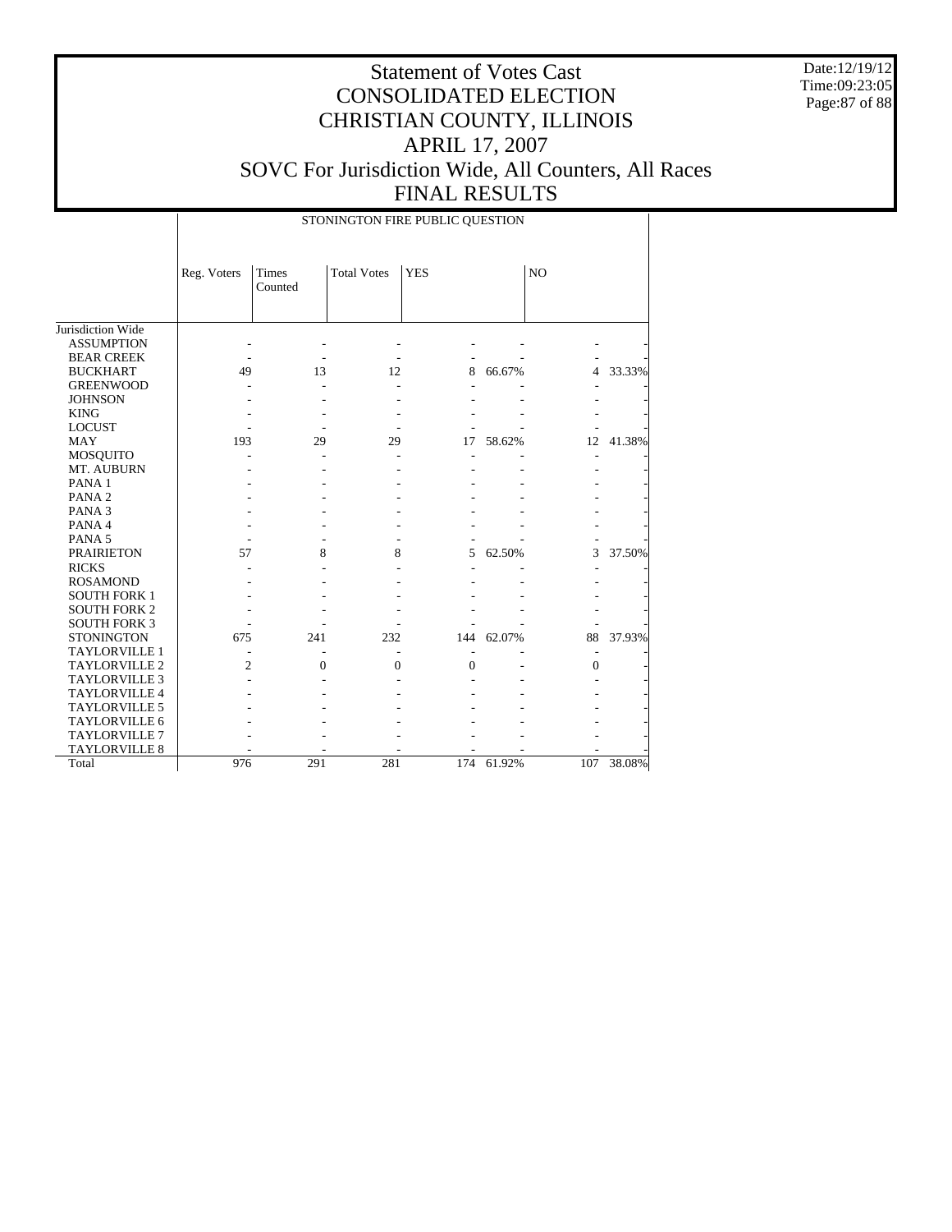Date:12/19/12 Time:09:23:05 Page:87 of 88

## Statement of Votes Cast CONSOLIDATED ELECTION CHRISTIAN COUNTY, ILLINOIS APRIL 17, 2007 SOVC For Jurisdiction Wide, All Counters, All Races FINAL RESULTS

STONINGTON FIRE PUBLIC QUESTION

|                      | Reg. Voters    | Times<br>Counted | <b>Total Votes</b> | <b>YES</b> |        | N <sub>O</sub> |        |
|----------------------|----------------|------------------|--------------------|------------|--------|----------------|--------|
|                      |                |                  |                    |            |        |                |        |
| Jurisdiction Wide    |                |                  |                    |            |        |                |        |
| <b>ASSUMPTION</b>    |                |                  |                    |            |        |                |        |
| <b>BEAR CREEK</b>    |                |                  |                    |            |        |                |        |
| <b>BUCKHART</b>      | 49             | 13               | 12                 | 8          | 66.67% | 4              | 33.33% |
| <b>GREENWOOD</b>     |                |                  |                    |            |        |                |        |
| <b>JOHNSON</b>       |                |                  |                    |            |        |                |        |
| <b>KING</b>          |                |                  |                    |            |        |                |        |
| <b>LOCUST</b>        |                |                  |                    |            |        |                |        |
| <b>MAY</b>           | 193            | 29               | 29                 | 17         | 58.62% | 12             | 41.38% |
| MOSQUITO             |                |                  |                    |            |        |                |        |
| MT. AUBURN           |                |                  |                    |            |        |                |        |
| PANA 1               |                |                  |                    |            |        |                |        |
| PANA <sub>2</sub>    |                |                  |                    |            |        |                |        |
| PANA <sub>3</sub>    |                |                  |                    |            |        |                |        |
| PANA 4               |                |                  |                    |            |        |                |        |
| PANA <sub>5</sub>    |                |                  |                    |            |        |                |        |
| <b>PRAIRIETON</b>    | 57             | 8                | 8                  | 5          | 62.50% | 3              | 37.50% |
| <b>RICKS</b>         |                |                  |                    |            |        |                |        |
| <b>ROSAMOND</b>      |                |                  |                    |            |        |                |        |
| <b>SOUTH FORK 1</b>  |                |                  |                    |            |        |                |        |
| <b>SOUTH FORK 2</b>  |                |                  |                    |            |        |                |        |
| <b>SOUTH FORK 3</b>  |                |                  |                    |            |        |                |        |
| <b>STONINGTON</b>    | 675            | 241              | 232                | 144        | 62.07% | 88             | 37.93% |
| <b>TAYLORVILLE 1</b> |                |                  |                    |            |        |                |        |
| TAYLORVILLE 2        | $\overline{c}$ | $\theta$         | $\Omega$           | $\theta$   |        | $\overline{0}$ |        |
| <b>TAYLORVILLE 3</b> |                |                  |                    |            |        |                |        |
| <b>TAYLORVILLE 4</b> |                |                  |                    |            |        |                |        |
| TAYLORVILLE 5        |                |                  |                    |            |        |                |        |
| TAYLORVILLE 6        |                |                  |                    |            |        |                |        |
| <b>TAYLORVILLE 7</b> |                |                  |                    |            |        |                |        |
| <b>TAYLORVILLE 8</b> |                |                  |                    |            |        |                |        |
| Total                | 976            | 291              | 281                | 174        | 61.92% | 107            | 38.08% |